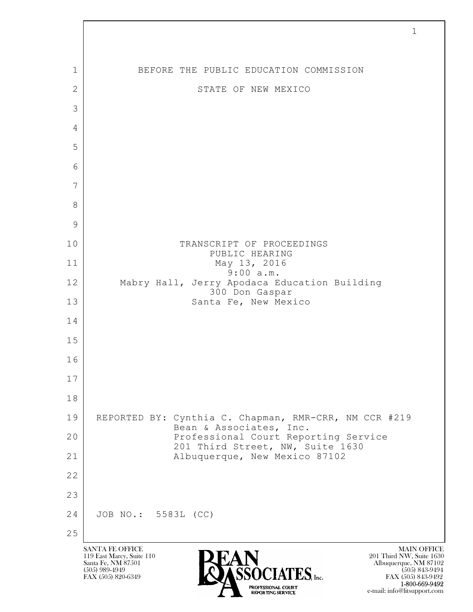$\mathbf{L}$  SANTA FE OFFICE MAIN OFFICE MAIN OFFICE MAIN OFFICE MAIN OFFICE 119 East Marcy, Suite 110<br>Santa Fe, NM 87501 Santa Fe, NM 87501 Albuquerque, NM 87102  $\sum_{\text{FAX (505) 889-4949}} \sum_{\text{FAX (505) 843-9492}} \sum_{\text{FAX (505) 843-9492}} \sum_{\text{FAX (505) 843-9492}}$ 1 BEFORE THE PUBLIC EDUCATION COMMISSION 2 STATE OF NEW MEXICO 3 4 5 6 7 8 9 10 TRANSCRIPT OF PROCEEDINGS PUBLIC HEARING 11 May 13, 2016 9:00 a.m. 12 Mabry Hall, Jerry Apodaca Education Building 300 Don Gaspar 13 Santa Fe, New Mexico 14 15 16 17 18 19 REPORTED BY: Cynthia C. Chapman, RMR-CRR, NM CCR #219 Bean & Associates, Inc. 20 | Professional Court Reporting Service 201 Third Street, NW, Suite 1630 21 Albuquerque, New Mexico 87102 22 23 24 JOB NO.: 5583L (CC) 25

FAX (505) 843-9492 1-800-669-9492 e-mail: info@litsupport.com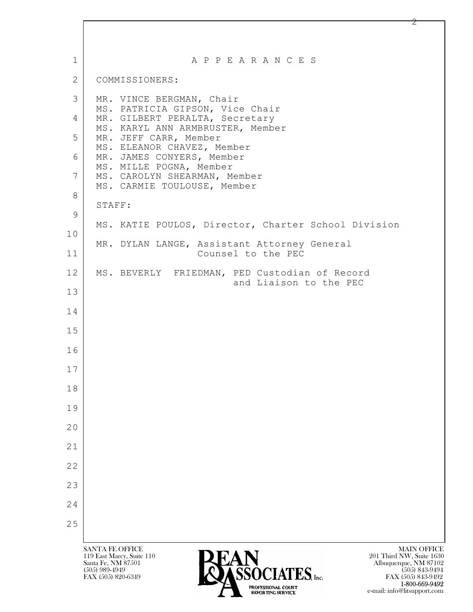| $\mathbf{1}$ | A P P E A R A N C E S                                                                                                                                                                                     |
|--------------|-----------------------------------------------------------------------------------------------------------------------------------------------------------------------------------------------------------|
| 2            | COMMISSIONERS:                                                                                                                                                                                            |
| 3            | MR. VINCE BERGMAN, Chair                                                                                                                                                                                  |
| 4            | MS. PATRICIA GIPSON, Vice Chair<br>MR. GILBERT PERALTA, Secretary                                                                                                                                         |
| 5            | MS. KARYL ANN ARMBRUSTER, Member<br>MR. JEFF CARR, Member                                                                                                                                                 |
| 6            | MS. ELEANOR CHAVEZ, Member<br>MR. JAMES CONYERS, Member                                                                                                                                                   |
| 7            | MS. MILLE POGNA, Member<br>MS. CAROLYN SHEARMAN, Member<br>MS. CARMIE TOULOUSE, Member                                                                                                                    |
| 8            | STAFF:                                                                                                                                                                                                    |
| 9            | MS. KATIE POULOS, Director, Charter School Division                                                                                                                                                       |
| 10           | MR. DYLAN LANGE, Assistant Attorney General                                                                                                                                                               |
| 11           | Counsel to the PEC                                                                                                                                                                                        |
| 12           | MS. BEVERLY FRIEDMAN, PED Custodian of Record<br>and Liaison to the PEC                                                                                                                                   |
| 13           |                                                                                                                                                                                                           |
| 14           |                                                                                                                                                                                                           |
| 15           |                                                                                                                                                                                                           |
| 16           |                                                                                                                                                                                                           |
| 17           |                                                                                                                                                                                                           |
| 18           |                                                                                                                                                                                                           |
| 19           |                                                                                                                                                                                                           |
| 20           |                                                                                                                                                                                                           |
| 21           |                                                                                                                                                                                                           |
| 22           |                                                                                                                                                                                                           |
| 23           |                                                                                                                                                                                                           |
| 24           |                                                                                                                                                                                                           |
| 25           |                                                                                                                                                                                                           |
|              | <b>SANTA FE OFFICE</b><br><b>MAIN OFFICE</b><br>119 East Marcy, Suite 110<br>201 Third NW, Suite 1630<br>Santa Fe, NM 87501<br>Albuquerque, NM 87102<br>REACLATER<br>$(505)$ 989-4949<br>$(505)$ 843-9494 |

FAX (505) 820-6349 **FAX (505)** 820-6349 **1-800-669-9492** e-mail: info@litsupport.com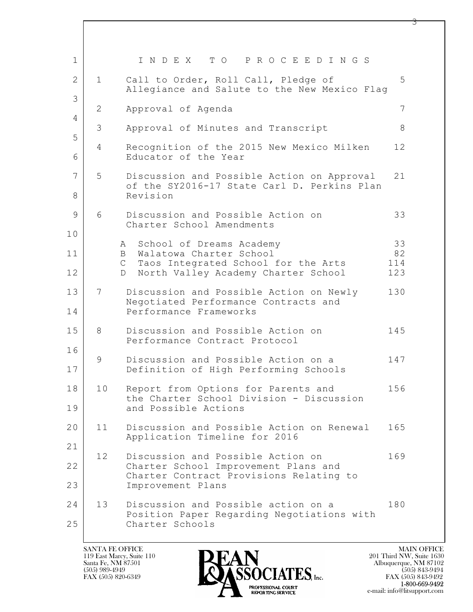| 1            |                | I N D E X<br>TO PROCEEDINGS                                                                    |            |
|--------------|----------------|------------------------------------------------------------------------------------------------|------------|
| $\mathbf{2}$ | $\mathbf{1}$   | Call to Order, Roll Call, Pledge of<br>Allegiance and Salute to the New Mexico Flag            | 5          |
| 3            | 2              | Approval of Agenda                                                                             | 7          |
| 4            | 3              | Approval of Minutes and Transcript                                                             | 8          |
| 5            |                |                                                                                                |            |
| 6            | $\overline{4}$ | Recognition of the 2015 New Mexico Milken<br>Educator of the Year                              | 12         |
| 7            | 5              | Discussion and Possible Action on Approval                                                     | 21         |
| 8            |                | of the SY2016-17 State Carl D. Perkins Plan<br>Revision                                        |            |
| 9            | 6              | Discussion and Possible Action on<br>Charter School Amendments                                 | 33         |
| 10           |                | A School of Dreams Academy                                                                     | 33         |
| 11           |                | B Walatowa Charter School                                                                      | 82         |
| 12           |                | Taos Integrated School for the Arts<br>$\mathbb C$<br>North Valley Academy Charter School<br>D | 114<br>123 |
| 13           | 7              | Discussion and Possible Action on Newly                                                        | 130        |
| 14           |                | Negotiated Performance Contracts and<br>Performance Frameworks                                 |            |
| 15           | 8              | Discussion and Possible Action on<br>Performance Contract Protocol                             | 145        |
| 16           | 9              | Discussion and Possible Action on a                                                            | 147        |
| 17           |                | Definition of High Performing Schools                                                          |            |
| 18           | 10             | Report from Options for Parents and<br>the Charter School Division - Discussion                | 156        |
| 19           |                | and Possible Actions                                                                           |            |
| 20           | 11             | Discussion and Possible Action on Renewal<br>Application Timeline for 2016                     | 165        |
| 21           |                |                                                                                                |            |
| 22           | 12             | Discussion and Possible Action on<br>Charter School Improvement Plans and                      | 169        |
| 23           |                | Charter Contract Provisions Relating to<br>Improvement Plans                                   |            |
| 24           | 13             | Discussion and Possible action on a<br>Position Paper Regarding Negotiations with              | 180        |
| 25           |                | Charter Schools                                                                                |            |

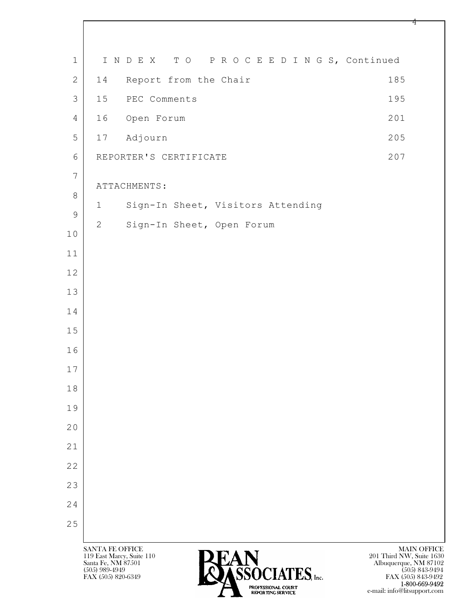| $\mathbf 1$    |                                                                           | INDEX TO PROCEEDINGS, Continued   |                                                                         |
|----------------|---------------------------------------------------------------------------|-----------------------------------|-------------------------------------------------------------------------|
| $\mathbf{2}$   | 14                                                                        | Report from the Chair             | 185                                                                     |
| $\mathfrak{Z}$ | 15                                                                        | PEC Comments                      | 195                                                                     |
| $\overline{4}$ | 16                                                                        | Open Forum                        | 201                                                                     |
| 5              |                                                                           | 17 Adjourn                        | 205                                                                     |
| $6\,$          |                                                                           | REPORTER'S CERTIFICATE            | 207                                                                     |
| $\overline{7}$ |                                                                           | ATTACHMENTS:                      |                                                                         |
| $\,8\,$        | 1                                                                         | Sign-In Sheet, Visitors Attending |                                                                         |
| $\overline{9}$ | $\overline{2}$                                                            | Sign-In Sheet, Open Forum         |                                                                         |
| $10$           |                                                                           |                                   |                                                                         |
| 11             |                                                                           |                                   |                                                                         |
| 12             |                                                                           |                                   |                                                                         |
| 13             |                                                                           |                                   |                                                                         |
| 14             |                                                                           |                                   |                                                                         |
| $15$           |                                                                           |                                   |                                                                         |
| 16             |                                                                           |                                   |                                                                         |
| 17             |                                                                           |                                   |                                                                         |
| 18             |                                                                           |                                   |                                                                         |
| 19             |                                                                           |                                   |                                                                         |
| 20             |                                                                           |                                   |                                                                         |
| 21             |                                                                           |                                   |                                                                         |
| 22             |                                                                           |                                   |                                                                         |
| 23             |                                                                           |                                   |                                                                         |
| 24             |                                                                           |                                   |                                                                         |
| 25             |                                                                           |                                   |                                                                         |
|                | <b>SANTA FE OFFICE</b><br>119 East Marcy, Suite 110<br>Santa Fe, NM 87501 |                                   | <b>MAIN OFFICE</b><br>201 Third NW, Suite 1630<br>Albuquerque, NM 87102 |

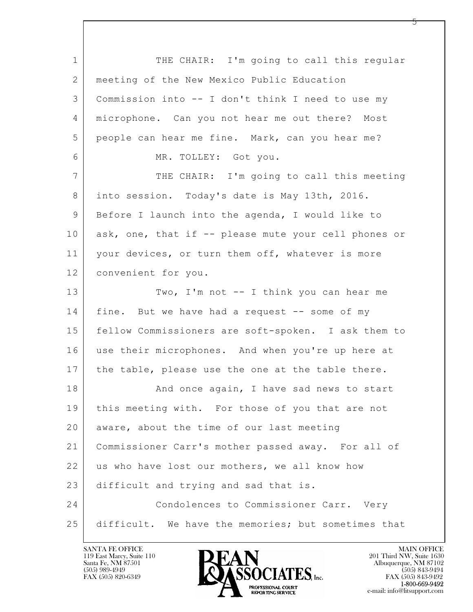$\mathbf{L}$  1 THE CHAIR: I'm going to call this regular 2 meeting of the New Mexico Public Education 3 Commission into -- I don't think I need to use my 4 microphone. Can you not hear me out there? Most 5 people can hear me fine. Mark, can you hear me? 6 MR. TOLLEY: Got you. 7 THE CHAIR: I'm going to call this meeting 8 into session. Today's date is May 13th, 2016. 9 Before I launch into the agenda, I would like to 10 ask, one, that if -- please mute your cell phones or 11 | your devices, or turn them off, whatever is more 12 convenient for you. 13 Two, I'm not -- I think you can hear me 14 | fine. But we have had a request -- some of my 15 fellow Commissioners are soft-spoken. I ask them to 16 | use their microphones. And when you're up here at 17 | the table, please use the one at the table there. 18 | Rand once again, I have sad news to start 19 this meeting with. For those of you that are not 20 aware, about the time of our last meeting 21 Commissioner Carr's mother passed away. For all of 22 us who have lost our mothers, we all know how 23 difficult and trying and sad that is. 24 Condolences to Commissioner Carr. Very 25 difficult. We have the memories; but sometimes that

119 East Marcy, Suite 110<br>Santa Fe, NM 87501

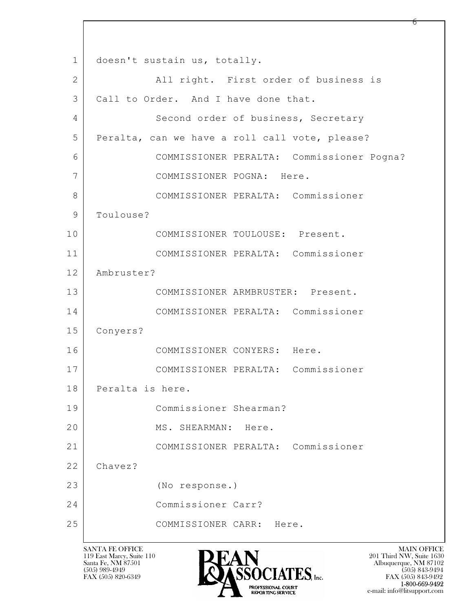$\mathbf{L}$  1 doesn't sustain us, totally. 2 | All right. First order of business is 3 | Call to Order. And I have done that. 4 Second order of business, Secretary 5 Peralta, can we have a roll call vote, please? 6 COMMISSIONER PERALTA: Commissioner Pogna? 7 COMMISSIONER POGNA: Here. 8 COMMISSIONER PERALTA: Commissioner 9 | Toulouse? 10 | COMMISSIONER TOULOUSE: Present. 11 COMMISSIONER PERALTA: Commissioner 12 Ambruster? 13 COMMISSIONER ARMBRUSTER: Present. 14 COMMISSIONER PERALTA: Commissioner 15 Conyers? 16 COMMISSIONER CONYERS: Here. 17 COMMISSIONER PERALTA: Commissioner 18 Peralta is here. 19 Commissioner Shearman? 20 | MS. SHEARMAN: Here. 21 COMMISSIONER PERALTA: Commissioner 22 Chavez? 23 (No response.) 24 Commissioner Carr? 25 COMMISSIONER CARR: Here.

119 East Marcy, Suite 110<br>Santa Fe, NM 87501



 $FAX (505) 843-9492$ <br>1-800-669-9492 e-mail: info@litsupport.com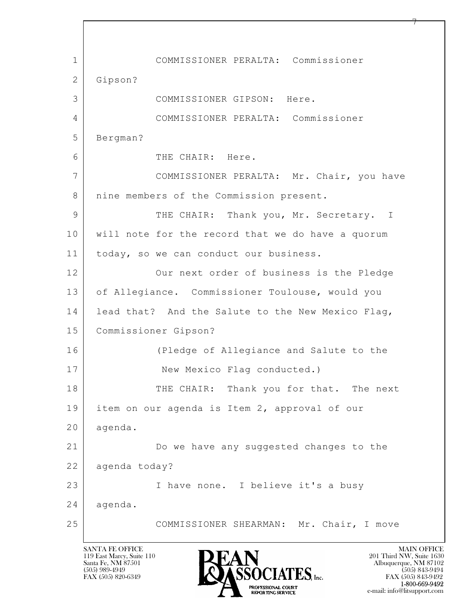$\mathbf{L}$  1 COMMISSIONER PERALTA: Commissioner 2 Gipson? 3 COMMISSIONER GIPSON: Here. 4 COMMISSIONER PERALTA: Commissioner 5 Bergman? 6 THE CHAIR: Here. 7 COMMISSIONER PERALTA: Mr. Chair, you have 8 | nine members of the Commission present. 9 THE CHAIR: Thank you, Mr. Secretary. I 10 will note for the record that we do have a quorum 11 | today, so we can conduct our business. 12 Our next order of business is the Pledge 13 of Allegiance. Commissioner Toulouse, would you 14 lead that? And the Salute to the New Mexico Flag, 15 Commissioner Gipson? 16 (Pledge of Allegiance and Salute to the 17 New Mexico Flag conducted.) 18 THE CHAIR: Thank you for that. The next 19 item on our agenda is Item 2, approval of our 20 agenda. 21 Do we have any suggested changes to the 22 agenda today? 23 I have none. I believe it's a busy 24 agenda. 25 COMMISSIONER SHEARMAN: Mr. Chair, I move

119 East Marcy, Suite 110<br>Santa Fe, NM 87501

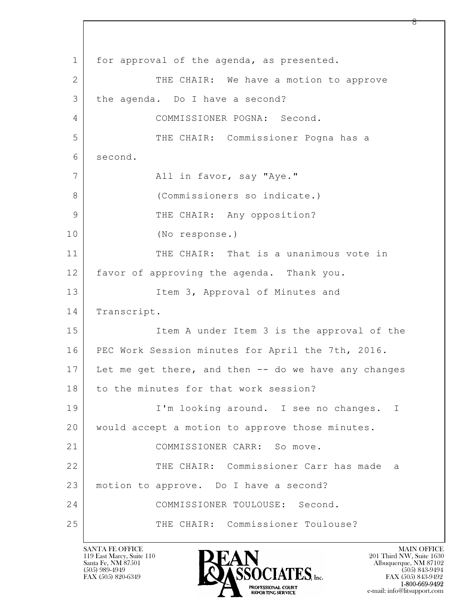$\mathbf{L}$  1 for approval of the agenda, as presented. 2 THE CHAIR: We have a motion to approve 3 the agenda. Do I have a second? 4 COMMISSIONER POGNA: Second. 5 THE CHAIR: Commissioner Pogna has a 6 second. 7 | All in favor, say "Aye." 8 (Commissioners so indicate.) 9 | THE CHAIR: Any opposition? 10 (No response.) 11 THE CHAIR: That is a unanimous vote in 12 favor of approving the agenda. Thank you. 13 Item 3, Approval of Minutes and 14 Transcript. 15 | Item A under Item 3 is the approval of the 16 PEC Work Session minutes for April the 7th, 2016. 17 Let me get there, and then -- do we have any changes 18 to the minutes for that work session? 19 | I'm looking around. I see no changes. I 20 would accept a motion to approve those minutes. 21 COMMISSIONER CARR: So move. 22 THE CHAIR: Commissioner Carr has made a 23 | motion to approve. Do I have a second? 24 COMMISSIONER TOULOUSE: Second. 25 THE CHAIR: Commissioner Toulouse?

119 East Marcy, Suite 110<br>Santa Fe, NM 87501



FAX (505) 843-9492 e-mail: info@litsupport.com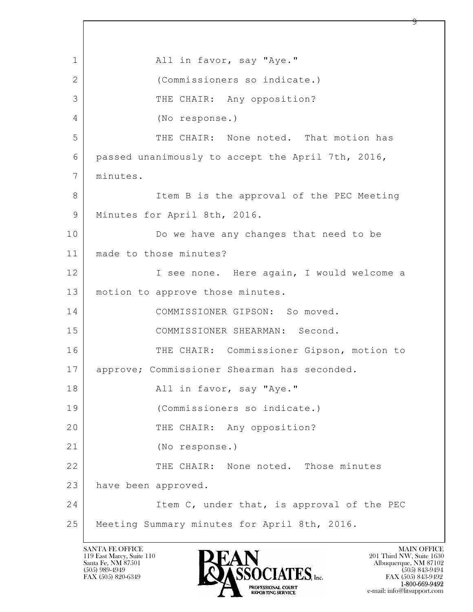$\mathbf{L}$  1 | All in favor, say "Aye." 2 (Commissioners so indicate.) 3 THE CHAIR: Any opposition? 4 (No response.) 5 THE CHAIR: None noted. That motion has 6 passed unanimously to accept the April 7th, 2016, 7 minutes. 8 Item B is the approval of the PEC Meeting 9 | Minutes for April 8th, 2016. 10 Do we have any changes that need to be 11 made to those minutes? 12 I see none. Here again, I would welcome a 13 motion to approve those minutes. 14 COMMISSIONER GIPSON: So moved. 15 COMMISSIONER SHEARMAN: Second. 16 THE CHAIR: Commissioner Gipson, motion to 17 approve; Commissioner Shearman has seconded. 18 | The Contract Contract All in favor, say "Aye." 19 (Commissioners so indicate.) 20 THE CHAIR: Any opposition? 21 (No response.) 22 THE CHAIR: None noted. Those minutes 23 have been approved. 24 Item C, under that, is approval of the PEC 25 Meeting Summary minutes for April 8th, 2016.

119 East Marcy, Suite 110<br>Santa Fe, NM 87501

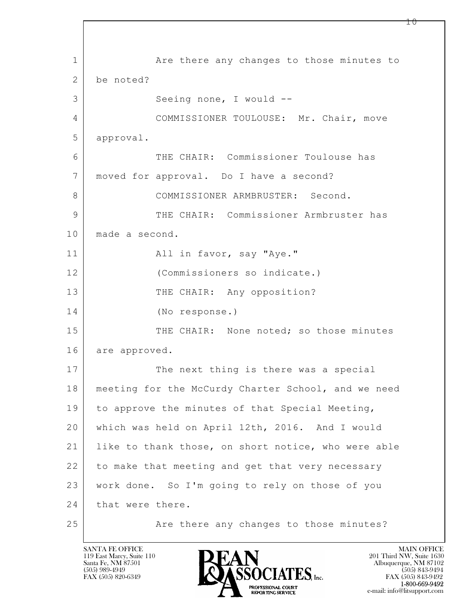$\mathbf{L}$  1 | Are there any changes to those minutes to 2 be noted? 3 | Seeing none, I would --4 COMMISSIONER TOULOUSE: Mr. Chair, move 5 approval. 6 THE CHAIR: Commissioner Toulouse has 7 moved for approval. Do I have a second? 8 COMMISSIONER ARMBRUSTER: Second. 9 THE CHAIR: Commissioner Armbruster has 10 | made a second. 11 | All in favor, say "Aye." 12 (Commissioners so indicate.) 13 THE CHAIR: Any opposition? 14 (No response.) 15 THE CHAIR: None noted; so those minutes 16 are approved. 17 The next thing is there was a special 18 meeting for the McCurdy Charter School, and we need 19 to approve the minutes of that Special Meeting, 20 which was held on April 12th, 2016. And I would 21 | like to thank those, on short notice, who were able 22 to make that meeting and get that very necessary 23 work done. So I'm going to rely on those of you 24 | that were there. 25 | The there any changes to those minutes?

119 East Marcy, Suite 110<br>Santa Fe, NM 87501



1 ი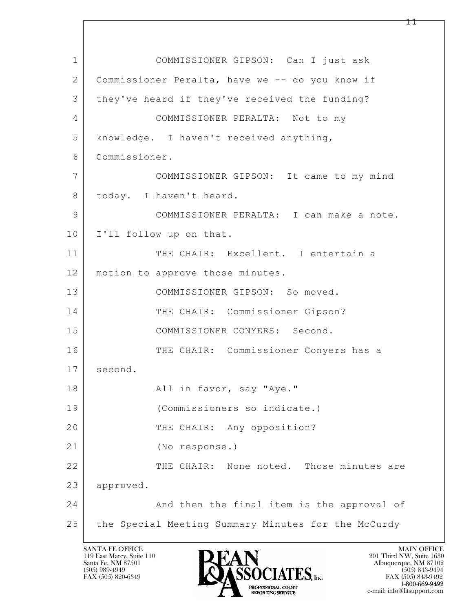$\mathbf{L}$  1 COMMISSIONER GIPSON: Can I just ask 2 Commissioner Peralta, have we -- do you know if 3 they've heard if they've received the funding? 4 COMMISSIONER PERALTA: Not to my 5 knowledge. I haven't received anything, 6 Commissioner. 7 COMMISSIONER GIPSON: It came to my mind 8 today. I haven't heard. 9 COMMISSIONER PERALTA: I can make a note. 10 I'll follow up on that. 11 THE CHAIR: Excellent. I entertain a 12 | motion to approve those minutes. 13 COMMISSIONER GIPSON: So moved. 14 THE CHAIR: Commissioner Gipson? 15 COMMISSIONER CONYERS: Second. 16 THE CHAIR: Commissioner Conyers has a 17 second. 18 | The Contract Contract All in favor, say "Aye." 19 (Commissioners so indicate.) 20 THE CHAIR: Any opposition? 21 (No response.) 22 THE CHAIR: None noted. Those minutes are 23 approved. 24 And then the final item is the approval of 25 the Special Meeting Summary Minutes for the McCurdy

119 East Marcy, Suite 110<br>Santa Fe, NM 87501



FAX (505) 843-9492 e-mail: info@litsupport.com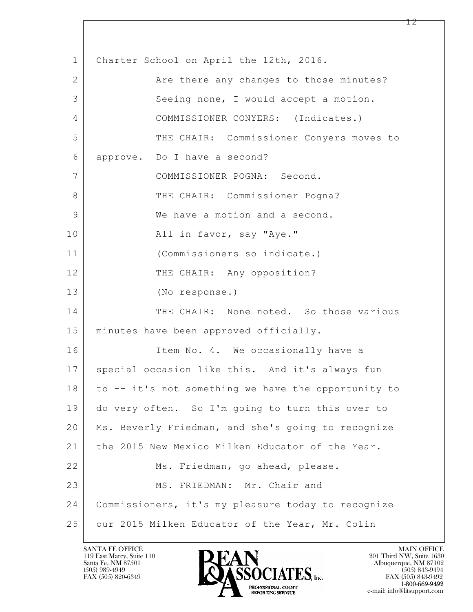$\mathbf{L}$  1 Charter School on April the 12th, 2016. 2 Are there any changes to those minutes? 3 Seeing none, I would accept a motion. 4 COMMISSIONER CONYERS: (Indicates.) 5 THE CHAIR: Commissioner Conyers moves to 6 approve. Do I have a second? 7 COMMISSIONER POGNA: Second. 8 THE CHAIR: Commissioner Pogna? 9 We have a motion and a second. 10 All in favor, say "Aye." 11 (Commissioners so indicate.) 12 THE CHAIR: Any opposition? 13 (No response.) 14 THE CHAIR: None noted. So those various 15 minutes have been approved officially. 16 Item No. 4. We occasionally have a 17 | special occasion like this. And it's always fun 18 to -- it's not something we have the opportunity to 19 do very often. So I'm going to turn this over to 20 Ms. Beverly Friedman, and she's going to recognize 21 the 2015 New Mexico Milken Educator of the Year. 22 Ms. Friedman, go ahead, please. 23 MS. FRIEDMAN: Mr. Chair and 24 Commissioners, it's my pleasure today to recognize 25 our 2015 Milken Educator of the Year, Mr. Colin

119 East Marcy, Suite 110<br>Santa Fe, NM 87501

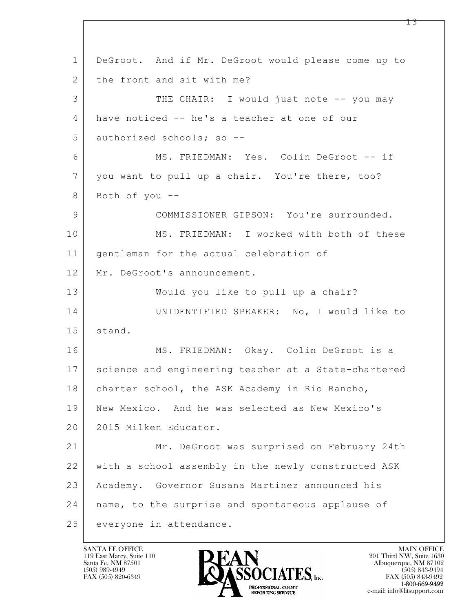$\mathbf{L}$  1 DeGroot. And if Mr. DeGroot would please come up to 2 the front and sit with me? 3 THE CHAIR: I would just note -- you may 4 have noticed -- he's a teacher at one of our 5 authorized schools; so --6 MS. FRIEDMAN: Yes. Colin DeGroot -- if 7 you want to pull up a chair. You're there, too? 8 Both of you --9 COMMISSIONER GIPSON: You're surrounded. 10 MS. FRIEDMAN: I worked with both of these 11 gentleman for the actual celebration of 12 Mr. DeGroot's announcement. 13 | Would you like to pull up a chair? 14 UNIDENTIFIED SPEAKER: No, I would like to 15 | stand. 16 MS. FRIEDMAN: Okay. Colin DeGroot is a 17 science and engineering teacher at a State-chartered 18 | charter school, the ASK Academy in Rio Rancho, 19 New Mexico. And he was selected as New Mexico's 20 2015 Milken Educator. 21 Mr. DeGroot was surprised on February 24th 22 with a school assembly in the newly constructed ASK 23 Academy. Governor Susana Martinez announced his 24 | name, to the surprise and spontaneous applause of 25 everyone in attendance.

119 East Marcy, Suite 110<br>Santa Fe, NM 87501

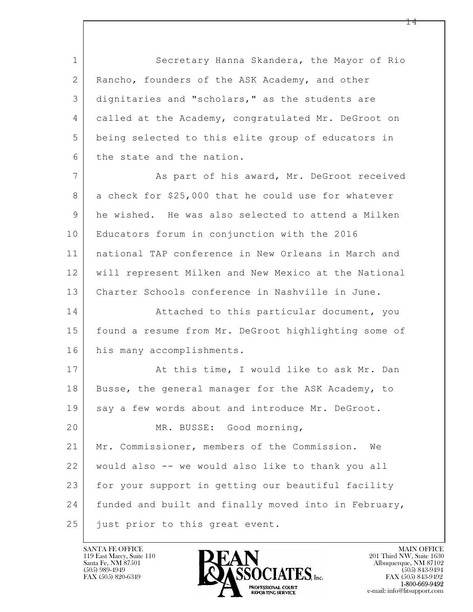1 Secretary Hanna Skandera, the Mayor of Rio 2 | Rancho, founders of the ASK Academy, and other 3 dignitaries and "scholars," as the students are 4 called at the Academy, congratulated Mr. DeGroot on 5 being selected to this elite group of educators in 6 the state and the nation.

7 As part of his award, Mr. DeGroot received 8 a check for \$25,000 that he could use for whatever 9 he wished. He was also selected to attend a Milken 10 Educators forum in conjunction with the 2016 11 national TAP conference in New Orleans in March and 12 will represent Milken and New Mexico at the National 13 Charter Schools conference in Nashville in June.

14 Attached to this particular document, you 15 found a resume from Mr. DeGroot highlighting some of 16 his many accomplishments.

 $\mathbf{L}$  17 | At this time, I would like to ask Mr. Dan 18 Busse, the general manager for the ASK Academy, to 19 say a few words about and introduce Mr. DeGroot. 20 MR. BUSSE: Good morning, 21 Mr. Commissioner, members of the Commission. We 22 would also -- we would also like to thank you all 23 for your support in getting our beautiful facility 24 funded and built and finally moved into in February, 25 just prior to this great event.

119 East Marcy, Suite 110<br>Santa Fe, NM 87501

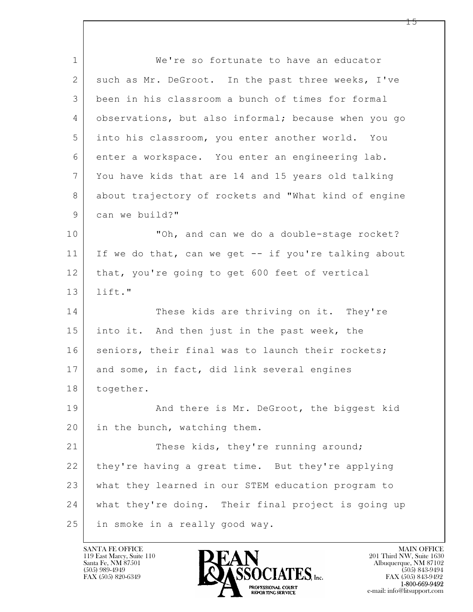$\mathbf{L}$  1 We're so fortunate to have an educator 2 such as Mr. DeGroot. In the past three weeks, I've 3 been in his classroom a bunch of times for formal 4 observations, but also informal; because when you go 5 into his classroom, you enter another world. You 6 enter a workspace. You enter an engineering lab. 7 You have kids that are 14 and 15 years old talking 8 about trajectory of rockets and "What kind of engine 9 can we build?" 10 | Toh, and can we do a double-stage rocket? 11 If we do that, can we get -- if you're talking about 12 that, you're going to get 600 feet of vertical 13 lift." 14 These kids are thriving on it. They're 15 into it. And then just in the past week, the 16 seniors, their final was to launch their rockets; 17 and some, in fact, did link several engines 18 together. 19 | And there is Mr. DeGroot, the biggest kid 20 in the bunch, watching them. 21 These kids, they're running around; 22 they're having a great time. But they're applying 23 what they learned in our STEM education program to 24 what they're doing. Their final project is going up 25 in smoke in a really good way.

119 East Marcy, Suite 110<br>Santa Fe, NM 87501



 $FAX (505) 843-9492$ <br>1-800-669-9492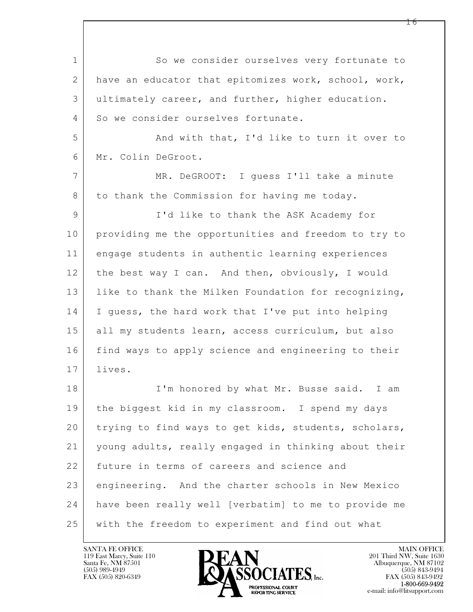$\mathbf{L}$  1 So we consider ourselves very fortunate to 2 have an educator that epitomizes work, school, work, 3 ultimately career, and further, higher education. 4 So we consider ourselves fortunate. 5 And with that, I'd like to turn it over to 6 Mr. Colin DeGroot. 7 MR. DeGROOT: I guess I'll take a minute 8 to thank the Commission for having me today. 9 I'd like to thank the ASK Academy for 10 providing me the opportunities and freedom to try to 11 engage students in authentic learning experiences 12 the best way I can. And then, obviously, I would 13 | like to thank the Milken Foundation for recognizing, 14 I guess, the hard work that I've put into helping 15 all my students learn, access curriculum, but also 16 find ways to apply science and engineering to their 17 lives. 18 | I'm honored by what Mr. Busse said. I am 19 the biggest kid in my classroom. I spend my days 20 trying to find ways to get kids, students, scholars, 21 young adults, really engaged in thinking about their 22 future in terms of careers and science and 23 engineering. And the charter schools in New Mexico 24 have been really well [verbatim] to me to provide me 25 with the freedom to experiment and find out what

119 East Marcy, Suite 110<br>Santa Fe, NM 87501

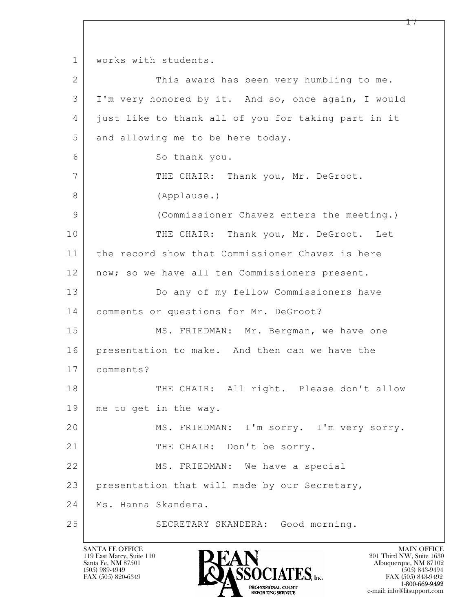$\mathbf{L}$  1 | works with students. 2 This award has been very humbling to me. 3 I'm very honored by it. And so, once again, I would 4 just like to thank all of you for taking part in it 5 and allowing me to be here today. 6 So thank you. 7 | THE CHAIR: Thank you, Mr. DeGroot. 8 (Applause.) 9 (Commissioner Chavez enters the meeting.) 10 THE CHAIR: Thank you, Mr. DeGroot. Let 11 the record show that Commissioner Chavez is here 12 | now; so we have all ten Commissioners present. 13 Do any of my fellow Commissioners have 14 comments or questions for Mr. DeGroot? 15 | MS. FRIEDMAN: Mr. Bergman, we have one 16 presentation to make. And then can we have the 17 comments? 18 THE CHAIR: All right. Please don't allow 19 me to get in the way. 20 MS. FRIEDMAN: I'm sorry. I'm very sorry. 21 | THE CHAIR: Don't be sorry. 22 MS. FRIEDMAN: We have a special 23 presentation that will made by our Secretary, 24 | Ms. Hanna Skandera. 25 SECRETARY SKANDERA: Good morning.

119 East Marcy, Suite 110<br>Santa Fe, NM 87501



FAX (505) 843-9492 e-mail: info@litsupport.com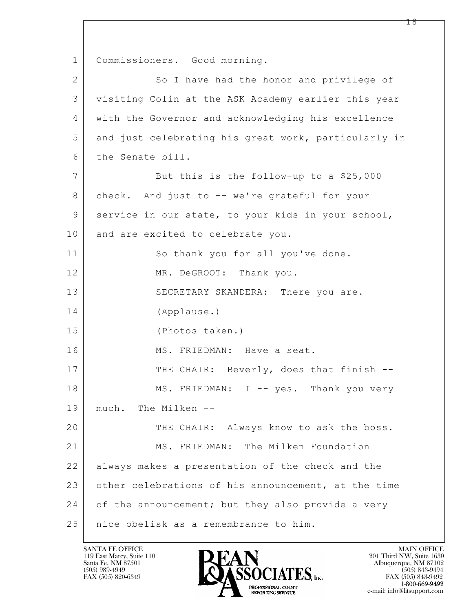$\mathbf{L}$  1 | Commissioners. Good morning. 2 So I have had the honor and privilege of 3 visiting Colin at the ASK Academy earlier this year 4 with the Governor and acknowledging his excellence 5 and just celebrating his great work, particularly in 6 the Senate bill. 7 But this is the follow-up to a \$25,000 8 check. And just to -- we're grateful for your 9 service in our state, to your kids in your school, 10 and are excited to celebrate you. 11 So thank you for all you've done. 12 MR. DeGROOT: Thank you. 13 SECRETARY SKANDERA: There you are. 14 (Applause.) 15 (Photos taken.) 16 MS. FRIEDMAN: Have a seat. 17 THE CHAIR: Beverly, does that finish --18 MS. FRIEDMAN: I -- yes. Thank you very 19 much. The Milken -- 20 THE CHAIR: Always know to ask the boss. 21 MS. FRIEDMAN: The Milken Foundation 22 always makes a presentation of the check and the 23 other celebrations of his announcement, at the time 24 of the announcement; but they also provide a very 25 nice obelisk as a remembrance to him.

119 East Marcy, Suite 110<br>Santa Fe, NM 87501

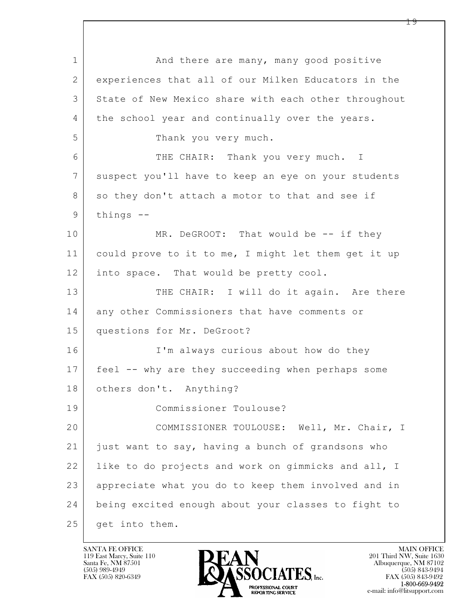$\mathbf{L}$  1 and there are many, many good positive 2 experiences that all of our Milken Educators in the 3 State of New Mexico share with each other throughout 4 the school year and continually over the years. 5 Thank you very much. 6 THE CHAIR: Thank you very much. I 7 suspect you'll have to keep an eye on your students 8 so they don't attach a motor to that and see if 9 things --10 MR. DeGROOT: That would be -- if they 11 could prove to it to me, I might let them get it up 12 into space. That would be pretty cool. 13 THE CHAIR: I will do it again. Are there 14 any other Commissioners that have comments or 15 questions for Mr. DeGroot? 16 I'm always curious about how do they 17 feel -- why are they succeeding when perhaps some 18 others don't. Anything? 19 Commissioner Toulouse? 20 COMMISSIONER TOULOUSE: Well, Mr. Chair, I 21 just want to say, having a bunch of grandsons who 22 | like to do projects and work on gimmicks and all, I 23 appreciate what you do to keep them involved and in 24 being excited enough about your classes to fight to 25 get into them.

119 East Marcy, Suite 110<br>Santa Fe, NM 87501

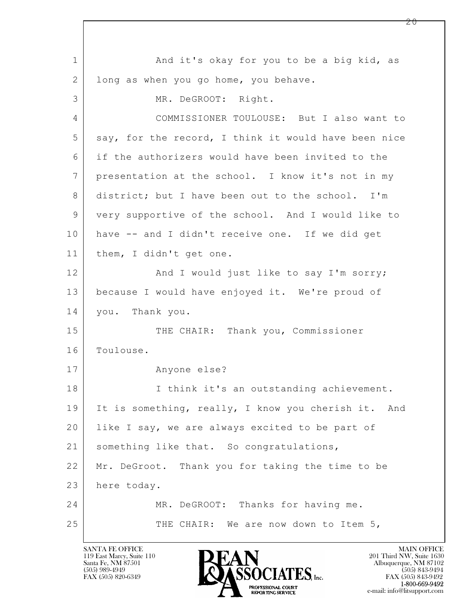$\mathbf{L}$  1 and it's okay for you to be a big kid, as 2 long as when you go home, you behave. 3 MR. DeGROOT: Right. 4 COMMISSIONER TOULOUSE: But I also want to 5 say, for the record, I think it would have been nice 6 if the authorizers would have been invited to the 7 presentation at the school. I know it's not in my 8 district; but I have been out to the school. I'm 9 very supportive of the school. And I would like to 10 have -- and I didn't receive one. If we did get 11 | them, I didn't get one. 12 | And I would just like to say I'm sorry; 13 because I would have enjoyed it. We're proud of 14 you. Thank you. 15 THE CHAIR: Thank you, Commissioner 16 Toulouse. 17 Anyone else? 18 | I think it's an outstanding achievement. 19 It is something, really, I know you cherish it. And 20 like I say, we are always excited to be part of 21 | something like that. So congratulations, 22 Mr. DeGroot. Thank you for taking the time to be 23 here today. 24 MR. DeGROOT: Thanks for having me. 25 THE CHAIR: We are now down to Item 5,

119 East Marcy, Suite 110<br>Santa Fe, NM 87501

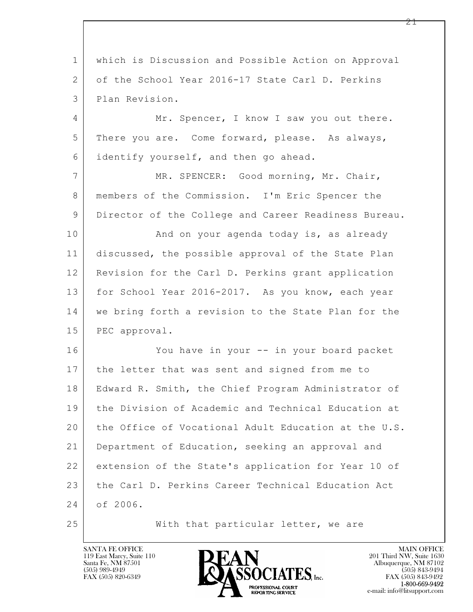| $\mathbf 1$    | which is Discussion and Possible Action on Approval  |
|----------------|------------------------------------------------------|
| 2              | of the School Year 2016-17 State Carl D. Perkins     |
| 3              | Plan Revision.                                       |
| $\overline{4}$ | Mr. Spencer, I know I saw you out there.             |
| 5              | There you are. Come forward, please. As always,      |
| 6              | identify yourself, and then go ahead.                |
| $\overline{7}$ | MR. SPENCER: Good morning, Mr. Chair,                |
| 8              | members of the Commission. I'm Eric Spencer the      |
| $\mathsf 9$    | Director of the College and Career Readiness Bureau. |
| 10             | And on your agenda today is, as already              |
| 11             | discussed, the possible approval of the State Plan   |
| 12             | Revision for the Carl D. Perkins grant application   |
| 13             | for School Year 2016-2017. As you know, each year    |
| 14             | we bring forth a revision to the State Plan for the  |
| 15             | PEC approval.                                        |
| 16             | You have in your -- in your board packet             |
| 17             | the letter that was sent and signed from me to       |
| 18             | Edward R. Smith, the Chief Program Administrator of  |
| 19             | the Division of Academic and Technical Education at  |
| 20             | the Office of Vocational Adult Education at the U.S. |
| 21             | Department of Education, seeking an approval and     |
| 22             | extension of the State's application for Year 10 of  |
| 23             | the Carl D. Perkins Career Technical Education Act   |
| 24             | of 2006.                                             |
| 25             | With that particular letter, we are                  |

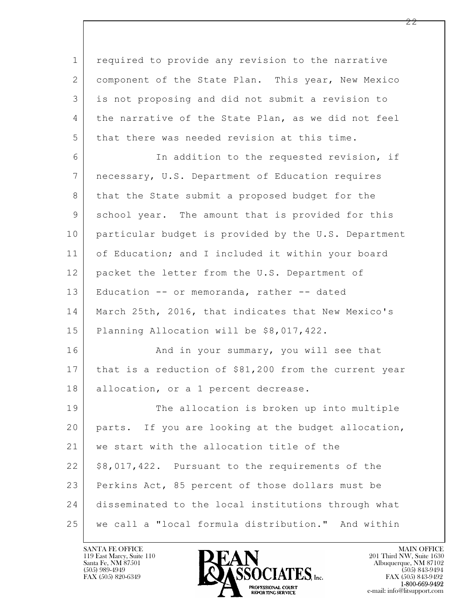$\mathbf{L}$  1 required to provide any revision to the narrative 2 component of the State Plan. This year, New Mexico 3 is not proposing and did not submit a revision to 4 | the narrative of the State Plan, as we did not feel 5 that there was needed revision at this time. 6 In addition to the requested revision, if 7 necessary, U.S. Department of Education requires 8 that the State submit a proposed budget for the 9 school year. The amount that is provided for this 10 particular budget is provided by the U.S. Department 11 of Education; and I included it within your board 12 | packet the letter from the U.S. Department of 13 Education -- or memoranda, rather -- dated 14 March 25th, 2016, that indicates that New Mexico's 15 Planning Allocation will be \$8,017,422. 16 And in your summary, you will see that 17 that is a reduction of \$81,200 from the current year 18 | allocation, or a 1 percent decrease. 19 The allocation is broken up into multiple 20 parts. If you are looking at the budget allocation, 21 | we start with the allocation title of the  $22$  \$8,017,422. Pursuant to the requirements of the 23 Perkins Act, 85 percent of those dollars must be 24 disseminated to the local institutions through what 25 we call a "local formula distribution." And within

119 East Marcy, Suite 110<br>Santa Fe, NM 87501



FAX (505) 843-9492 e-mail: info@litsupport.com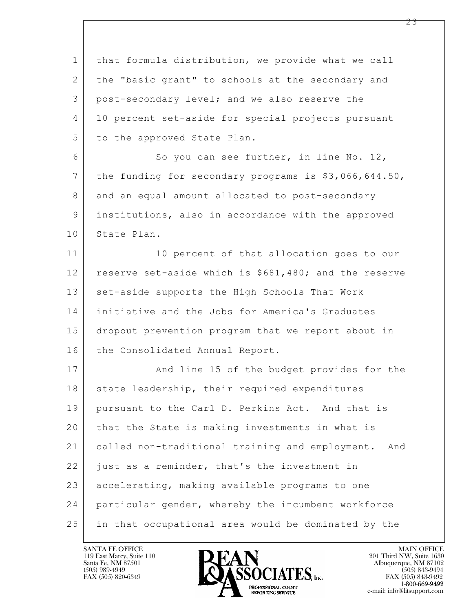$\mathbf{L}$  1 that formula distribution, we provide what we call 2 the "basic grant" to schools at the secondary and 3 post-secondary level; and we also reserve the 4 10 percent set-aside for special projects pursuant 5 to the approved State Plan. 6 So you can see further, in line No. 12, 7 the funding for secondary programs is \$3,066,644.50, 8 and an equal amount allocated to post-secondary 9 | institutions, also in accordance with the approved 10 State Plan. 11 10 percent of that allocation goes to our 12 reserve set-aside which is \$681,480; and the reserve 13 | set-aside supports the High Schools That Work 14 initiative and the Jobs for America's Graduates 15 dropout prevention program that we report about in 16 the Consolidated Annual Report. 17 | And line 15 of the budget provides for the 18 state leadership, their required expenditures 19 pursuant to the Carl D. Perkins Act. And that is 20 that the State is making investments in what is 21 called non-traditional training and employment. And 22 just as a reminder, that's the investment in 23 accelerating, making available programs to one 24 particular gender, whereby the incumbent workforce 25 in that occupational area would be dominated by the

119 East Marcy, Suite 110<br>Santa Fe, NM 87501

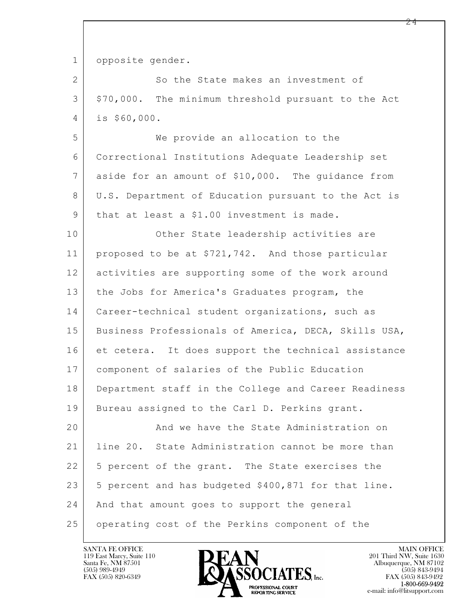1 opposite gender. 2 So the State makes an investment of 3 \$70,000. The minimum threshold pursuant to the Act 4 is \$60,000. 5 We provide an allocation to the 6 Correctional Institutions Adequate Leadership set 7 aside for an amount of \$10,000. The guidance from 8 U.S. Department of Education pursuant to the Act is 9 | that at least a \$1.00 investment is made. 10 Other State leadership activities are 11 proposed to be at \$721,742. And those particular 12 activities are supporting some of the work around 13 the Jobs for America's Graduates program, the 14 | Career-technical student organizations, such as 15 | Business Professionals of America, DECA, Skills USA, 16 et cetera. It does support the technical assistance 17 component of salaries of the Public Education 18 Department staff in the College and Career Readiness 19 Bureau assigned to the Carl D. Perkins grant.

 $\mathbf{L}$  20 And we have the State Administration on 21 line 20. State Administration cannot be more than 22 | 5 percent of the grant. The State exercises the  $23$  5 percent and has budgeted \$400,871 for that line. 24 | And that amount goes to support the general 25 operating cost of the Perkins component of the

119 East Marcy, Suite 110<br>Santa Fe, NM 87501



FAX (505) 843-9492 e-mail: info@litsupport.com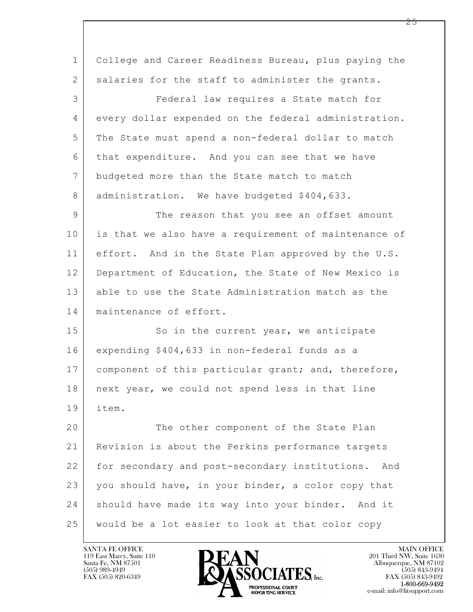$\mathbf{L}$  1 College and Career Readiness Bureau, plus paying the 2 salaries for the staff to administer the grants. 3 Federal law requires a State match for 4 every dollar expended on the federal administration. 5 The State must spend a non-federal dollar to match 6 that expenditure. And you can see that we have 7 budgeted more than the State match to match 8 | administration. We have budgeted \$404,633. 9 The reason that you see an offset amount 10 is that we also have a requirement of maintenance of 11 effort. And in the State Plan approved by the U.S. 12 Department of Education, the State of New Mexico is 13 able to use the State Administration match as the 14 maintenance of effort. 15 So in the current year, we anticipate 16 expending \$404,633 in non-federal funds as a 17 | component of this particular grant; and, therefore, 18 | next year, we could not spend less in that line 19 item. 20 The other component of the State Plan 21 Revision is about the Perkins performance targets 22 for secondary and post-secondary institutions. And 23 you should have, in your binder, a color copy that 24 | should have made its way into your binder. And it 25 would be a lot easier to look at that color copy

119 East Marcy, Suite 110<br>Santa Fe, NM 87501



FAX (505) 843-9492 e-mail: info@litsupport.com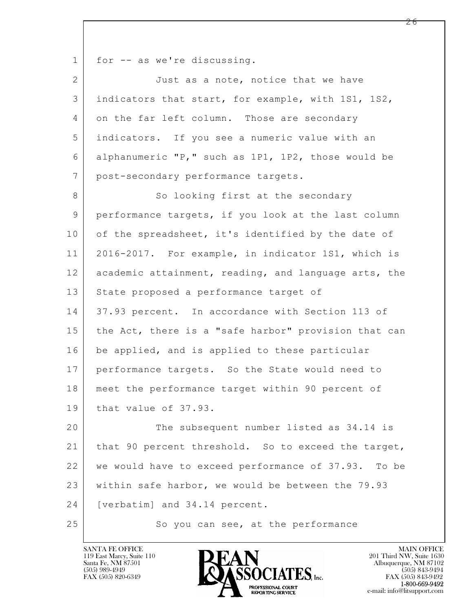1 for -- as we're discussing.

| $\mathbf{2}$   | Just as a note, notice that we have                    |
|----------------|--------------------------------------------------------|
| 3              | indicators that start, for example, with 1S1, 1S2,     |
| 4              | on the far left column. Those are secondary            |
| 5              | indicators. If you see a numeric value with an         |
| 6              | alphanumeric "P," such as 1P1, 1P2, those would be     |
| $\overline{7}$ | post-secondary performance targets.                    |
| 8              | So looking first at the secondary                      |
| 9              | performance targets, if you look at the last column    |
| 10             | of the spreadsheet, it's identified by the date of     |
| 11             | 2016-2017. For example, in indicator 1S1, which is     |
| 12             | academic attainment, reading, and language arts, the   |
| 13             | State proposed a performance target of                 |
| 14             | 37.93 percent. In accordance with Section 113 of       |
| 15             | the Act, there is a "safe harbor" provision that can   |
| 16             | be applied, and is applied to these particular         |
| 17             | performance targets. So the State would need to        |
| 18             | meet the performance target within 90 percent of       |
| 19             | that value of 37.93.                                   |
| 20             | The subsequent number listed as 34.14 is               |
| 21             | that 90 percent threshold. So to exceed the target,    |
| 22             | we would have to exceed performance of 37.93.<br>To be |
| 23             | within safe harbor, we would be between the 79.93      |
| 24             | [verbatim] and 34.14 percent.                          |
| 25             | So you can see, at the performance                     |

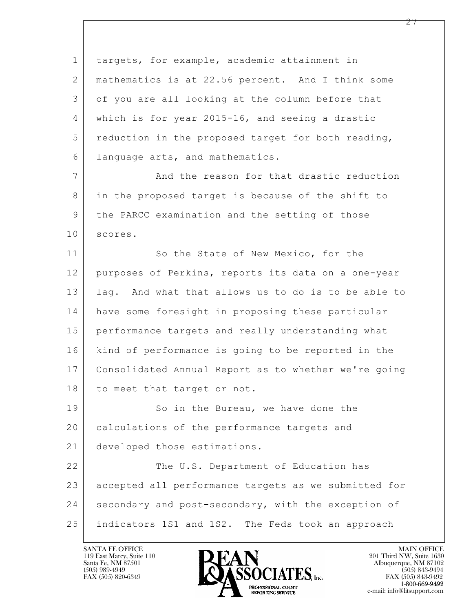| $\mathbf 1$ | targets, for example, academic attainment in         |
|-------------|------------------------------------------------------|
| 2           | mathematics is at 22.56 percent. And I think some    |
| 3           | of you are all looking at the column before that     |
| 4           | which is for year 2015-16, and seeing a drastic      |
| 5           | reduction in the proposed target for both reading,   |
| 6           | language arts, and mathematics.                      |
| 7           | And the reason for that drastic reduction            |
| 8           | in the proposed target is because of the shift to    |
| 9           | the PARCC examination and the setting of those       |
| 10          | scores.                                              |
| 11          | So the State of New Mexico, for the                  |
| 12          | purposes of Perkins, reports its data on a one-year  |
| 13          | lag. And what that allows us to do is to be able to  |
| 14          | have some foresight in proposing these particular    |
| 15          | performance targets and really understanding what    |
| 16          | kind of performance is going to be reported in the   |
| 17          | Consolidated Annual Report as to whether we're going |
| 18          | to meet that target or not.                          |
| 19          | So in the Bureau, we have done the                   |
| 20          | calculations of the performance targets and          |
| 21          | developed those estimations.                         |
| 22          | The U.S. Department of Education has                 |
| 23          | accepted all performance targets as we submitted for |
| 24          | secondary and post-secondary, with the exception of  |
| 25          | indicators 1S1 and 1S2. The Feds took an approach    |

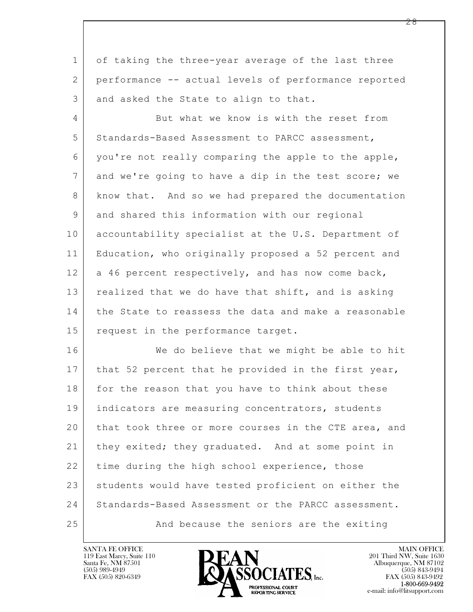1 of taking the three-year average of the last three 2 performance -- actual levels of performance reported 3 and asked the State to align to that.

4 But what we know is with the reset from 5 Standards-Based Assessment to PARCC assessment, 6 you're not really comparing the apple to the apple, 7 and we're going to have a dip in the test score; we 8 know that. And so we had prepared the documentation 9 and shared this information with our regional 10 accountability specialist at the U.S. Department of 11 Education, who originally proposed a 52 percent and 12 a 46 percent respectively, and has now come back, 13 realized that we do have that shift, and is asking 14 the State to reassess the data and make a reasonable 15 request in the performance target.

 $\mathbf{L}$  16 We do believe that we might be able to hit 17 | that 52 percent that he provided in the first year, 18 for the reason that you have to think about these 19 | indicators are measuring concentrators, students 20 that took three or more courses in the CTE area, and 21 | they exited; they graduated. And at some point in 22 time during the high school experience, those 23 students would have tested proficient on either the 24 Standards-Based Assessment or the PARCC assessment. 25 And because the seniors are the exiting

119 East Marcy, Suite 110<br>Santa Fe, NM 87501

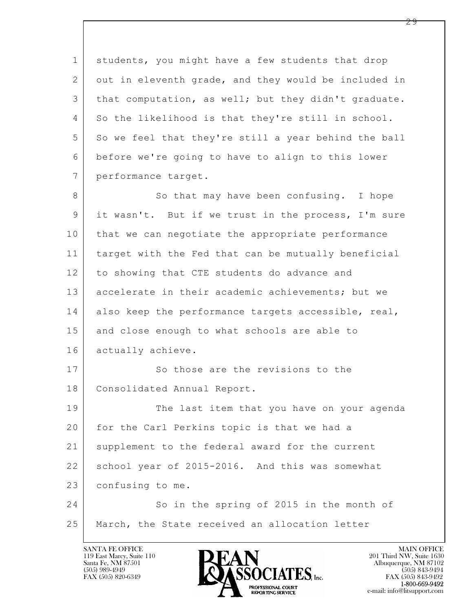$\mathbf{L}$  1 students, you might have a few students that drop 2 out in eleventh grade, and they would be included in 3 that computation, as well; but they didn't graduate. 4 So the likelihood is that they're still in school. 5 So we feel that they're still a year behind the ball 6 before we're going to have to align to this lower 7 performance target. 8 So that may have been confusing. I hope 9 it wasn't. But if we trust in the process, I'm sure 10 that we can negotiate the appropriate performance 11 target with the Fed that can be mutually beneficial 12 to showing that CTE students do advance and 13 accelerate in their academic achievements; but we 14 also keep the performance targets accessible, real, 15 and close enough to what schools are able to 16 actually achieve. 17 So those are the revisions to the 18 | Consolidated Annual Report. 19 The last item that you have on your agenda 20 for the Carl Perkins topic is that we had a 21 supplement to the federal award for the current 22 school year of 2015-2016. And this was somewhat 23 confusing to me. 24 So in the spring of 2015 in the month of 25 | March, the State received an allocation letter

119 East Marcy, Suite 110<br>Santa Fe, NM 87501

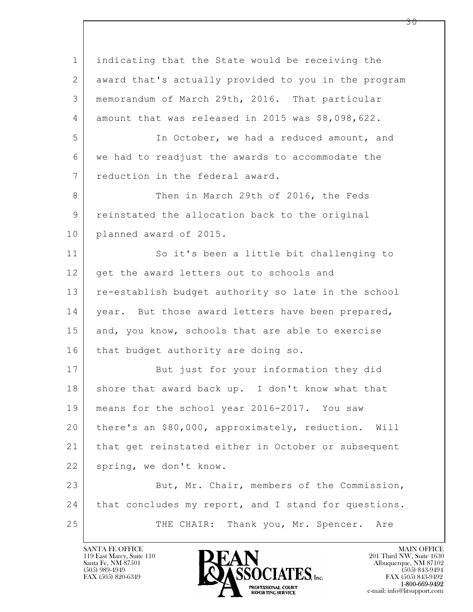$\mathbf{L}$  1 indicating that the State would be receiving the 2 award that's actually provided to you in the program 3 memorandum of March 29th, 2016. That particular 4 amount that was released in 2015 was \$8,098,622. 5 In October, we had a reduced amount, and 6 we had to readjust the awards to accommodate the 7 reduction in the federal award. 8 Then in March 29th of 2016, the Feds 9 reinstated the allocation back to the original 10 planned award of 2015. 11 So it's been a little bit challenging to 12 get the award letters out to schools and 13 re-establish budget authority so late in the school 14 | year. But those award letters have been prepared, 15 and, you know, schools that are able to exercise 16 | that budget authority are doing so. 17 But just for your information they did 18 shore that award back up. I don't know what that 19 means for the school year 2016-2017. You saw 20 there's an \$80,000, approximately, reduction. Will 21 that get reinstated either in October or subsequent 22 spring, we don't know. 23 But, Mr. Chair, members of the Commission, 24 | that concludes my report, and I stand for questions. 25 THE CHAIR: Thank you, Mr. Spencer. Are

119 East Marcy, Suite 110<br>Santa Fe, NM 87501

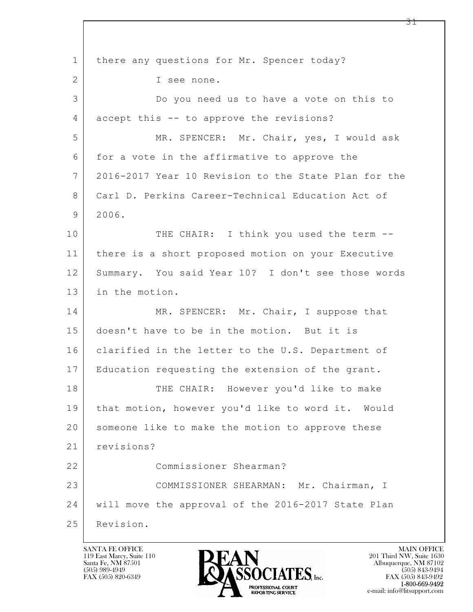$\mathbf{L}$  1 | there any questions for Mr. Spencer today? 2 I see none. 3 Do you need us to have a vote on this to 4 accept this -- to approve the revisions? 5 MR. SPENCER: Mr. Chair, yes, I would ask 6 for a vote in the affirmative to approve the 7 2016-2017 Year 10 Revision to the State Plan for the 8 Carl D. Perkins Career-Technical Education Act of 9 2006. 10 THE CHAIR: I think you used the term --11 there is a short proposed motion on your Executive 12 Summary. You said Year 10? I don't see those words 13 in the motion. 14 MR. SPENCER: Mr. Chair, I suppose that 15 doesn't have to be in the motion. But it is 16 clarified in the letter to the U.S. Department of 17 Education requesting the extension of the grant. 18 THE CHAIR: However you'd like to make 19 that motion, however you'd like to word it. Would 20 someone like to make the motion to approve these 21 revisions? 22 Commissioner Shearman? 23 | COMMISSIONER SHEARMAN: Mr. Chairman, I 24 will move the approval of the 2016-2017 State Plan 25 Revision.

119 East Marcy, Suite 110<br>Santa Fe, NM 87501

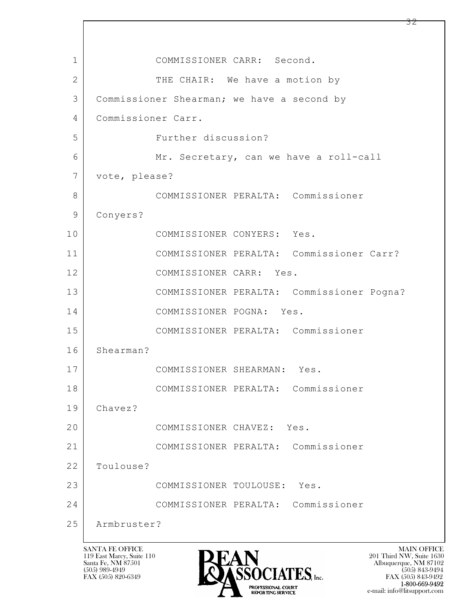$\mathbf{L}$  1 COMMISSIONER CARR: Second. 2 | THE CHAIR: We have a motion by 3 Commissioner Shearman; we have a second by 4 Commissioner Carr. 5 Further discussion? 6 Mr. Secretary, can we have a roll-call 7 vote, please? 8 COMMISSIONER PERALTA: Commissioner 9 Conyers? 10 COMMISSIONER CONYERS: Yes. 11 COMMISSIONER PERALTA: Commissioner Carr? 12 COMMISSIONER CARR: Yes. 13 COMMISSIONER PERALTA: Commissioner Pogna? 14 COMMISSIONER POGNA: Yes. 15 COMMISSIONER PERALTA: Commissioner 16 Shearman? 17 COMMISSIONER SHEARMAN: Yes. 18 COMMISSIONER PERALTA: Commissioner 19 Chavez? 20 COMMISSIONER CHAVEZ: Yes. 21 COMMISSIONER PERALTA: Commissioner 22 Toulouse? 23 COMMISSIONER TOULOUSE: Yes. 24 COMMISSIONER PERALTA: Commissioner 25 Armbruster?

119 East Marcy, Suite 110<br>Santa Fe, NM 87501



 $FAX (505) 843-9492$ <br>1-800-669-9492 e-mail: info@litsupport.com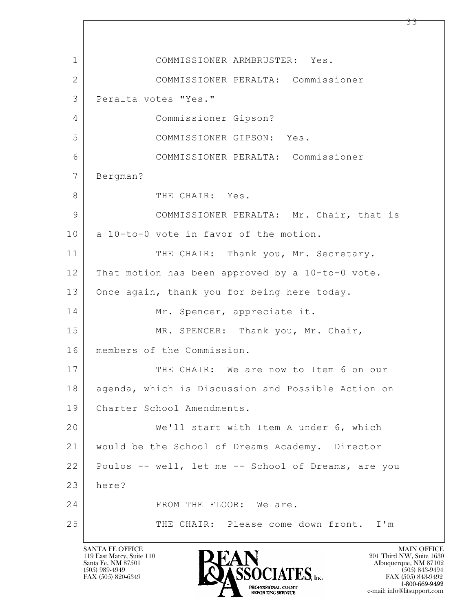$\mathbf{L}$  1 COMMISSIONER ARMBRUSTER: Yes. 2 COMMISSIONER PERALTA: Commissioner 3 Peralta votes "Yes." 4 Commissioner Gipson? 5 COMMISSIONER GIPSON: Yes. 6 COMMISSIONER PERALTA: Commissioner 7 Bergman? 8 THE CHAIR: Yes. 9 COMMISSIONER PERALTA: Mr. Chair, that is 10 a 10-to-0 vote in favor of the motion. 11 THE CHAIR: Thank you, Mr. Secretary. 12 That motion has been approved by a 10-to-0 vote. 13 Once again, thank you for being here today. 14 Mr. Spencer, appreciate it. 15 | MR. SPENCER: Thank you, Mr. Chair, 16 members of the Commission. 17 I THE CHAIR: We are now to Item 6 on our 18 agenda, which is Discussion and Possible Action on 19 Charter School Amendments. 20 We'll start with Item A under 6, which 21 would be the School of Dreams Academy. Director 22 Poulos -- well, let me -- School of Dreams, are you 23 here? 24 FROM THE FLOOR: We are. 25 THE CHAIR: Please come down front. I'm

119 East Marcy, Suite 110<br>Santa Fe, NM 87501



FAX (505) 843-9492 e-mail: info@litsupport.com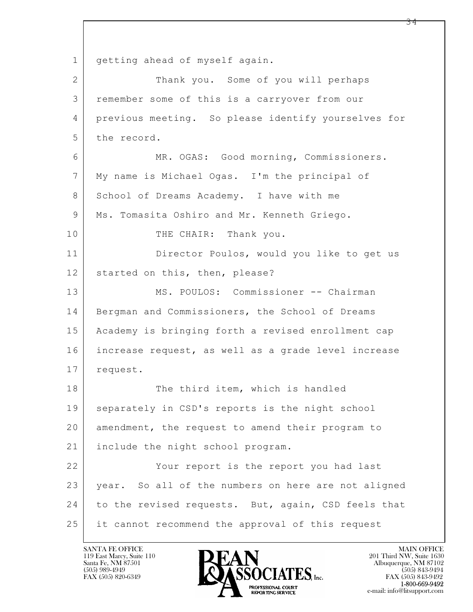$\mathbf{L}$  1 | getting ahead of myself again. 2 | Thank you. Some of you will perhaps 3 remember some of this is a carryover from our 4 previous meeting. So please identify yourselves for 5 the record. 6 MR. OGAS: Good morning, Commissioners. 7 My name is Michael Ogas. I'm the principal of 8 School of Dreams Academy. I have with me 9 | Ms. Tomasita Oshiro and Mr. Kenneth Griego. 10 THE CHAIR: Thank you. 11 Director Poulos, would you like to get us 12 started on this, then, please? 13 MS. POULOS: Commissioner -- Chairman 14 Bergman and Commissioners, the School of Dreams 15 Academy is bringing forth a revised enrollment cap 16 increase request, as well as a grade level increase 17 | request. 18 The third item, which is handled 19 separately in CSD's reports is the night school 20 amendment, the request to amend their program to 21 include the night school program. 22 Your report is the report you had last 23 | year. So all of the numbers on here are not aligned 24 to the revised requests. But, again, CSD feels that 25 | it cannot recommend the approval of this request

119 East Marcy, Suite 110<br>Santa Fe, NM 87501

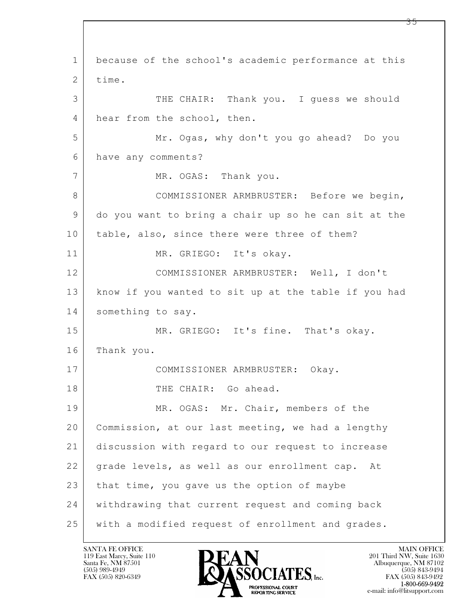$\mathbf{L}$  1 because of the school's academic performance at this 2 time. 3 THE CHAIR: Thank you. I guess we should 4 hear from the school, then. 5 Mr. Ogas, why don't you go ahead? Do you 6 have any comments? 7 MR. OGAS: Thank you. 8 | COMMISSIONER ARMBRUSTER: Before we begin, 9 do you want to bring a chair up so he can sit at the 10 table, also, since there were three of them? 11 MR. GRIEGO: It's okay. 12 COMMISSIONER ARMBRUSTER: Well, I don't 13 know if you wanted to sit up at the table if you had 14 something to say. 15 MR. GRIEGO: It's fine. That's okay. 16 Thank you. 17 COMMISSIONER ARMBRUSTER: Okay. 18 THE CHAIR: Go ahead. 19 MR. OGAS: Mr. Chair, members of the 20 Commission, at our last meeting, we had a lengthy 21 discussion with regard to our request to increase 22 grade levels, as well as our enrollment cap. At 23 that time, you gave us the option of maybe 24 withdrawing that current request and coming back 25 with a modified request of enrollment and grades.

119 East Marcy, Suite 110<br>Santa Fe, NM 87501



FAX (505) 843-9492 e-mail: info@litsupport.com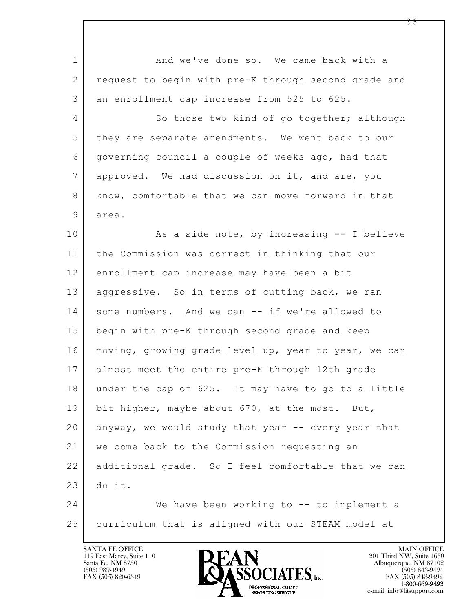| $\mathbf 1$    | And we've done so. We came back with a               |
|----------------|------------------------------------------------------|
| $\mathbf{2}$   | request to begin with pre-K through second grade and |
| 3              | an enrollment cap increase from 525 to 625.          |
| $\overline{4}$ | So those two kind of go together; although           |
| 5              | they are separate amendments. We went back to our    |
| 6              | governing council a couple of weeks ago, had that    |
| $7\phantom{.}$ | approved. We had discussion on it, and are, you      |
| 8              | know, comfortable that we can move forward in that   |
| 9              | area.                                                |
| 10             | As a side note, by increasing -- I believe           |
| 11             | the Commission was correct in thinking that our      |
| 12             | enrollment cap increase may have been a bit          |
| 13             | aggressive. So in terms of cutting back, we ran      |
| 14             | some numbers. And we can -- if we're allowed to      |
| 15             | begin with pre-K through second grade and keep       |
| 16             | moving, growing grade level up, year to year, we can |
| 17             | almost meet the entire pre-K through 12th grade      |
| 18             | under the cap of 625. It may have to go to a little  |
| 19             | bit higher, maybe about 670, at the most. But,       |
| 20             | anyway, we would study that year -- every year that  |
| 21             | we come back to the Commission requesting an         |
| 22             | additional grade. So I feel comfortable that we can  |
| 23             | do it.                                               |
| 24             | We have been working to -- to implement a            |
| 25             | curriculum that is aligned with our STEAM model at   |

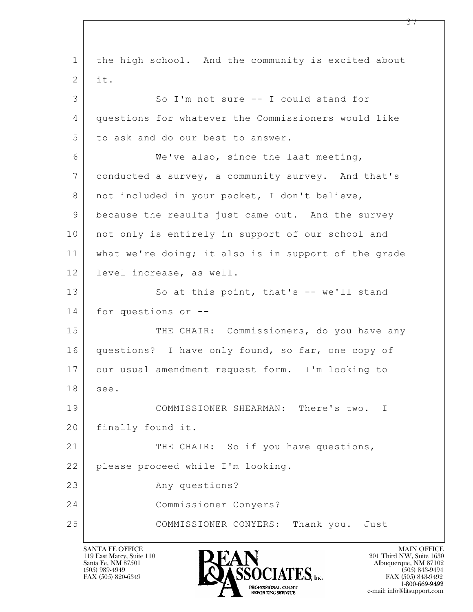$\mathbf{L}$  1 the high school. And the community is excited about  $2$  it. 3 So I'm not sure -- I could stand for 4 questions for whatever the Commissioners would like 5 to ask and do our best to answer. 6 We've also, since the last meeting, 7 conducted a survey, a community survey. And that's 8 | not included in your packet, I don't believe, 9 because the results just came out. And the survey 10 | not only is entirely in support of our school and 11 what we're doing; it also is in support of the grade 12 level increase, as well. 13 So at this point, that's -- we'll stand 14 for questions or -- 15 THE CHAIR: Commissioners, do you have any 16 questions? I have only found, so far, one copy of 17 our usual amendment request form. I'm looking to 18 see. 19 COMMISSIONER SHEARMAN: There's two. I 20 | finally found it. 21 THE CHAIR: So if you have questions, 22 please proceed while I'm looking. 23 Any questions? 24 Commissioner Conyers? 25 COMMISSIONER CONYERS: Thank you. Just

119 East Marcy, Suite 110<br>Santa Fe, NM 87501



FAX (505) 843-9492 e-mail: info@litsupport.com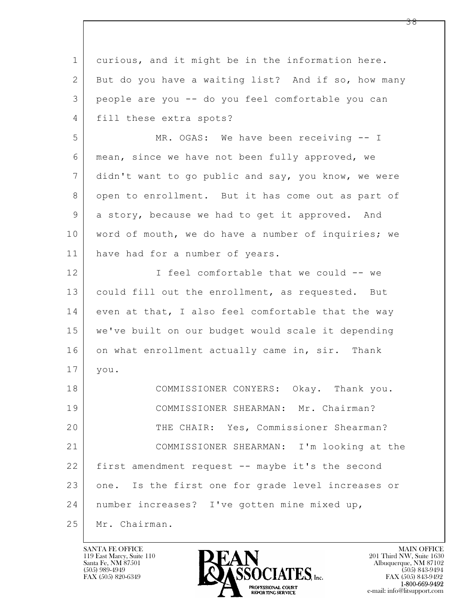$\mathbf{L}$  1 curious, and it might be in the information here. 2 But do you have a waiting list? And if so, how many 3 people are you -- do you feel comfortable you can 4 | fill these extra spots? 5 MR. OGAS: We have been receiving -- I 6 mean, since we have not been fully approved, we 7 didn't want to go public and say, you know, we were 8 open to enrollment. But it has come out as part of 9 a story, because we had to get it approved. And 10 word of mouth, we do have a number of inquiries; we 11 have had for a number of years. 12 I feel comfortable that we could -- we 13 | could fill out the enrollment, as requested. But  $14$  even at that, I also feel comfortable that the way 15 we've built on our budget would scale it depending 16 on what enrollment actually came in, sir. Thank 17 you. 18 COMMISSIONER CONYERS: Okay. Thank you. 19 COMMISSIONER SHEARMAN: Mr. Chairman? 20 THE CHAIR: Yes, Commissioner Shearman? 21 COMMISSIONER SHEARMAN: I'm looking at the 22 first amendment request -- maybe it's the second 23 one. Is the first one for grade level increases or 24 number increases? I've gotten mine mixed up, 25 Mr. Chairman.

119 East Marcy, Suite 110<br>Santa Fe, NM 87501

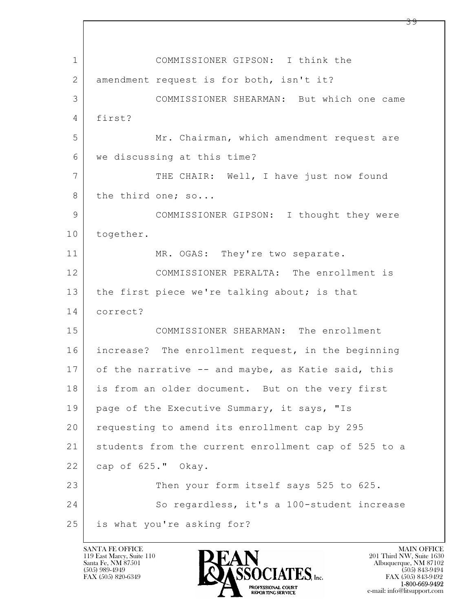$\mathbf{L}$  1 COMMISSIONER GIPSON: I think the 2 amendment request is for both, isn't it? 3 COMMISSIONER SHEARMAN: But which one came 4 first? 5 Mr. Chairman, which amendment request are 6 we discussing at this time? 7 | THE CHAIR: Well, I have just now found 8 the third one; so... 9 | COMMISSIONER GIPSON: I thought they were 10 together. 11 MR. OGAS: They're two separate. 12 COMMISSIONER PERALTA: The enrollment is 13 the first piece we're talking about; is that 14 correct? 15 COMMISSIONER SHEARMAN: The enrollment 16 increase? The enrollment request, in the beginning 17 of the narrative -- and maybe, as Katie said, this 18 is from an older document. But on the very first 19 | page of the Executive Summary, it says, "Is 20 | requesting to amend its enrollment cap by 295 21 students from the current enrollment cap of 525 to a 22 cap of 625." Okay. 23 Then your form itself says 525 to 625. 24 So regardless, it's a 100-student increase 25 is what you're asking for?

119 East Marcy, Suite 110<br>Santa Fe, NM 87501

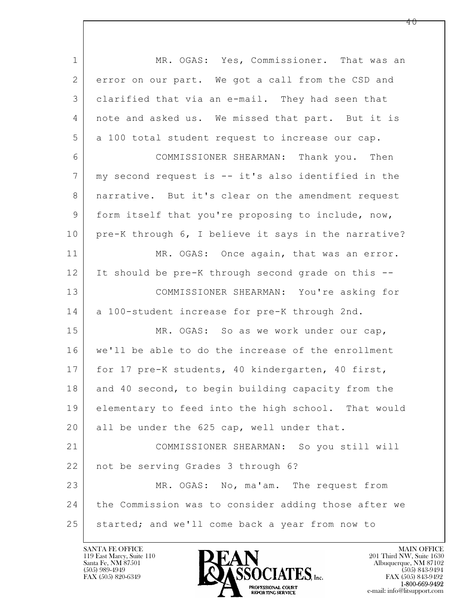$\mathbf{L}$  1 | MR. OGAS: Yes, Commissioner. That was an 2 | error on our part. We got a call from the CSD and 3 clarified that via an e-mail. They had seen that 4 note and asked us. We missed that part. But it is 5 a 100 total student request to increase our cap. 6 COMMISSIONER SHEARMAN: Thank you. Then 7 my second request is -- it's also identified in the 8 | narrative. But it's clear on the amendment request 9 form itself that you're proposing to include, now, 10 pre-K through 6, I believe it says in the narrative? 11 MR. OGAS: Once again, that was an error. 12 It should be pre-K through second grade on this -- 13 COMMISSIONER SHEARMAN: You're asking for 14 a 100-student increase for pre-K through 2nd. 15 MR. OGAS: So as we work under our cap, 16 we'll be able to do the increase of the enrollment 17 | for 17 pre-K students, 40 kindergarten, 40 first, 18 and 40 second, to begin building capacity from the 19 elementary to feed into the high school. That would 20 all be under the 625 cap, well under that. 21 COMMISSIONER SHEARMAN: So you still will 22 not be serving Grades 3 through 6? 23 MR. OGAS: No, ma'am. The request from 24 the Commission was to consider adding those after we 25 started; and we'll come back a year from now to

119 East Marcy, Suite 110<br>Santa Fe, NM 87501

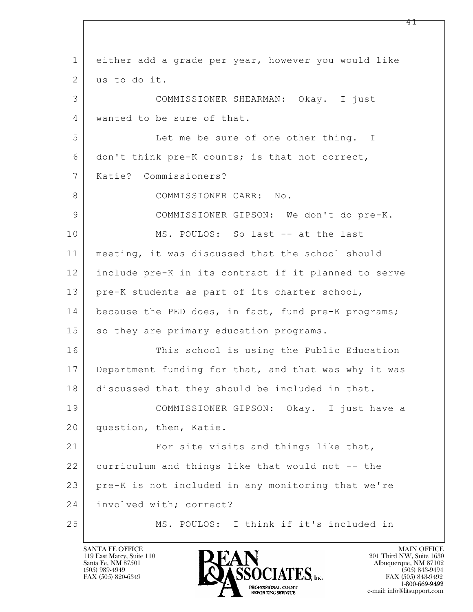$\mathbf{L}$  1 either add a grade per year, however you would like 2 us to do it. 3 COMMISSIONER SHEARMAN: Okay. I just 4 wanted to be sure of that. 5 Let me be sure of one other thing. I 6 don't think pre-K counts; is that not correct, 7 Katie? Commissioners? 8 COMMISSIONER CARR: No. 9 COMMISSIONER GIPSON: We don't do pre-K. 10 MS. POULOS: So last -- at the last 11 meeting, it was discussed that the school should 12 include pre-K in its contract if it planned to serve 13 | pre-K students as part of its charter school, 14 because the PED does, in fact, fund pre-K programs; 15 so they are primary education programs. 16 This school is using the Public Education 17 Department funding for that, and that was why it was 18 discussed that they should be included in that. 19 COMMISSIONER GIPSON: Okay. I just have a 20 question, then, Katie. 21 For site visits and things like that, 22 curriculum and things like that would not -- the 23 pre-K is not included in any monitoring that we're 24 | involved with; correct? 25 MS. POULOS: I think if it's included in

119 East Marcy, Suite 110<br>Santa Fe, NM 87501

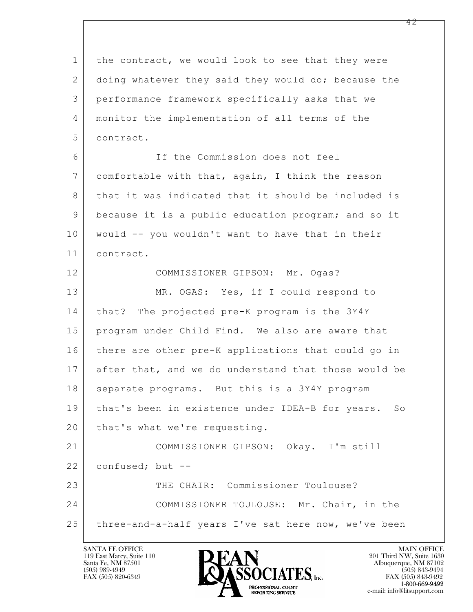$\mathbf{L}$  1 the contract, we would look to see that they were 2 doing whatever they said they would do; because the 3 performance framework specifically asks that we 4 monitor the implementation of all terms of the 5 contract. 6 If the Commission does not feel 7 comfortable with that, again, I think the reason 8 that it was indicated that it should be included is 9 because it is a public education program; and so it 10 would -- you wouldn't want to have that in their 11 contract. 12 COMMISSIONER GIPSON: Mr. Ogas? 13 MR. OGAS: Yes, if I could respond to 14 | that? The projected pre-K program is the 3Y4Y 15 program under Child Find. We also are aware that 16 there are other pre-K applications that could go in 17 after that, and we do understand that those would be 18 | separate programs. But this is a 3Y4Y program 19 that's been in existence under IDEA-B for years. So 20 | that's what we're requesting. 21 COMMISSIONER GIPSON: Okay. I'm still 22 confused; but --23 THE CHAIR: Commissioner Toulouse? 24 | COMMISSIONER TOULOUSE: Mr. Chair, in the 25 | three-and-a-half years I've sat here now, we've been

119 East Marcy, Suite 110<br>Santa Fe, NM 87501

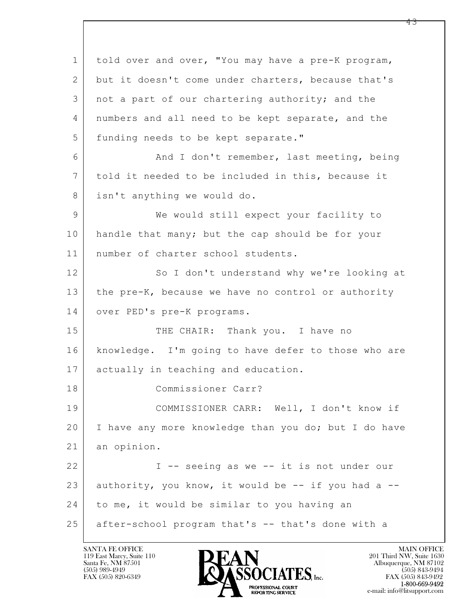$\mathbf{L}$  1 told over and over, "You may have a pre-K program, 2 but it doesn't come under charters, because that's 3 not a part of our chartering authority; and the 4 numbers and all need to be kept separate, and the 5 funding needs to be kept separate." 6 | And I don't remember, last meeting, being 7 told it needed to be included in this, because it 8 isn't anything we would do. 9 We would still expect your facility to 10 handle that many; but the cap should be for your 11 number of charter school students. 12 So I don't understand why we're looking at 13 | the pre-K, because we have no control or authority 14 | over PED's pre-K programs. 15 THE CHAIR: Thank you. I have no 16 | knowledge. I'm going to have defer to those who are 17 actually in teaching and education. 18 Commissioner Carr? 19 COMMISSIONER CARR: Well, I don't know if 20 I have any more knowledge than you do; but I do have 21 an opinion. 22 | T -- seeing as we -- it is not under our  $23$  authority, you know, it would be  $-$ - if you had a  $-$ 24 to me, it would be similar to you having an 25 after-school program that's -- that's done with a

119 East Marcy, Suite 110<br>Santa Fe, NM 87501



FAX (505) 843-9492 e-mail: info@litsupport.com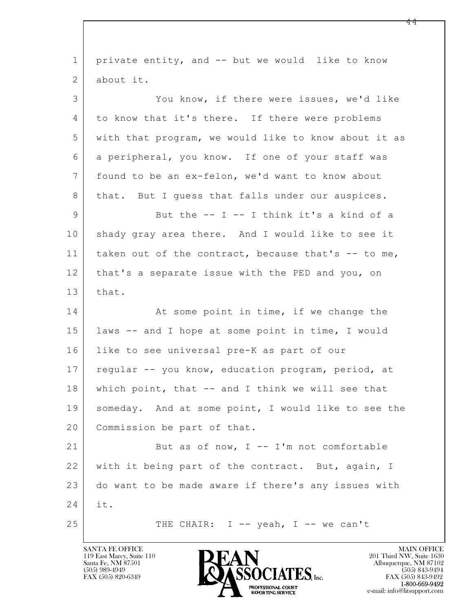$\mathbf{L}$  1 private entity, and -- but we would like to know 2 about it. 3 You know, if there were issues, we'd like 4 to know that it's there. If there were problems 5 with that program, we would like to know about it as 6 a peripheral, you know. If one of your staff was 7 found to be an ex-felon, we'd want to know about 8 | that. But I guess that falls under our auspices. 9 But the -- I -- I think it's a kind of a 10 shady gray area there. And I would like to see it 11 | taken out of the contract, because that's -- to me, 12 that's a separate issue with the PED and you, on  $13$  that. 14 At some point in time, if we change the 15 laws -- and I hope at some point in time, I would 16 like to see universal pre-K as part of our 17 | regular -- you know, education program, period, at 18 which point, that -- and I think we will see that 19 | someday. And at some point, I would like to see the 20 Commission be part of that. 21 But as of now, I -- I'm not comfortable 22 with it being part of the contract. But, again, I 23 do want to be made aware if there's any issues with 24 it. 25 THE CHAIR: I -- yeah, I -- we can't

119 East Marcy, Suite 110<br>Santa Fe, NM 87501

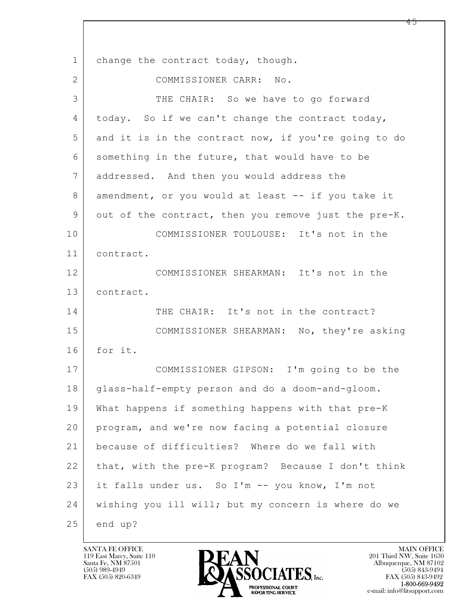$\mathbf{L}$  1 change the contract today, though. 2 COMMISSIONER CARR: No. 3 THE CHAIR: So we have to go forward 4 today. So if we can't change the contract today, 5 and it is in the contract now, if you're going to do 6 something in the future, that would have to be 7 addressed. And then you would address the 8 amendment, or you would at least -- if you take it 9 out of the contract, then you remove just the pre-K. 10 COMMISSIONER TOULOUSE: It's not in the 11 contract. 12 COMMISSIONER SHEARMAN: It's not in the 13 contract. 14 THE CHAIR: It's not in the contract? 15 COMMISSIONER SHEARMAN: No, they're asking 16 for it. 17 COMMISSIONER GIPSON: I'm going to be the 18 glass-half-empty person and do a doom-and-gloom. 19 What happens if something happens with that pre-K 20 program, and we're now facing a potential closure 21 because of difficulties? Where do we fall with 22 that, with the pre-K program? Because I don't think 23 it falls under us. So I'm -- you know, I'm not 24 wishing you ill will; but my concern is where do we  $25$  end up?

119 East Marcy, Suite 110<br>Santa Fe, NM 87501

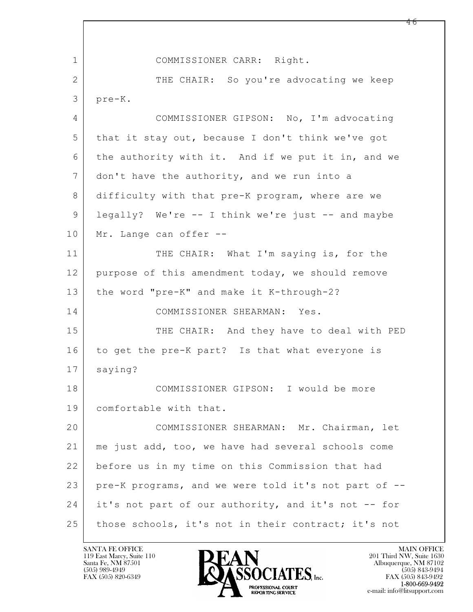$\mathbf{L}$  1 COMMISSIONER CARR: Right. 2 THE CHAIR: So you're advocating we keep 3 pre-K. 4 COMMISSIONER GIPSON: No, I'm advocating 5 that it stay out, because I don't think we've got 6 the authority with it. And if we put it in, and we 7 don't have the authority, and we run into a 8 difficulty with that pre-K program, where are we 9 legally? We're -- I think we're just -- and maybe 10 | Mr. Lange can offer --11 THE CHAIR: What I'm saying is, for the 12 purpose of this amendment today, we should remove 13 the word "pre-K" and make it K-through-2? 14 COMMISSIONER SHEARMAN: Yes. 15 | THE CHAIR: And they have to deal with PED 16 to get the pre-K part? Is that what everyone is 17 saying? 18 COMMISSIONER GIPSON: I would be more 19 comfortable with that. 20 COMMISSIONER SHEARMAN: Mr. Chairman, let 21 me just add, too, we have had several schools come 22 before us in my time on this Commission that had 23 pre-K programs, and we were told it's not part of -- 24 it's not part of our authority, and it's not -- for 25 | those schools, it's not in their contract; it's not

119 East Marcy, Suite 110<br>Santa Fe, NM 87501

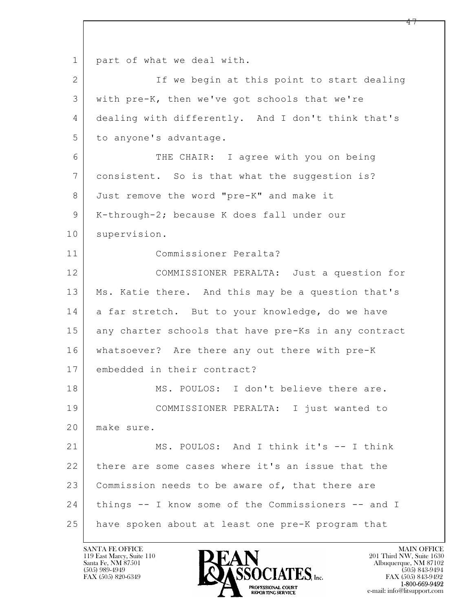$\mathbf{L}$  1 part of what we deal with. 2 If we begin at this point to start dealing 3 with pre-K, then we've got schools that we're 4 dealing with differently. And I don't think that's 5 to anyone's advantage. 6 THE CHAIR: I agree with you on being 7 consistent. So is that what the suggestion is? 8 Just remove the word "pre-K" and make it 9 | K-through-2; because K does fall under our 10 supervision. 11 Commissioner Peralta? 12 COMMISSIONER PERALTA: Just a question for 13 Ms. Katie there. And this may be a question that's 14 a far stretch. But to your knowledge, do we have 15 any charter schools that have pre-Ks in any contract 16 whatsoever? Are there any out there with pre-K 17 embedded in their contract? 18 | MS. POULOS: I don't believe there are. 19 COMMISSIONER PERALTA: I just wanted to 20 make sure. 21 MS. POULOS: And I think it's -- I think 22 there are some cases where it's an issue that the 23 Commission needs to be aware of, that there are 24 things -- I know some of the Commissioners -- and I 25 have spoken about at least one pre-K program that

119 East Marcy, Suite 110<br>Santa Fe, NM 87501



FAX (505) 843-9492 e-mail: info@litsupport.com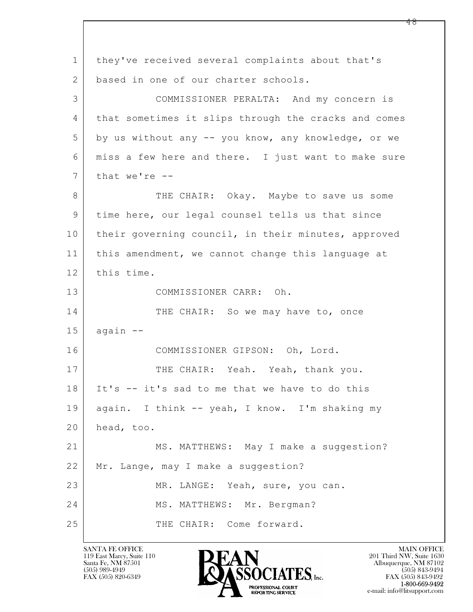$\mathbf{L}$  1 they've received several complaints about that's 2 based in one of our charter schools. 3 COMMISSIONER PERALTA: And my concern is 4 that sometimes it slips through the cracks and comes 5 by us without any -- you know, any knowledge, or we 6 miss a few here and there. I just want to make sure  $7$  that we're  $-$ 8 THE CHAIR: Okay. Maybe to save us some 9 time here, our legal counsel tells us that since 10 their governing council, in their minutes, approved 11 this amendment, we cannot change this language at 12 this time. 13 COMMISSIONER CARR: Oh. 14 THE CHAIR: So we may have to, once  $15$  again  $-$ 16 COMMISSIONER GIPSON: Oh, Lord. 17 THE CHAIR: Yeah. Yeah, thank you. 18 It's -- it's sad to me that we have to do this 19 again. I think -- yeah, I know. I'm shaking my 20 head, too. 21 MS. MATTHEWS: May I make a suggestion? 22 Mr. Lange, may I make a suggestion? 23 MR. LANGE: Yeah, sure, you can. 24 | MS. MATTHEWS: Mr. Bergman? 25 THE CHAIR: Come forward.

119 East Marcy, Suite 110<br>Santa Fe, NM 87501



FAX (505) 843-9492 e-mail: info@litsupport.com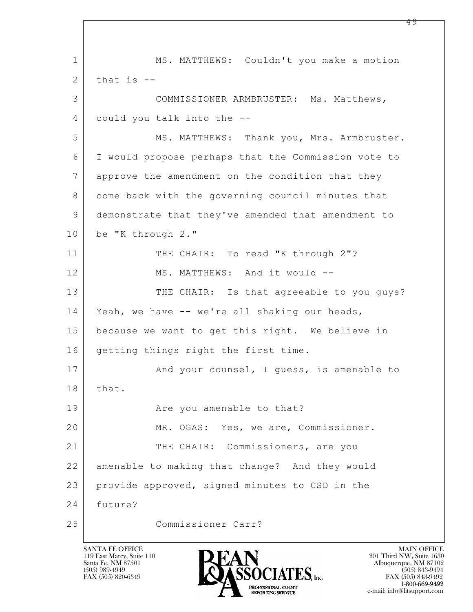$\mathbf{L}$  1 MS. MATTHEWS: Couldn't you make a motion  $2$  that is  $-$ 3 COMMISSIONER ARMBRUSTER: Ms. Matthews, 4 could you talk into the -- 5 MS. MATTHEWS: Thank you, Mrs. Armbruster. 6 I would propose perhaps that the Commission vote to 7 approve the amendment on the condition that they 8 | come back with the governing council minutes that 9 demonstrate that they've amended that amendment to 10 be "K through 2." 11 THE CHAIR: To read "K through 2"? 12 MS. MATTHEWS: And it would --13 THE CHAIR: Is that agreeable to you guys? 14 Yeah, we have -- we're all shaking our heads, 15 because we want to get this right. We believe in 16 getting things right the first time. 17 | And your counsel, I guess, is amenable to 18 | that. 19 Are you amenable to that? 20 MR. OGAS: Yes, we are, Commissioner. 21 THE CHAIR: Commissioners, are you 22 amenable to making that change? And they would 23 provide approved, signed minutes to CSD in the 24 future? 25 Commissioner Carr?

119 East Marcy, Suite 110<br>Santa Fe, NM 87501



FAX (505) 843-9492 e-mail: info@litsupport.com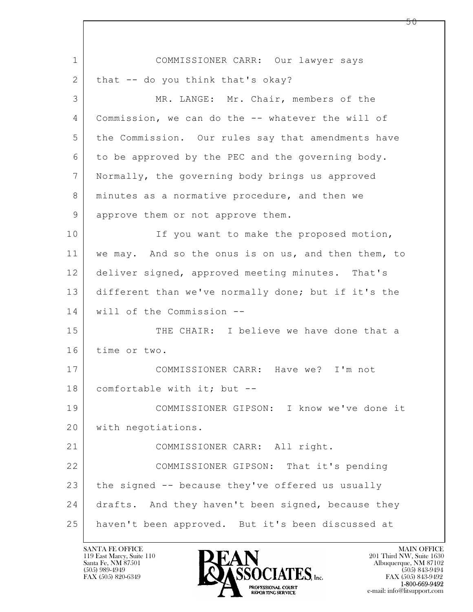$\mathbf{L}$  1 COMMISSIONER CARR: Our lawyer says  $2$  that  $-$  do you think that's okay? 3 MR. LANGE: Mr. Chair, members of the 4 Commission, we can do the -- whatever the will of 5 the Commission. Our rules say that amendments have 6 to be approved by the PEC and the governing body. 7 Normally, the governing body brings us approved 8 | minutes as a normative procedure, and then we 9 approve them or not approve them. 10 If you want to make the proposed motion, 11 we may. And so the onus is on us, and then them, to 12 deliver signed, approved meeting minutes. That's 13 different than we've normally done; but if it's the 14 will of the Commission -- 15 THE CHAIR: I believe we have done that a 16 time or two. 17 COMMISSIONER CARR: Have we? I'm not 18 comfortable with it; but -- 19 COMMISSIONER GIPSON: I know we've done it 20 with negotiations. 21 | COMMISSIONER CARR: All right. 22 COMMISSIONER GIPSON: That it's pending 23 the signed -- because they've offered us usually 24 drafts. And they haven't been signed, because they 25 haven't been approved. But it's been discussed at

119 East Marcy, Suite 110<br>Santa Fe, NM 87501

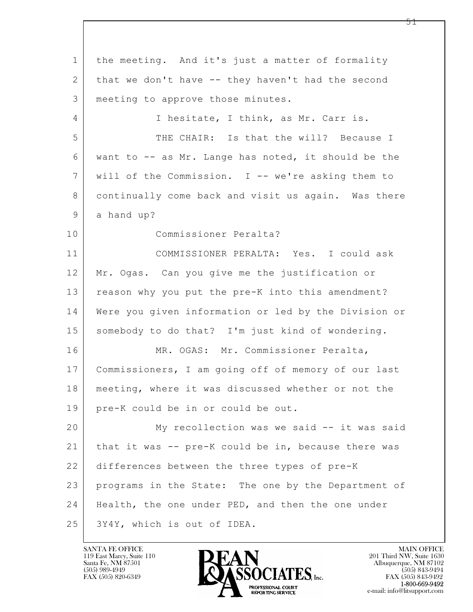$\mathbf{L}$  1 the meeting. And it's just a matter of formality 2 that we don't have -- they haven't had the second 3 meeting to approve those minutes. 4 I hesitate, I think, as Mr. Carr is. 5 THE CHAIR: Is that the will? Because I 6 want to -- as Mr. Lange has noted, it should be the 7 will of the Commission. I -- we're asking them to 8 continually come back and visit us again. Was there 9 a hand up? 10 Commissioner Peralta? 11 COMMISSIONER PERALTA: Yes. I could ask 12 Mr. Ogas. Can you give me the justification or 13 reason why you put the pre-K into this amendment? 14 Were you given information or led by the Division or 15 | somebody to do that? I'm just kind of wondering. 16 | MR. OGAS: Mr. Commissioner Peralta, 17 Commissioners, I am going off of memory of our last 18 meeting, where it was discussed whether or not the 19 pre-K could be in or could be out. 20 My recollection was we said -- it was said 21 that it was -- pre-K could be in, because there was 22 differences between the three types of pre-K 23 programs in the State: The one by the Department of 24 Health, the one under PED, and then the one under 25 3Y4Y, which is out of IDEA.

119 East Marcy, Suite 110<br>Santa Fe, NM 87501

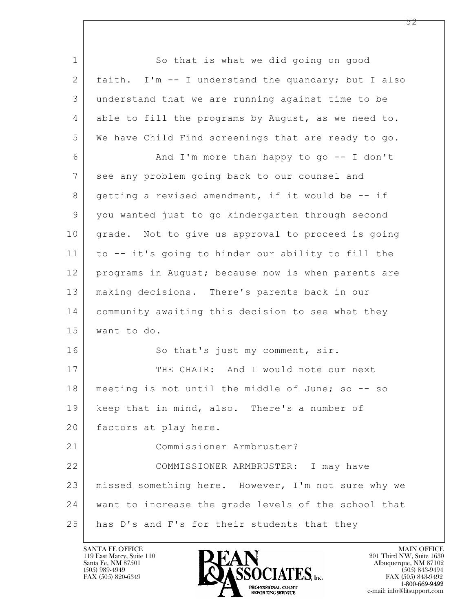$\mathbf{L}$  1 So that is what we did going on good 2 faith. I'm -- I understand the quandary; but I also 3 understand that we are running against time to be 4 able to fill the programs by August, as we need to. 5 We have Child Find screenings that are ready to go. 6 And I'm more than happy to go -- I don't 7 see any problem going back to our counsel and 8 getting a revised amendment, if it would be -- if 9 you wanted just to go kindergarten through second 10 grade. Not to give us approval to proceed is going 11 to -- it's going to hinder our ability to fill the 12 programs in August; because now is when parents are 13 making decisions. There's parents back in our 14 community awaiting this decision to see what they 15 want to do. 16 So that's just my comment, sir. 17 THE CHAIR: And I would note our next 18 meeting is not until the middle of June; so -- so 19 keep that in mind, also. There's a number of 20 | factors at play here. 21 Commissioner Armbruster? 22 COMMISSIONER ARMBRUSTER: I may have 23 missed something here. However, I'm not sure why we 24 want to increase the grade levels of the school that 25 has D's and F's for their students that they

119 East Marcy, Suite 110<br>Santa Fe, NM 87501

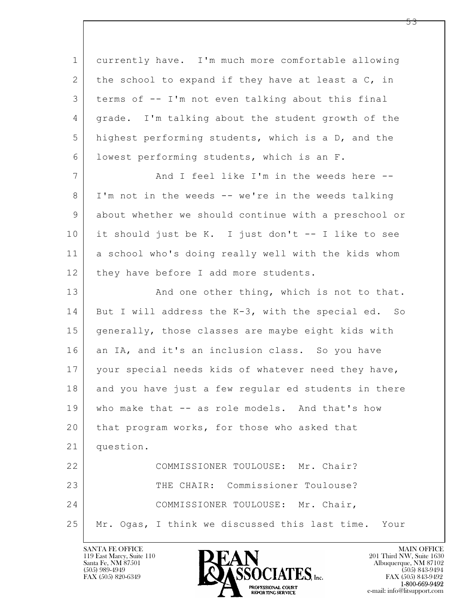$\mathbf{L}$  1 currently have. I'm much more comfortable allowing 2 the school to expand if they have at least a C, in 3 terms of -- I'm not even talking about this final 4 grade. I'm talking about the student growth of the 5 highest performing students, which is a D, and the 6 lowest performing students, which is an F. 7 And I feel like I'm in the weeds here --8 I'm not in the weeds -- we're in the weeds talking 9 about whether we should continue with a preschool or 10 it should just be K. I just don't -- I like to see 11 a school who's doing really well with the kids whom 12 | they have before I add more students. 13 And one other thing, which is not to that. 14 But I will address the K-3, with the special ed. So 15 generally, those classes are maybe eight kids with 16 an IA, and it's an inclusion class. So you have 17 | your special needs kids of whatever need they have, 18 and you have just a few regular ed students in there 19 who make that -- as role models. And that's how 20 that program works, for those who asked that 21 question. 22 COMMISSIONER TOULOUSE: Mr. Chair? 23 THE CHAIR: Commissioner Toulouse? 24 COMMISSIONER TOULOUSE: Mr. Chair, 25 Mr. Ogas, I think we discussed this last time. Your

119 East Marcy, Suite 110<br>Santa Fe, NM 87501

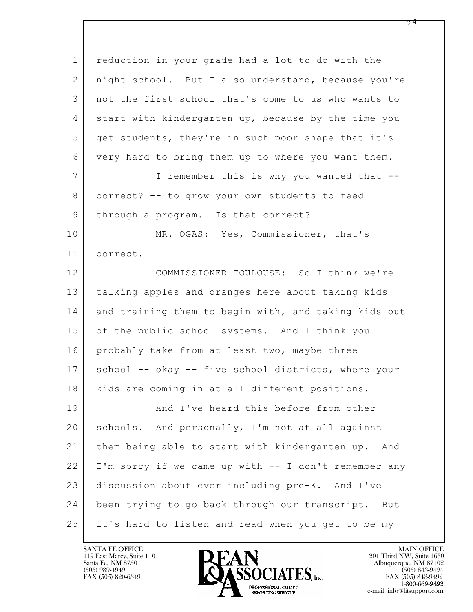| $\mathbf 1$    | reduction in your grade had a lot to do with the     |  |  |  |  |  |  |
|----------------|------------------------------------------------------|--|--|--|--|--|--|
| 2              | night school. But I also understand, because you're  |  |  |  |  |  |  |
| 3              | not the first school that's come to us who wants to  |  |  |  |  |  |  |
| 4              | start with kindergarten up, because by the time you  |  |  |  |  |  |  |
| 5              | get students, they're in such poor shape that it's   |  |  |  |  |  |  |
| 6              | very hard to bring them up to where you want them.   |  |  |  |  |  |  |
| $\overline{7}$ | I remember this is why you wanted that --            |  |  |  |  |  |  |
| 8              | correct? -- to grow your own students to feed        |  |  |  |  |  |  |
| 9              | through a program. Is that correct?                  |  |  |  |  |  |  |
| 10             | MR. OGAS: Yes, Commissioner, that's                  |  |  |  |  |  |  |
| 11             | correct.                                             |  |  |  |  |  |  |
| 12             | COMMISSIONER TOULOUSE: So I think we're              |  |  |  |  |  |  |
| 13             | talking apples and oranges here about taking kids    |  |  |  |  |  |  |
| 14             | and training them to begin with, and taking kids out |  |  |  |  |  |  |
| 15             | of the public school systems. And I think you        |  |  |  |  |  |  |
| 16             | probably take from at least two, maybe three         |  |  |  |  |  |  |
| 17             | school -- okay -- five school districts, where your  |  |  |  |  |  |  |
| 18             | kids are coming in at all different positions.       |  |  |  |  |  |  |
| 19             | And I've heard this before from other                |  |  |  |  |  |  |
| 20             | schools. And personally, I'm not at all against      |  |  |  |  |  |  |
| 21             | them being able to start with kindergarten up. And   |  |  |  |  |  |  |
| 22             | I'm sorry if we came up with -- I don't remember any |  |  |  |  |  |  |
| 23             | discussion about ever including pre-K. And I've      |  |  |  |  |  |  |
| 24             | been trying to go back through our transcript. But   |  |  |  |  |  |  |
| 25             | it's hard to listen and read when you get to be my   |  |  |  |  |  |  |

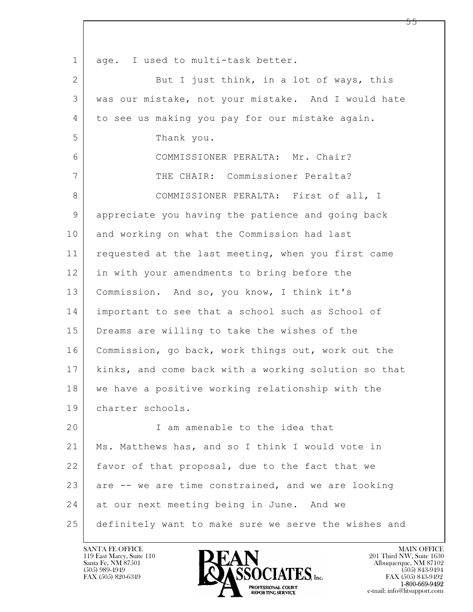| $\mathbf 1$  | age. I used to multi-task better.                    |
|--------------|------------------------------------------------------|
| $\mathbf{2}$ | But I just think, in a lot of ways, this             |
| 3            | was our mistake, not your mistake. And I would hate  |
| 4            | to see us making you pay for our mistake again.      |
| 5            | Thank you.                                           |
| 6            | COMMISSIONER PERALTA: Mr. Chair?                     |
| 7            | THE CHAIR: Commissioner Peralta?                     |
| 8            | COMMISSIONER PERALTA: First of all, I                |
| 9            | appreciate you having the patience and going back    |
| 10           | and working on what the Commission had last          |
| 11           | requested at the last meeting, when you first came   |
| 12           | in with your amendments to bring before the          |
| 13           | Commission. And so, you know, I think it's           |
| 14           | important to see that a school such as School of     |
| 15           | Dreams are willing to take the wishes of the         |
| 16           | Commission, go back, work things out, work out the   |
| 17           | kinks, and come back with a working solution so that |
| 18           | we have a positive working relationship with the     |
| 19           | charter schools.                                     |
| 20           | I am amenable to the idea that                       |
| 21           | Ms. Matthews has, and so I think I would vote in     |
| 22           | favor of that proposal, due to the fact that we      |
| 23           | are -- we are time constrained, and we are looking   |
| 24           | at our next meeting being in June. And we            |
| 25           | definitely want to make sure we serve the wishes and |

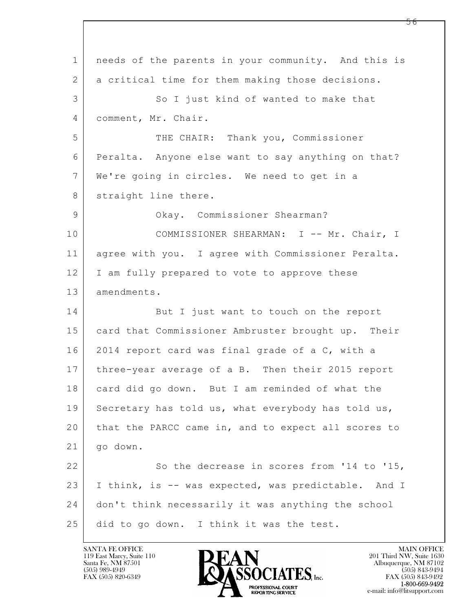$\mathbf{L}$  1 needs of the parents in your community. And this is 2 a critical time for them making those decisions. 3 So I just kind of wanted to make that 4 comment, Mr. Chair. 5 THE CHAIR: Thank you, Commissioner 6 Peralta. Anyone else want to say anything on that? 7 We're going in circles. We need to get in a 8 straight line there. 9 | Commissioner Shearman? 10 | COMMISSIONER SHEARMAN: I -- Mr. Chair, I 11 agree with you. I agree with Commissioner Peralta. 12 I am fully prepared to vote to approve these 13 amendments. 14 But I just want to touch on the report 15 | card that Commissioner Ambruster brought up. Their 16 2014 report card was final grade of a C, with a 17 three-year average of a B. Then their 2015 report 18 card did go down. But I am reminded of what the 19 Secretary has told us, what everybody has told us, 20 that the PARCC came in, and to expect all scores to 21 go down. 22 So the decrease in scores from '14 to '15, 23 I think, is -- was expected, was predictable. And I 24 don't think necessarily it was anything the school 25 did to go down. I think it was the test.

119 East Marcy, Suite 110<br>Santa Fe, NM 87501



FAX (505) 843-9492 e-mail: info@litsupport.com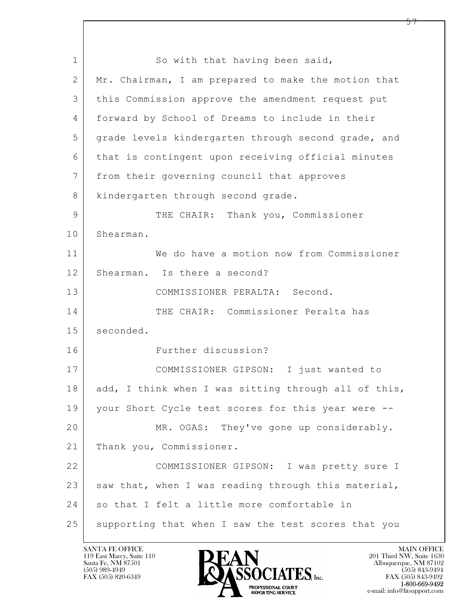$\mathbf{L}$  1 So with that having been said, 2 Mr. Chairman, I am prepared to make the motion that 3 this Commission approve the amendment request put 4 forward by School of Dreams to include in their 5 grade levels kindergarten through second grade, and 6 that is contingent upon receiving official minutes 7 from their governing council that approves 8 | kindergarten through second grade. 9 THE CHAIR: Thank you, Commissioner 10 Shearman. 11 We do have a motion now from Commissioner 12 Shearman. Is there a second? 13 COMMISSIONER PERALTA: Second. 14 THE CHAIR: Commissioner Peralta has 15 seconded. 16 Further discussion? 17 COMMISSIONER GIPSON: I just wanted to 18 add, I think when I was sitting through all of this, 19 | your Short Cycle test scores for this year were --20 MR. OGAS: They've gone up considerably. 21 Thank you, Commissioner. 22 COMMISSIONER GIPSON: I was pretty sure I  $23$  saw that, when I was reading through this material, 24 so that I felt a little more comfortable in 25 supporting that when I saw the test scores that you

119 East Marcy, Suite 110<br>Santa Fe, NM 87501



FAX (505) 843-9492 e-mail: info@litsupport.com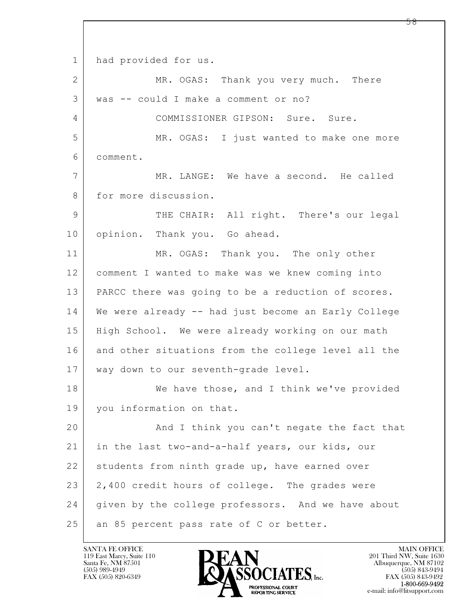$\mathbf{L}$  1 had provided for us. 2 MR. OGAS: Thank you very much. There 3 was -- could I make a comment or no? 4 COMMISSIONER GIPSON: Sure. Sure. 5 MR. OGAS: I just wanted to make one more 6 comment. 7 MR. LANGE: We have a second. He called 8 for more discussion. 9 | THE CHAIR: All right. There's our legal 10 opinion. Thank you. Go ahead. 11 MR. OGAS: Thank you. The only other 12 comment I wanted to make was we knew coming into 13 PARCC there was going to be a reduction of scores. 14 We were already -- had just become an Early College 15 | High School. We were already working on our math 16 and other situations from the college level all the 17 way down to our seventh-grade level. 18 We have those, and I think we've provided 19 you information on that. 20 And I think you can't negate the fact that 21 in the last two-and-a-half years, our kids, our 22 students from ninth grade up, have earned over 23 2,400 credit hours of college. The grades were 24 given by the college professors. And we have about 25 | an 85 percent pass rate of C or better.

119 East Marcy, Suite 110<br>Santa Fe, NM 87501

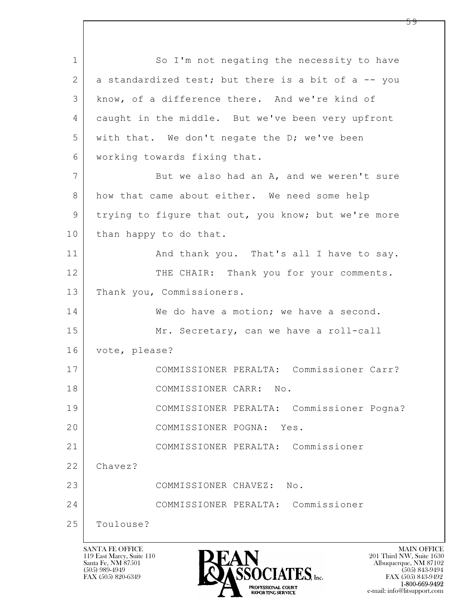$\mathbf{L}$  1 So I'm not negating the necessity to have 2 a standardized test; but there is a bit of a -- you 3 know, of a difference there. And we're kind of 4 caught in the middle. But we've been very upfront 5 with that. We don't negate the D; we've been 6 working towards fixing that. 7 But we also had an A, and we weren't sure 8 how that came about either. We need some help 9 trying to figure that out, you know; but we're more 10 than happy to do that. 11 | And thank you. That's all I have to say. 12 THE CHAIR: Thank you for your comments. 13 Thank you, Commissioners. 14 We do have a motion; we have a second. 15 Mr. Secretary, can we have a roll-call 16 vote, please? 17 COMMISSIONER PERALTA: Commissioner Carr? 18 COMMISSIONER CARR: No. 19 COMMISSIONER PERALTA: Commissioner Pogna? 20 COMMISSIONER POGNA: Yes. 21 COMMISSIONER PERALTA: Commissioner 22 Chavez? 23 COMMISSIONER CHAVEZ: No. 24 COMMISSIONER PERALTA: Commissioner 25 Toulouse?

119 East Marcy, Suite 110<br>Santa Fe, NM 87501



FAX (505) 843-9492 e-mail: info@litsupport.com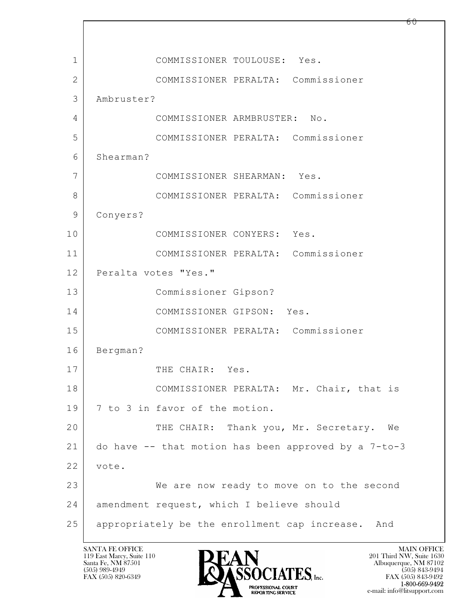$\mathbf{L}$  1 COMMISSIONER TOULOUSE: Yes. 2 COMMISSIONER PERALTA: Commissioner 3 Ambruster? 4 COMMISSIONER ARMBRUSTER: No. 5 COMMISSIONER PERALTA: Commissioner 6 Shearman? 7 COMMISSIONER SHEARMAN: Yes. 8 COMMISSIONER PERALTA: Commissioner 9 Conyers? 10 COMMISSIONER CONYERS: Yes. 11 COMMISSIONER PERALTA: Commissioner 12 Peralta votes "Yes." 13 Commissioner Gipson? 14 COMMISSIONER GIPSON: Yes. 15 COMMISSIONER PERALTA: Commissioner 16 Bergman? 17 THE CHAIR: Yes. 18 | COMMISSIONER PERALTA: Mr. Chair, that is 19 7 to 3 in favor of the motion. 20 THE CHAIR: Thank you, Mr. Secretary. We 21 do have -- that motion has been approved by a 7-to-3 22 vote. 23 We are now ready to move on to the second 24 amendment request, which I believe should 25 appropriately be the enrollment cap increase. And

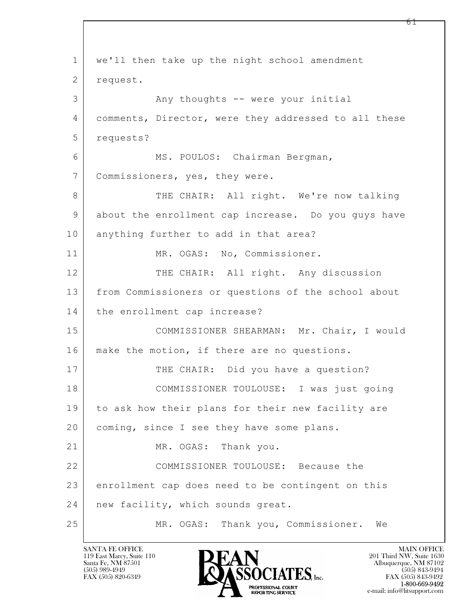$\mathbf{L}$  1 we'll then take up the night school amendment 2 request. 3 | The Many thoughts -- were your initial 4 comments, Director, were they addressed to all these 5 requests? 6 | MS. POULOS: Chairman Bergman, 7 Commissioners, yes, they were. 8 THE CHAIR: All right. We're now talking 9 about the enrollment cap increase. Do you guys have 10 anything further to add in that area? 11 | MR. OGAS: No, Commissioner. 12 THE CHAIR: All right. Any discussion 13 from Commissioners or questions of the school about 14 | the enrollment cap increase? 15 COMMISSIONER SHEARMAN: Mr. Chair, I would 16 | make the motion, if there are no questions. 17 THE CHAIR: Did you have a question? 18 COMMISSIONER TOULOUSE: I was just going 19 to ask how their plans for their new facility are 20 coming, since I see they have some plans. 21 MR. OGAS: Thank you. 22 COMMISSIONER TOULOUSE: Because the 23 enrollment cap does need to be contingent on this 24 | new facility, which sounds great. 25 MR. OGAS: Thank you, Commissioner. We

119 East Marcy, Suite 110<br>Santa Fe, NM 87501

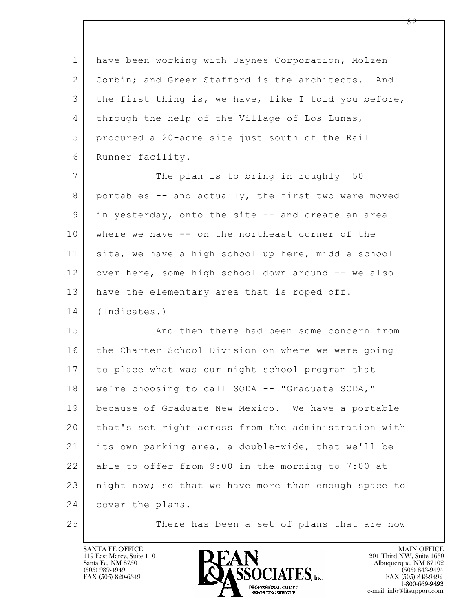$\mathbf{L}$  1 have been working with Jaynes Corporation, Molzen 2 Corbin; and Greer Stafford is the architects. And 3 the first thing is, we have, like I told you before, 4 | through the help of the Village of Los Lunas, 5 procured a 20-acre site just south of the Rail 6 Runner facility. 7 The plan is to bring in roughly 50 8 portables -- and actually, the first two were moved 9 in yesterday, onto the site -- and create an area 10 where we have -- on the northeast corner of the 11 site, we have a high school up here, middle school 12 over here, some high school down around -- we also 13 have the elementary area that is roped off. 14 (Indicates.) 15 | And then there had been some concern from 16 the Charter School Division on where we were going 17 to place what was our night school program that 18 we're choosing to call SODA -- "Graduate SODA," 19 because of Graduate New Mexico. We have a portable 20 that's set right across from the administration with 21 its own parking area, a double-wide, that we'll be 22 able to offer from 9:00 in the morning to 7:00 at 23 | night now; so that we have more than enough space to 24 cover the plans. 25 | There has been a set of plans that are now

119 East Marcy, Suite 110<br>Santa Fe, NM 87501



FAX (505) 843-9492 e-mail: info@litsupport.com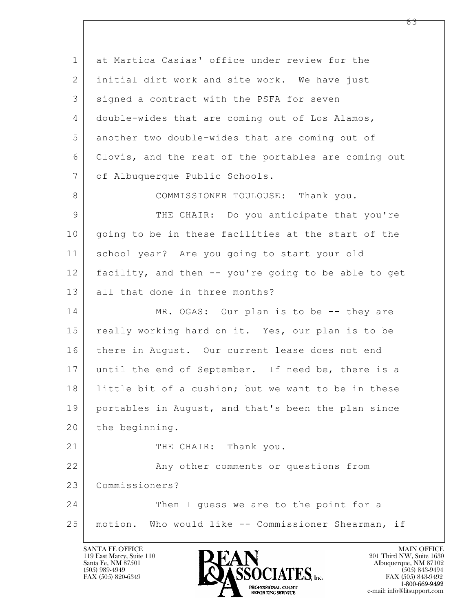$\mathbf{L}$  1 at Martica Casias' office under review for the 2 initial dirt work and site work. We have just 3 | signed a contract with the PSFA for seven 4 double-wides that are coming out of Los Alamos, 5 another two double-wides that are coming out of 6 Clovis, and the rest of the portables are coming out 7 | of Albuquerque Public Schools. 8 COMMISSIONER TOULOUSE: Thank you. 9 THE CHAIR: Do you anticipate that you're 10 going to be in these facilities at the start of the 11 school year? Are you going to start your old 12 facility, and then -- you're going to be able to get 13 all that done in three months? 14 MR. OGAS: Our plan is to be -- they are 15 | really working hard on it. Yes, our plan is to be 16 there in August. Our current lease does not end 17 until the end of September. If need be, there is a 18 | little bit of a cushion; but we want to be in these 19 portables in August, and that's been the plan since 20 the beginning. 21 THE CHAIR: Thank you. 22 Any other comments or questions from 23 Commissioners? 24 Then I guess we are to the point for a 25 motion. Who would like -- Commissioner Shearman, if

119 East Marcy, Suite 110<br>Santa Fe, NM 87501



FAX (505) 843-9492 e-mail: info@litsupport.com

<u>რ3</u>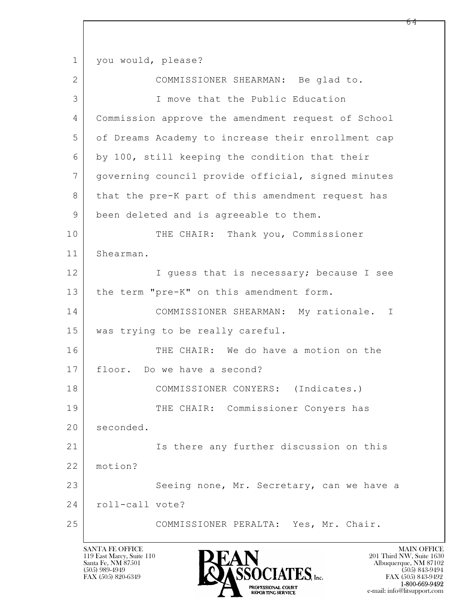$\mathbf{L}$  1 you would, please? 2 COMMISSIONER SHEARMAN: Be glad to. 3 I move that the Public Education 4 Commission approve the amendment request of School 5 of Dreams Academy to increase their enrollment cap 6 by 100, still keeping the condition that their 7 governing council provide official, signed minutes 8 that the pre-K part of this amendment request has 9 been deleted and is agreeable to them. 10 THE CHAIR: Thank you, Commissioner 11 Shearman. 12 I guess that is necessary; because I see 13 | the term "pre-K" on this amendment form. 14 COMMISSIONER SHEARMAN: My rationale. I 15 was trying to be really careful. 16 THE CHAIR: We do have a motion on the 17 floor. Do we have a second? 18 | COMMISSIONER CONYERS: (Indicates.) 19 THE CHAIR: Commissioner Conyers has 20 seconded. 21 Is there any further discussion on this 22 motion? 23 Seeing none, Mr. Secretary, can we have a 24 | roll-call vote? 25 COMMISSIONER PERALTA: Yes, Mr. Chair.

119 East Marcy, Suite 110<br>Santa Fe, NM 87501

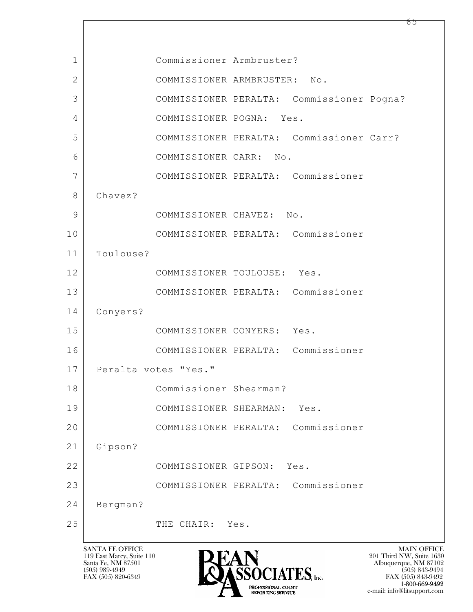| 1  |           | Commissioner Armbruster?           |     |                                           |  |
|----|-----------|------------------------------------|-----|-------------------------------------------|--|
| 2  |           | COMMISSIONER ARMBRUSTER:           |     | No.                                       |  |
| 3  |           |                                    |     | COMMISSIONER PERALTA: Commissioner Pogna? |  |
| 4  |           | COMMISSIONER POGNA: Yes.           |     |                                           |  |
| 5  |           |                                    |     | COMMISSIONER PERALTA: Commissioner Carr?  |  |
| 6  |           | COMMISSIONER CARR:                 | No. |                                           |  |
| 7  |           |                                    |     | COMMISSIONER PERALTA: Commissioner        |  |
| 8  | Chavez?   |                                    |     |                                           |  |
| 9  |           | COMMISSIONER CHAVEZ: No.           |     |                                           |  |
| 10 |           |                                    |     | COMMISSIONER PERALTA: Commissioner        |  |
| 11 | Toulouse? |                                    |     |                                           |  |
| 12 |           | COMMISSIONER TOULOUSE: Yes.        |     |                                           |  |
| 13 |           |                                    |     | COMMISSIONER PERALTA: Commissioner        |  |
| 14 | Conyers?  |                                    |     |                                           |  |
| 15 |           | COMMISSIONER CONYERS: Yes.         |     |                                           |  |
| 16 |           | COMMISSIONER PERALTA: Commissioner |     |                                           |  |
| 17 |           | Peralta votes "Yes."               |     |                                           |  |
| 18 |           | Commissioner Shearman?             |     |                                           |  |
| 19 |           | COMMISSIONER SHEARMAN:             |     | Yes.                                      |  |
| 20 |           |                                    |     | COMMISSIONER PERALTA: Commissioner        |  |
| 21 | Gipson?   |                                    |     |                                           |  |
| 22 |           | COMMISSIONER GIPSON: Yes.          |     |                                           |  |
| 23 |           |                                    |     | COMMISSIONER PERALTA: Commissioner        |  |
| 24 | Bergman?  |                                    |     |                                           |  |
| 25 |           | THE CHAIR: Yes.                    |     |                                           |  |
|    |           |                                    |     |                                           |  |

 $\overline{\phantom{a}}$ 

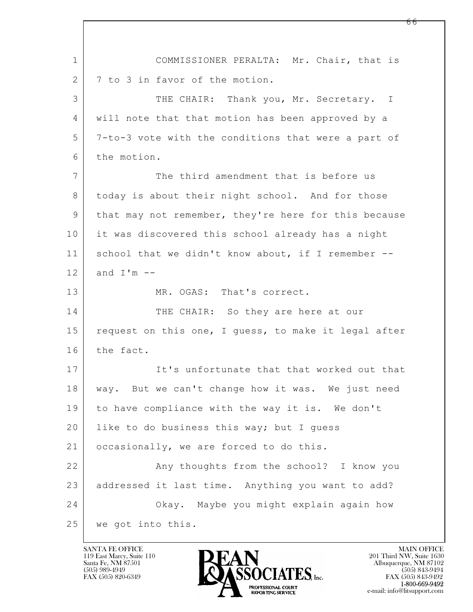$\mathbf{L}$  1 COMMISSIONER PERALTA: Mr. Chair, that is 2 7 to 3 in favor of the motion. 3 THE CHAIR: Thank you, Mr. Secretary. I 4 will note that that motion has been approved by a 5 7-to-3 vote with the conditions that were a part of 6 the motion. 7 The third amendment that is before us 8 today is about their night school. And for those 9 that may not remember, they're here for this because 10 it was discovered this school already has a night 11 school that we didn't know about, if I remember -- $12$  and  $I'm$  --13 MR. OGAS: That's correct. 14 THE CHAIR: So they are here at our 15 request on this one, I guess, to make it legal after 16 the fact. 17 It's unfortunate that that worked out that 18 way. But we can't change how it was. We just need 19 to have compliance with the way it is. We don't 20 | like to do business this way; but I quess 21 | occasionally, we are forced to do this. 22 Any thoughts from the school? I know you 23 addressed it last time. Anything you want to add? 24 Okay. Maybe you might explain again how 25 we got into this.

119 East Marcy, Suite 110<br>Santa Fe, NM 87501

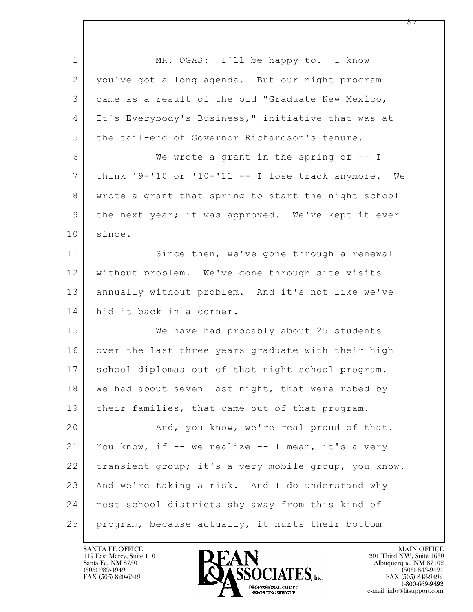$\mathbf{L}$  1 MR. OGAS: I'll be happy to. I know 2 you've got a long agenda. But our night program 3 came as a result of the old "Graduate New Mexico, 4 It's Everybody's Business," initiative that was at 5 the tail-end of Governor Richardson's tenure. 6 We wrote a grant in the spring of -- I 7 think '9-'10 or '10-'11 -- I lose track anymore. We 8 | wrote a grant that spring to start the night school 9 the next year; it was approved. We've kept it ever 10 | since. 11 Since then, we've gone through a renewal 12 without problem. We've gone through site visits 13 annually without problem. And it's not like we've 14 hid it back in a corner. 15 We have had probably about 25 students 16 over the last three years graduate with their high 17 school diplomas out of that night school program. 18 We had about seven last night, that were robed by 19 | their families, that came out of that program. 20 | And, you know, we're real proud of that. 21 You know, if -- we realize -- I mean, it's a very 22 | transient group; it's a very mobile group, you know. 23 And we're taking a risk. And I do understand why 24 most school districts shy away from this kind of 25 program, because actually, it hurts their bottom

119 East Marcy, Suite 110<br>Santa Fe, NM 87501

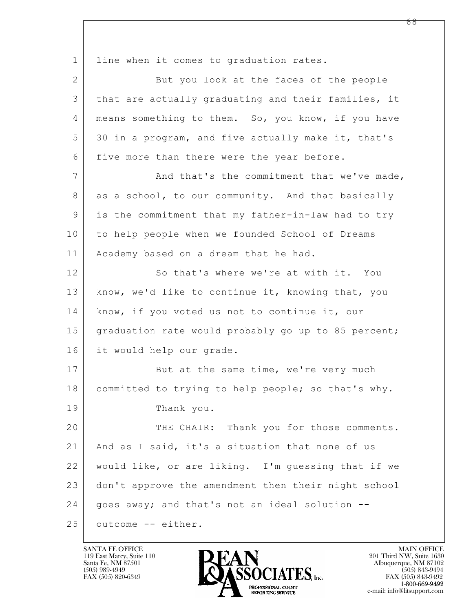$\mathbf{L}$  1 | line when it comes to graduation rates. 2 But you look at the faces of the people 3 that are actually graduating and their families, it 4 | means something to them. So, you know, if you have 5 30 in a program, and five actually make it, that's 6 five more than there were the year before. 7 And that's the commitment that we've made, 8 as a school, to our community. And that basically 9 is the commitment that my father-in-law had to try 10 to help people when we founded School of Dreams 11 | Academy based on a dream that he had. 12 So that's where we're at with it. You 13 | know, we'd like to continue it, knowing that, you 14 know, if you voted us not to continue it, our 15 graduation rate would probably go up to 85 percent; 16 it would help our grade. 17 But at the same time, we're very much 18 committed to trying to help people; so that's why. 19 Thank you. 20 THE CHAIR: Thank you for those comments. 21 | And as I said, it's a situation that none of us 22 would like, or are liking. I'm guessing that if we 23 don't approve the amendment then their night school 24 | goes away; and that's not an ideal solution --25 outcome -- either.

119 East Marcy, Suite 110<br>Santa Fe, NM 87501



FAX (505) 843-9492 e-mail: info@litsupport.com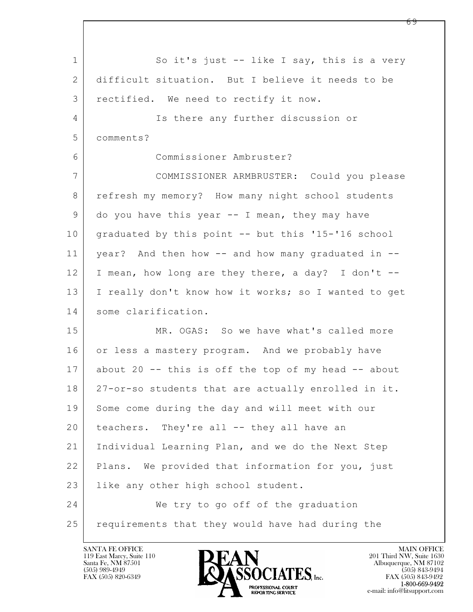$\mathbf{L}$  1 So it's just -- like I say, this is a very 2 difficult situation. But I believe it needs to be 3 rectified. We need to rectify it now. 4 Is there any further discussion or 5 comments? 6 Commissioner Ambruster? 7 COMMISSIONER ARMBRUSTER: Could you please 8 | refresh my memory? How many night school students 9 do you have this year -- I mean, they may have 10 graduated by this point -- but this '15-'16 school 11 year? And then how -- and how many graduated in -- 12 I mean, how long are they there, a day? I don't -- 13 I really don't know how it works; so I wanted to get 14 some clarification. 15 MR. OGAS: So we have what's called more 16 or less a mastery program. And we probably have 17 about 20 -- this is off the top of my head -- about 18 27-or-so students that are actually enrolled in it. 19 Some come during the day and will meet with our 20 teachers. They're all -- they all have an 21 Individual Learning Plan, and we do the Next Step 22 Plans. We provided that information for you, just 23 | like any other high school student. 24 We try to go off of the graduation 25 requirements that they would have had during the

119 East Marcy, Suite 110<br>Santa Fe, NM 87501



FAX (505) 843-9492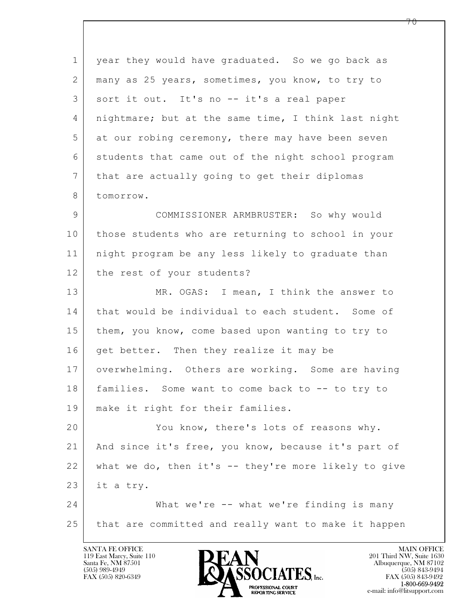$\mathbf{L}$  1 year they would have graduated. So we go back as 2 many as 25 years, sometimes, you know, to try to 3 sort it out. It's no -- it's a real paper 4 nightmare; but at the same time, I think last night 5 at our robing ceremony, there may have been seven 6 students that came out of the night school program 7 that are actually going to get their diplomas 8 tomorrow. 9 COMMISSIONER ARMBRUSTER: So why would 10 those students who are returning to school in your 11 night program be any less likely to graduate than 12 the rest of your students? 13 MR. OGAS: I mean, I think the answer to 14 | that would be individual to each student. Some of 15 them, you know, come based upon wanting to try to 16 get better. Then they realize it may be 17 overwhelming. Others are working. Some are having 18 families. Some want to come back to -- to try to 19 make it right for their families. 20 You know, there's lots of reasons why. 21 And since it's free, you know, because it's part of 22 what we do, then it's -- they're more likely to give  $23$  it a try. 24 What we're -- what we're finding is many 25 that are committed and really want to make it happen

119 East Marcy, Suite 110<br>Santa Fe, NM 87501

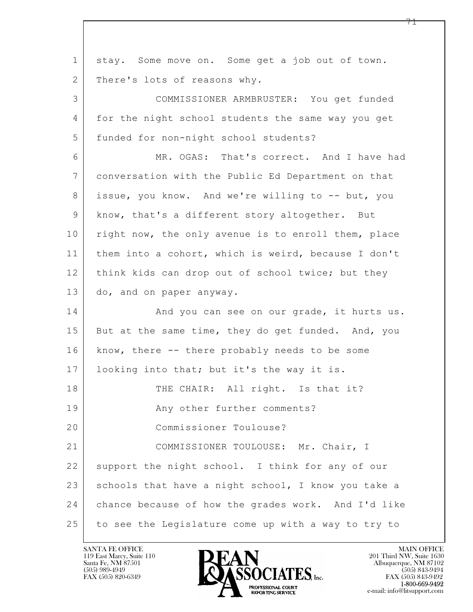$\mathbf{L}$  1 stay. Some move on. Some get a job out of town. 2 | There's lots of reasons why. 3 COMMISSIONER ARMBRUSTER: You get funded 4 for the night school students the same way you get 5 funded for non-night school students? 6 MR. OGAS: That's correct. And I have had 7 conversation with the Public Ed Department on that 8 | issue, you know. And we're willing to -- but, you 9 know, that's a different story altogether. But 10 right now, the only avenue is to enroll them, place 11 them into a cohort, which is weird, because I don't 12 think kids can drop out of school twice; but they 13 do, and on paper anyway. 14 And you can see on our grade, it hurts us. 15 But at the same time, they do get funded. And, you 16 know, there -- there probably needs to be some 17 | looking into that; but it's the way it is. 18 | THE CHAIR: All right. Is that it? 19 | Any other further comments? 20 Commissioner Toulouse? 21 | COMMISSIONER TOULOUSE: Mr. Chair, I 22 support the night school. I think for any of our 23 schools that have a night school, I know you take a 24 chance because of how the grades work. And I'd like 25 to see the Legislature come up with a way to try to

119 East Marcy, Suite 110<br>Santa Fe, NM 87501

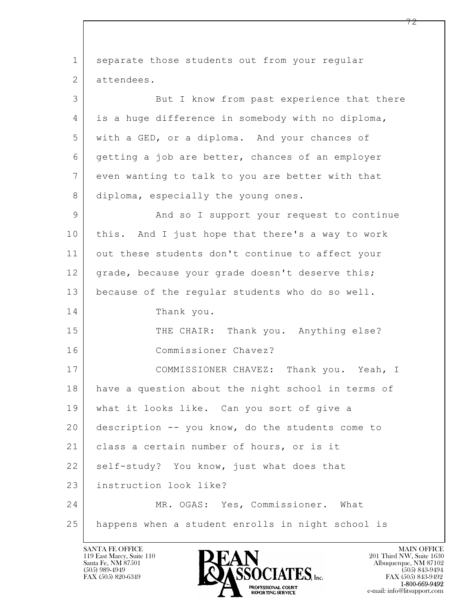$\mathbf{L}$  1 separate those students out from your regular 2 attendees. 3 But I know from past experience that there 4 is a huge difference in somebody with no diploma, 5 with a GED, or a diploma. And your chances of 6 getting a job are better, chances of an employer 7 even wanting to talk to you are better with that 8 diploma, especially the young ones. 9 | And so I support your request to continue 10 this. And I just hope that there's a way to work 11 out these students don't continue to affect your 12 grade, because your grade doesn't deserve this; 13 | because of the regular students who do so well. 14 Thank you. 15 THE CHAIR: Thank you. Anything else? 16 Commissioner Chavez? 17 COMMISSIONER CHAVEZ: Thank you. Yeah, I 18 | have a question about the night school in terms of 19 what it looks like. Can you sort of give a 20 description -- you know, do the students come to 21 | class a certain number of hours, or is it 22 self-study? You know, just what does that 23 instruction look like? 24 MR. OGAS: Yes, Commissioner. What 25 happens when a student enrolls in night school is

119 East Marcy, Suite 110<br>Santa Fe, NM 87501



FAX (505) 843-9492 e-mail: info@litsupport.com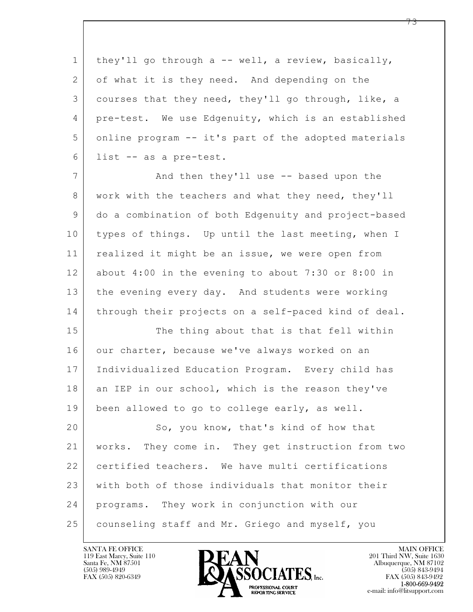$\mathbf{L}$  1 they'll go through a -- well, a review, basically, 2 of what it is they need. And depending on the 3 courses that they need, they'll go through, like, a 4 pre-test. We use Edgenuity, which is an established 5 online program -- it's part of the adopted materials 6 list -- as a pre-test. 7 | And then they'll use -- based upon the 8 work with the teachers and what they need, they'll 9 do a combination of both Edgenuity and project-based 10 types of things. Up until the last meeting, when I 11 | realized it might be an issue, we were open from 12 about 4:00 in the evening to about 7:30 or 8:00 in 13 the evening every day. And students were working 14 through their projects on a self-paced kind of deal. 15 The thing about that is that fell within 16 our charter, because we've always worked on an 17 Individualized Education Program. Every child has 18 an IEP in our school, which is the reason they've 19 been allowed to go to college early, as well. 20 So, you know, that's kind of how that 21 works. They come in. They get instruction from two 22 certified teachers. We have multi certifications 23 with both of those individuals that monitor their 24 programs. They work in conjunction with our 25 counseling staff and Mr. Griego and myself, you

119 East Marcy, Suite 110<br>Santa Fe, NM 87501



 $FAX (505) 843-9492$ <br>1-800-669-9492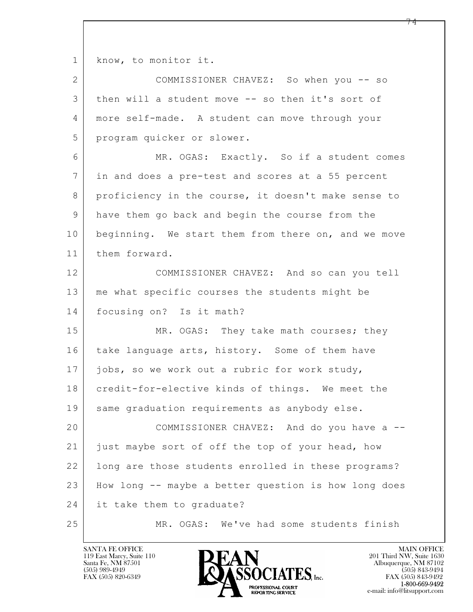$\mathbf{L}$  1 know, to monitor it. 2 COMMISSIONER CHAVEZ: So when you -- so 3 then will a student move -- so then it's sort of 4 more self-made. A student can move through your 5 program quicker or slower. 6 MR. OGAS: Exactly. So if a student comes 7 in and does a pre-test and scores at a 55 percent 8 proficiency in the course, it doesn't make sense to 9 have them go back and begin the course from the 10 beginning. We start them from there on, and we move 11 them forward. 12 COMMISSIONER CHAVEZ: And so can you tell 13 me what specific courses the students might be 14 focusing on? Is it math? 15 MR. OGAS: They take math courses; they 16 | take language arts, history. Some of them have 17 jobs, so we work out a rubric for work study, 18 credit-for-elective kinds of things. We meet the 19 | same graduation requirements as anybody else. 20 COMMISSIONER CHAVEZ: And do you have a -- 21 just maybe sort of off the top of your head, how 22 | long are those students enrolled in these programs? 23 How long -- maybe a better question is how long does 24 it take them to graduate? 25 MR. OGAS: We've had some students finish

119 East Marcy, Suite 110<br>Santa Fe, NM 87501

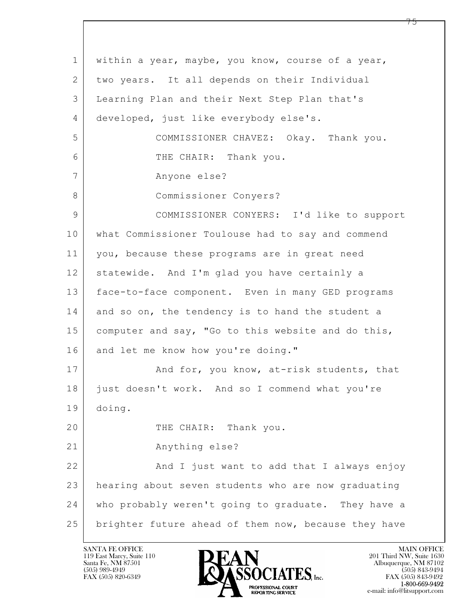$\mathbf{L}$  1 within a year, maybe, you know, course of a year, 2 two years. It all depends on their Individual 3 Learning Plan and their Next Step Plan that's 4 developed, just like everybody else's. 5 COMMISSIONER CHAVEZ: Okay. Thank you. 6 THE CHAIR: Thank you. 7 Anyone else? 8 Commissioner Conyers? 9 COMMISSIONER CONYERS: I'd like to support 10 what Commissioner Toulouse had to say and commend 11 you, because these programs are in great need 12 statewide. And I'm glad you have certainly a 13 face-to-face component. Even in many GED programs 14 and so on, the tendency is to hand the student a 15 computer and say, "Go to this website and do this, 16 and let me know how you're doing." 17 | And for, you know, at-risk students, that 18 just doesn't work. And so I commend what you're 19 doing. 20 THE CHAIR: Thank you. 21 Anything else? 22 | And I just want to add that I always enjoy 23 hearing about seven students who are now graduating 24 who probably weren't going to graduate. They have a 25 brighter future ahead of them now, because they have

119 East Marcy, Suite 110<br>Santa Fe, NM 87501

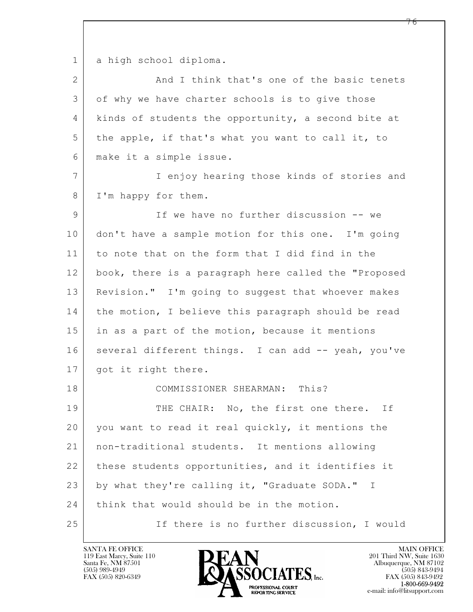1 a high school diploma.

| $\overline{2}$ | And I think that's one of the basic tenets           |
|----------------|------------------------------------------------------|
| 3              | of why we have charter schools is to give those      |
| 4              | kinds of students the opportunity, a second bite at  |
| 5              | the apple, if that's what you want to call it, to    |
| 6              | make it a simple issue.                              |
| $\overline{7}$ | I enjoy hearing those kinds of stories and           |
| 8              | I'm happy for them.                                  |
| $\mathsf 9$    | If we have no further discussion -- we               |
| 10             | don't have a sample motion for this one. I'm going   |
| 11             | to note that on the form that I did find in the      |
| 12             | book, there is a paragraph here called the "Proposed |
| 13             | Revision." I'm going to suggest that whoever makes   |
| 14             | the motion, I believe this paragraph should be read  |
| 15             | in as a part of the motion, because it mentions      |
| 16             | several different things. I can add -- yeah, you've  |
| 17             | got it right there.                                  |
| 18             | COMMISSIONER SHEARMAN: This?                         |
| 19             | THE CHAIR: No, the first one there. If               |
| 20             | you want to read it real quickly, it mentions the    |
| 21             | non-traditional students. It mentions allowing       |
| 22             | these students opportunities, and it identifies it   |
| 23             | by what they're calling it, "Graduate SODA." I       |
| 24             | think that would should be in the motion.            |
| 25             | If there is no further discussion, I would           |

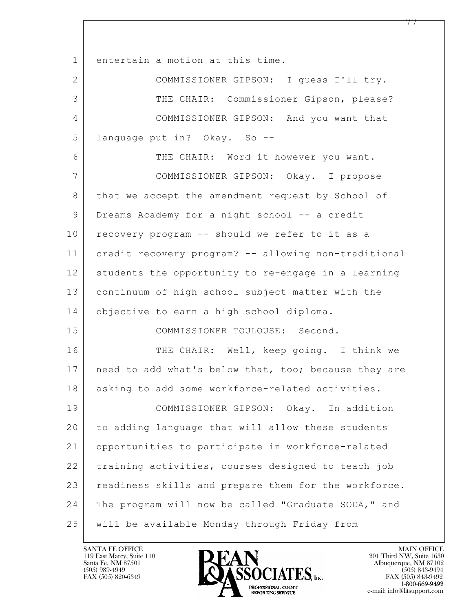| $\mathbf 1$    | entertain a motion at this time.                     |
|----------------|------------------------------------------------------|
| $\overline{2}$ | COMMISSIONER GIPSON: I guess I'll try.               |
| 3              | THE CHAIR: Commissioner Gipson, please?              |
| 4              | COMMISSIONER GIPSON: And you want that               |
| 5              | language put in? Okay. So --                         |
| 6              | THE CHAIR: Word it however you want.                 |
| 7              | COMMISSIONER GIPSON: Okay. I propose                 |
| 8              | that we accept the amendment request by School of    |
| 9              | Dreams Academy for a night school -- a credit        |
| 10             | recovery program -- should we refer to it as a       |
| 11             | credit recovery program? -- allowing non-traditional |
| 12             | students the opportunity to re-engage in a learning  |
| 13             | continuum of high school subject matter with the     |
| 14             | objective to earn a high school diploma.             |
| 15             | COMMISSIONER TOULOUSE: Second.                       |
| 16             | THE CHAIR: Well, keep going. I think we              |
| 17             | need to add what's below that, too; because they are |
| 18             | asking to add some workforce-related activities.     |
| 19             | COMMISSIONER GIPSON: Okay. In addition               |
| 20             | to adding language that will allow these students    |
| 21             | opportunities to participate in workforce-related    |
| 22             | training activities, courses designed to teach job   |
| 23             | readiness skills and prepare them for the workforce. |
| 24             | The program will now be called "Graduate SODA," and  |
| 25             | will be available Monday through Friday from         |

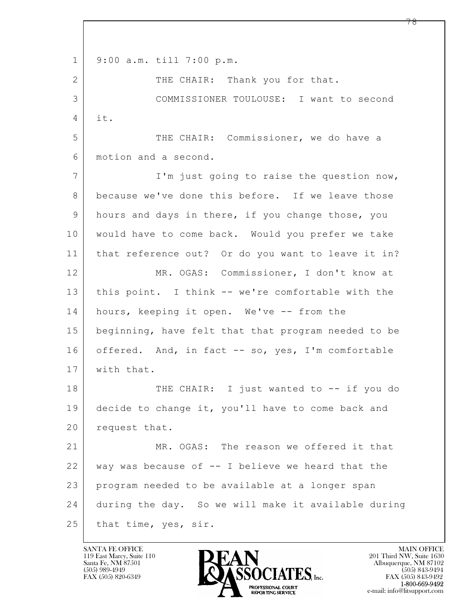$\mathbf{L}$  1 9:00 a.m. till 7:00 p.m. 2 THE CHAIR: Thank you for that. 3 COMMISSIONER TOULOUSE: I want to second 4 it. 5 THE CHAIR: Commissioner, we do have a 6 motion and a second. 7 | I'm just going to raise the question now, 8 because we've done this before. If we leave those 9 hours and days in there, if you change those, you 10 would have to come back. Would you prefer we take 11 that reference out? Or do you want to leave it in? 12 MR. OGAS: Commissioner, I don't know at 13 this point. I think -- we're comfortable with the 14 hours, keeping it open. We've -- from the 15 beginning, have felt that that program needed to be 16 offered. And, in fact -- so, yes, I'm comfortable 17 | with that. 18 | THE CHAIR: I just wanted to -- if you do 19 decide to change it, you'll have to come back and 20 request that. 21 MR. OGAS: The reason we offered it that  $22$  way was because of  $-$  I believe we heard that the 23 program needed to be available at a longer span 24 during the day. So we will make it available during 25 that time, yes, sir.

119 East Marcy, Suite 110<br>Santa Fe, NM 87501

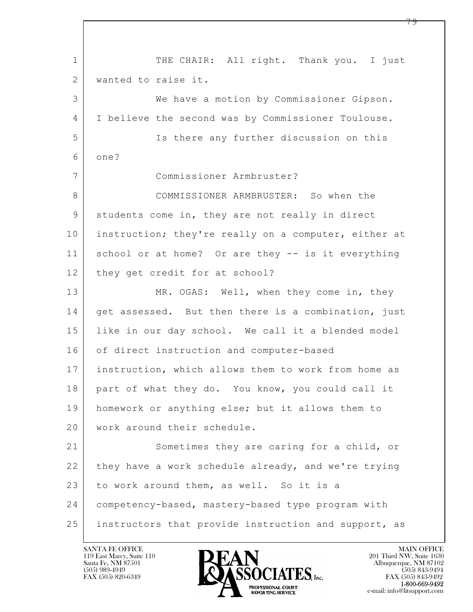$\mathbf{L}$  1 THE CHAIR: All right. Thank you. I just 2 wanted to raise it. 3 We have a motion by Commissioner Gipson. 4 I believe the second was by Commissioner Toulouse. 5 Is there any further discussion on this 6 one? 7 Commissioner Armbruster? 8 COMMISSIONER ARMBRUSTER: So when the 9 students come in, they are not really in direct 10 instruction; they're really on a computer, either at 11 school or at home? Or are they -- is it everything 12 | they get credit for at school? 13 MR. OGAS: Well, when they come in, they 14 | get assessed. But then there is a combination, just 15 like in our day school. We call it a blended model 16 of direct instruction and computer-based 17 instruction, which allows them to work from home as 18 part of what they do. You know, you could call it 19 homework or anything else; but it allows them to 20 work around their schedule. 21 Sometimes they are caring for a child, or 22 they have a work schedule already, and we're trying 23 to work around them, as well. So it is a 24 competency-based, mastery-based type program with 25 instructors that provide instruction and support, as

119 East Marcy, Suite 110<br>Santa Fe, NM 87501



FAX (505) 843-9492 e-mail: info@litsupport.com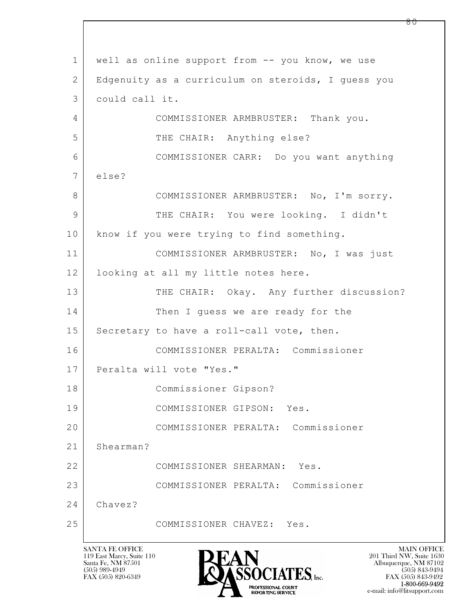$\mathbf{L}$  1 | well as online support from -- you know, we use 2 Edgenuity as a curriculum on steroids, I guess you 3 could call it. 4 COMMISSIONER ARMBRUSTER: Thank you. 5 THE CHAIR: Anything else? 6 COMMISSIONER CARR: Do you want anything 7 else? 8 COMMISSIONER ARMBRUSTER: No, I'm sorry. 9 THE CHAIR: You were looking. I didn't 10 | know if you were trying to find something. 11 COMMISSIONER ARMBRUSTER: No, I was just 12 looking at all my little notes here. 13 THE CHAIR: Okay. Any further discussion? 14 Then I guess we are ready for the 15 Secretary to have a roll-call vote, then. 16 COMMISSIONER PERALTA: Commissioner 17 Peralta will vote "Yes." 18 Commissioner Gipson? 19 COMMISSIONER GIPSON: Yes. 20 COMMISSIONER PERALTA: Commissioner 21 Shearman? 22 COMMISSIONER SHEARMAN: Yes. 23 COMMISSIONER PERALTA: Commissioner 24 Chavez? 25 COMMISSIONER CHAVEZ: Yes.



FAX (505) 843-9492 e-mail: info@litsupport.com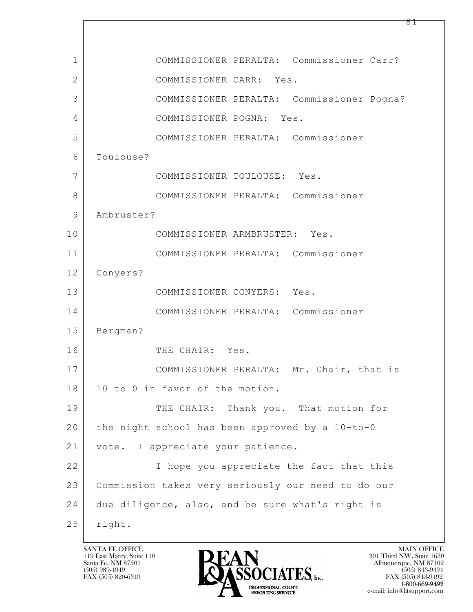$\mathbf{L}$  1 COMMISSIONER PERALTA: Commissioner Carr? 2 COMMISSIONER CARR: Yes. 3 COMMISSIONER PERALTA: Commissioner Pogna? 4 COMMISSIONER POGNA: Yes. 5 COMMISSIONER PERALTA: Commissioner 6 Toulouse? 7 COMMISSIONER TOULOUSE: Yes. 8 COMMISSIONER PERALTA: Commissioner 9 Ambruster? 10 COMMISSIONER ARMBRUSTER: Yes. 11 COMMISSIONER PERALTA: Commissioner 12 Conyers? 13 COMMISSIONER CONYERS: Yes. 14 COMMISSIONER PERALTA: Commissioner 15 Bergman? 16 THE CHAIR: Yes. 17 | COMMISSIONER PERALTA: Mr. Chair, that is 18 | 10 to 0 in favor of the motion. 19 THE CHAIR: Thank you. That motion for 20 the night school has been approved by a 10-to-0 21 | vote. I appreciate your patience. 22 I hope you appreciate the fact that this 23 Commission takes very seriously our need to do our 24 due diligence, also, and be sure what's right is 25 | right.

119 East Marcy, Suite 110<br>Santa Fe, NM 87501

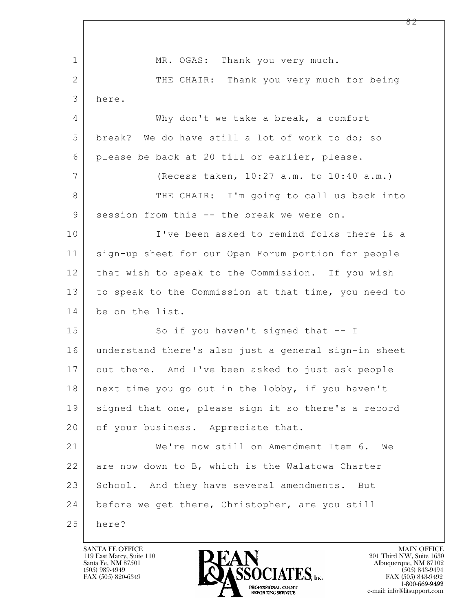| 1              | MR. OGAS: Thank you very much.                       |
|----------------|------------------------------------------------------|
| 2              | THE CHAIR: Thank you very much for being             |
| 3              | here.                                                |
| 4              | Why don't we take a break, a comfort                 |
| 5              | break? We do have still a lot of work to do; so      |
| 6              | please be back at 20 till or earlier, please.        |
| $\overline{7}$ | (Recess taken, 10:27 a.m. to 10:40 a.m.)             |
| 8              | THE CHAIR: I'm going to call us back into            |
| 9              | session from this -- the break we were on.           |
| 10             | I've been asked to remind folks there is a           |
| 11             | sign-up sheet for our Open Forum portion for people  |
| 12             | that wish to speak to the Commission. If you wish    |
| 13             | to speak to the Commission at that time, you need to |
| 14             | be on the list.                                      |
| 15             | So if you haven't signed that $-$ I                  |
| 16             | understand there's also just a general sign-in sheet |
| 17             | out there. And I've been asked to just ask people    |
| 18             | next time you go out in the lobby, if you haven't    |
| 19             | signed that one, please sign it so there's a record  |
| 20             | of your business. Appreciate that.                   |
| 21             | We're now still on Amendment Item 6. We              |
| 22             | are now down to B, which is the Walatowa Charter     |
| 23             | School. And they have several amendments. But        |
| 24             | before we get there, Christopher, are you still      |
| 25             | here?                                                |

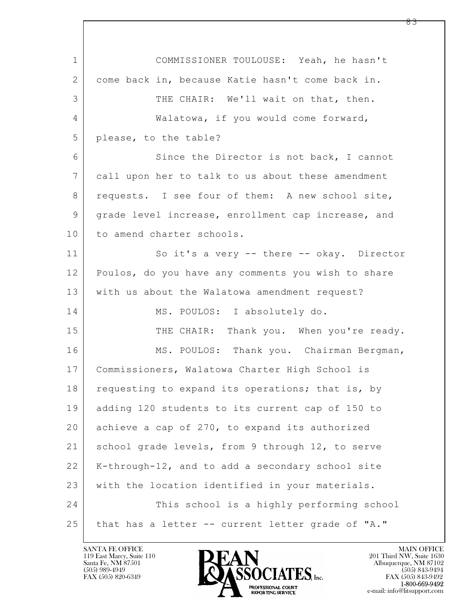$\mathbf{L}$  1 COMMISSIONER TOULOUSE: Yeah, he hasn't 2 come back in, because Katie hasn't come back in. 3 THE CHAIR: We'll wait on that, then. 4 | Walatowa, if you would come forward, 5 please, to the table? 6 Since the Director is not back, I cannot 7 call upon her to talk to us about these amendment 8 requests. I see four of them: A new school site, 9 | grade level increase, enrollment cap increase, and 10 to amend charter schools. 11 So it's a very -- there -- okay. Director 12 Poulos, do you have any comments you wish to share 13 | with us about the Walatowa amendment request? 14 MS. POULOS: I absolutely do. 15 THE CHAIR: Thank you. When you're ready. 16 MS. POULOS: Thank you. Chairman Bergman, 17 Commissioners, Walatowa Charter High School is 18 requesting to expand its operations; that is, by 19 adding 120 students to its current cap of 150 to 20 achieve a cap of 270, to expand its authorized 21 school grade levels, from 9 through 12, to serve 22 K-through-12, and to add a secondary school site 23 with the location identified in your materials. 24 This school is a highly performing school 25 that has a letter -- current letter grade of "A."

119 East Marcy, Suite 110<br>Santa Fe, NM 87501

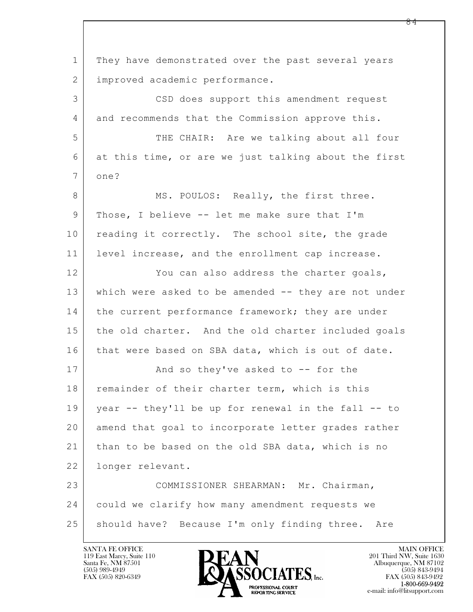$\mathbf{L}$  1 They have demonstrated over the past several years 2 improved academic performance. 3 CSD does support this amendment request 4 and recommends that the Commission approve this. 5 THE CHAIR: Are we talking about all four 6 at this time, or are we just talking about the first 7 one? 8 MS. POULOS: Really, the first three. 9 Those, I believe -- let me make sure that I'm 10 reading it correctly. The school site, the grade 11 level increase, and the enrollment cap increase. 12 You can also address the charter goals, 13 which were asked to be amended -- they are not under 14 the current performance framework; they are under 15 the old charter. And the old charter included goals 16 that were based on SBA data, which is out of date. 17 | And so they've asked to -- for the 18 remainder of their charter term, which is this 19 year -- they'll be up for renewal in the fall -- to 20 amend that goal to incorporate letter grades rather 21 than to be based on the old SBA data, which is no 22 longer relevant. 23 COMMISSIONER SHEARMAN: Mr. Chairman, 24 could we clarify how many amendment requests we 25 | should have? Because I'm only finding three. Are

119 East Marcy, Suite 110<br>Santa Fe, NM 87501



FAX (505) 843-9492 e-mail: info@litsupport.com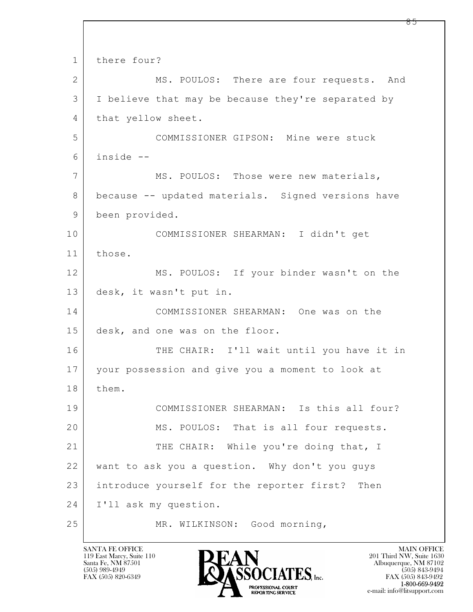$\mathbf{L}$  1 there four? 2 MS. POULOS: There are four requests. And 3 I believe that may be because they're separated by 4 that yellow sheet. 5 COMMISSIONER GIPSON: Mine were stuck 6 inside -- 7 MS. POULOS: Those were new materials, 8 because -- updated materials. Signed versions have 9 been provided. 10 COMMISSIONER SHEARMAN: I didn't get 11 those. 12 MS. POULOS: If your binder wasn't on the 13 desk, it wasn't put in. 14 COMMISSIONER SHEARMAN: One was on the 15 desk, and one was on the floor. 16 THE CHAIR: I'll wait until you have it in 17 your possession and give you a moment to look at 18 | them. 19 COMMISSIONER SHEARMAN: Is this all four? 20 MS. POULOS: That is all four requests. 21 THE CHAIR: While you're doing that, I 22 want to ask you a question. Why don't you guys 23 introduce yourself for the reporter first? Then 24 I'll ask my question. 25 MR. WILKINSON: Good morning,

119 East Marcy, Suite 110<br>Santa Fe, NM 87501

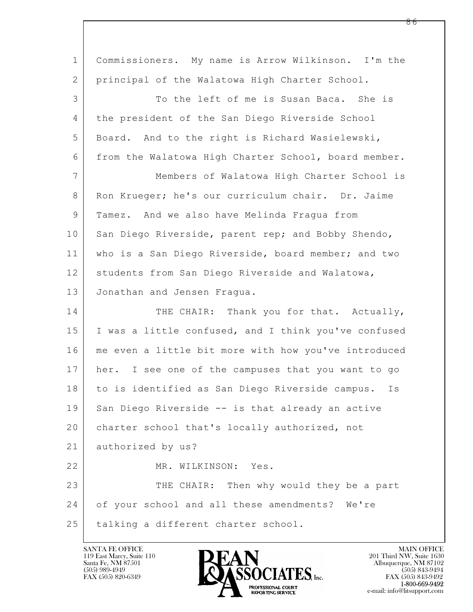| $\mathbf 1$  | Commissioners. My name is Arrow Wilkinson. I'm the   |
|--------------|------------------------------------------------------|
| $\mathbf{2}$ | principal of the Walatowa High Charter School.       |
| 3            | To the left of me is Susan Baca. She is              |
| 4            | the president of the San Diego Riverside School      |
| 5            | Board. And to the right is Richard Wasielewski,      |
| 6            | from the Walatowa High Charter School, board member. |
| 7            | Members of Walatowa High Charter School is           |
| 8            | Ron Krueger; he's our curriculum chair. Dr. Jaime    |
| 9            | Tamez. And we also have Melinda Fragua from          |
| 10           | San Diego Riverside, parent rep; and Bobby Shendo,   |
| 11           | who is a San Diego Riverside, board member; and two  |
| 12           | students from San Diego Riverside and Walatowa,      |
| 13           | Jonathan and Jensen Fragua.                          |
| 14           | THE CHAIR: Thank you for that. Actually,             |
| 15           | I was a little confused, and I think you've confused |
| 16           | me even a little bit more with how you've introduced |
| 17           | her. I see one of the campuses that you want to go   |
| 18           | to is identified as San Diego Riverside campus. Is   |
| 19           | San Diego Riverside -- is that already an active     |
| 20           | charter school that's locally authorized, not        |
| 21           | authorized by us?                                    |
| 22           | MR. WILKINSON: Yes.                                  |
| 23           | THE CHAIR: Then why would they be a part             |
| 24           | of your school and all these amendments? We're       |
| 25           | talking a different charter school.                  |

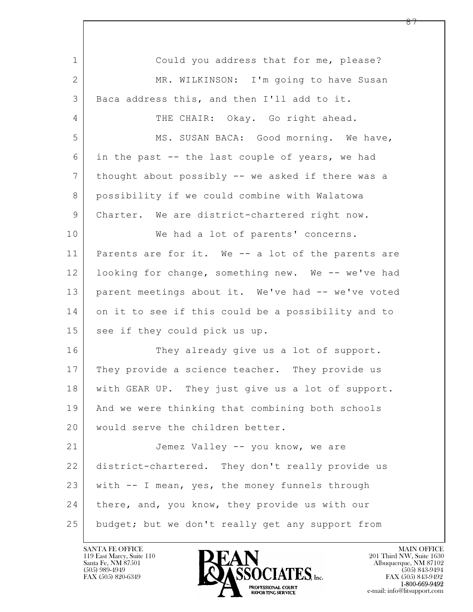$\mathbf{L}$  1 Could you address that for me, please? 2 MR. WILKINSON: I'm going to have Susan 3 Baca address this, and then I'll add to it. 4 THE CHAIR: Okay. Go right ahead. 5 MS. SUSAN BACA: Good morning. We have, 6 in the past -- the last couple of years, we had 7 thought about possibly -- we asked if there was a 8 possibility if we could combine with Walatowa 9 Charter. We are district-chartered right now. 10 We had a lot of parents' concerns. 11 Parents are for it. We -- a lot of the parents are 12 looking for change, something new. We -- we've had 13 | parent meetings about it. We've had -- we've voted 14 on it to see if this could be a possibility and to 15 see if they could pick us up. 16 They already give us a lot of support. 17 They provide a science teacher. They provide us 18 with GEAR UP. They just give us a lot of support. 19 And we were thinking that combining both schools 20 would serve the children better. 21 Jemez Valley -- you know, we are 22 district-chartered. They don't really provide us 23 with  $-$  I mean, yes, the money funnels through 24 | there, and, you know, they provide us with our 25 budget; but we don't really get any support from



FAX (505) 843-9492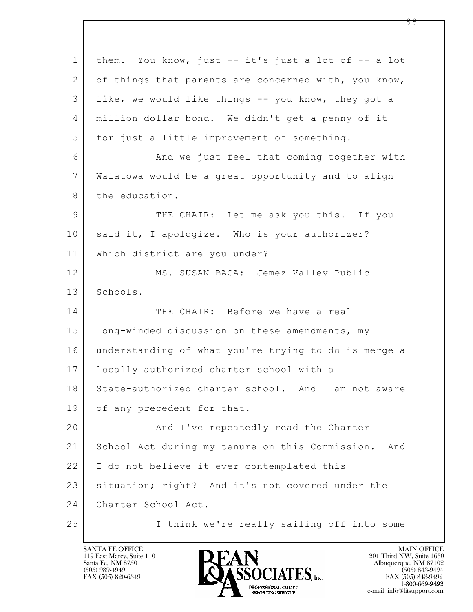$\mathbf{L}$  1 them. You know, just -- it's just a lot of -- a lot 2 of things that parents are concerned with, you know, 3 like, we would like things -- you know, they got a 4 million dollar bond. We didn't get a penny of it 5 for just a little improvement of something. 6 And we just feel that coming together with 7 Walatowa would be a great opportunity and to align 8 the education. 9 THE CHAIR: Let me ask you this. If you 10 said it, I apologize. Who is your authorizer? 11 Which district are you under? 12 MS. SUSAN BACA: Jemez Valley Public 13 Schools. 14 THE CHAIR: Before we have a real 15 | long-winded discussion on these amendments, my 16 understanding of what you're trying to do is merge a 17 locally authorized charter school with a 18 State-authorized charter school. And I am not aware 19 of any precedent for that. 20 | And I've repeatedly read the Charter 21 School Act during my tenure on this Commission. And 22 I do not believe it ever contemplated this 23 situation; right? And it's not covered under the 24 Charter School Act. 25 I think we're really sailing off into some

119 East Marcy, Suite 110<br>Santa Fe, NM 87501

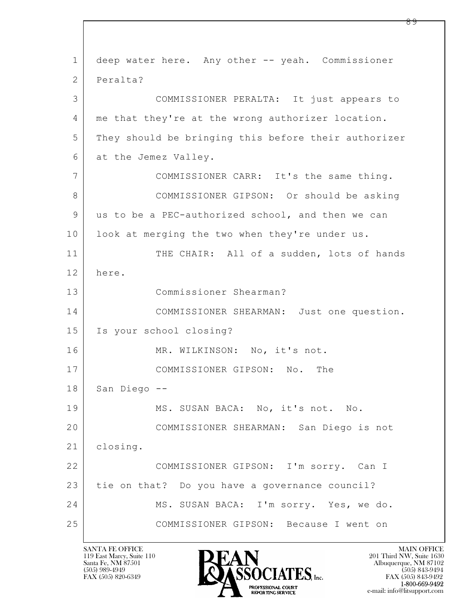$\mathbf{L}$  1 deep water here. Any other -- yeah. Commissioner 2 Peralta? 3 COMMISSIONER PERALTA: It just appears to 4 me that they're at the wrong authorizer location. 5 They should be bringing this before their authorizer 6 at the Jemez Valley. 7 COMMISSIONER CARR: It's the same thing. 8 COMMISSIONER GIPSON: Or should be asking 9 us to be a PEC-authorized school, and then we can 10 | look at merging the two when they're under us. 11 THE CHAIR: All of a sudden, lots of hands 12 here. 13 Commissioner Shearman? 14 COMMISSIONER SHEARMAN: Just one question. 15 Is your school closing? 16 MR. WILKINSON: No, it's not. 17 COMMISSIONER GIPSON: No. The 18 San Diego --19 MS. SUSAN BACA: No, it's not. No. 20 COMMISSIONER SHEARMAN: San Diego is not 21 | closing. 22 COMMISSIONER GIPSON: I'm sorry. Can I 23 tie on that? Do you have a governance council? 24 MS. SUSAN BACA: I'm sorry. Yes, we do. 25 COMMISSIONER GIPSON: Because I went on

119 East Marcy, Suite 110<br>Santa Fe, NM 87501



FAX (505) 843-9492 e-mail: info@litsupport.com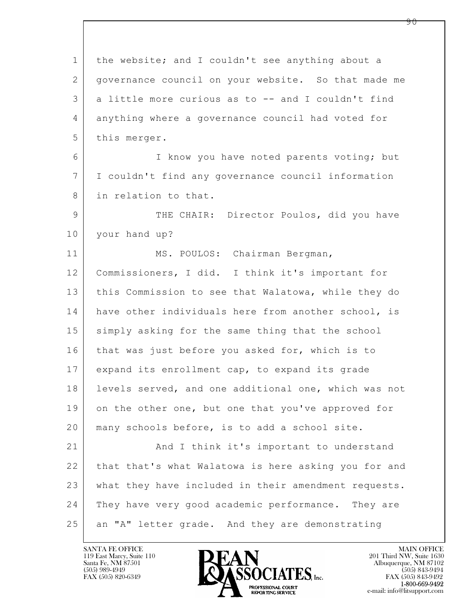$\mathbf{L}$  1 the website; and I couldn't see anything about a 2 governance council on your website. So that made me 3 a little more curious as to -- and I couldn't find 4 anything where a governance council had voted for 5 this merger. 6 I know you have noted parents voting; but 7 I couldn't find any governance council information 8 in relation to that. 9 THE CHAIR: Director Poulos, did you have 10 your hand up? 11 | MS. POULOS: Chairman Bergman, 12 Commissioners, I did. I think it's important for 13 this Commission to see that Walatowa, while they do 14 have other individuals here from another school, is 15 | simply asking for the same thing that the school 16 that was just before you asked for, which is to 17 expand its enrollment cap, to expand its grade 18 | levels served, and one additional one, which was not 19 on the other one, but one that you've approved for 20 many schools before, is to add a school site. 21 And I think it's important to understand 22 that that's what Walatowa is here asking you for and 23 what they have included in their amendment requests. 24 They have very good academic performance. They are 25 an "A" letter grade. And they are demonstrating

119 East Marcy, Suite 110<br>Santa Fe, NM 87501

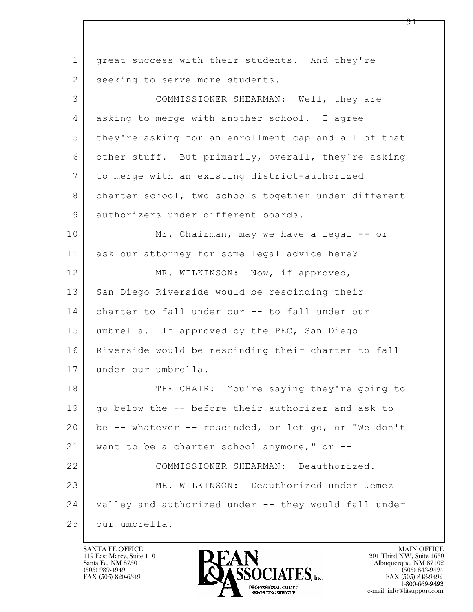$\mathbf{L}$  1 great success with their students. And they're 2 seeking to serve more students. 3 COMMISSIONER SHEARMAN: Well, they are 4 asking to merge with another school. I agree 5 they're asking for an enrollment cap and all of that 6 other stuff. But primarily, overall, they're asking 7 to merge with an existing district-authorized 8 charter school, two schools together under different 9 authorizers under different boards. 10 Mr. Chairman, may we have a legal -- or 11 ask our attorney for some legal advice here? 12 MR. WILKINSON: Now, if approved, 13 San Diego Riverside would be rescinding their 14 charter to fall under our -- to fall under our 15 umbrella. If approved by the PEC, San Diego 16 Riverside would be rescinding their charter to fall 17 under our umbrella. 18 THE CHAIR: You're saying they're going to 19 qo below the -- before their authorizer and ask to 20 be -- whatever -- rescinded, or let go, or "We don't 21 want to be a charter school anymore," or --22 COMMISSIONER SHEARMAN: Deauthorized. 23 MR. WILKINSON: Deauthorized under Jemez 24 Valley and authorized under -- they would fall under 25 our umbrella.

119 East Marcy, Suite 110<br>Santa Fe, NM 87501

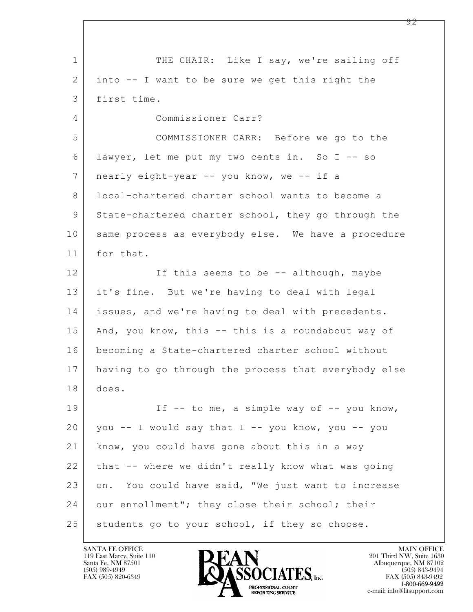$\mathbf{L}$  1 THE CHAIR: Like I say, we're sailing off 2 into -- I want to be sure we get this right the 3 first time. 4 Commissioner Carr? 5 COMMISSIONER CARR: Before we go to the 6 lawyer, let me put my two cents in. So I -- so 7 nearly eight-year -- you know, we -- if a 8 | local-chartered charter school wants to become a 9 State-chartered charter school, they go through the 10 same process as everybody else. We have a procedure 11 for that. 12 If this seems to be -- although, maybe 13 it's fine. But we're having to deal with legal 14 issues, and we're having to deal with precedents. 15 And, you know, this -- this is a roundabout way of 16 becoming a State-chartered charter school without 17 having to go through the process that everybody else 18 does. 19 If -- to me, a simple way of -- you know,  $20$  you  $-$  I would say that I  $-$  you know, you  $-$  you 21 know, you could have gone about this in a way 22 that -- where we didn't really know what was going 23 on. You could have said, "We just want to increase 24 our enrollment"; they close their school; their 25 students go to your school, if they so choose.

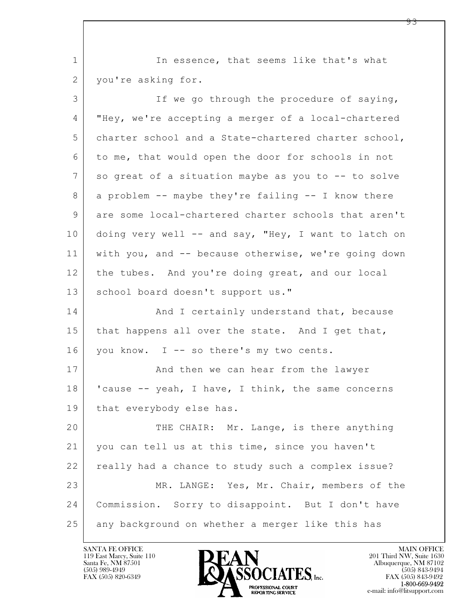1 | In essence, that seems like that's what 2 | you're asking for.

| 3              | If we go through the procedure of saying,            |
|----------------|------------------------------------------------------|
| 4              | "Hey, we're accepting a merger of a local-chartered  |
| 5              | charter school and a State-chartered charter school, |
| 6              | to me, that would open the door for schools in not   |
| $7\phantom{.}$ | so great of a situation maybe as you to -- to solve  |
| $8\,$          | a problem -- maybe they're failing -- I know there   |
| $\mathsf 9$    | are some local-chartered charter schools that aren't |
| 10             | doing very well -- and say, "Hey, I want to latch on |
| 11             | with you, and -- because otherwise, we're going down |
| 12             | the tubes. And you're doing great, and our local     |
| 13             | school board doesn't support us."                    |
| 14             | And I certainly understand that, because             |
| 15             | that happens all over the state. And I get that,     |
| 16             | you know. I -- so there's my two cents.              |
| 17             | And then we can hear from the lawyer                 |
| 18             | 'cause -- yeah, I have, I think, the same concerns   |
| 19             | that everybody else has.                             |
| 20             | THE CHAIR: Mr. Lange, is there anything              |
| 21             | you can tell us at this time, since you haven't      |
| 22             | really had a chance to study such a complex issue?   |
| 23             | MR. LANGE: Yes, Mr. Chair, members of the            |
| 24             | Commission. Sorry to disappoint. But I don't have    |
| 25             | any background on whether a merger like this has     |

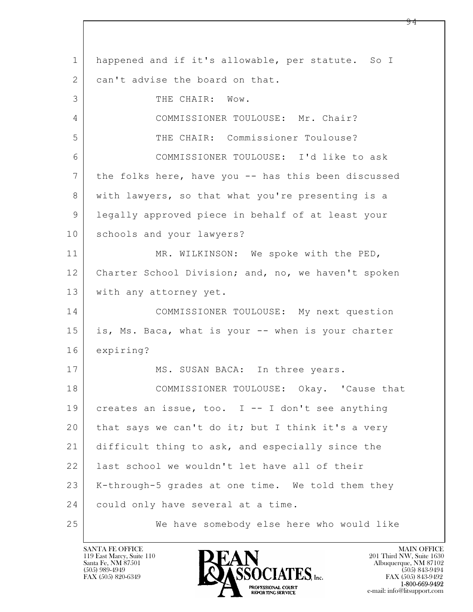$\mathbf{L}$  1 happened and if it's allowable, per statute. So I 2 can't advise the board on that. 3 THE CHAIR: Wow. 4 COMMISSIONER TOULOUSE: Mr. Chair? 5 | THE CHAIR: Commissioner Toulouse? 6 COMMISSIONER TOULOUSE: I'd like to ask 7 the folks here, have you -- has this been discussed 8 | with lawyers, so that what you're presenting is a 9 legally approved piece in behalf of at least your 10 schools and your lawyers? 11 MR. WILKINSON: We spoke with the PED, 12 | Charter School Division; and, no, we haven't spoken 13 | with any attorney yet. 14 COMMISSIONER TOULOUSE: My next question 15 is, Ms. Baca, what is your -- when is your charter 16 expiring? 17 MS. SUSAN BACA: In three years. 18 COMMISSIONER TOULOUSE: Okay. 'Cause that 19 creates an issue, too. I -- I don't see anything 20 that says we can't do it; but I think it's a very 21 difficult thing to ask, and especially since the 22 last school we wouldn't let have all of their 23 K-through-5 grades at one time. We told them they 24 could only have several at a time. 25 We have somebody else here who would like

119 East Marcy, Suite 110<br>Santa Fe, NM 87501

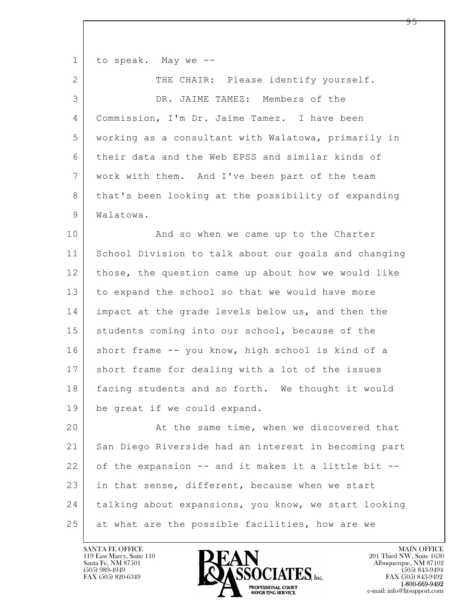| $\mathbf 1$  | to speak. May we --                                  |
|--------------|------------------------------------------------------|
| $\mathbf{2}$ | THE CHAIR: Please identify yourself.                 |
| 3            | DR. JAIME TAMEZ: Members of the                      |
| 4            | Commission, I'm Dr. Jaime Tamez. I have been         |
| 5            | working as a consultant with Walatowa, primarily in  |
| 6            | their data and the Web EPSS and similar kinds of     |
| 7            | work with them. And I've been part of the team       |
| 8            | that's been looking at the possibility of expanding  |
| 9            | Walatowa.                                            |
| 10           | And so when we came up to the Charter                |
| 11           | School Division to talk about our goals and changing |
| 12           | those, the question came up about how we would like  |
| 13           | to expand the school so that we would have more      |
| 14           | impact at the grade levels below us, and then the    |
| 15           | students coming into our school, because of the      |
| 16           | short frame -- you know, high school is kind of a    |
| 17           | short frame for dealing with a lot of the issues     |
| 18           | facing students and so forth. We thought it would    |
| 19           | be great if we could expand.                         |
| 20           | At the same time, when we discovered that            |
| 21           | San Diego Riverside had an interest in becoming part |
| 22           | of the expansion -- and it makes it a little bit --  |
| 23           | in that sense, different, because when we start      |
| 24           | talking about expansions, you know, we start looking |
| 25           | at what are the possible facilities, how are we      |

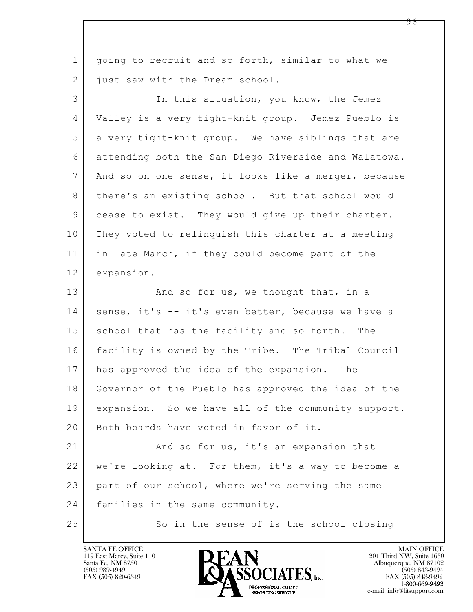| $\mathbf 1$ | going to recruit and so forth, similar to what we    |
|-------------|------------------------------------------------------|
| 2           | just saw with the Dream school.                      |
| 3           | In this situation, you know, the Jemez               |
| 4           | Valley is a very tight-knit group. Jemez Pueblo is   |
| 5           | a very tight-knit group. We have siblings that are   |
| 6           | attending both the San Diego Riverside and Walatowa. |
| 7           | And so on one sense, it looks like a merger, because |
| 8           | there's an existing school. But that school would    |
| $\mathsf 9$ | cease to exist. They would give up their charter.    |
| 10          | They voted to relinquish this charter at a meeting   |
| 11          | in late March, if they could become part of the      |
| 12          | expansion.                                           |
| 13          | And so for us, we thought that, in a                 |
| 14          | sense, it's -- it's even better, because we have a   |
| 15          | school that has the facility and so forth. The       |
| 16          | facility is owned by the Tribe. The Tribal Council   |
| 17          | has approved the idea of the expansion. The          |
| 18          | Governor of the Pueblo has approved the idea of the  |
| 19          | expansion. So we have all of the community support.  |
| 20          | Both boards have voted in favor of it.               |
| 21          | And so for us, it's an expansion that                |
| 22          | we're looking at. For them, it's a way to become a   |
| 23          | part of our school, where we're serving the same     |
| 24          | families in the same community.                      |
| 25          | So in the sense of is the school closing             |

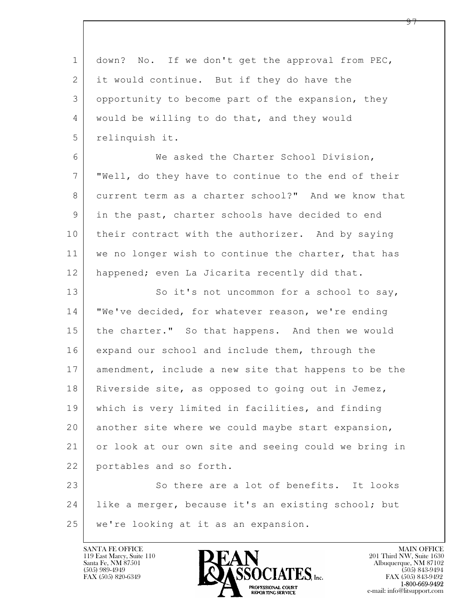| $\mathbf{1}$   | down? No. If we don't get the approval from PEC,     |
|----------------|------------------------------------------------------|
| $\mathbf{2}$   | it would continue. But if they do have the           |
| 3              | opportunity to become part of the expansion, they    |
| $\overline{4}$ | would be willing to do that, and they would          |
| 5              | relinquish it.                                       |
| 6              | We asked the Charter School Division,                |
| 7              | "Well, do they have to continue to the end of their  |
| 8              | current term as a charter school?" And we know that  |
| 9              | in the past, charter schools have decided to end     |
| 10             | their contract with the authorizer. And by saying    |
| 11             | we no longer wish to continue the charter, that has  |
| 12             | happened; even La Jicarita recently did that.        |
| 13             | So it's not uncommon for a school to say,            |
| 14             | "We've decided, for whatever reason, we're ending    |
| 15             | the charter." So that happens. And then we would     |
| 16             | expand our school and include them, through the      |
| 17             | amendment, include a new site that happens to be the |
| 18             | Riverside site, as opposed to going out in Jemez,    |
| 19             | which is very limited in facilities, and finding     |
| 20             | another site where we could maybe start expansion,   |
| 21             | or look at our own site and seeing could we bring in |
| 22             | portables and so forth.                              |
| 23             | So there are a lot of benefits. It looks             |
| 24             | like a merger, because it's an existing school; but  |
| 25             | we're looking at it as an expansion.                 |
|                |                                                      |

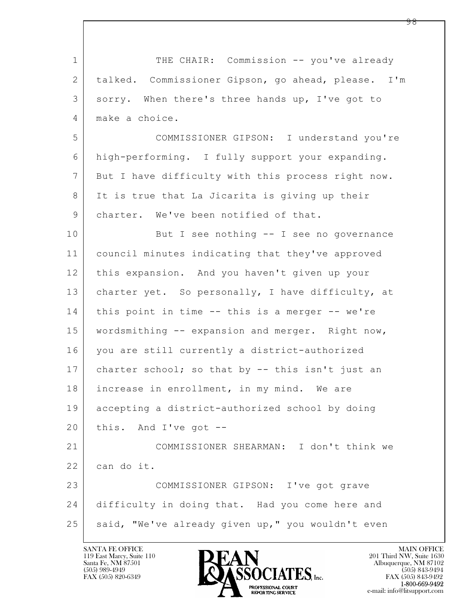| $\mathbf 1$    | THE CHAIR: Commission -- you've already            |
|----------------|----------------------------------------------------|
| $\mathbf{2}$   | talked. Commissioner Gipson, go ahead, please. I'm |
| 3              | sorry. When there's three hands up, I've got to    |
| 4              | make a choice.                                     |
| 5              | COMMISSIONER GIPSON: I understand you're           |
| 6              | high-performing. I fully support your expanding.   |
| $\overline{7}$ | But I have difficulty with this process right now. |
| 8              | It is true that La Jicarita is giving up their     |
| 9              | charter. We've been notified of that.              |
| 10             | But I see nothing -- I see no governance           |
| 11             | council minutes indicating that they've approved   |
| 12             | this expansion. And you haven't given up your      |
| 13             | charter yet. So personally, I have difficulty, at  |
| 14             | this point in time -- this is a merger -- we're    |
| 15             | wordsmithing -- expansion and merger. Right now,   |
| 16             | you are still currently a district-authorized      |
| 17             | charter school; so that by -- this isn't just an   |
| 18             | increase in enrollment, in my mind. We are         |
| 19             | accepting a district-authorized school by doing    |
| 20             | this. And I've got $-$ -                           |
| 21             | COMMISSIONER SHEARMAN: I don't think we            |
| 22             | can do it.                                         |
| 23             | COMMISSIONER GIPSON: I've got grave                |
| 24             | difficulty in doing that. Had you come here and    |
| 25             | said, "We've already given up," you wouldn't even  |

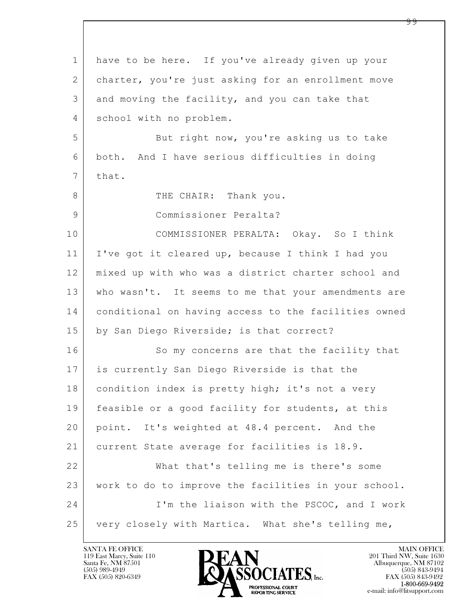| $\mathbf 1$     | have to be here. If you've already given up your     |
|-----------------|------------------------------------------------------|
| 2               | charter, you're just asking for an enrollment move   |
| 3               | and moving the facility, and you can take that       |
| 4               | school with no problem.                              |
| 5               | But right now, you're asking us to take              |
| 6               | both. And I have serious difficulties in doing       |
| $7\phantom{.0}$ | that.                                                |
| 8               | THE CHAIR: Thank you.                                |
| $\mathsf 9$     | Commissioner Peralta?                                |
| 10              | COMMISSIONER PERALTA: Okay. So I think               |
| 11              | I've got it cleared up, because I think I had you    |
| 12              | mixed up with who was a district charter school and  |
| 13              | who wasn't. It seems to me that your amendments are  |
| 14              | conditional on having access to the facilities owned |
| 15              | by San Diego Riverside; is that correct?             |
| 16              | So my concerns are that the facility that            |
| 17              | is currently San Diego Riverside is that the         |
| 18              | condition index is pretty high; it's not a very      |
| 19              | feasible or a good facility for students, at this    |
| 20              | point. It's weighted at 48.4 percent. And the        |
| 21              | current State average for facilities is 18.9.        |
| 22              | What that's telling me is there's some               |
| 23              | work to do to improve the facilities in your school. |
| 24              | I'm the liaison with the PSCOC, and I work           |
| 25              | very closely with Martica. What she's telling me,    |

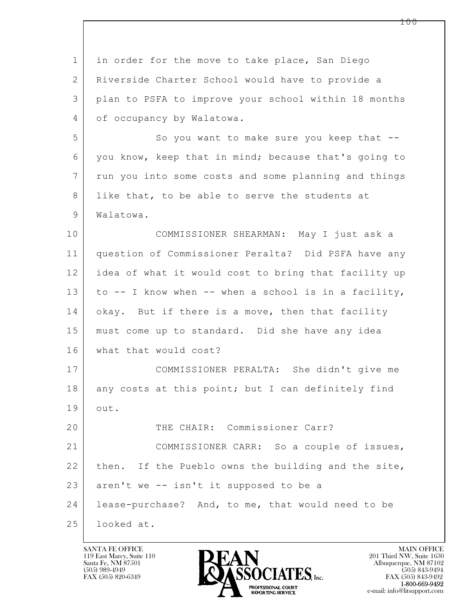$\mathbf{L}$  1 in order for the move to take place, San Diego 2 Riverside Charter School would have to provide a 3 plan to PSFA to improve your school within 18 months 4 of occupancy by Walatowa. 5 So you want to make sure you keep that  $-$ 6 you know, keep that in mind; because that's going to 7 run you into some costs and some planning and things 8 like that, to be able to serve the students at 9 Walatowa. 10 COMMISSIONER SHEARMAN: May I just ask a 11 question of Commissioner Peralta? Did PSFA have any 12 idea of what it would cost to bring that facility up 13 to -- I know when -- when a school is in a facility, 14 okay. But if there is a move, then that facility 15 must come up to standard. Did she have any idea 16 what that would cost? 17 COMMISSIONER PERALTA: She didn't give me 18 any costs at this point; but I can definitely find 19 out. 20 THE CHAIR: Commissioner Carr? 21 COMMISSIONER CARR: So a couple of issues, 22 | then. If the Pueblo owns the building and the site,  $23$  aren't we -- isn't it supposed to be a 24 lease-purchase? And, to me, that would need to be 25 looked at.

119 East Marcy, Suite 110<br>Santa Fe, NM 87501

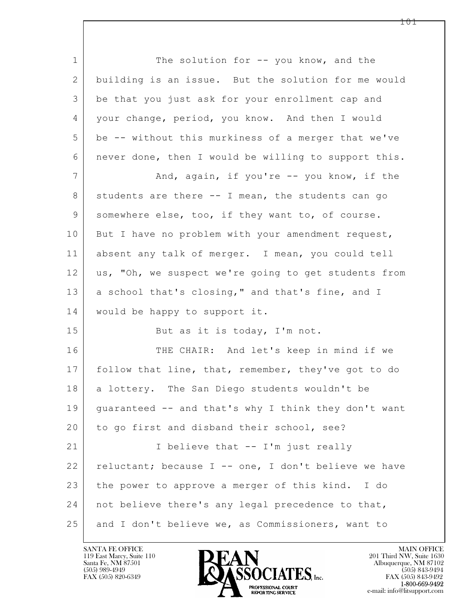$\mathbf{L}$  1 The solution for -- you know, and the 2 building is an issue. But the solution for me would 3 be that you just ask for your enrollment cap and 4 your change, period, you know. And then I would 5 be -- without this murkiness of a merger that we've 6 never done, then I would be willing to support this. 7 | And, again, if you're -- you know, if the 8 students are there -- I mean, the students can go 9 somewhere else, too, if they want to, of course. 10 But I have no problem with your amendment request, 11 absent any talk of merger. I mean, you could tell 12 | us, "Oh, we suspect we're going to get students from 13 a school that's closing," and that's fine, and I 14 | would be happy to support it. 15 But as it is today, I'm not. 16 THE CHAIR: And let's keep in mind if we 17 follow that line, that, remember, they've got to do 18 | a lottery. The San Diego students wouldn't be 19 | guaranteed -- and that's why I think they don't want 20 to go first and disband their school, see? 21 | I believe that -- I'm just really 22 reluctant; because I -- one, I don't believe we have 23 the power to approve a merger of this kind. I do 24 not believe there's any legal precedence to that, 25 and I don't believe we, as Commissioners, want to

119 East Marcy, Suite 110<br>Santa Fe, NM 87501



 $FAX (505) 843-9492$ <br>1-800-669-9492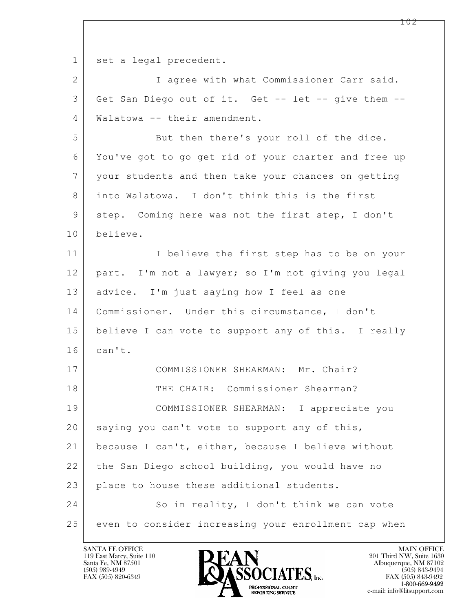$\mathbf{L}$  1 set a legal precedent. 2 I agree with what Commissioner Carr said. 3 Get San Diego out of it. Get -- let -- give them -- 4 Walatowa -- their amendment. 5 But then there's your roll of the dice. 6 You've got to go get rid of your charter and free up 7 your students and then take your chances on getting 8 into Walatowa. I don't think this is the first 9 step. Coming here was not the first step, I don't 10 believe. 11 | I believe the first step has to be on your 12 part. I'm not a lawyer; so I'm not giving you legal 13 | advice. I'm just saying how I feel as one 14 Commissioner. Under this circumstance, I don't 15 believe I can vote to support any of this. I really  $16$  can't. 17 COMMISSIONER SHEARMAN: Mr. Chair? 18 THE CHAIR: Commissioner Shearman? 19 COMMISSIONER SHEARMAN: I appreciate you  $20$  saying you can't vote to support any of this, 21 because I can't, either, because I believe without 22 the San Diego school building, you would have no 23 place to house these additional students. 24 So in reality, I don't think we can vote 25 even to consider increasing your enrollment cap when

119 East Marcy, Suite 110<br>Santa Fe, NM 87501

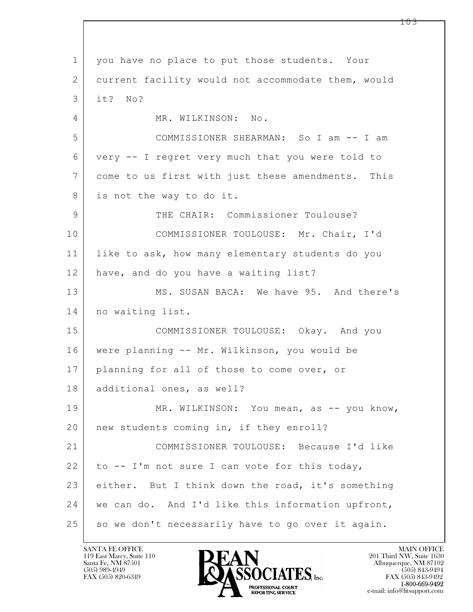$\mathbf{L}$  1 you have no place to put those students. Your 2 current facility would not accommodate them, would 3 it? No? 4 MR. WILKINSON: No. 5 COMMISSIONER SHEARMAN: So I am -- I am 6 very -- I regret very much that you were told to 7 come to us first with just these amendments. This 8 is not the way to do it. 9 THE CHAIR: Commissioner Toulouse? 10 COMMISSIONER TOULOUSE: Mr. Chair, I'd 11 like to ask, how many elementary students do you 12 have, and do you have a waiting list? 13 MS. SUSAN BACA: We have 95. And there's 14 no waiting list. 15 COMMISSIONER TOULOUSE: Okay. And you 16 were planning -- Mr. Wilkinson, you would be 17 | planning for all of those to come over, or 18 | additional ones, as well? 19 MR. WILKINSON: You mean, as -- you know, 20 | new students coming in, if they enroll? 21 COMMISSIONER TOULOUSE: Because I'd like 22 to  $-$  I'm not sure I can vote for this today, 23 either. But I think down the road, it's something 24 we can do. And I'd like this information upfront,  $25$  so we don't necessarily have to go over it again.

119 East Marcy, Suite 110<br>Santa Fe, NM 87501



FAX (505) 843-9492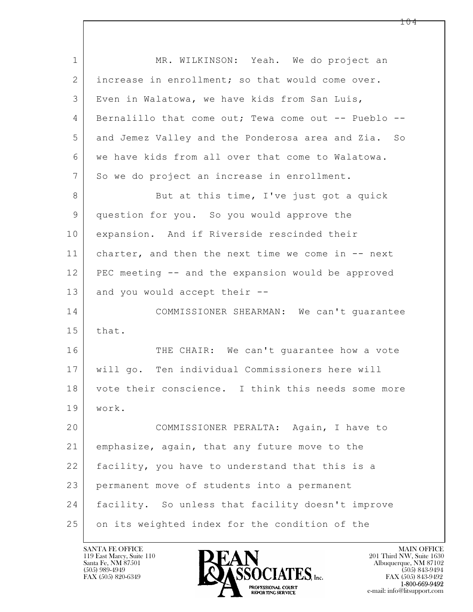| $\mathbf 1$  | MR. WILKINSON: Yeah. We do project an                |
|--------------|------------------------------------------------------|
| $\mathbf{2}$ | increase in enrollment; so that would come over.     |
| 3            | Even in Walatowa, we have kids from San Luis,        |
| 4            | Bernalillo that come out; Tewa come out -- Pueblo -- |
| 5            | and Jemez Valley and the Ponderosa area and Zia. So  |
| 6            | we have kids from all over that come to Walatowa.    |
| 7            | So we do project an increase in enrollment.          |
| 8            | But at this time, I've just got a quick              |
| 9            | question for you. So you would approve the           |
| 10           | expansion. And if Riverside rescinded their          |
| 11           | charter, and then the next time we come in -- next   |
| 12           | PEC meeting -- and the expansion would be approved   |
| 13           | and you would accept their --                        |
| 14           | COMMISSIONER SHEARMAN: We can't quarantee            |
| 15           | that.                                                |
| 16           | THE CHAIR: We can't guarantee how a vote             |
| 17           | will go. Ten individual Commissioners here will      |
| 18           | vote their conscience. I think this needs some more  |
| 19           | work.                                                |
| 20           | COMMISSIONER PERALTA: Again, I have to               |
| 21           | emphasize, again, that any future move to the        |
| 22           | facility, you have to understand that this is a      |
| 23           | permanent move of students into a permanent          |
| 24           | facility. So unless that facility doesn't improve    |
| 25           | on its weighted index for the condition of the       |

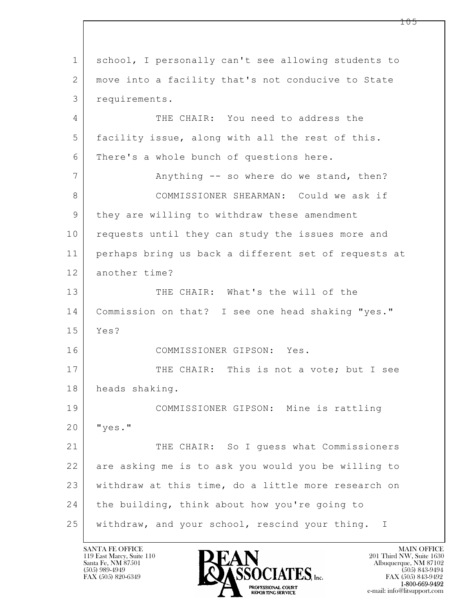$\mathbf{L}$  1 school, I personally can't see allowing students to 2 | move into a facility that's not conducive to State 3 requirements. 4 THE CHAIR: You need to address the 5 facility issue, along with all the rest of this. 6 There's a whole bunch of questions here. 7 Anything -- so where do we stand, then? 8 COMMISSIONER SHEARMAN: Could we ask if 9 | they are willing to withdraw these amendment 10 requests until they can study the issues more and 11 perhaps bring us back a different set of requests at 12 another time? 13 THE CHAIR: What's the will of the 14 Commission on that? I see one head shaking "yes." 15 Yes? 16 COMMISSIONER GIPSON: Yes. 17 THE CHAIR: This is not a vote; but I see 18 heads shaking. 19 COMMISSIONER GIPSON: Mine is rattling 20 "yes." 21 THE CHAIR: So I quess what Commissioners 22 are asking me is to ask you would you be willing to 23 withdraw at this time, do a little more research on 24 the building, think about how you're going to 25 withdraw, and your school, rescind your thing. I

119 East Marcy, Suite 110<br>Santa Fe, NM 87501



FAX (505) 843-9492 e-mail: info@litsupport.com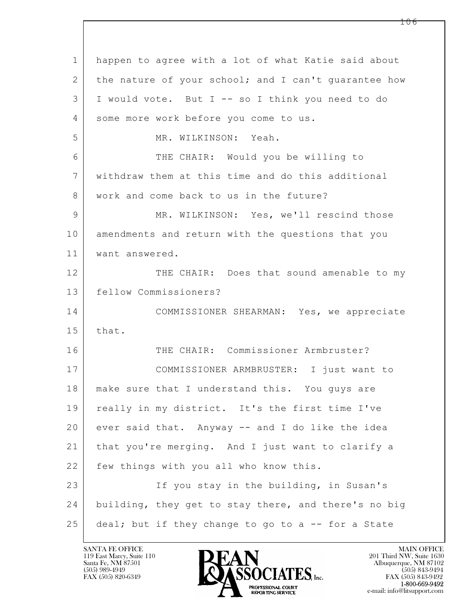| $\mathbf 1$ | happen to agree with a lot of what Katie said about  |
|-------------|------------------------------------------------------|
| 2           | the nature of your school; and I can't guarantee how |
| 3           | I would vote. But I -- so I think you need to do     |
| 4           | some more work before you come to us.                |
| 5           | MR. WILKINSON: Yeah.                                 |
| 6           | THE CHAIR: Would you be willing to                   |
| 7           | withdraw them at this time and do this additional    |
| 8           | work and come back to us in the future?              |
| 9           | MR. WILKINSON: Yes, we'll rescind those              |
| 10          | amendments and return with the questions that you    |
| 11          | want answered.                                       |
| 12          | THE CHAIR: Does that sound amenable to my            |
| 13          | fellow Commissioners?                                |
| 14          | COMMISSIONER SHEARMAN: Yes, we appreciate            |
| 15          | that.                                                |
| 16          | THE CHAIR: Commissioner Armbruster?                  |
| 17          | COMMISSIONER ARMBRUSTER: I just want to              |
| 18          | make sure that I understand this. You guys are       |
| 19          | really in my district. It's the first time I've      |
| 20          | ever said that. Anyway -- and I do like the idea     |
| 21          | that you're merging. And I just want to clarify a    |
| 22          | few things with you all who know this.               |
| 23          | If you stay in the building, in Susan's              |
| 24          | building, they get to stay there, and there's no big |
| 25          | deal; but if they change to go to a -- for a State   |

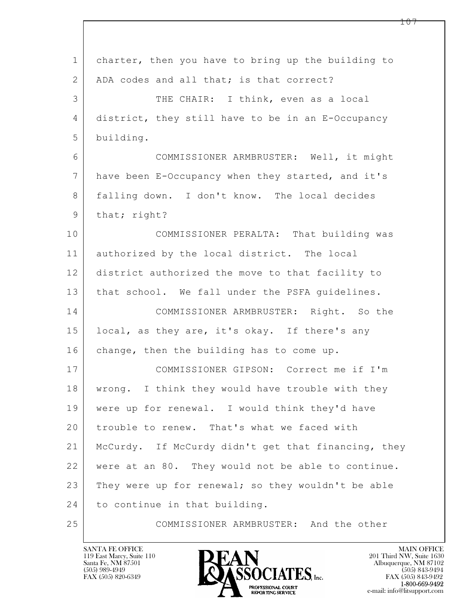| $\mathbf 1$ | charter, then you have to bring up the building to  |
|-------------|-----------------------------------------------------|
| 2           | ADA codes and all that; is that correct?            |
| 3           | THE CHAIR: I think, even as a local                 |
| 4           | district, they still have to be in an E-Occupancy   |
| 5           | building.                                           |
| 6           | COMMISSIONER ARMBRUSTER: Well, it might             |
| 7           | have been E-Occupancy when they started, and it's   |
| 8           | falling down. I don't know. The local decides       |
| 9           | that; right?                                        |
| 10          | COMMISSIONER PERALTA: That building was             |
| 11          | authorized by the local district. The local         |
| 12          | district authorized the move to that facility to    |
| 13          | that school. We fall under the PSFA quidelines.     |
| 14          | COMMISSIONER ARMBRUSTER: Right. So the              |
| 15          | local, as they are, it's okay. If there's any       |
| 16          | change, then the building has to come up.           |
| 17          | COMMISSIONER GIPSON: Correct me if I'm              |
| 18          | wrong. I think they would have trouble with they    |
| 19          | were up for renewal. I would think they'd have      |
| 20          | trouble to renew. That's what we faced with         |
| 21          | McCurdy. If McCurdy didn't get that financing, they |
| 22          | were at an 80. They would not be able to continue.  |
| 23          | They were up for renewal; so they wouldn't be able  |
| 24          | to continue in that building.                       |
| 25          | COMMISSIONER ARMBRUSTER: And the other              |

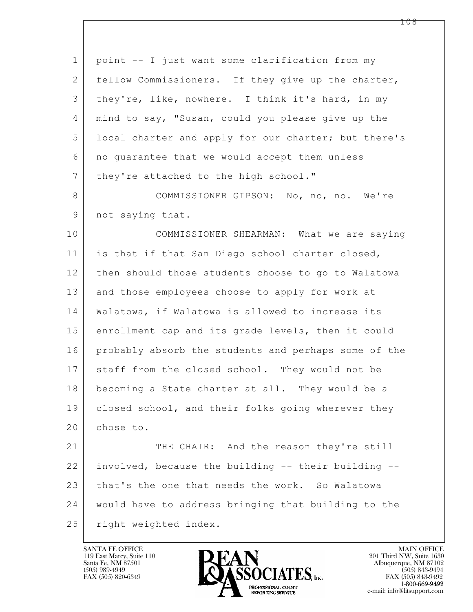| $\mathbf 1$    | point -- I just want some clarification from my      |
|----------------|------------------------------------------------------|
| 2              | fellow Commissioners. If they give up the charter,   |
| 3              | they're, like, nowhere. I think it's hard, in my     |
| $\overline{4}$ | mind to say, "Susan, could you please give up the    |
| 5              | local charter and apply for our charter; but there's |
| 6              | no guarantee that we would accept them unless        |
| 7              | they're attached to the high school."                |
| $8\,$          | COMMISSIONER GIPSON: No, no, no. We're               |
| $\mathsf 9$    | not saying that.                                     |
| 10             | COMMISSIONER SHEARMAN: What we are saying            |
| 11             | is that if that San Diego school charter closed,     |
| 12             | then should those students choose to go to Walatowa  |
| 13             | and those employees choose to apply for work at      |
| 14             | Walatowa, if Walatowa is allowed to increase its     |
| 15             | enrollment cap and its grade levels, then it could   |
| 16             | probably absorb the students and perhaps some of the |
| 17             | staff from the closed school. They would not be      |
| 18             | becoming a State charter at all. They would be a     |
| 19             | closed school, and their folks going wherever they   |
| 20             | chose to.                                            |
| 21             | THE CHAIR: And the reason they're still              |
| 22             | involved, because the building -- their building --  |
| 23             | that's the one that needs the work. So Walatowa      |
| 24             | would have to address bringing that building to the  |
| 25             | right weighted index.                                |

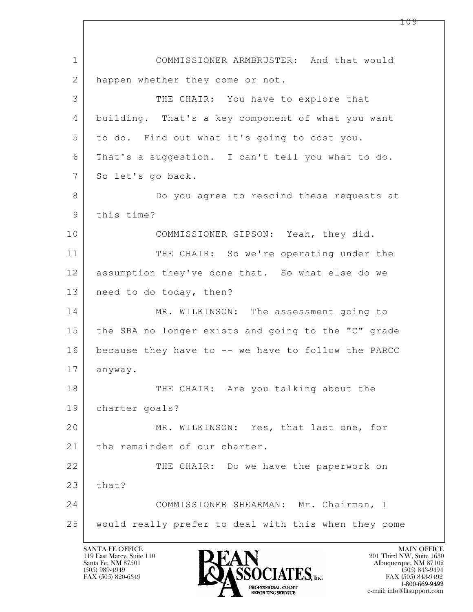$\mathbf{L}$  1 COMMISSIONER ARMBRUSTER: And that would 2 | happen whether they come or not. 3 THE CHAIR: You have to explore that 4 building. That's a key component of what you want 5 to do. Find out what it's going to cost you. 6 That's a suggestion. I can't tell you what to do. 7 So let's go back. 8 Do you agree to rescind these requests at 9 this time? 10 COMMISSIONER GIPSON: Yeah, they did. 11 THE CHAIR: So we're operating under the 12 assumption they've done that. So what else do we 13 | need to do today, then? 14 MR. WILKINSON: The assessment going to 15 the SBA no longer exists and going to the "C" grade 16 because they have to -- we have to follow the PARCC 17 anyway. 18 | THE CHAIR: Are you talking about the 19 charter goals? 20 MR. WILKINSON: Yes, that last one, for 21 | the remainder of our charter. 22 THE CHAIR: Do we have the paperwork on  $23$  that? 24 COMMISSIONER SHEARMAN: Mr. Chairman, I 25 would really prefer to deal with this when they come

119 East Marcy, Suite 110<br>Santa Fe, NM 87501

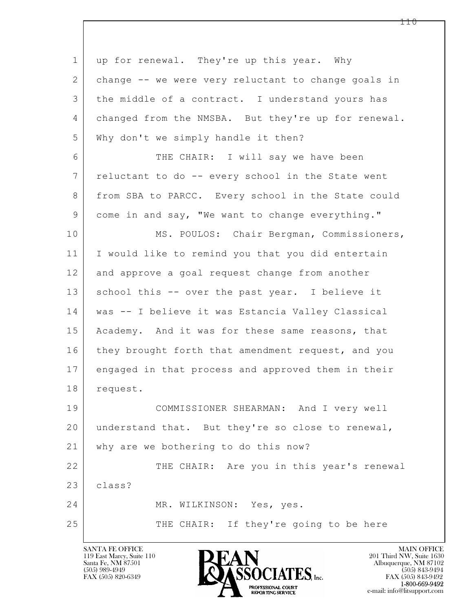| $\mathbf 1$ | up for renewal. They're up this year. Why           |
|-------------|-----------------------------------------------------|
| 2           | change -- we were very reluctant to change goals in |
| 3           | the middle of a contract. I understand yours has    |
| 4           | changed from the NMSBA. But they're up for renewal. |
| 5           | Why don't we simply handle it then?                 |
| 6           | THE CHAIR: I will say we have been                  |
| 7           | reluctant to do -- every school in the State went   |
| 8           | from SBA to PARCC. Every school in the State could  |
| $\mathsf 9$ | come in and say, "We want to change everything."    |
| 10          | MS. POULOS: Chair Bergman, Commissioners,           |
| 11          | I would like to remind you that you did entertain   |
| 12          | and approve a goal request change from another      |
| 13          | school this -- over the past year. I believe it     |
| 14          | was -- I believe it was Estancia Valley Classical   |
| 15          | Academy. And it was for these same reasons, that    |
| 16          | they brought forth that amendment request, and you  |
| 17          | engaged in that process and approved them in their  |
| 18          | request.                                            |
| 19          | COMMISSIONER SHEARMAN: And I very well              |
| 20          | understand that. But they're so close to renewal,   |
| 21          | why are we bothering to do this now?                |
| 22          | THE CHAIR: Are you in this year's renewal           |
| 23          | class?                                              |
| 24          | MR. WILKINSON: Yes, yes.                            |
| 25          | THE CHAIR: If they're going to be here              |
|             |                                                     |

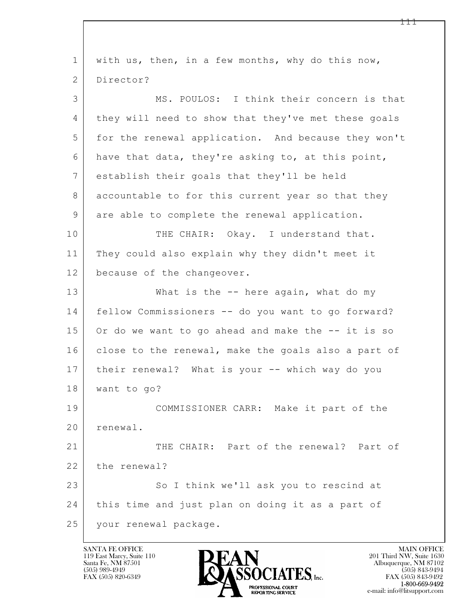$\mathbf{L}$  1 with us, then, in a few months, why do this now, 2 Director? 3 MS. POULOS: I think their concern is that 4 they will need to show that they've met these goals 5 for the renewal application. And because they won't 6 have that data, they're asking to, at this point, 7 establish their goals that they'll be held 8 accountable to for this current year so that they 9 are able to complete the renewal application. 10 | THE CHAIR: Okay. I understand that. 11 They could also explain why they didn't meet it 12 because of the changeover. 13 What is the -- here again, what do my 14 fellow Commissioners -- do you want to go forward? 15 Or do we want to go ahead and make the -- it is so 16 close to the renewal, make the goals also a part of 17 their renewal? What is your -- which way do you 18 want to go? 19 COMMISSIONER CARR: Make it part of the 20 renewal. 21 THE CHAIR: Part of the renewal? Part of 22 the renewal? 23 So I think we'll ask you to rescind at 24 this time and just plan on doing it as a part of 25 your renewal package.

119 East Marcy, Suite 110<br>Santa Fe, NM 87501

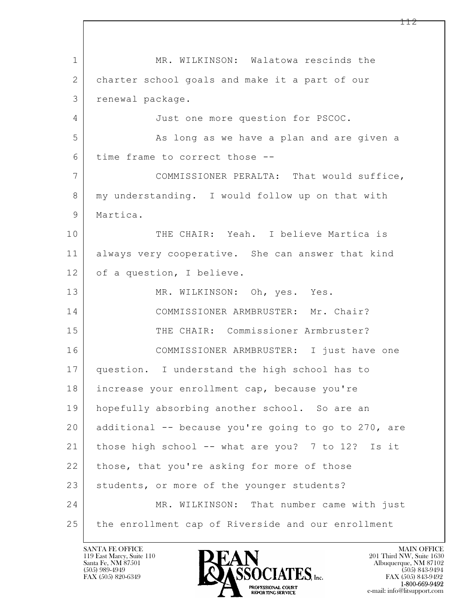$\mathbf{L}$  1 MR. WILKINSON: Walatowa rescinds the 2 charter school goals and make it a part of our 3 renewal package. 4 Just one more question for PSCOC. 5 As long as we have a plan and are given a 6 time frame to correct those -- 7 COMMISSIONER PERALTA: That would suffice, 8 | my understanding. I would follow up on that with 9 | Martica. 10 THE CHAIR: Yeah. I believe Martica is 11 always very cooperative. She can answer that kind 12 of a question, I believe. 13 MR. WILKINSON: Oh, yes. Yes. 14 | COMMISSIONER ARMBRUSTER: Mr. Chair? 15 THE CHAIR: Commissioner Armbruster? 16 COMMISSIONER ARMBRUSTER: I just have one 17 question. I understand the high school has to 18 increase your enrollment cap, because you're 19 hopefully absorbing another school. So are an 20 additional -- because you're going to go to 270, are 21 those high school -- what are you? 7 to 12? Is it 22 those, that you're asking for more of those 23 students, or more of the younger students? 24 MR. WILKINSON: That number came with just 25 the enrollment cap of Riverside and our enrollment

119 East Marcy, Suite 110<br>Santa Fe, NM 87501

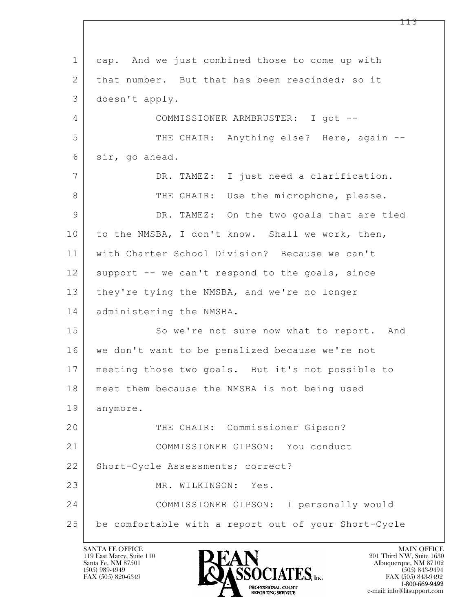$\mathbf{L}$  1 cap. And we just combined those to come up with 2 that number. But that has been rescinded; so it 3 doesn't apply. 4 COMMISSIONER ARMBRUSTER: I got -- 5 THE CHAIR: Anything else? Here, again -- 6 sir, go ahead. 7 DR. TAMEZ: I just need a clarification. 8 THE CHAIR: Use the microphone, please. 9 DR. TAMEZ: On the two goals that are tied 10 to the NMSBA, I don't know. Shall we work, then, 11 with Charter School Division? Because we can't 12 support -- we can't respond to the goals, since 13 they're tying the NMSBA, and we're no longer 14 administering the NMSBA. 15 So we're not sure now what to report. And 16 | we don't want to be penalized because we're not 17 meeting those two goals. But it's not possible to 18 meet them because the NMSBA is not being used 19 anymore. 20 THE CHAIR: Commissioner Gipson? 21 COMMISSIONER GIPSON: You conduct 22 | Short-Cycle Assessments; correct? 23 MR. WILKINSON: Yes. 24 COMMISSIONER GIPSON: I personally would 25 be comfortable with a report out of your Short-Cycle

119 East Marcy, Suite 110<br>Santa Fe, NM 87501

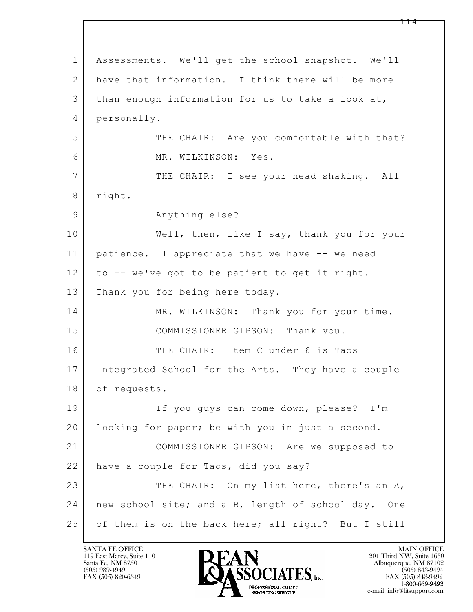$\mathbf{L}$  1 Assessments. We'll get the school snapshot. We'll 2 have that information. I think there will be more 3 than enough information for us to take a look at, 4 personally. 5 THE CHAIR: Are you comfortable with that? 6 MR. WILKINSON: Yes. 7 THE CHAIR: I see your head shaking. All 8 right. 9 Anything else? 10 | Well, then, like I say, thank you for your 11 | patience. I appreciate that we have -- we need 12 to -- we've got to be patient to get it right. 13 Thank you for being here today. 14 MR. WILKINSON: Thank you for your time. 15 COMMISSIONER GIPSON: Thank you. 16 THE CHAIR: Item C under 6 is Taos 17 Integrated School for the Arts. They have a couple 18 of requests. 19 If you guys can come down, please? I'm 20 looking for paper; be with you in just a second. 21 COMMISSIONER GIPSON: Are we supposed to 22 have a couple for Taos, did you say? 23 THE CHAIR: On my list here, there's an A, 24 new school site; and a B, length of school day. One 25 of them is on the back here; all right? But I still

119 East Marcy, Suite 110<br>Santa Fe, NM 87501

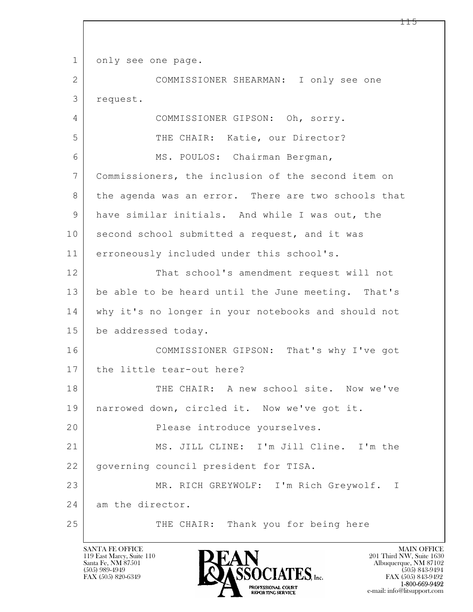$\mathbf{L}$  1 only see one page. 2 COMMISSIONER SHEARMAN: I only see one 3 request. 4 COMMISSIONER GIPSON: Oh, sorry. 5 THE CHAIR: Katie, our Director? 6 | MS. POULOS: Chairman Bergman, 7 Commissioners, the inclusion of the second item on 8 | the agenda was an error. There are two schools that 9 have similar initials. And while I was out, the 10 second school submitted a request, and it was 11 erroneously included under this school's. 12 That school's amendment request will not 13 be able to be heard until the June meeting. That's 14 why it's no longer in your notebooks and should not 15 be addressed today. 16 COMMISSIONER GIPSON: That's why I've got 17 the little tear-out here? 18 THE CHAIR: A new school site. Now we've 19 narrowed down, circled it. Now we've got it. 20 | Riease introduce yourselves. 21 MS. JILL CLINE: I'm Jill Cline. I'm the 22 governing council president for TISA. 23 MR. RICH GREYWOLF: I'm Rich Greywolf. I 24 am the director. 25 THE CHAIR: Thank you for being here

119 East Marcy, Suite 110<br>Santa Fe, NM 87501

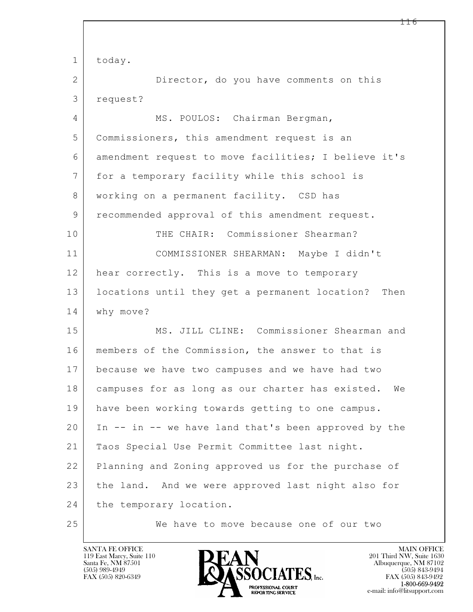$\mathbf{L}$  1 today. 2 Director, do you have comments on this 3 request? 4 MS. POULOS: Chairman Bergman, 5 Commissioners, this amendment request is an 6 amendment request to move facilities; I believe it's 7 for a temporary facility while this school is 8 | working on a permanent facility. CSD has 9 recommended approval of this amendment request. 10 THE CHAIR: Commissioner Shearman? 11 COMMISSIONER SHEARMAN: Maybe I didn't 12 hear correctly. This is a move to temporary 13 locations until they get a permanent location? Then 14 why move? 15 MS. JILL CLINE: Commissioner Shearman and 16 | members of the Commission, the answer to that is 17 because we have two campuses and we have had two 18 campuses for as long as our charter has existed. We 19 have been working towards getting to one campus. 20 In -- in -- we have land that's been approved by the 21 Taos Special Use Permit Committee last night. 22 Planning and Zoning approved us for the purchase of 23 the land. And we were approved last night also for 24 the temporary location. 25 We have to move because one of our two

119 East Marcy, Suite 110<br>Santa Fe, NM 87501

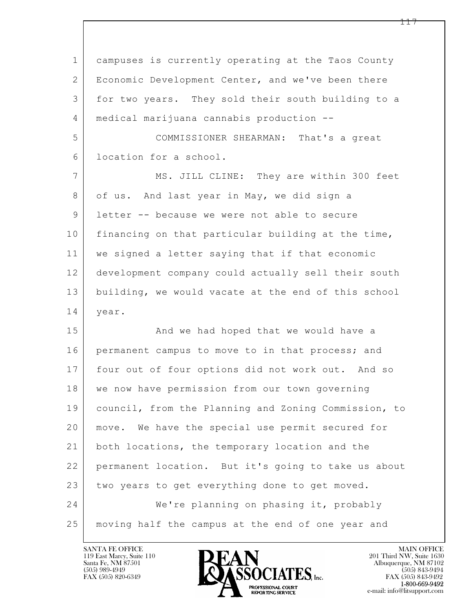| $\mathbf 1$ | campuses is currently operating at the Taos County   |
|-------------|------------------------------------------------------|
| 2           | Economic Development Center, and we've been there    |
| 3           | for two years. They sold their south building to a   |
| 4           | medical marijuana cannabis production --             |
| 5           | COMMISSIONER SHEARMAN: That's a great                |
| 6           | location for a school.                               |
| 7           | MS. JILL CLINE: They are within 300 feet             |
| 8           | of us. And last year in May, we did sign a           |
| 9           | letter -- because we were not able to secure         |
| 10          | financing on that particular building at the time,   |
| 11          | we signed a letter saying that if that economic      |
| 12          | development company could actually sell their south  |
| 13          | building, we would vacate at the end of this school  |
| 14          | year.                                                |
| 15          | And we had hoped that we would have a                |
| 16          | permanent campus to move to in that process; and     |
| 17          | four out of four options did not work out. And so    |
| 18          | we now have permission from our town governing       |
| 19          | council, from the Planning and Zoning Commission, to |
| 20          | move. We have the special use permit secured for     |
| 21          | both locations, the temporary location and the       |
| 22          | permanent location. But it's going to take us about  |
| 23          | two years to get everything done to get moved.       |
| 24          | We're planning on phasing it, probably               |
| 25          | moving half the campus at the end of one year and    |

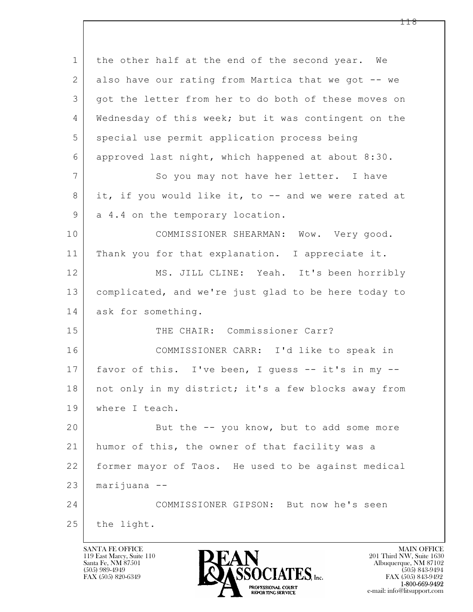$\mathbf{L}$  1 the other half at the end of the second year. We 2 also have our rating from Martica that we got -- we 3 got the letter from her to do both of these moves on 4 Wednesday of this week; but it was contingent on the 5 special use permit application process being 6 approved last night, which happened at about 8:30. 7 So you may not have her letter. I have 8 it, if you would like it, to -- and we were rated at 9 a 4.4 on the temporary location. 10 COMMISSIONER SHEARMAN: Wow. Very good. 11 | Thank you for that explanation. I appreciate it. 12 MS. JILL CLINE: Yeah. It's been horribly 13 complicated, and we're just glad to be here today to 14 ask for something. 15 THE CHAIR: Commissioner Carr? 16 COMMISSIONER CARR: I'd like to speak in 17 favor of this. I've been, I guess -- it's in my -- 18 | not only in my district; it's a few blocks away from 19 where I teach. 20 But the -- you know, but to add some more 21 humor of this, the owner of that facility was a 22 former mayor of Taos. He used to be against medical 23 marijuana -- 24 COMMISSIONER GIPSON: But now he's seen  $25$  the light.

119 East Marcy, Suite 110<br>Santa Fe, NM 87501

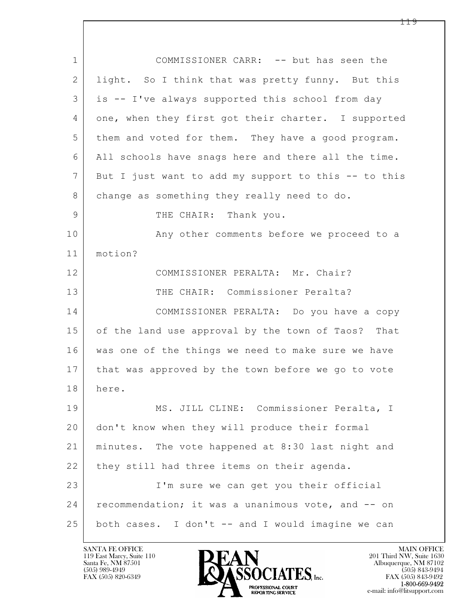| $\mathbf 1$    | COMMISSIONER CARR: -- but has seen the               |
|----------------|------------------------------------------------------|
| 2              | light. So I think that was pretty funny. But this    |
| 3              | is -- I've always supported this school from day     |
| 4              | one, when they first got their charter. I supported  |
| 5              | them and voted for them. They have a good program.   |
| 6              | All schools have snags here and there all the time.  |
| $\overline{7}$ | But I just want to add my support to this -- to this |
| 8              | change as something they really need to do.          |
| 9              | THE CHAIR: Thank you.                                |
| 10             | Any other comments before we proceed to a            |
| 11             | motion?                                              |
| 12             | COMMISSIONER PERALTA: Mr. Chair?                     |
| 13             | THE CHAIR: Commissioner Peralta?                     |
| 14             | COMMISSIONER PERALTA: Do you have a copy             |
| 15             | of the land use approval by the town of Taos? That   |
| 16             | was one of the things we need to make sure we have   |
| 17             | that was approved by the town before we go to vote   |
| 18             | here.                                                |
| 19             | MS. JILL CLINE: Commissioner Peralta, I              |
| 20             | don't know when they will produce their formal       |
| 21             | minutes. The vote happened at 8:30 last night and    |
| 22             | they still had three items on their agenda.          |
| 23             | I'm sure we can get you their official               |
| 24             | recommendation; it was a unanimous vote, and -- on   |
| 25             | both cases. I don't -- and I would imagine we can    |

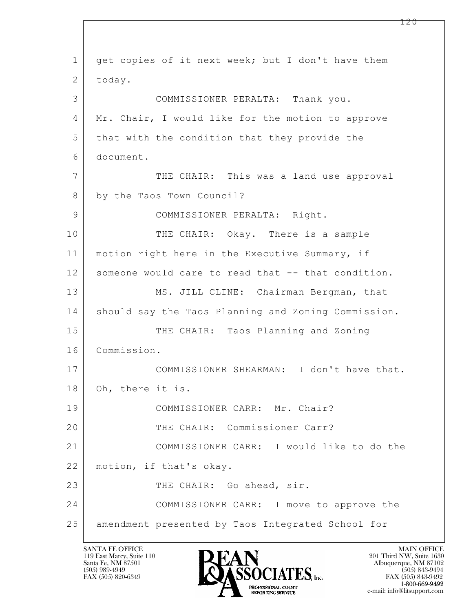$\mathbf{L}$  1 get copies of it next week; but I don't have them 2 today. 3 COMMISSIONER PERALTA: Thank you. 4 Mr. Chair, I would like for the motion to approve 5 that with the condition that they provide the 6 document. 7 THE CHAIR: This was a land use approval 8 by the Taos Town Council? 9 | COMMISSIONER PERALTA: Right. 10 THE CHAIR: Okay. There is a sample 11 | motion right here in the Executive Summary, if 12 someone would care to read that -- that condition. 13 MS. JILL CLINE: Chairman Bergman, that 14 | should say the Taos Planning and Zoning Commission. 15 THE CHAIR: Taos Planning and Zoning 16 Commission. 17 COMMISSIONER SHEARMAN: I don't have that. 18 Oh, there it is. 19 COMMISSIONER CARR: Mr. Chair? 20 THE CHAIR: Commissioner Carr? 21 COMMISSIONER CARR: I would like to do the 22 motion, if that's okay. 23 THE CHAIR: Go ahead, sir. 24 COMMISSIONER CARR: I move to approve the 25 amendment presented by Taos Integrated School for

119 East Marcy, Suite 110<br>Santa Fe, NM 87501

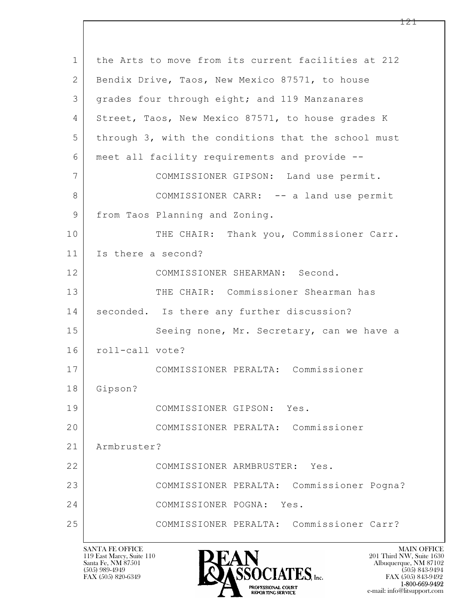| $\mathbf{1}$ | the Arts to move from its current facilities at 212 |
|--------------|-----------------------------------------------------|
| 2            | Bendix Drive, Taos, New Mexico 87571, to house      |
| 3            | grades four through eight; and 119 Manzanares       |
| 4            | Street, Taos, New Mexico 87571, to house grades K   |
| 5            | through 3, with the conditions that the school must |
| 6            | meet all facility requirements and provide --       |
| 7            | COMMISSIONER GIPSON: Land use permit.               |
| 8            | COMMISSIONER CARR: -- a land use permit             |
| 9            | from Taos Planning and Zoning.                      |
| 10           | THE CHAIR: Thank you, Commissioner Carr.            |
| 11           | Is there a second?                                  |
| 12           | COMMISSIONER SHEARMAN: Second.                      |
| 13           | THE CHAIR: Commissioner Shearman has                |
| 14           | seconded. Is there any further discussion?          |
| 15           | Seeing none, Mr. Secretary, can we have a           |
| 16           | roll-call vote?                                     |
| 17           | COMMISSIONER PERALTA: Commissioner                  |
| 18           | Gipson?                                             |
| 19           | COMMISSIONER GIPSON: Yes.                           |
| 20           | COMMISSIONER PERALTA: Commissioner                  |
| 21           | Armbruster?                                         |
| 22           | COMMISSIONER ARMBRUSTER: Yes.                       |
| 23           | COMMISSIONER PERALTA: Commissioner Pogna?           |
| 24           | COMMISSIONER POGNA: Yes.                            |
| 25           | COMMISSIONER PERALTA: Commissioner Carr?            |
|              |                                                     |

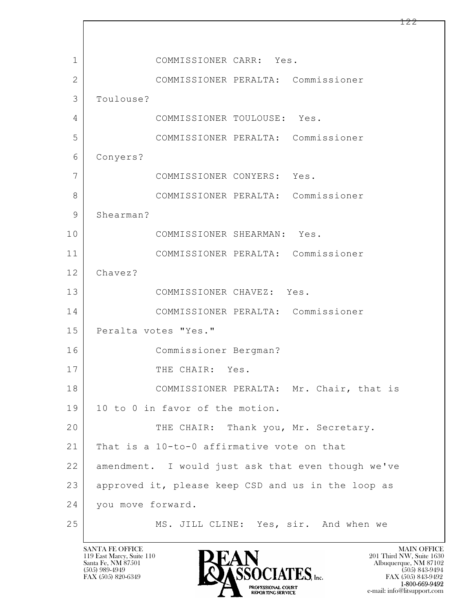$\mathbf{L}$  1 COMMISSIONER CARR: Yes. 2 COMMISSIONER PERALTA: Commissioner 3 Toulouse? 4 COMMISSIONER TOULOUSE: Yes. 5 COMMISSIONER PERALTA: Commissioner 6 Conyers? 7 COMMISSIONER CONYERS: Yes. 8 COMMISSIONER PERALTA: Commissioner 9 Shearman? 10 COMMISSIONER SHEARMAN: Yes. 11 COMMISSIONER PERALTA: Commissioner 12 Chavez? 13 COMMISSIONER CHAVEZ: Yes. 14 COMMISSIONER PERALTA: Commissioner 15 | Peralta votes "Yes." 16 Commissioner Bergman? 17 THE CHAIR: Yes. 18 COMMISSIONER PERALTA: Mr. Chair, that is 19 10 to 0 in favor of the motion. 20 THE CHAIR: Thank you, Mr. Secretary. 21 That is a 10-to-0 affirmative vote on that 22 amendment. I would just ask that even though we've 23 approved it, please keep CSD and us in the loop as 24 you move forward. 25 MS. JILL CLINE: Yes, sir. And when we

119 East Marcy, Suite 110<br>Santa Fe, NM 87501

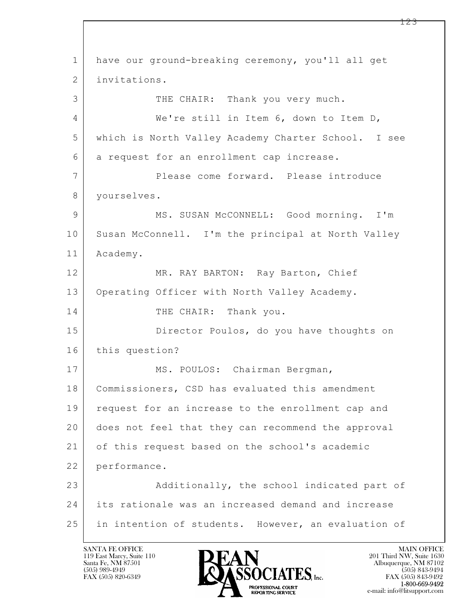$\mathbf{L}$  1 have our ground-breaking ceremony, you'll all get 2 invitations. 3 THE CHAIR: Thank you very much. 4 We're still in Item 6, down to Item D, 5 which is North Valley Academy Charter School. I see 6 a request for an enrollment cap increase. 7 Please come forward. Please introduce 8 | yourselves. 9 MS. SUSAN McCONNELL: Good morning. I'm 10 Susan McConnell. I'm the principal at North Valley 11 Academy. 12 MR. RAY BARTON: Ray Barton, Chief 13 Operating Officer with North Valley Academy. 14 THE CHAIR: Thank you. 15 Director Poulos, do you have thoughts on 16 this question? 17 | MS. POULOS: Chairman Bergman, 18 Commissioners, CSD has evaluated this amendment 19 | request for an increase to the enrollment cap and 20 does not feel that they can recommend the approval 21 of this request based on the school's academic 22 performance. 23 Additionally, the school indicated part of 24 its rationale was an increased demand and increase 25 in intention of students. However, an evaluation of

119 East Marcy, Suite 110<br>Santa Fe, NM 87501



FAX (505) 843-9492 e-mail: info@litsupport.com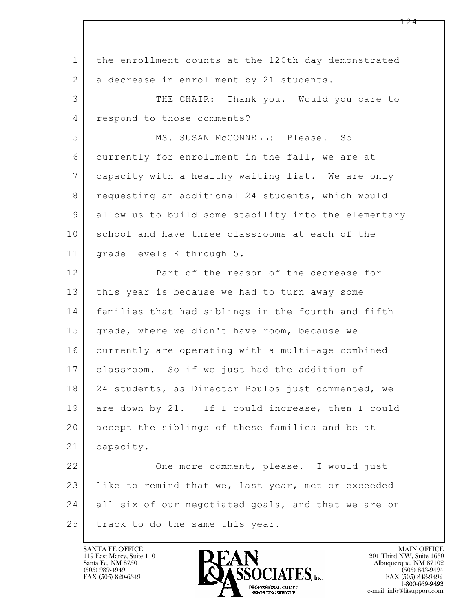$\mathbf{L}$  1 the enrollment counts at the 120th day demonstrated 2 a decrease in enrollment by 21 students. 3 THE CHAIR: Thank you. Would you care to 4 respond to those comments? 5 | MS. SUSAN McCONNELL: Please. So 6 currently for enrollment in the fall, we are at 7 capacity with a healthy waiting list. We are only 8 requesting an additional 24 students, which would 9 allow us to build some stability into the elementary 10 school and have three classrooms at each of the 11 grade levels K through 5. 12 Part of the reason of the decrease for 13 this year is because we had to turn away some 14 families that had siblings in the fourth and fifth 15 grade, where we didn't have room, because we 16 currently are operating with a multi-age combined 17 classroom. So if we just had the addition of 18 | 24 students, as Director Poulos just commented, we 19 are down by 21. If I could increase, then I could 20 accept the siblings of these families and be at 21 | capacity. 22 One more comment, please. I would just 23 | like to remind that we, last year, met or exceeded 24 all six of our negotiated goals, and that we are on 25 track to do the same this year.

119 East Marcy, Suite 110<br>Santa Fe, NM 87501

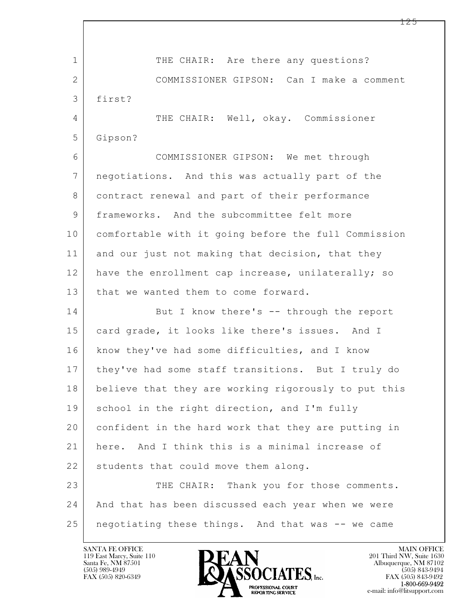$\mathbf{L}$  1 THE CHAIR: Are there any questions? 2 COMMISSIONER GIPSON: Can I make a comment 3 first? 4 THE CHAIR: Well, okay. Commissioner 5 Gipson? 6 COMMISSIONER GIPSON: We met through 7 negotiations. And this was actually part of the 8 contract renewal and part of their performance 9 frameworks. And the subcommittee felt more 10 comfortable with it going before the full Commission 11 and our just not making that decision, that they 12 have the enrollment cap increase, unilaterally; so 13 that we wanted them to come forward. 14 But I know there's -- through the report 15 card grade, it looks like there's issues. And I 16 know they've had some difficulties, and I know 17 they've had some staff transitions. But I truly do 18 believe that they are working rigorously to put this 19 school in the right direction, and I'm fully 20 confident in the hard work that they are putting in 21 here. And I think this is a minimal increase of 22 students that could move them along. 23 THE CHAIR: Thank you for those comments. 24 And that has been discussed each year when we were 25 | negotiating these things. And that was -- we came

119 East Marcy, Suite 110<br>Santa Fe, NM 87501



FAX (505) 843-9492 e-mail: info@litsupport.com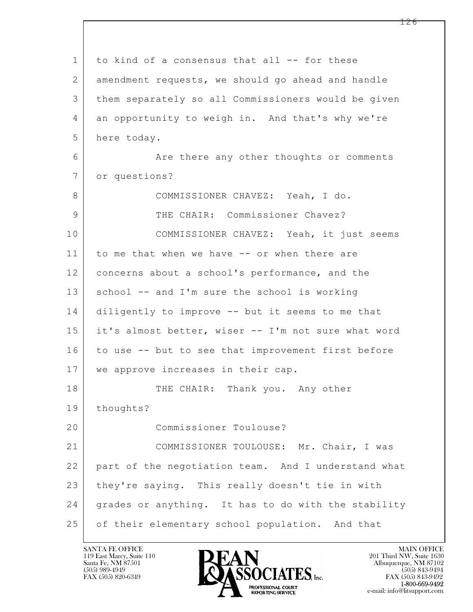| $\mathbf 1$ | to kind of a consensus that all -- for these        |
|-------------|-----------------------------------------------------|
| 2           | amendment requests, we should go ahead and handle   |
| 3           | them separately so all Commissioners would be given |
| 4           | an opportunity to weigh in. And that's why we're    |
| 5           | here today.                                         |
| 6           | Are there any other thoughts or comments            |
| 7           | or questions?                                       |
| 8           | COMMISSIONER CHAVEZ: Yeah, I do.                    |
| 9           | THE CHAIR: Commissioner Chavez?                     |
| 10          | COMMISSIONER CHAVEZ: Yeah, it just seems            |
| 11          | to me that when we have -- or when there are        |
| 12          | concerns about a school's performance, and the      |
| 13          | school -- and I'm sure the school is working        |
| 14          | diligently to improve -- but it seems to me that    |
| 15          | it's almost better, wiser -- I'm not sure what word |
| 16          | to use -- but to see that improvement first before  |
| 17          | we approve increases in their cap.                  |
| 18          | THE CHAIR: Thank you. Any other                     |
| 19          | thoughts?                                           |
| 20          | Commissioner Toulouse?                              |
| 21          | COMMISSIONER TOULOUSE: Mr. Chair, I was             |
| 22          | part of the negotiation team. And I understand what |
| 23          | they're saying. This really doesn't tie in with     |
| 24          | grades or anything. It has to do with the stability |
| 25          | of their elementary school population. And that     |

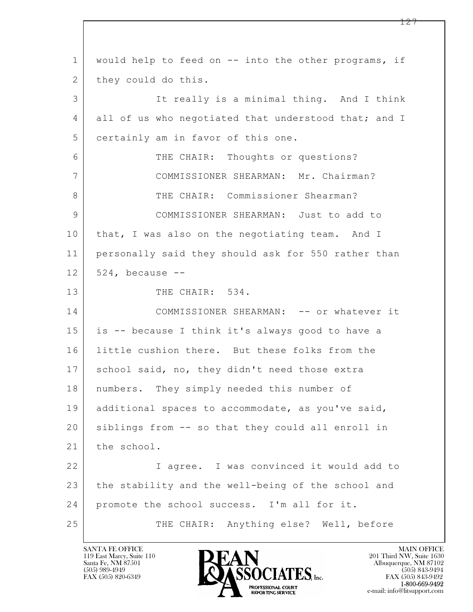$\mathbf{L}$  1 would help to feed on -- into the other programs, if 2 they could do this. 3 It really is a minimal thing. And I think 4 all of us who negotiated that understood that; and I 5 certainly am in favor of this one. 6 THE CHAIR: Thoughts or questions? 7 COMMISSIONER SHEARMAN: Mr. Chairman? 8 THE CHAIR: Commissioner Shearman? 9 COMMISSIONER SHEARMAN: Just to add to 10 that, I was also on the negotiating team. And I 11 personally said they should ask for 550 rather than  $12$  524, because  $-$ 13 THE CHAIR: 534. 14 COMMISSIONER SHEARMAN: -- or whatever it 15 is -- because I think it's always good to have a 16 little cushion there. But these folks from the 17 school said, no, they didn't need those extra 18 | numbers. They simply needed this number of 19 additional spaces to accommodate, as you've said, 20 siblings from -- so that they could all enroll in 21 the school. 22 I agree. I was convinced it would add to 23 the stability and the well-being of the school and 24 promote the school success. I'm all for it. 25 THE CHAIR: Anything else? Well, before

119 East Marcy, Suite 110<br>Santa Fe, NM 87501



FAX (505) 843-9492 e-mail: info@litsupport.com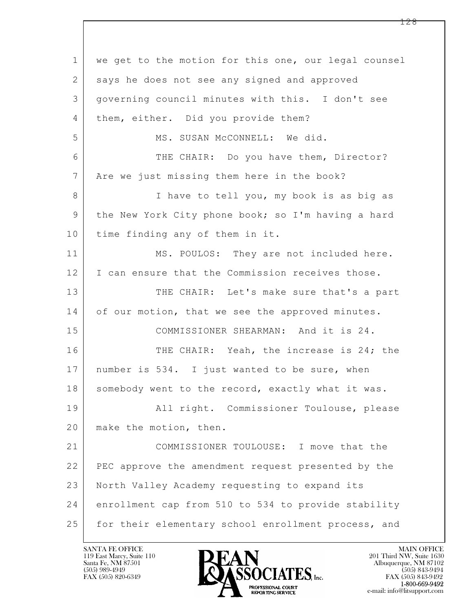$\mathbf{L}$  1 we get to the motion for this one, our legal counsel 2 says he does not see any signed and approved 3 governing council minutes with this. I don't see 4 | them, either. Did you provide them? 5 | MS. SUSAN McCONNELL: We did. 6 THE CHAIR: Do you have them, Director? 7 | Are we just missing them here in the book? 8 I have to tell you, my book is as big as 9 the New York City phone book; so I'm having a hard 10 time finding any of them in it. 11 MS. POULOS: They are not included here. 12 I can ensure that the Commission receives those. 13 THE CHAIR: Let's make sure that's a part 14 of our motion, that we see the approved minutes. 15 COMMISSIONER SHEARMAN: And it is 24. 16 THE CHAIR: Yeah, the increase is 24; the 17 | number is 534. I just wanted to be sure, when 18 somebody went to the record, exactly what it was. 19 All right. Commissioner Toulouse, please 20 make the motion, then. 21 COMMISSIONER TOULOUSE: I move that the 22 PEC approve the amendment request presented by the 23 North Valley Academy requesting to expand its 24 enrollment cap from 510 to 534 to provide stability 25 for their elementary school enrollment process, and

119 East Marcy, Suite 110<br>Santa Fe, NM 87501

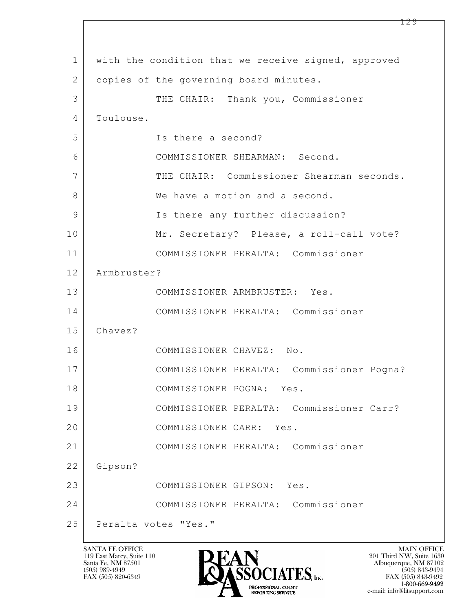$\mathbf{L}$  1 with the condition that we receive signed, approved 2 copies of the governing board minutes. 3 THE CHAIR: Thank you, Commissioner 4 | Toulouse. 5 Is there a second? 6 COMMISSIONER SHEARMAN: Second. 7 THE CHAIR: Commissioner Shearman seconds. 8 We have a motion and a second. 9 | Is there any further discussion? 10 Mr. Secretary? Please, a roll-call vote? 11 COMMISSIONER PERALTA: Commissioner 12 Armbruster? 13 COMMISSIONER ARMBRUSTER: Yes. 14 COMMISSIONER PERALTA: Commissioner 15 Chavez? 16 COMMISSIONER CHAVEZ: No. 17 COMMISSIONER PERALTA: Commissioner Pogna? 18 COMMISSIONER POGNA: Yes. 19 COMMISSIONER PERALTA: Commissioner Carr? 20 COMMISSIONER CARR: Yes. 21 COMMISSIONER PERALTA: Commissioner 22 Gipson? 23 COMMISSIONER GIPSON: Yes. 24 COMMISSIONER PERALTA: Commissioner 25 Peralta votes "Yes."



FAX (505) 843-9492 e-mail: info@litsupport.com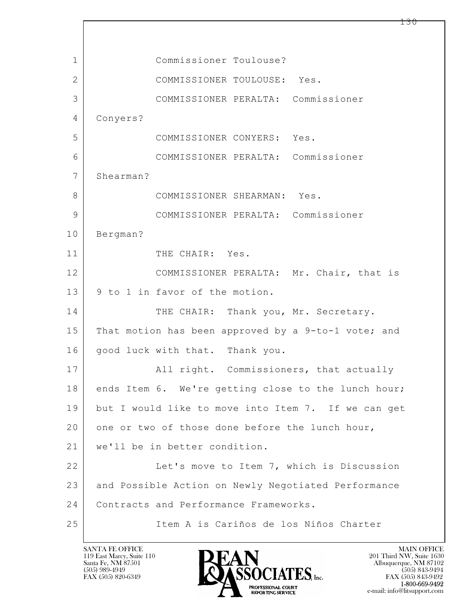| $\mathbf{1}$   | Commissioner Toulouse?                              |
|----------------|-----------------------------------------------------|
| $\overline{2}$ | COMMISSIONER TOULOUSE: Yes.                         |
| 3              | COMMISSIONER PERALTA: Commissioner                  |
| 4              | Conyers?                                            |
| 5              | COMMISSIONER CONYERS: Yes.                          |
| 6              | COMMISSIONER PERALTA: Commissioner                  |
| $7\phantom{.}$ | Shearman?                                           |
| 8              | COMMISSIONER SHEARMAN: Yes.                         |
| $\mathcal{G}$  | COMMISSIONER PERALTA: Commissioner                  |
| 10             | Bergman?                                            |
| 11             | THE CHAIR: Yes.                                     |
| 12             | COMMISSIONER PERALTA: Mr. Chair, that is            |
| 13             | 9 to 1 in favor of the motion.                      |
| 14             | THE CHAIR: Thank you, Mr. Secretary.                |
| 15             | That motion has been approved by a 9-to-1 vote; and |
| 16             | good luck with that. Thank you.                     |
| 17             | All right. Commissioners, that actually             |
| 18             | ends Item 6. We're getting close to the lunch hour; |
| 19             | but I would like to move into Item 7. If we can get |
| 20             | one or two of those done before the lunch hour,     |
| 21             | we'll be in better condition.                       |
| 22             | Let's move to Item 7, which is Discussion           |
| 23             | and Possible Action on Newly Negotiated Performance |
| 24             | Contracts and Performance Frameworks.               |
| 25             | Item A is Cariños de los Niños Charter              |

 $\sqrt{ }$ 

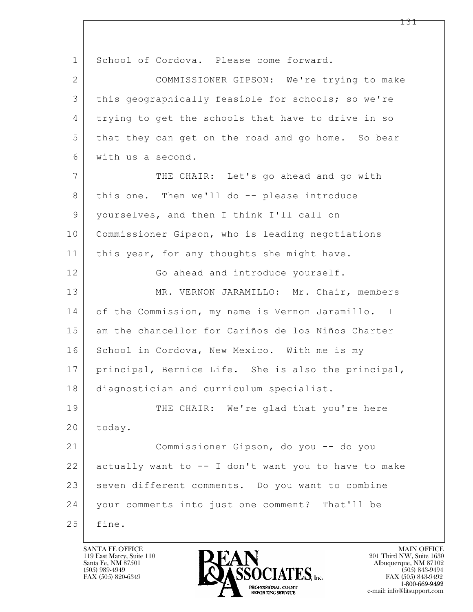$\mathbf{L}$  1 School of Cordova. Please come forward. 2 COMMISSIONER GIPSON: We're trying to make 3 this geographically feasible for schools; so we're 4 trying to get the schools that have to drive in so 5 that they can get on the road and go home. So bear 6 with us a second. 7 THE CHAIR: Let's go ahead and go with 8 | this one. Then we'll do -- please introduce 9 yourselves, and then I think I'll call on 10 Commissioner Gipson, who is leading negotiations 11 | this year, for any thoughts she might have. 12 Go ahead and introduce yourself. 13 MR. VERNON JARAMILLO: Mr. Chair, members 14 of the Commission, my name is Vernon Jaramillo. I 15 am the chancellor for Cariños de los Niños Charter 16 School in Cordova, New Mexico. With me is my 17 principal, Bernice Life. She is also the principal, 18 | diagnostician and curriculum specialist. 19 THE CHAIR: We're glad that you're here 20 today. 21 Commissioner Gipson, do you -- do you 22 actually want to -- I don't want you to have to make 23 seven different comments. Do you want to combine 24 your comments into just one comment? That'll be 25 fine.

119 East Marcy, Suite 110<br>Santa Fe, NM 87501



FAX (505) 843-9492 e-mail: info@litsupport.com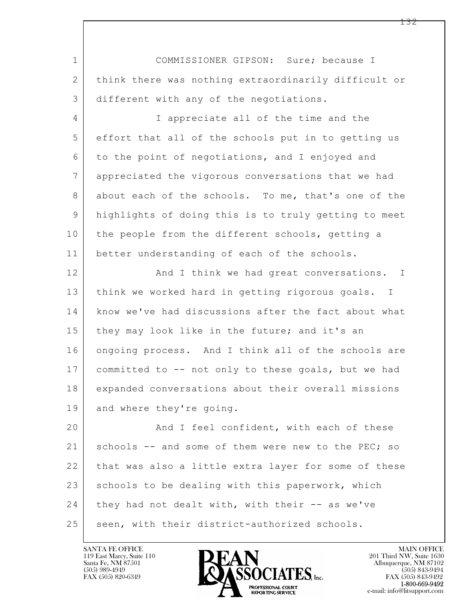$\mathbf{L}$  1 COMMISSIONER GIPSON: Sure; because I 2 think there was nothing extraordinarily difficult or 3 different with any of the negotiations. 4 I appreciate all of the time and the 5 effort that all of the schools put in to getting us 6 to the point of negotiations, and I enjoyed and 7 appreciated the vigorous conversations that we had 8 about each of the schools. To me, that's one of the 9 highlights of doing this is to truly getting to meet 10 the people from the different schools, getting a 11 better understanding of each of the schools. 12 | And I think we had great conversations. I 13 think we worked hard in getting rigorous goals. I 14 know we've had discussions after the fact about what 15 they may look like in the future; and it's an 16 ongoing process. And I think all of the schools are 17 committed to -- not only to these goals, but we had 18 expanded conversations about their overall missions 19 and where they're going. 20 And I feel confident, with each of these 21 schools  $-$  and some of them were new to the PEC; so 22 that was also a little extra layer for some of these 23 schools to be dealing with this paperwork, which  $24$  they had not dealt with, with their  $-$  as we've 25 | seen, with their district-authorized schools.

119 East Marcy, Suite 110<br>Santa Fe, NM 87501

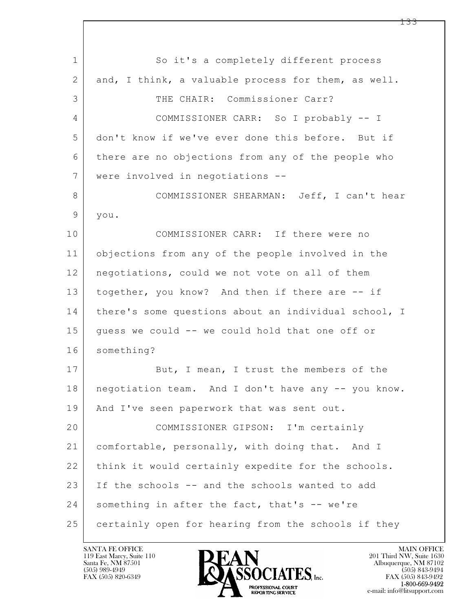$\mathbf{L}$  1 So it's a completely different process 2 and, I think, a valuable process for them, as well. 3 THE CHAIR: Commissioner Carr? 4 COMMISSIONER CARR: So I probably -- I 5 don't know if we've ever done this before. But if 6 there are no objections from any of the people who 7 were involved in negotiations -- 8 COMMISSIONER SHEARMAN: Jeff, I can't hear 9 you. 10 COMMISSIONER CARR: If there were no 11 objections from any of the people involved in the 12 negotiations, could we not vote on all of them 13 together, you know? And then if there are -- if 14 | there's some questions about an individual school, I 15 guess we could -- we could hold that one off or 16 something? 17 But, I mean, I trust the members of the 18 negotiation team. And I don't have any -- you know. 19 | And I've seen paperwork that was sent out. 20 COMMISSIONER GIPSON: I'm certainly 21 comfortable, personally, with doing that. And I 22 think it would certainly expedite for the schools. 23 If the schools -- and the schools wanted to add 24 something in after the fact, that's -- we're 25 certainly open for hearing from the schools if they

119 East Marcy, Suite 110<br>Santa Fe, NM 87501

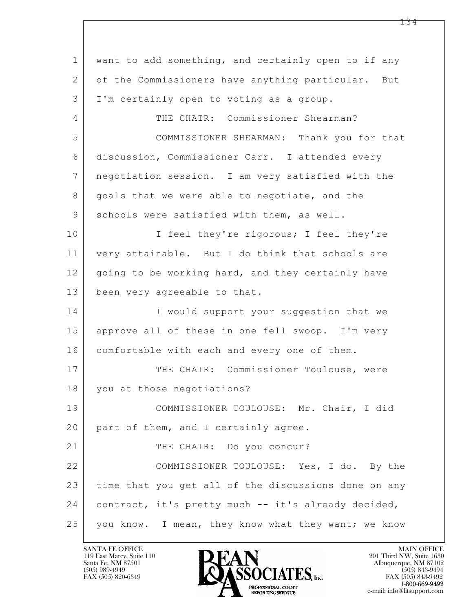$\mathbf{L}$  1 want to add something, and certainly open to if any 2 of the Commissioners have anything particular. But 3 I'm certainly open to voting as a group. 4 THE CHAIR: Commissioner Shearman? 5 COMMISSIONER SHEARMAN: Thank you for that 6 discussion, Commissioner Carr. I attended every 7 negotiation session. I am very satisfied with the 8 | goals that we were able to negotiate, and the 9 schools were satisfied with them, as well. 10 | I feel they're rigorous; I feel they're 11 very attainable. But I do think that schools are 12 going to be working hard, and they certainly have 13 been very agreeable to that. 14 I would support your suggestion that we 15 approve all of these in one fell swoop. I'm very 16 comfortable with each and every one of them. 17 THE CHAIR: Commissioner Toulouse, were 18 you at those negotiations? 19 COMMISSIONER TOULOUSE: Mr. Chair, I did 20 part of them, and I certainly agree. 21 THE CHAIR: Do you concur? 22 COMMISSIONER TOULOUSE: Yes, I do. By the 23 time that you get all of the discussions done on any 24 contract, it's pretty much -- it's already decided, 25 you know. I mean, they know what they want; we know

119 East Marcy, Suite 110<br>Santa Fe, NM 87501

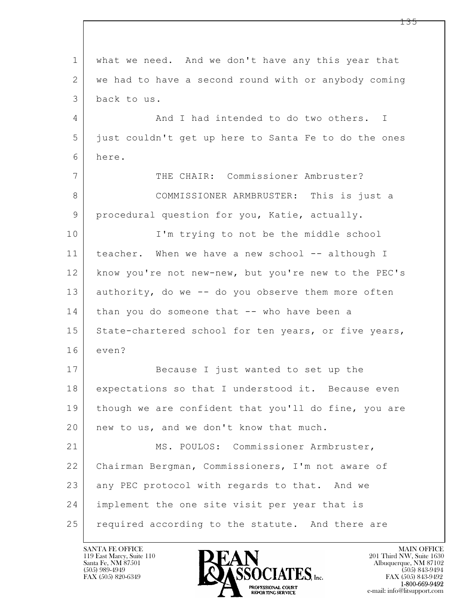$\mathbf{L}$  1 what we need. And we don't have any this year that 2 we had to have a second round with or anybody coming 3 back to us. 4 And I had intended to do two others. I 5 just couldn't get up here to Santa Fe to do the ones 6 here. 7 THE CHAIR: Commissioner Ambruster? 8 COMMISSIONER ARMBRUSTER: This is just a 9 procedural question for you, Katie, actually. 10 I'm trying to not be the middle school 11 teacher. When we have a new school -- although I 12 know you're not new-new, but you're new to the PEC's 13 authority, do we -- do you observe them more often 14 than you do someone that -- who have been a 15 State-chartered school for ten years, or five years, 16 even? 17 Because I just wanted to set up the 18 expectations so that I understood it. Because even 19 | though we are confident that you'll do fine, you are 20 | new to us, and we don't know that much. 21 | MS. POULOS: Commissioner Armbruster, 22 Chairman Bergman, Commissioners, I'm not aware of 23 any PEC protocol with regards to that. And we 24 implement the one site visit per year that is 25 required according to the statute. And there are

119 East Marcy, Suite 110<br>Santa Fe, NM 87501



FAX (505) 843-9492 e-mail: info@litsupport.com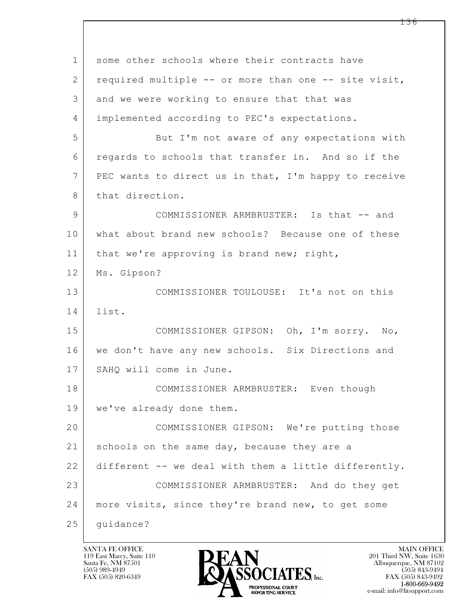| $\mathbf 1$ | some other schools where their contracts have        |
|-------------|------------------------------------------------------|
| 2           | required multiple -- or more than one -- site visit, |
| 3           | and we were working to ensure that that was          |
| 4           | implemented according to PEC's expectations.         |
| 5           | But I'm not aware of any expectations with           |
| 6           | regards to schools that transfer in. And so if the   |
| 7           | PEC wants to direct us in that, I'm happy to receive |
| 8           | that direction.                                      |
| 9           | COMMISSIONER ARMBRUSTER: Is that -- and              |
| 10          | what about brand new schools? Because one of these   |
| 11          | that we're approving is brand new; right,            |
| 12          | Ms. Gipson?                                          |
| 13          | COMMISSIONER TOULOUSE: It's not on this              |
| 14          | list.                                                |
| 15          | COMMISSIONER GIPSON: Oh, I'm sorry. No,              |
| 16          | we don't have any new schools. Six Directions and    |
| 17          | SAHQ will come in June.                              |
| 18          | COMMISSIONER ARMBRUSTER: Even though                 |
| 19          | we've already done them.                             |
| 20          | COMMISSIONER GIPSON: We're putting those             |
| 21          | schools on the same day, because they are a          |
| 22          | different -- we deal with them a little differently. |
| 23          | COMMISSIONER ARMBRUSTER: And do they get             |
| 24          | more visits, since they're brand new, to get some    |
| 25          | quidance?                                            |

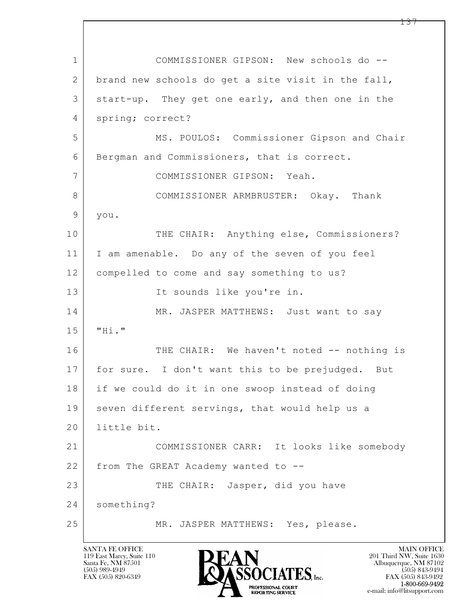$\mathbf{L}$  1 COMMISSIONER GIPSON: New schools do -- 2 brand new schools do get a site visit in the fall, 3 start-up. They get one early, and then one in the 4 spring; correct? 5 MS. POULOS: Commissioner Gipson and Chair 6 Bergman and Commissioners, that is correct. 7 COMMISSIONER GIPSON: Yeah. 8 COMMISSIONER ARMBRUSTER: Okay. Thank 9 you. 10 THE CHAIR: Anything else, Commissioners? 11 I am amenable. Do any of the seven of you feel 12 compelled to come and say something to us? 13 It sounds like you're in. 14 MR. JASPER MATTHEWS: Just want to say  $15$   $"Hi."$ 16 THE CHAIR: We haven't noted -- nothing is 17 | for sure. I don't want this to be prejudged. But 18 if we could do it in one swoop instead of doing 19 seven different servings, that would help us a 20 little bit. 21 COMMISSIONER CARR: It looks like somebody  $22$  from The GREAT Academy wanted to  $-$ 23 THE CHAIR: Jasper, did you have 24 something? 25 MR. JASPER MATTHEWS: Yes, please.



FAX (505) 843-9492 e-mail: info@litsupport.com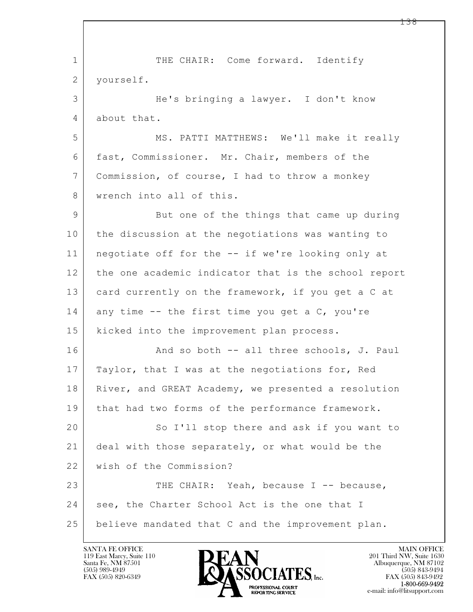$\mathbf{L}$  1 THE CHAIR: Come forward. Identify 2 | yourself. 3 He's bringing a lawyer. I don't know 4 about that. 5 MS. PATTI MATTHEWS: We'll make it really 6 fast, Commissioner. Mr. Chair, members of the 7 Commission, of course, I had to throw a monkey 8 wrench into all of this. 9 But one of the things that came up during 10 the discussion at the negotiations was wanting to 11 negotiate off for the -- if we're looking only at 12 the one academic indicator that is the school report 13 card currently on the framework, if you get a C at  $14$  any time  $-$  the first time you get a C, you're 15 | kicked into the improvement plan process. 16 And so both -- all three schools, J. Paul 17 | Taylor, that I was at the negotiations for, Red 18 | River, and GREAT Academy, we presented a resolution 19 that had two forms of the performance framework. 20 So I'll stop there and ask if you want to 21 deal with those separately, or what would be the 22 | wish of the Commission? 23 THE CHAIR: Yeah, because I -- because, 24 | see, the Charter School Act is the one that I 25 | believe mandated that C and the improvement plan.

119 East Marcy, Suite 110<br>Santa Fe, NM 87501

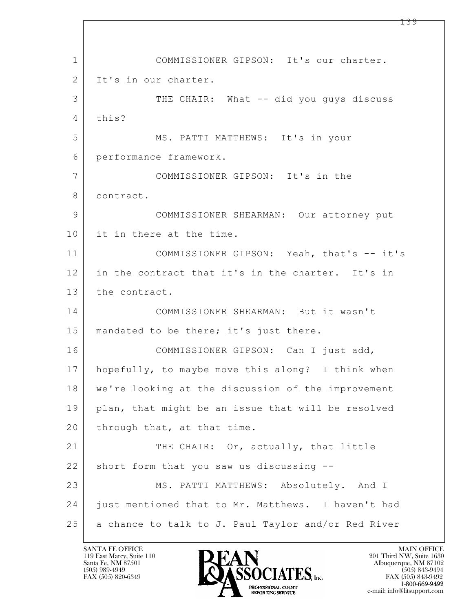$\mathbf{L}$  1 COMMISSIONER GIPSON: It's our charter. 2 I It's in our charter. 3 | THE CHAIR: What -- did you guys discuss 4 this? 5 MS. PATTI MATTHEWS: It's in your 6 performance framework. 7 COMMISSIONER GIPSON: It's in the 8 contract. 9 COMMISSIONER SHEARMAN: Our attorney put 10 it in there at the time. 11 COMMISSIONER GIPSON: Yeah, that's -- it's 12 in the contract that it's in the charter. It's in 13 the contract. 14 COMMISSIONER SHEARMAN: But it wasn't 15 | mandated to be there; it's just there. 16 COMMISSIONER GIPSON: Can I just add, 17 hopefully, to maybe move this along? I think when 18 we're looking at the discussion of the improvement 19 plan, that might be an issue that will be resolved 20 through that, at that time. 21 THE CHAIR: Or, actually, that little 22 short form that you saw us discussing --23 MS. PATTI MATTHEWS: Absolutely. And I 24 | just mentioned that to Mr. Matthews. I haven't had 25 | a chance to talk to J. Paul Taylor and/or Red River

119 East Marcy, Suite 110<br>Santa Fe, NM 87501

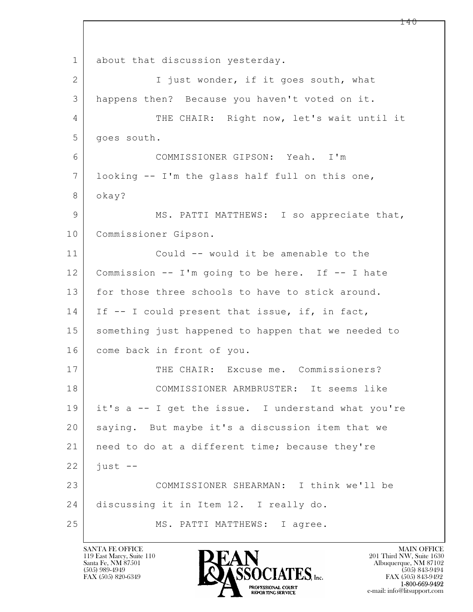$\mathbf{L}$  1 about that discussion yesterday. 2 I just wonder, if it goes south, what 3 happens then? Because you haven't voted on it. 4 THE CHAIR: Right now, let's wait until it 5 goes south. 6 COMMISSIONER GIPSON: Yeah. I'm 7 looking -- I'm the glass half full on this one, 8 okay? 9 MS. PATTI MATTHEWS: I so appreciate that, 10 Commissioner Gipson. 11 Could -- would it be amenable to the 12 Commission -- I'm going to be here. If -- I hate 13 for those three schools to have to stick around. 14 If -- I could present that issue, if, in fact, 15 | something just happened to happen that we needed to 16 come back in front of you. 17 THE CHAIR: Excuse me. Commissioners? 18 COMMISSIONER ARMBRUSTER: It seems like 19 it's a -- I get the issue. I understand what you're 20 saying. But maybe it's a discussion item that we 21 | need to do at a different time; because they're  $22$  just  $-$ 23 COMMISSIONER SHEARMAN: I think we'll be 24 discussing it in Item 12. I really do. 25 MS. PATTI MATTHEWS: I agree.

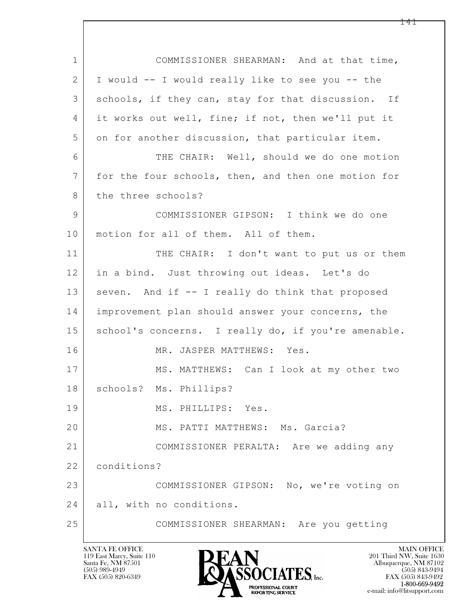| $\mathbf 1$ | COMMISSIONER SHEARMAN: And at that time,            |
|-------------|-----------------------------------------------------|
| 2           | I would -- I would really like to see you -- the    |
| 3           | schools, if they can, stay for that discussion. If  |
| 4           | it works out well, fine; if not, then we'll put it  |
| 5           | on for another discussion, that particular item.    |
| 6           | THE CHAIR: Well, should we do one motion            |
| 7           | for the four schools, then, and then one motion for |
| 8           | the three schools?                                  |
| 9           | COMMISSIONER GIPSON: I think we do one              |
| 10          | motion for all of them. All of them.                |
| 11          | THE CHAIR: I don't want to put us or them           |
| 12          | in a bind. Just throwing out ideas. Let's do        |
| 13          | seven. And if -- I really do think that proposed    |
| 14          | improvement plan should answer your concerns, the   |
| 15          | school's concerns. I really do, if you're amenable. |
| 16          | MR. JASPER MATTHEWS: Yes.                           |
| 17          | MS. MATTHEWS: Can I look at my other two            |
| 18          | schools? Ms. Phillips?                              |
| 19          | MS. PHILLIPS: Yes.                                  |
| 20          | MS. PATTI MATTHEWS: Ms. Garcia?                     |
| 21          | COMMISSIONER PERALTA: Are we adding any             |
| 22          | conditions?                                         |
| 23          | COMMISSIONER GIPSON: No, we're voting on            |
| 24          | all, with no conditions.                            |
| 25          | COMMISSIONER SHEARMAN: Are you getting              |

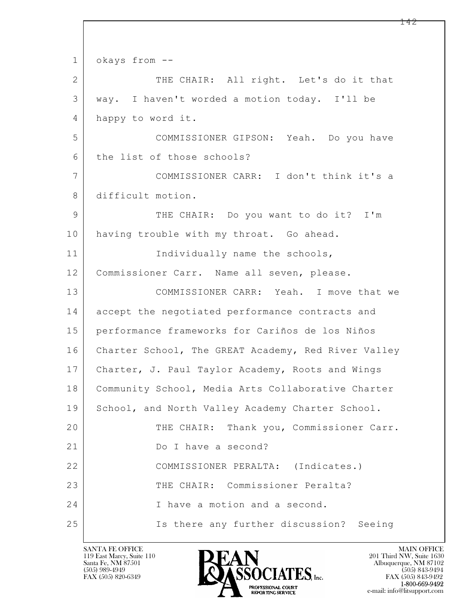$\mathbf{L}$  1 okays from -- 2 THE CHAIR: All right. Let's do it that 3 way. I haven't worded a motion today. I'll be 4 happy to word it. 5 COMMISSIONER GIPSON: Yeah. Do you have 6 the list of those schools? 7 COMMISSIONER CARR: I don't think it's a 8 difficult motion. 9 THE CHAIR: Do you want to do it? I'm 10 having trouble with my throat. Go ahead. 11 Individually name the schools, 12 | Commissioner Carr. Name all seven, please. 13 COMMISSIONER CARR: Yeah. I move that we 14 accept the negotiated performance contracts and 15 performance frameworks for Cariños de los Niños 16 Charter School, The GREAT Academy, Red River Valley 17 Charter, J. Paul Taylor Academy, Roots and Wings 18 Community School, Media Arts Collaborative Charter 19 School, and North Valley Academy Charter School. 20 THE CHAIR: Thank you, Commissioner Carr. 21 Do I have a second? 22 COMMISSIONER PERALTA: (Indicates.) 23 THE CHAIR: Commissioner Peralta? 24 I have a motion and a second. 25 Is there any further discussion? Seeing

119 East Marcy, Suite 110<br>Santa Fe, NM 87501

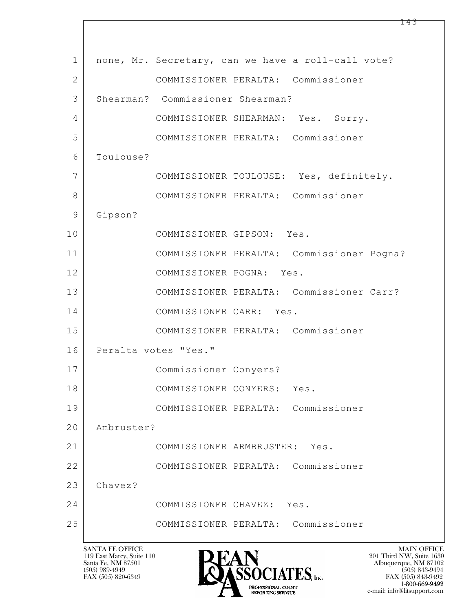$\mathbf{L}$  1 | none, Mr. Secretary, can we have a roll-call vote? 2 COMMISSIONER PERALTA: Commissioner 3 Shearman? Commissioner Shearman? 4 COMMISSIONER SHEARMAN: Yes. Sorry. 5 COMMISSIONER PERALTA: Commissioner 6 Toulouse? 7 COMMISSIONER TOULOUSE: Yes, definitely. 8 COMMISSIONER PERALTA: Commissioner 9 Gipson? 10 COMMISSIONER GIPSON: Yes. 11 COMMISSIONER PERALTA: Commissioner Pogna? 12 COMMISSIONER POGNA: Yes. 13 COMMISSIONER PERALTA: Commissioner Carr? 14 COMMISSIONER CARR: Yes. 15 COMMISSIONER PERALTA: Commissioner 16 Peralta votes "Yes." 17 Commissioner Conyers? 18 COMMISSIONER CONYERS: Yes. 19 COMMISSIONER PERALTA: Commissioner 20 Ambruster? 21 COMMISSIONER ARMBRUSTER: Yes. 22 COMMISSIONER PERALTA: Commissioner 23 Chavez? 24 COMMISSIONER CHAVEZ: Yes. 25 COMMISSIONER PERALTA: Commissioner

119 East Marcy, Suite 110<br>Santa Fe, NM 87501



 $FAX (505) 843-9492$ <br>1-800-669-9492 e-mail: info@litsupport.com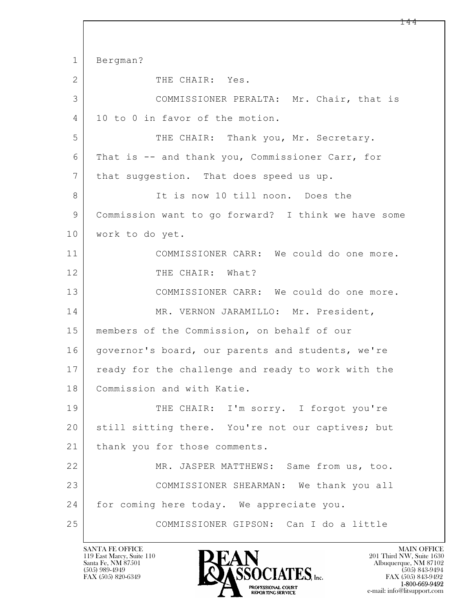$\mathbf{L}$  1 Bergman? 2 THE CHAIR: Yes. 3 COMMISSIONER PERALTA: Mr. Chair, that is 4 | 10 to 0 in favor of the motion. 5 THE CHAIR: Thank you, Mr. Secretary. 6 That is -- and thank you, Commissioner Carr, for 7 | that suggestion. That does speed us up. 8 It is now 10 till noon. Does the 9 Commission want to go forward? I think we have some 10 | work to do yet. 11 COMMISSIONER CARR: We could do one more. 12 THE CHAIR: What? 13 COMMISSIONER CARR: We could do one more. 14 MR. VERNON JARAMILLO: Mr. President, 15 members of the Commission, on behalf of our 16 | governor's board, our parents and students, we're 17 | ready for the challenge and ready to work with the 18 Commission and with Katie. 19 THE CHAIR: I'm sorry. I forgot you're 20 still sitting there. You're not our captives; but 21 | thank you for those comments. 22 MR. JASPER MATTHEWS: Same from us, too. 23 COMMISSIONER SHEARMAN: We thank you all 24 for coming here today. We appreciate you. 25 COMMISSIONER GIPSON: Can I do a little

119 East Marcy, Suite 110<br>Santa Fe, NM 87501

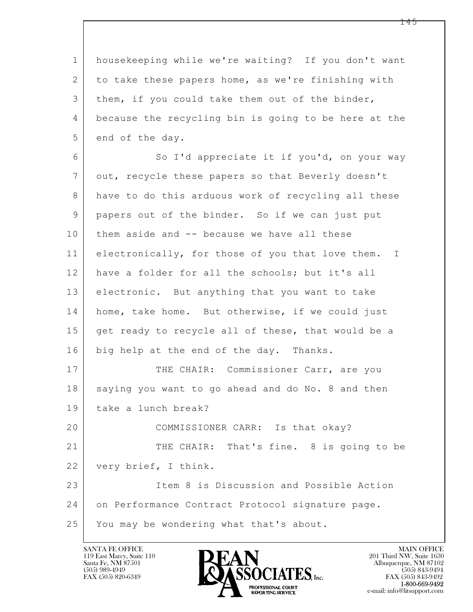1 housekeeping while we're waiting? If you don't want 2 to take these papers home, as we're finishing with 3 | them, if you could take them out of the binder, 4 because the recycling bin is going to be here at the 5 end of the day. 6 So I'd appreciate it if you'd, on your way 7 out, recycle these papers so that Beverly doesn't 8 have to do this arduous work of recycling all these 9 papers out of the binder. So if we can just put 10 | them aside and -- because we have all these 11 electronically, for those of you that love them. I 12 have a folder for all the schools; but it's all 13 electronic. But anything that you want to take 14 home, take home. But otherwise, if we could just 15 get ready to recycle all of these, that would be a 16 big help at the end of the day. Thanks. 17 THE CHAIR: Commissioner Carr, are you 18 saying you want to go ahead and do No. 8 and then 19 take a lunch break? 20 COMMISSIONER CARR: Is that okay?

21 THE CHAIR: That's fine. 8 is going to be 22 very brief, I think.

 $\mathbf{L}$  23 Item 8 is Discussion and Possible Action 24 on Performance Contract Protocol signature page. 25 You may be wondering what that's about.

119 East Marcy, Suite 110<br>Santa Fe, NM 87501

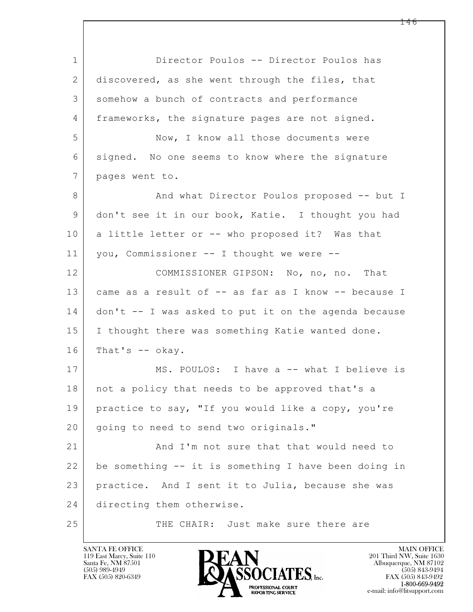$\mathbf{L}$  1 Director Poulos -- Director Poulos has 2 discovered, as she went through the files, that 3 somehow a bunch of contracts and performance 4 frameworks, the signature pages are not signed. 5 Now, I know all those documents were 6 signed. No one seems to know where the signature 7 pages went to. 8 And what Director Poulos proposed -- but I 9 don't see it in our book, Katie. I thought you had 10 a little letter or -- who proposed it? Was that 11 you, Commissioner -- I thought we were -- 12 COMMISSIONER GIPSON: No, no, no. That 13 came as a result of -- as far as I know -- because I 14 don't -- I was asked to put it on the agenda because 15 | I thought there was something Katie wanted done.  $16$  That's  $-$  okay. 17 MS. POULOS: I have a -- what I believe is 18 | not a policy that needs to be approved that's a 19 practice to say, "If you would like a copy, you're 20 | going to need to send two originals." 21 And I'm not sure that that would need to 22 be something -- it is something I have been doing in 23 practice. And I sent it to Julia, because she was 24 directing them otherwise. 25 THE CHAIR: Just make sure there are

119 East Marcy, Suite 110<br>Santa Fe, NM 87501



FAX (505) 843-9492 e-mail: info@litsupport.com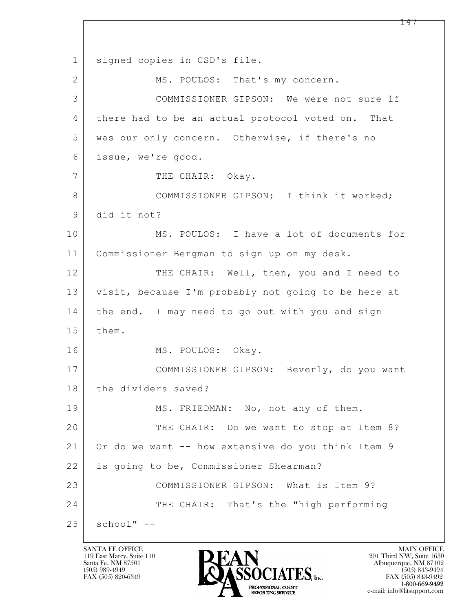$\mathbf{L}$  1 | signed copies in CSD's file. 2 MS. POULOS: That's my concern. 3 COMMISSIONER GIPSON: We were not sure if 4 there had to be an actual protocol voted on. That 5 was our only concern. Otherwise, if there's no 6 issue, we're good. 7 THE CHAIR: Okay. 8 COMMISSIONER GIPSON: I think it worked; 9 did it not? 10 MS. POULOS: I have a lot of documents for 11 Commissioner Bergman to sign up on my desk. 12 THE CHAIR: Well, then, you and I need to 13 visit, because I'm probably not going to be here at 14 the end. I may need to go out with you and sign 15 them. 16 MS. POULOS: Okay. 17 COMMISSIONER GIPSON: Beverly, do you want 18 the dividers saved? 19 MS. FRIEDMAN: No, not any of them. 20 THE CHAIR: Do we want to stop at Item 8? 21 Or do we want -- how extensive do you think Item 9 22 is going to be, Commissioner Shearman? 23 COMMISSIONER GIPSON: What is Item 9? 24 THE CHAIR: That's the "high performing  $25$  school"  $-$ 

119 East Marcy, Suite 110<br>Santa Fe, NM 87501

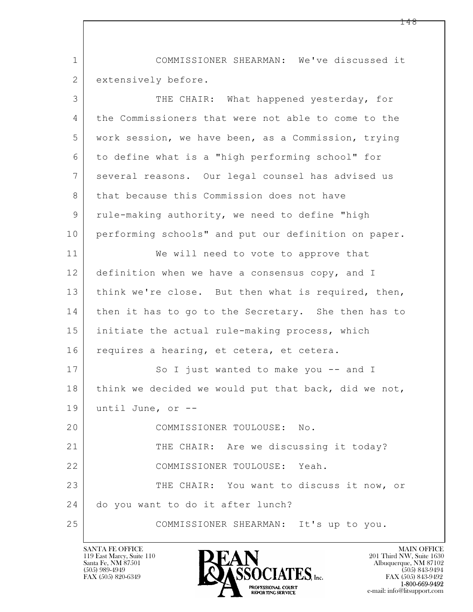1 COMMISSIONER SHEARMAN: We've discussed it 2 extensively before.

| 3              | THE CHAIR: What happened yesterday, for              |
|----------------|------------------------------------------------------|
| 4              | the Commissioners that were not able to come to the  |
| 5              | work session, we have been, as a Commission, trying  |
| 6              | to define what is a "high performing school" for     |
| $\overline{7}$ | several reasons. Our legal counsel has advised us    |
| 8              | that because this Commission does not have           |
| 9              | rule-making authority, we need to define "high       |
| 10             | performing schools" and put our definition on paper. |
| 11             | We will need to vote to approve that                 |
| 12             | definition when we have a consensus copy, and I      |
| 13             | think we're close. But then what is required, then,  |
| 14             | then it has to go to the Secretary. She then has to  |
| 15             | initiate the actual rule-making process, which       |
| 16             | requires a hearing, et cetera, et cetera.            |
| 17             | So I just wanted to make you -- and I                |
| 18             | think we decided we would put that back, did we not, |
| 19             | until June, or --                                    |
| 20             | COMMISSIONER TOULOUSE: No.                           |
| 21             | THE CHAIR: Are we discussing it today?               |
| 22             | COMMISSIONER TOULOUSE: Yeah.                         |
| 23             | THE CHAIR: You want to discuss it now, or            |
| 24             | do you want to do it after lunch?                    |
| 25             | COMMISSIONER SHEARMAN: It's up to you.               |

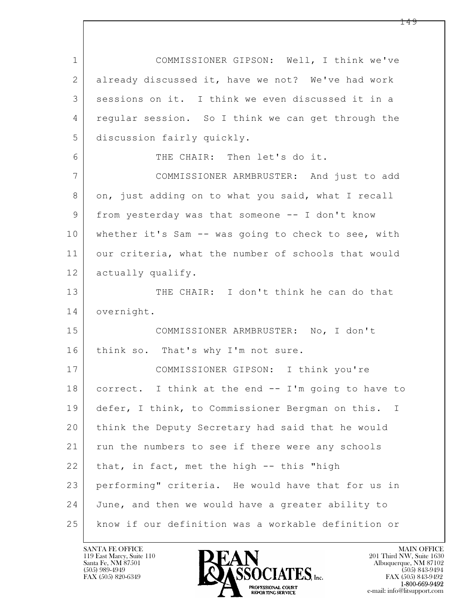$\mathbf{L}$  1 COMMISSIONER GIPSON: Well, I think we've 2 already discussed it, have we not? We've had work 3 sessions on it. I think we even discussed it in a 4 regular session. So I think we can get through the 5 discussion fairly quickly. 6 THE CHAIR: Then let's do it. 7 COMMISSIONER ARMBRUSTER: And just to add 8 on, just adding on to what you said, what I recall 9 | from yesterday was that someone -- I don't know 10 whether it's Sam -- was going to check to see, with 11 our criteria, what the number of schools that would 12 actually qualify. 13 THE CHAIR: I don't think he can do that 14 overnight. 15 COMMISSIONER ARMBRUSTER: No, I don't 16 think so. That's why I'm not sure. 17 COMMISSIONER GIPSON: I think you're 18 correct. I think at the end -- I'm going to have to 19 defer, I think, to Commissioner Bergman on this. I 20 think the Deputy Secretary had said that he would 21 | run the numbers to see if there were any schools  $22$  that, in fact, met the high  $-$  this "high 23 performing" criteria. He would have that for us in 24 June, and then we would have a greater ability to 25 know if our definition was a workable definition or

119 East Marcy, Suite 110<br>Santa Fe, NM 87501



FAX (505) 843-9492 e-mail: info@litsupport.com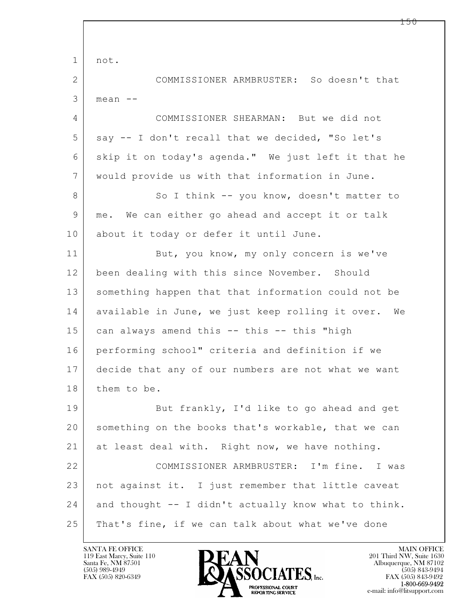$\mathbf{L}$  1 not. 2 COMMISSIONER ARMBRUSTER: So doesn't that  $3 \mid$  mean  $-$ 4 COMMISSIONER SHEARMAN: But we did not 5 say -- I don't recall that we decided, "So let's 6 skip it on today's agenda." We just left it that he 7 would provide us with that information in June. 8 So I think -- you know, doesn't matter to 9 me. We can either go ahead and accept it or talk 10 about it today or defer it until June. 11 But, you know, my only concern is we've 12 been dealing with this since November. Should 13 something happen that that information could not be 14 available in June, we just keep rolling it over. We 15 can always amend this -- this -- this "high 16 performing school" criteria and definition if we 17 decide that any of our numbers are not what we want 18 them to be. 19 But frankly, I'd like to go ahead and get 20 something on the books that's workable, that we can 21 at least deal with. Right now, we have nothing. 22 COMMISSIONER ARMBRUSTER: I'm fine. I was 23 not against it. I just remember that little caveat  $24$  and thought  $-$  I didn't actually know what to think. 25 That's fine, if we can talk about what we've done

119 East Marcy, Suite 110<br>Santa Fe, NM 87501

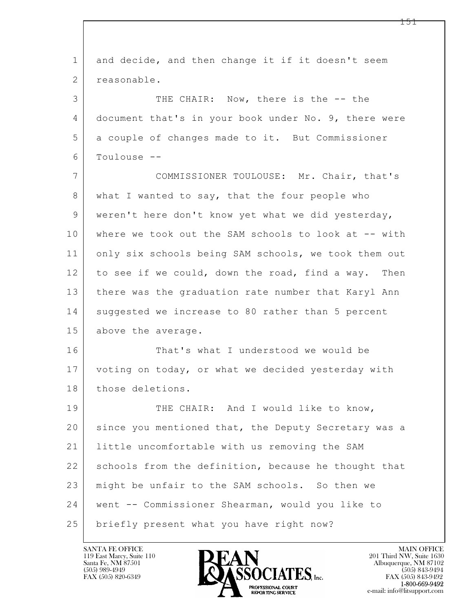| $\mathbf 1$    | and decide, and then change it if it doesn't seem    |
|----------------|------------------------------------------------------|
| $\overline{2}$ | reasonable.                                          |
| 3              | THE CHAIR: Now, there is the -- the                  |
| 4              | document that's in your book under No. 9, there were |
| 5              | a couple of changes made to it. But Commissioner     |
| 6              | Toulouse --                                          |
| 7              | COMMISSIONER TOULOUSE: Mr. Chair, that's             |
| 8              | what I wanted to say, that the four people who       |
| 9              | weren't here don't know yet what we did yesterday,   |
| 10             | where we took out the SAM schools to look at -- with |
| 11             | only six schools being SAM schools, we took them out |
| 12             | to see if we could, down the road, find a way. Then  |
| 13             | there was the graduation rate number that Karyl Ann  |
| 14             | suggested we increase to 80 rather than 5 percent    |
| 15             | above the average.                                   |
| 16             | That's what I understood we would be                 |
| 17             | voting on today, or what we decided yesterday with   |
| 18             | those deletions.                                     |
| 19             | THE CHAIR: And I would like to know,                 |
| 20             | since you mentioned that, the Deputy Secretary was a |
| 21             | little uncomfortable with us removing the SAM        |
| 22             | schools from the definition, because he thought that |
| 23             | might be unfair to the SAM schools. So then we       |
| 24             | went -- Commissioner Shearman, would you like to     |
| 25             | briefly present what you have right now?             |

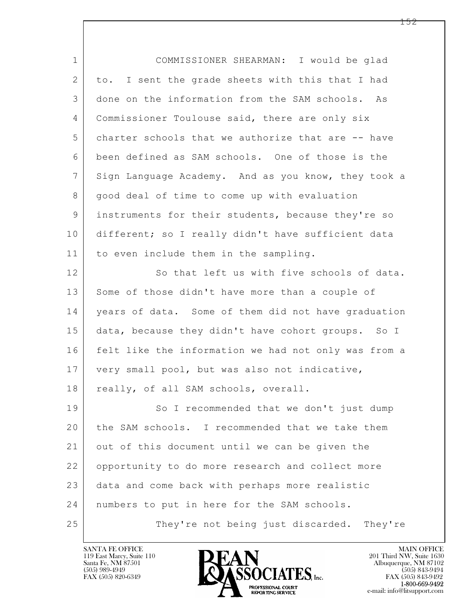$\mathbf{L}$  1 COMMISSIONER SHEARMAN: I would be glad 2 to. I sent the grade sheets with this that I had 3 done on the information from the SAM schools. As 4 Commissioner Toulouse said, there are only six 5 charter schools that we authorize that are -- have 6 been defined as SAM schools. One of those is the 7 Sign Language Academy. And as you know, they took a 8 | good deal of time to come up with evaluation 9 instruments for their students, because they're so 10 different; so I really didn't have sufficient data 11 to even include them in the sampling. 12 So that left us with five schools of data. 13 Some of those didn't have more than a couple of 14 | years of data. Some of them did not have graduation 15 data, because they didn't have cohort groups. So I 16 felt like the information we had not only was from a 17 very small pool, but was also not indicative, 18 really, of all SAM schools, overall. 19 So I recommended that we don't just dump 20 the SAM schools. I recommended that we take them 21 out of this document until we can be given the 22 opportunity to do more research and collect more 23 data and come back with perhaps more realistic 24 | numbers to put in here for the SAM schools. 25 They're not being just discarded. They're

119 East Marcy, Suite 110<br>Santa Fe, NM 87501

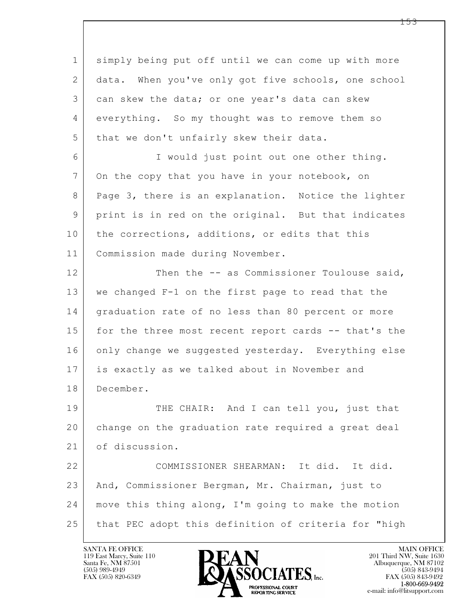$\mathbf{L}$  1 simply being put off until we can come up with more 2 data. When you've only got five schools, one school 3 can skew the data; or one year's data can skew 4 everything. So my thought was to remove them so 5 that we don't unfairly skew their data. 6 I would just point out one other thing. 7 On the copy that you have in your notebook, on 8 Page 3, there is an explanation. Notice the lighter 9 print is in red on the original. But that indicates 10 the corrections, additions, or edits that this 11 | Commission made during November. 12 Then the -- as Commissioner Toulouse said, 13 we changed F-1 on the first page to read that the 14 | graduation rate of no less than 80 percent or more 15 for the three most recent report cards -- that's the 16 only change we suggested yesterday. Everything else 17 is exactly as we talked about in November and 18 December. 19 THE CHAIR: And I can tell you, just that 20 change on the graduation rate required a great deal 21 of discussion. 22 COMMISSIONER SHEARMAN: It did. It did. 23 And, Commissioner Bergman, Mr. Chairman, just to 24 move this thing along, I'm going to make the motion 25 that PEC adopt this definition of criteria for "high

119 East Marcy, Suite 110<br>Santa Fe, NM 87501

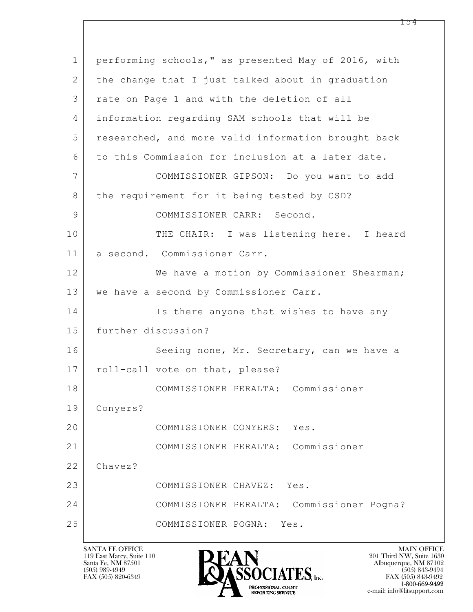| $\mathbf 1$     | performing schools," as presented May of 2016, with |
|-----------------|-----------------------------------------------------|
| 2               | the change that I just talked about in graduation   |
| 3               | rate on Page 1 and with the deletion of all         |
| 4               | information regarding SAM schools that will be      |
| 5               | researched, and more valid information brought back |
| 6               | to this Commission for inclusion at a later date.   |
| $7\overline{ }$ | COMMISSIONER GIPSON: Do you want to add             |
| 8               | the requirement for it being tested by CSD?         |
| 9               | COMMISSIONER CARR: Second.                          |
| 10              | THE CHAIR: I was listening here. I heard            |
| 11              | a second. Commissioner Carr.                        |
| 12              | We have a motion by Commissioner Shearman;          |
| 13              | we have a second by Commissioner Carr.              |
| 14              | Is there anyone that wishes to have any             |
| 15              | further discussion?                                 |
| 16              | Seeing none, Mr. Secretary, can we have a           |
| 17              | roll-call vote on that, please?                     |
| 18              | COMMISSIONER PERALTA:<br>Commissioner               |
| 19              | Conyers?                                            |
| 20              | COMMISSIONER CONYERS:<br>Yes.                       |
| 21              | COMMISSIONER PERALTA: Commissioner                  |
| 22              | Chavez?                                             |
| 23              | COMMISSIONER CHAVEZ: Yes.                           |
| 24              | Commissioner Pogna?<br>COMMISSIONER PERALTA:        |
| 25              | COMMISSIONER POGNA: Yes.                            |
|                 |                                                     |

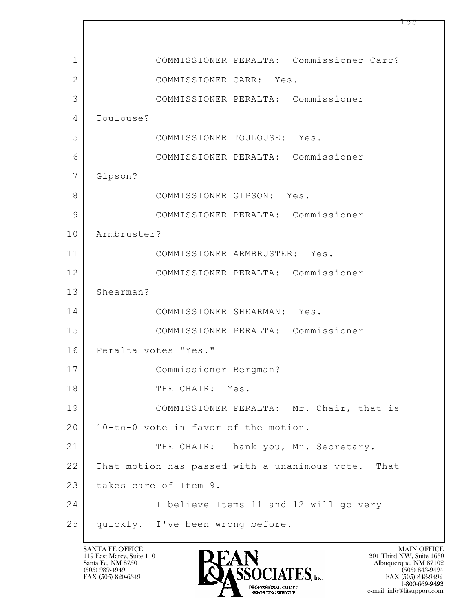| 1              | COMMISSIONER PERALTA: Commissioner Carr?           |
|----------------|----------------------------------------------------|
| $\overline{2}$ | COMMISSIONER CARR: Yes.                            |
| 3              | COMMISSIONER PERALTA: Commissioner                 |
| 4              | Toulouse?                                          |
| 5              | COMMISSIONER TOULOUSE: Yes.                        |
| 6              | COMMISSIONER PERALTA: Commissioner                 |
| 7              | Gipson?                                            |
| 8              | COMMISSIONER GIPSON: Yes.                          |
| 9              | COMMISSIONER PERALTA: Commissioner                 |
| 10             | Armbruster?                                        |
| 11             | COMMISSIONER ARMBRUSTER: Yes.                      |
| 12             | COMMISSIONER PERALTA: Commissioner                 |
| 13             | Shearman?                                          |
| 14             | COMMISSIONER SHEARMAN: Yes.                        |
| 15             | COMMISSIONER PERALTA: Commissioner                 |
| 16             | Peralta votes "Yes."                               |
| 17             | Commissioner Bergman?                              |
| 18             | THE CHAIR: Yes.                                    |
| 19             | COMMISSIONER PERALTA: Mr. Chair, that is           |
| 20             | 10-to-0 vote in favor of the motion.               |
| 21             | THE CHAIR: Thank you, Mr. Secretary.               |
| 22             | That motion has passed with a unanimous vote. That |
| 23             | takes care of Item 9.                              |
| 24             | I believe Items 11 and 12 will go very             |
| 25             | quickly. I've been wrong before.                   |

Г

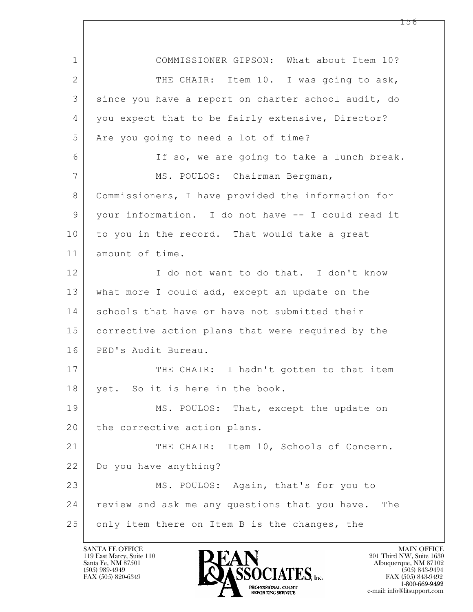| $\mathbf 1$    | COMMISSIONER GIPSON: What about Item 10?              |
|----------------|-------------------------------------------------------|
| $\overline{2}$ | THE CHAIR: Item 10. I was going to ask,               |
| 3              | since you have a report on charter school audit, do   |
| 4              | you expect that to be fairly extensive, Director?     |
| 5              | Are you going to need a lot of time?                  |
| 6              | If so, we are going to take a lunch break.            |
| 7              | MS. POULOS: Chairman Bergman,                         |
| 8              | Commissioners, I have provided the information for    |
| 9              | your information. I do not have -- I could read it    |
| 10             | to you in the record. That would take a great         |
| 11             | amount of time.                                       |
| 12             | I do not want to do that. I don't know                |
| 13             | what more I could add, except an update on the        |
| 14             | schools that have or have not submitted their         |
| 15             | corrective action plans that were required by the     |
| 16             | PED's Audit Bureau.                                   |
| 17             | THE CHAIR: I hadn't gotten to that item               |
| 18             | yet. So it is here in the book.                       |
| 19             | MS. POULOS: That, except the update on                |
| 20             | the corrective action plans.                          |
| 21             | THE CHAIR: Item 10, Schools of Concern.               |
| 22             | Do you have anything?                                 |
| 23             | MS. POULOS: Again, that's for you to                  |
| 24             | review and ask me any questions that you have.<br>The |
| 25             | only item there on Item B is the changes, the         |

 $\overline{\phantom{a}}$ 

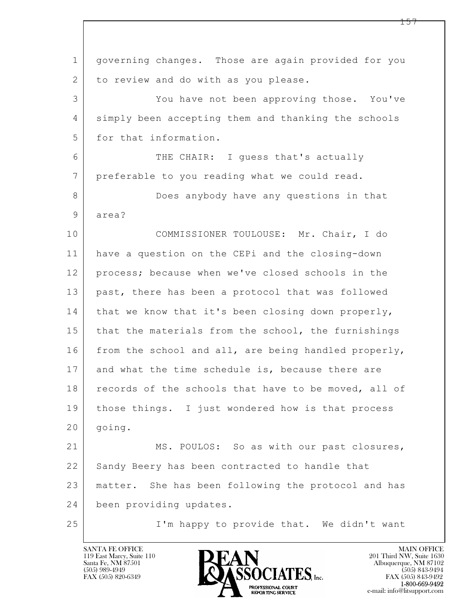$\mathbf{L}$  1 governing changes. Those are again provided for you 2 to review and do with as you please. 3 You have not been approving those. You've 4 simply been accepting them and thanking the schools 5 for that information. 6 THE CHAIR: I guess that's actually 7 preferable to you reading what we could read. 8 Does anybody have any questions in that 9 area? 10 COMMISSIONER TOULOUSE: Mr. Chair, I do 11 have a question on the CEPi and the closing-down 12 process; because when we've closed schools in the 13 past, there has been a protocol that was followed  $14$  that we know that it's been closing down properly, 15 that the materials from the school, the furnishings 16 from the school and all, are being handled properly, 17 and what the time schedule is, because there are 18 records of the schools that have to be moved, all of 19 | those things. I just wondered how is that process 20 | going. 21 MS. POULOS: So as with our past closures, 22 Sandy Beery has been contracted to handle that 23 matter. She has been following the protocol and has 24 been providing updates. 25 I'm happy to provide that. We didn't want

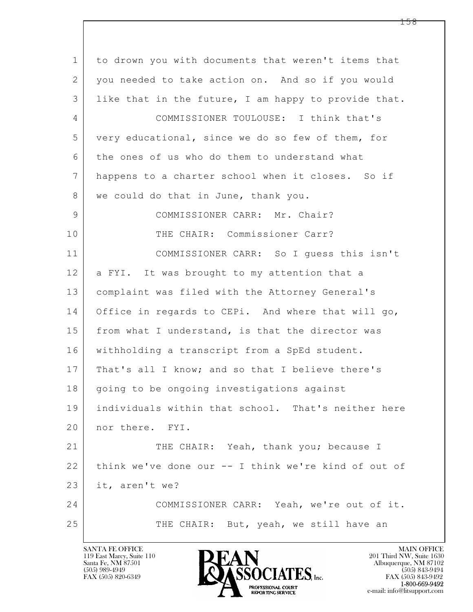| $\mathbf{1}$ | to drown you with documents that weren't items that  |
|--------------|------------------------------------------------------|
| 2            | you needed to take action on. And so if you would    |
| 3            | like that in the future, I am happy to provide that. |
| 4            | COMMISSIONER TOULOUSE: I think that's                |
| 5            | very educational, since we do so few of them, for    |
| 6            | the ones of us who do them to understand what        |
| 7            | happens to a charter school when it closes. So if    |
| 8            | we could do that in June, thank you.                 |
| 9            | COMMISSIONER CARR: Mr. Chair?                        |
| 10           | THE CHAIR: Commissioner Carr?                        |
| 11           | COMMISSIONER CARR: So I quess this isn't             |
| 12           | a FYI. It was brought to my attention that a         |
| 13           | complaint was filed with the Attorney General's      |
| 14           | Office in regards to CEPi. And where that will go,   |
| 15           | from what I understand, is that the director was     |
| 16           | withholding a transcript from a SpEd student.        |
| 17           | That's all I know; and so that I believe there's     |
| 18           | going to be ongoing investigations against           |
| 19           | individuals within that school. That's neither here  |
| 20           | nor there. FYI.                                      |
| 21           | THE CHAIR: Yeah, thank you; because I                |
| 22           | think we've done our -- I think we're kind of out of |
| 23           | it, aren't we?                                       |
| 24           | COMMISSIONER CARR: Yeah, we're out of it.            |
| 25           | THE CHAIR: But, yeah, we still have an               |
|              |                                                      |

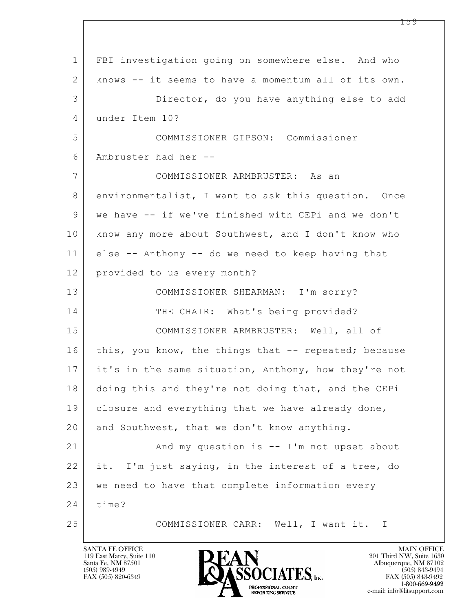$\mathbf{L}$  1 FBI investigation going on somewhere else. And who 2 knows -- it seems to have a momentum all of its own. 3 Director, do you have anything else to add 4 under Item 10? 5 COMMISSIONER GIPSON: Commissioner 6 Ambruster had her -- 7 COMMISSIONER ARMBRUSTER: As an 8 environmentalist, I want to ask this question. Once 9 we have -- if we've finished with CEPi and we don't 10 know any more about Southwest, and I don't know who 11 else -- Anthony -- do we need to keep having that 12 provided to us every month? 13 COMMISSIONER SHEARMAN: I'm sorry? 14 THE CHAIR: What's being provided? 15 COMMISSIONER ARMBRUSTER: Well, all of 16 this, you know, the things that -- repeated; because 17 it's in the same situation, Anthony, how they're not 18 doing this and they're not doing that, and the CEPi 19 | closure and everything that we have already done, 20 and Southwest, that we don't know anything. 21 And my question is -- I'm not upset about 22 it. I'm just saying, in the interest of a tree, do 23 we need to have that complete information every 24 time? 25 COMMISSIONER CARR: Well, I want it. I

119 East Marcy, Suite 110<br>Santa Fe, NM 87501

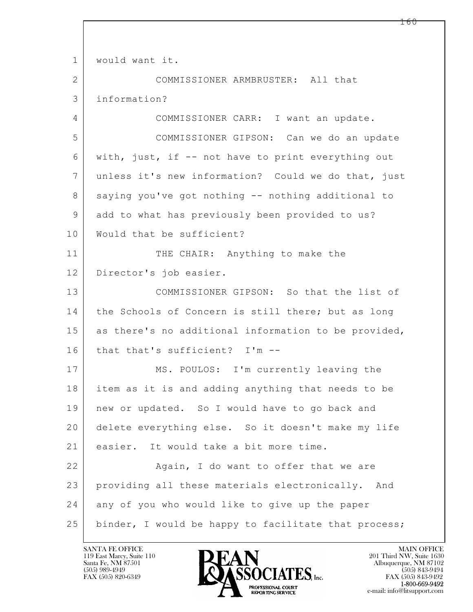$\mathbf{L}$  1 would want it. 2 COMMISSIONER ARMBRUSTER: All that 3 information? 4 COMMISSIONER CARR: I want an update. 5 COMMISSIONER GIPSON: Can we do an update 6 with, just, if -- not have to print everything out 7 unless it's new information? Could we do that, just 8 saying you've got nothing -- nothing additional to 9 add to what has previously been provided to us? 10 | Would that be sufficient? 11 THE CHAIR: Anything to make the 12 Director's job easier. 13 COMMISSIONER GIPSON: So that the list of 14 the Schools of Concern is still there; but as long 15 as there's no additional information to be provided, 16 that that's sufficient? I'm -- 17 | MS. POULOS: I'm currently leaving the 18 item as it is and adding anything that needs to be 19 | new or updated. So I would have to go back and 20 delete everything else. So it doesn't make my life 21 easier. It would take a bit more time. 22 | Ragain, I do want to offer that we are 23 providing all these materials electronically. And 24 any of you who would like to give up the paper 25 | binder, I would be happy to facilitate that process;

119 East Marcy, Suite 110<br>Santa Fe, NM 87501

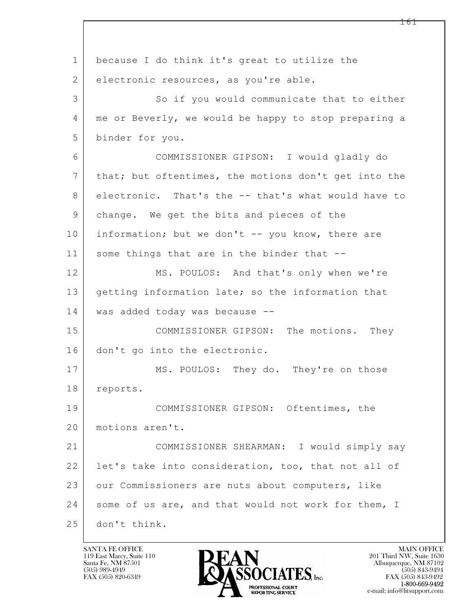$\mathbf{L}$  1 because I do think it's great to utilize the 2 electronic resources, as you're able. 3 So if you would communicate that to either 4 me or Beverly, we would be happy to stop preparing a 5 binder for you. 6 COMMISSIONER GIPSON: I would gladly do 7 that; but oftentimes, the motions don't get into the 8 electronic. That's the -- that's what would have to 9 change. We get the bits and pieces of the 10 information; but we don't -- you know, there are 11 some things that are in the binder that --12 MS. POULOS: And that's only when we're 13 getting information late; so the information that 14 was added today was because -- 15 COMMISSIONER GIPSON: The motions. They 16 don't go into the electronic. 17 MS. POULOS: They do. They're on those 18 reports. 19 COMMISSIONER GIPSON: Oftentimes, the 20 motions aren't. 21 COMMISSIONER SHEARMAN: I would simply say 22 | let's take into consideration, too, that not all of 23 our Commissioners are nuts about computers, like 24 some of us are, and that would not work for them, I 25 don't think.

119 East Marcy, Suite 110<br>Santa Fe, NM 87501

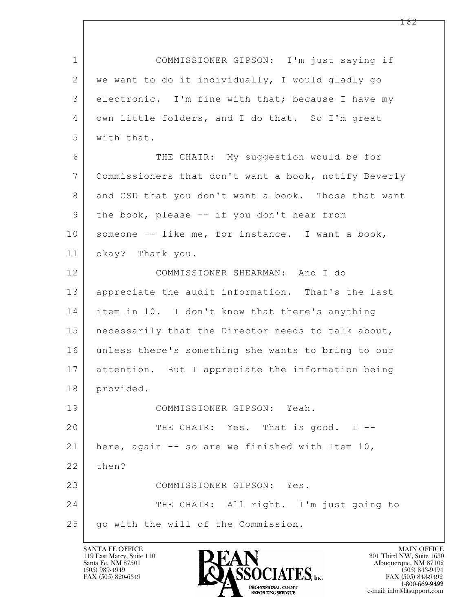$\mathbf{L}$  1 COMMISSIONER GIPSON: I'm just saying if 2 we want to do it individually, I would gladly go 3 electronic. I'm fine with that; because I have my 4 own little folders, and I do that. So I'm great 5 with that. 6 THE CHAIR: My suggestion would be for 7 Commissioners that don't want a book, notify Beverly 8 and CSD that you don't want a book. Those that want 9 | the book, please -- if you don't hear from 10 | someone -- like me, for instance. I want a book, 11 okay? Thank you. 12 COMMISSIONER SHEARMAN: And I do 13 appreciate the audit information. That's the last 14 item in 10. I don't know that there's anything 15 necessarily that the Director needs to talk about, 16 unless there's something she wants to bring to our 17 attention. But I appreciate the information being 18 provided. 19 COMMISSIONER GIPSON: Yeah. 20 THE CHAIR: Yes. That is good. I --21 | here, again  $-$  so are we finished with Item 10, 22 | then? 23 COMMISSIONER GIPSON: Yes. 24 THE CHAIR: All right. I'm just going to 25 | go with the will of the Commission.

119 East Marcy, Suite 110<br>Santa Fe, NM 87501



FAX (505) 843-9492 e-mail: info@litsupport.com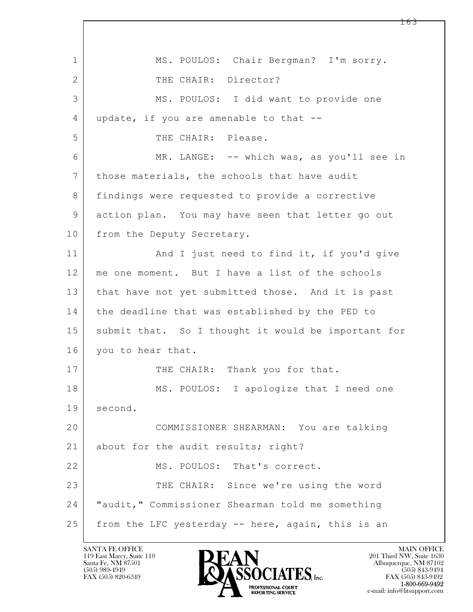$\mathbf{L}$  1 MS. POULOS: Chair Bergman? I'm sorry. 2 | THE CHAIR: Director? 3 MS. POULOS: I did want to provide one 4 update, if you are amenable to that --5 THE CHAIR: Please. 6 MR. LANGE: -- which was, as you'll see in 7 those materials, the schools that have audit 8 findings were requested to provide a corrective 9 action plan. You may have seen that letter go out 10 from the Deputy Secretary. 11 | And I just need to find it, if you'd give 12 me one moment. But I have a list of the schools 13 that have not yet submitted those. And it is past 14 | the deadline that was established by the PED to 15 submit that. So I thought it would be important for 16 you to hear that. 17 THE CHAIR: Thank you for that. 18 | MS. POULOS: I apologize that I need one 19 second. 20 COMMISSIONER SHEARMAN: You are talking 21 about for the audit results; right? 22 MS. POULOS: That's correct. 23 THE CHAIR: Since we're using the word 24 "audit," Commissioner Shearman told me something 25 from the LFC yesterday -- here, again, this is an

119 East Marcy, Suite 110<br>Santa Fe, NM 87501



FAX (505) 843-9492 e-mail: info@litsupport.com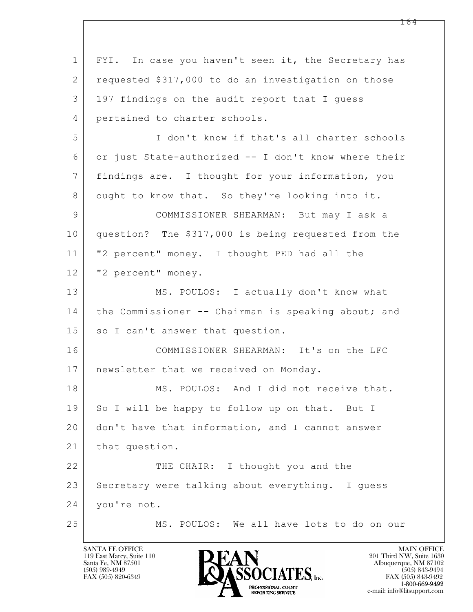$\mathbf{L}$  1 FYI. In case you haven't seen it, the Secretary has 2 requested \$317,000 to do an investigation on those 3 197 findings on the audit report that I guess 4 pertained to charter schools. 5 I don't know if that's all charter schools 6 or just State-authorized -- I don't know where their 7 findings are. I thought for your information, you 8 ought to know that. So they're looking into it. 9 COMMISSIONER SHEARMAN: But may I ask a 10 question? The \$317,000 is being requested from the 11 "2 percent" money. I thought PED had all the 12 | "2 percent" money. 13 MS. POULOS: I actually don't know what 14 the Commissioner -- Chairman is speaking about; and 15 so I can't answer that question. 16 COMMISSIONER SHEARMAN: It's on the LFC 17 | newsletter that we received on Monday. 18 MS. POULOS: And I did not receive that. 19 So I will be happy to follow up on that. But I 20 don't have that information, and I cannot answer 21 | that question. 22 THE CHAIR: I thought you and the 23 Secretary were talking about everything. I quess 24 you're not. 25 MS. POULOS: We all have lots to do on our

119 East Marcy, Suite 110<br>Santa Fe, NM 87501

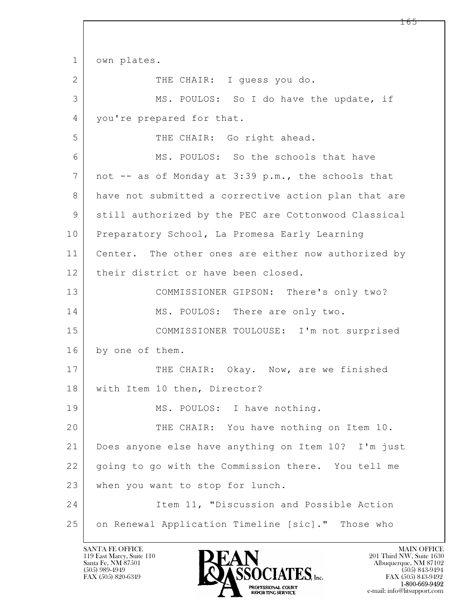$\mathbf{L}$  1 own plates. 2 THE CHAIR: I guess you do. 3 MS. POULOS: So I do have the update, if 4 you're prepared for that. 5 THE CHAIR: Go right ahead. 6 MS. POULOS: So the schools that have 7 not -- as of Monday at 3:39 p.m., the schools that 8 have not submitted a corrective action plan that are 9 still authorized by the PEC are Cottonwood Classical 10 Preparatory School, La Promesa Early Learning 11 Center. The other ones are either now authorized by 12 | their district or have been closed. 13 COMMISSIONER GIPSON: There's only two? 14 MS. POULOS: There are only two. 15 COMMISSIONER TOULOUSE: I'm not surprised 16 by one of them. 17 THE CHAIR: Okay. Now, are we finished 18 | with Item 10 then, Director? 19 | MS. POULOS: I have nothing. 20 THE CHAIR: You have nothing on Item 10. 21 Does anyone else have anything on Item 10? I'm just 22 going to go with the Commission there. You tell me 23 | when you want to stop for lunch. 24 Item 11, "Discussion and Possible Action 25 on Renewal Application Timeline [sic]." Those who

119 East Marcy, Suite 110<br>Santa Fe, NM 87501

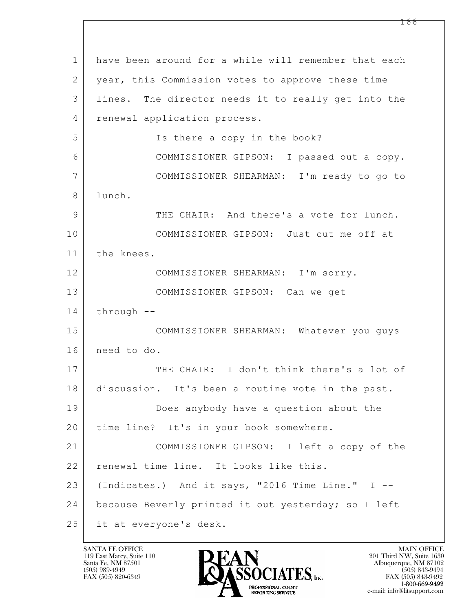$\mathbf{L}$  1 have been around for a while will remember that each 2 year, this Commission votes to approve these time 3 lines. The director needs it to really get into the 4 renewal application process. 5 | Solution Is there a copy in the book? 6 COMMISSIONER GIPSON: I passed out a copy. 7 COMMISSIONER SHEARMAN: I'm ready to go to 8 lunch. 9 THE CHAIR: And there's a vote for lunch. 10 COMMISSIONER GIPSON: Just cut me off at 11 the knees. 12 COMMISSIONER SHEARMAN: I'm sorry. 13 COMMISSIONER GIPSON: Can we get  $14$  through  $-$ 15 COMMISSIONER SHEARMAN: Whatever you guys 16 need to do. 17 THE CHAIR: I don't think there's a lot of 18 discussion. It's been a routine vote in the past. 19 Does anybody have a question about the 20 | time line? It's in your book somewhere. 21 COMMISSIONER GIPSON: I left a copy of the 22 renewal time line. It looks like this. 23 (Indicates.) And it says, "2016 Time Line." I  $-$ 24 | because Beverly printed it out yesterday; so I left 25 | it at everyone's desk.

119 East Marcy, Suite 110<br>Santa Fe, NM 87501

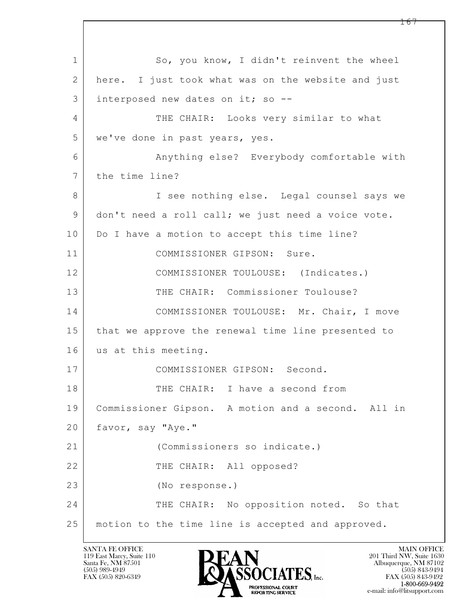$\mathbf{L}$  1 So, you know, I didn't reinvent the wheel 2 here. I just took what was on the website and just 3 interposed new dates on it; so -- 4 THE CHAIR: Looks very similar to what 5 we've done in past years, yes. 6 Anything else? Everybody comfortable with 7 the time line? 8 | See nothing else. Legal counsel says we 9 don't need a roll call; we just need a voice vote. 10 Do I have a motion to accept this time line? 11 COMMISSIONER GIPSON: Sure. 12 COMMISSIONER TOULOUSE: (Indicates.) 13 THE CHAIR: Commissioner Toulouse? 14 COMMISSIONER TOULOUSE: Mr. Chair, I move 15 that we approve the renewal time line presented to 16 us at this meeting. 17 COMMISSIONER GIPSON: Second. 18 THE CHAIR: I have a second from 19 Commissioner Gipson. A motion and a second. All in 20 favor, say "Aye." 21 (Commissioners so indicate.) 22 THE CHAIR: All opposed? 23 (No response.) 24 THE CHAIR: No opposition noted. So that 25 motion to the time line is accepted and approved.

119 East Marcy, Suite 110<br>Santa Fe, NM 87501

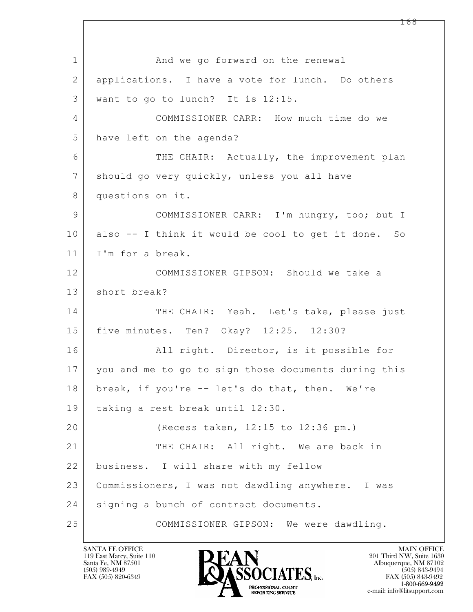$\mathbf{L}$  1 and we go forward on the renewal 2 applications. I have a vote for lunch. Do others 3 want to go to lunch? It is 12:15. 4 COMMISSIONER CARR: How much time do we 5 have left on the agenda? 6 THE CHAIR: Actually, the improvement plan 7 should go very quickly, unless you all have 8 questions on it. 9 COMMISSIONER CARR: I'm hungry, too; but I 10 also -- I think it would be cool to get it done. So 11 I'm for a break. 12 COMMISSIONER GIPSON: Should we take a 13 short break? 14 THE CHAIR: Yeah. Let's take, please just 15 five minutes. Ten? Okay? 12:25. 12:30? 16 | All right. Director, is it possible for 17 you and me to go to sign those documents during this 18 | break, if you're -- let's do that, then. We're 19 taking a rest break until 12:30. 20 (Recess taken, 12:15 to 12:36 pm.) 21 THE CHAIR: All right. We are back in 22 business. I will share with my fellow 23 Commissioners, I was not dawdling anywhere. I was 24 | signing a bunch of contract documents. 25 COMMISSIONER GIPSON: We were dawdling.

119 East Marcy, Suite 110<br>Santa Fe, NM 87501

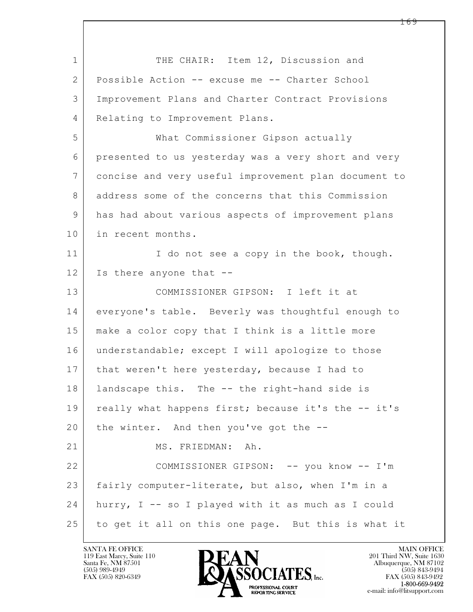$\mathbf{L}$  1 THE CHAIR: Item 12, Discussion and 2 Possible Action -- excuse me -- Charter School 3 Improvement Plans and Charter Contract Provisions 4 Relating to Improvement Plans. 5 What Commissioner Gipson actually 6 presented to us yesterday was a very short and very 7 concise and very useful improvement plan document to 8 address some of the concerns that this Commission 9 has had about various aspects of improvement plans 10 in recent months. 11 I do not see a copy in the book, though. 12 | Is there anyone that --13 COMMISSIONER GIPSON: I left it at 14 everyone's table. Beverly was thoughtful enough to 15 make a color copy that I think is a little more 16 understandable; except I will apologize to those 17 | that weren't here yesterday, because I had to 18 landscape this. The -- the right-hand side is 19 | really what happens first; because it's the -- it's  $20$  the winter. And then you've got the  $-$ -21 MS. FRIEDMAN: Ah. 22 COMMISSIONER GIPSON: -- you know -- I'm 23 fairly computer-literate, but also, when I'm in a 24 hurry, I -- so I played with it as much as I could 25 to get it all on this one page. But this is what it

119 East Marcy, Suite 110<br>Santa Fe, NM 87501



FAX (505) 843-9492 e-mail: info@litsupport.com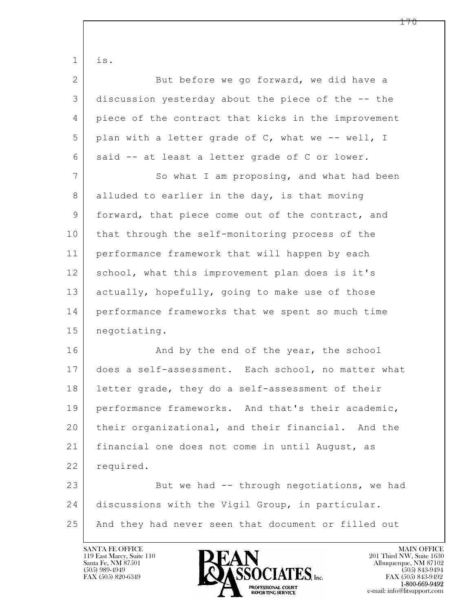$\mathbf{L}$   $1$  is. 2 But before we go forward, we did have a 3 discussion yesterday about the piece of the -- the 4 piece of the contract that kicks in the improvement  $5$  plan with a letter grade of C, what we -- well, I 6 | said -- at least a letter grade of C or lower. 7 So what I am proposing, and what had been 8 alluded to earlier in the day, is that moving 9 forward, that piece come out of the contract, and 10 that through the self-monitoring process of the 11 performance framework that will happen by each 12 school, what this improvement plan does is it's 13 actually, hopefully, going to make use of those 14 performance frameworks that we spent so much time 15 negotiating. 16 And by the end of the year, the school 17 does a self-assessment. Each school, no matter what 18 | letter grade, they do a self-assessment of their 19 performance frameworks. And that's their academic, 20 their organizational, and their financial. And the 21 financial one does not come in until August, as 22 required. 23 But we had -- through negotiations, we had 24 discussions with the Vigil Group, in particular. 25 And they had never seen that document or filled out

119 East Marcy, Suite 110<br>Santa Fe, NM 87501

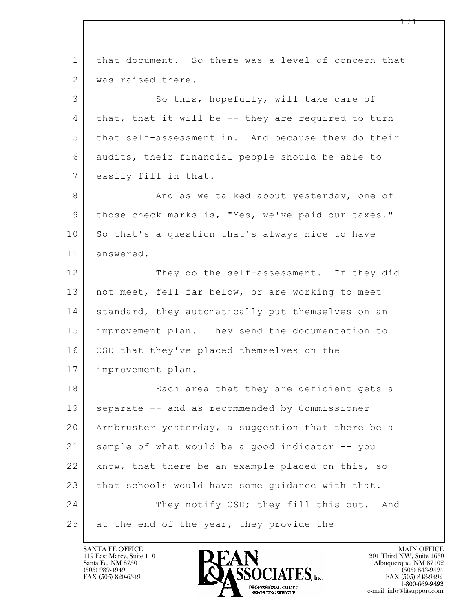| $\mathbf{1}$    | that document. So there was a level of concern that |
|-----------------|-----------------------------------------------------|
| $\mathbf{2}$    | was raised there.                                   |
| 3               | So this, hopefully, will take care of               |
| $\overline{4}$  | that, that it will be -- they are required to turn  |
| 5               | that self-assessment in. And because they do their  |
| 6               | audits, their financial people should be able to    |
| $7\overline{ }$ | easily fill in that.                                |
| 8               | And as we talked about yesterday, one of            |
| 9               | those check marks is, "Yes, we've paid our taxes."  |
| 10              | So that's a question that's always nice to have     |
| 11              | answered.                                           |
| 12              | They do the self-assessment. If they did            |
| 13              | not meet, fell far below, or are working to meet    |
| 14              | standard, they automatically put themselves on an   |
| 15              | improvement plan. They send the documentation to    |
| 16              | CSD that they've placed themselves on the           |
| 17              | improvement plan.                                   |
| 18              | Each area that they are deficient gets a            |
| 19              | separate -- and as recommended by Commissioner      |
| 20              | Armbruster yesterday, a suggestion that there be a  |
| 21              | sample of what would be a good indicator -- you     |
| 22              | know, that there be an example placed on this, so   |
| 23              | that schools would have some guidance with that.    |
| 24              | They notify CSD; they fill this out. And            |
| 25              | at the end of the year, they provide the            |

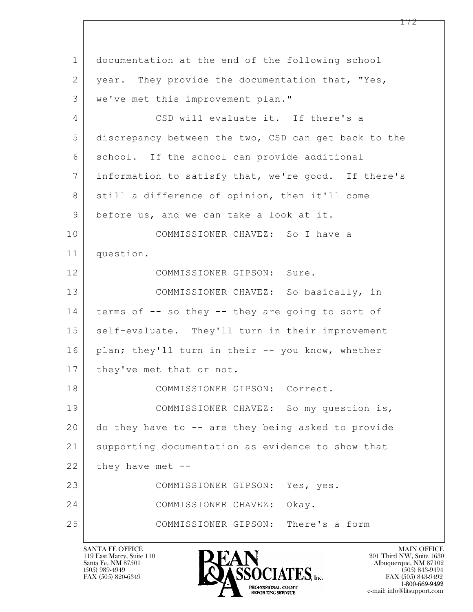$\mathbf{L}$  1 documentation at the end of the following school 2 | year. They provide the documentation that, "Yes, 3 we've met this improvement plan." 4 CSD will evaluate it. If there's a 5 discrepancy between the two, CSD can get back to the 6 school. If the school can provide additional 7 information to satisfy that, we're good. If there's 8 still a difference of opinion, then it'll come 9 before us, and we can take a look at it. 10 COMMISSIONER CHAVEZ: So I have a 11 question. 12 COMMISSIONER GIPSON: Sure. 13 COMMISSIONER CHAVEZ: So basically, in 14 terms of -- so they -- they are going to sort of 15 | self-evaluate. They'll turn in their improvement 16 | plan; they'll turn in their -- you know, whether 17 | they've met that or not. 18 COMMISSIONER GIPSON: Correct. 19 | COMMISSIONER CHAVEZ: So my question is, 20 do they have to -- are they being asked to provide 21 supporting documentation as evidence to show that  $22$  they have met  $-$ 23 COMMISSIONER GIPSON: Yes, yes. 24 COMMISSIONER CHAVEZ: Okay. 25 COMMISSIONER GIPSON: There's a form

119 East Marcy, Suite 110<br>Santa Fe, NM 87501

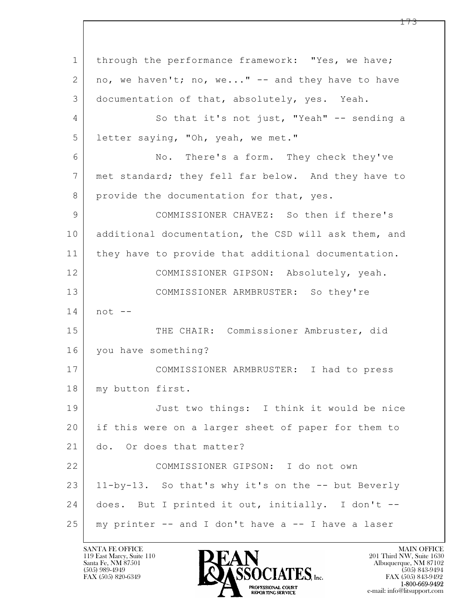$\mathbf{L}$  1 through the performance framework: "Yes, we have; 2 no, we haven't; no, we..." -- and they have to have 3 documentation of that, absolutely, yes. Yeah. 4 So that it's not just, "Yeah" -- sending a 5 letter saying, "Oh, yeah, we met." 6 No. There's a form. They check they've 7 met standard; they fell far below. And they have to 8 provide the documentation for that, yes. 9 COMMISSIONER CHAVEZ: So then if there's 10 additional documentation, the CSD will ask them, and 11 they have to provide that additional documentation. 12 COMMISSIONER GIPSON: Absolutely, yeah. 13 COMMISSIONER ARMBRUSTER: So they're  $14$  not  $-$ 15 | THE CHAIR: Commissioner Ambruster, did 16 you have something? 17 COMMISSIONER ARMBRUSTER: I had to press 18 | my button first. 19 Just two things: I think it would be nice 20 if this were on a larger sheet of paper for them to 21 do. Or does that matter? 22 COMMISSIONER GIPSON: I do not own 23 11-by-13. So that's why it's on the -- but Beverly 24 does. But I printed it out, initially. I don't -- 25 my printer -- and I don't have a -- I have a laser

119 East Marcy, Suite 110<br>Santa Fe, NM 87501

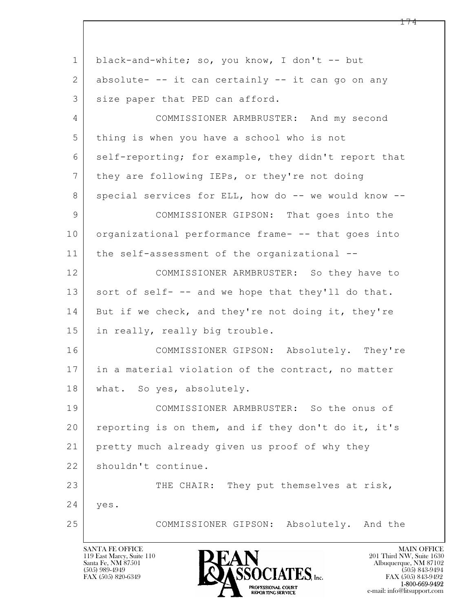$\mathbf{L}$  1 black-and-white; so, you know, I don't -- but 2 absolute- -- it can certainly -- it can go on any 3 size paper that PED can afford. 4 COMMISSIONER ARMBRUSTER: And my second 5 thing is when you have a school who is not 6 self-reporting; for example, they didn't report that 7 they are following IEPs, or they're not doing 8 special services for ELL, how do -- we would know --9 COMMISSIONER GIPSON: That goes into the 10 | organizational performance frame- -- that goes into 11 the self-assessment of the organizational -- 12 COMMISSIONER ARMBRUSTER: So they have to 13 sort of self- -- and we hope that they'll do that. 14 But if we check, and they're not doing it, they're 15 in really, really big trouble. 16 COMMISSIONER GIPSON: Absolutely. They're 17 in a material violation of the contract, no matter 18 | what. So yes, absolutely. 19 COMMISSIONER ARMBRUSTER: So the onus of 20 reporting is on them, and if they don't do it, it's 21 pretty much already given us proof of why they 22 | shouldn't continue. 23 THE CHAIR: They put themselves at risk, 24 yes. 25 COMMISSIONER GIPSON: Absolutely. And the

119 East Marcy, Suite 110<br>Santa Fe, NM 87501

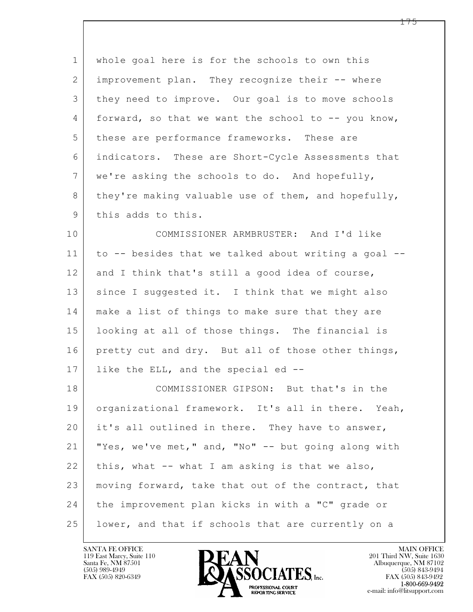| $\mathbf{1}$    | whole goal here is for the schools to own this       |
|-----------------|------------------------------------------------------|
| 2               | improvement plan. They recognize their -- where      |
| 3               | they need to improve. Our goal is to move schools    |
| 4               | forward, so that we want the school to -- you know,  |
| 5               | these are performance frameworks. These are          |
| 6               | indicators. These are Short-Cycle Assessments that   |
| $7\phantom{.0}$ | we're asking the schools to do. And hopefully,       |
| 8               | they're making valuable use of them, and hopefully,  |
| 9               | this adds to this.                                   |
| 10              | COMMISSIONER ARMBRUSTER: And I'd like                |
| 11              | to -- besides that we talked about writing a goal -- |
| 12              | and I think that's still a good idea of course,      |
| 13              | since I suggested it. I think that we might also     |
| 14              | make a list of things to make sure that they are     |
| 15              | looking at all of those things. The financial is     |
| 16              | pretty cut and dry. But all of those other things,   |
| 17              | like the ELL, and the special ed --                  |
| 18              | COMMISSIONER GIPSON: But that's in the               |
| 19              | organizational framework. It's all in there. Yeah,   |
| 20              | it's all outlined in there. They have to answer,     |
| 21              | "Yes, we've met," and, "No" -- but going along with  |
| 22              | this, what -- what I am asking is that we also,      |
| 23              | moving forward, take that out of the contract, that  |
| 24              | the improvement plan kicks in with a "C" grade or    |
| 25              | lower, and that if schools that are currently on a   |

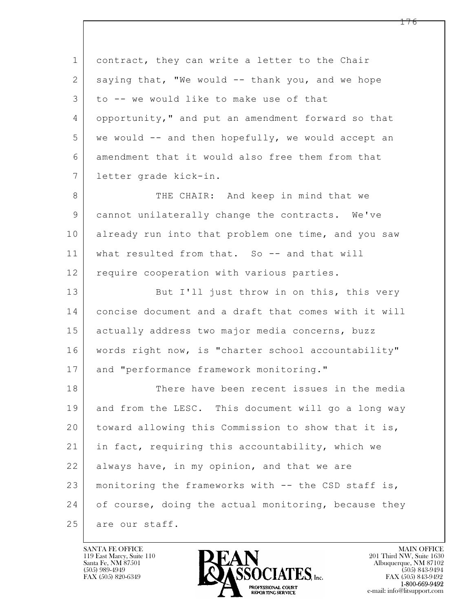| $\mathbf{1}$ | contract, they can write a letter to the Chair       |
|--------------|------------------------------------------------------|
| 2            | saying that, "We would -- thank you, and we hope     |
| 3            | to -- we would like to make use of that              |
| 4            | opportunity," and put an amendment forward so that   |
| 5            | we would -- and then hopefully, we would accept an   |
| 6            | amendment that it would also free them from that     |
| 7            | letter grade kick-in.                                |
| 8            | THE CHAIR: And keep in mind that we                  |
| 9            | cannot unilaterally change the contracts. We've      |
| 10           | already run into that problem one time, and you saw  |
| 11           | what resulted from that. So -- and that will         |
| 12           | require cooperation with various parties.            |
| 13           | But I'll just throw in on this, this very            |
| 14           | concise document and a draft that comes with it will |
| 15           | actually address two major media concerns, buzz      |
| 16           | words right now, is "charter school accountability"  |
| 17           | and "performance framework monitoring."              |
| 18           | There have been recent issues in the media           |
| 19           | and from the LESC. This document will go a long way  |
| 20           | toward allowing this Commission to show that it is,  |
| 21           | in fact, requiring this accountability, which we     |
| 22           | always have, in my opinion, and that we are          |
| 23           | monitoring the frameworks with -- the CSD staff is,  |
| 24           | of course, doing the actual monitoring, because they |
| 25           | are our staff.                                       |

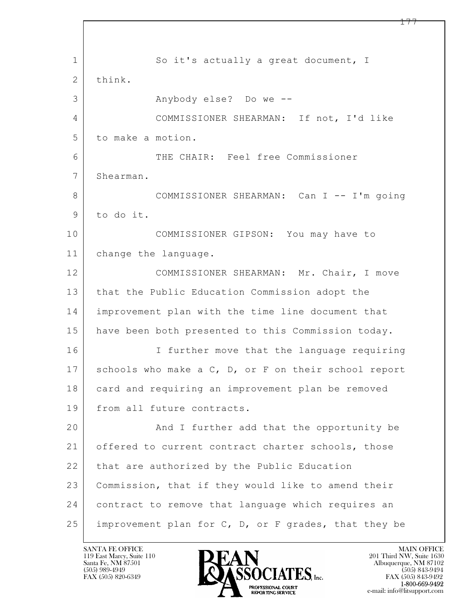$\mathbf{L}$  1 So it's actually a great document, I 2 think. 3 Anybody else? Do we --4 COMMISSIONER SHEARMAN: If not, I'd like 5 to make a motion. 6 THE CHAIR: Feel free Commissioner 7 Shearman. 8 COMMISSIONER SHEARMAN: Can I -- I'm going 9 to do it. 10 COMMISSIONER GIPSON: You may have to 11 change the language. 12 COMMISSIONER SHEARMAN: Mr. Chair, I move 13 | that the Public Education Commission adopt the 14 improvement plan with the time line document that 15 | have been both presented to this Commission today. 16 I further move that the language requiring 17 | schools who make a C, D, or F on their school report 18 card and requiring an improvement plan be removed 19 from all future contracts. 20 | And I further add that the opportunity be 21 offered to current contract charter schools, those 22 | that are authorized by the Public Education 23 Commission, that if they would like to amend their 24 contract to remove that language which requires an 25 improvement plan for C, D, or F grades, that they be

119 East Marcy, Suite 110<br>Santa Fe, NM 87501

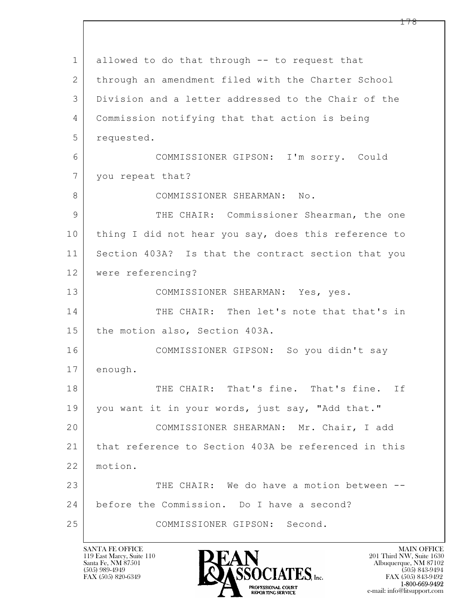$\mathbf{L}$  1 allowed to do that through -- to request that 2 | through an amendment filed with the Charter School 3 Division and a letter addressed to the Chair of the 4 Commission notifying that that action is being 5 requested. 6 COMMISSIONER GIPSON: I'm sorry. Could 7 | you repeat that? 8 COMMISSIONER SHEARMAN: No. 9 THE CHAIR: Commissioner Shearman, the one 10 thing I did not hear you say, does this reference to 11 Section 403A? Is that the contract section that you 12 were referencing? 13 COMMISSIONER SHEARMAN: Yes, yes. 14 THE CHAIR: Then let's note that that's in 15 the motion also, Section 403A. 16 COMMISSIONER GIPSON: So you didn't say 17 enough. 18 THE CHAIR: That's fine. That's fine. If 19 you want it in your words, just say, "Add that." 20 COMMISSIONER SHEARMAN: Mr. Chair, I add 21 that reference to Section 403A be referenced in this 22 motion. 23 THE CHAIR: We do have a motion between --24 before the Commission. Do I have a second? 25 COMMISSIONER GIPSON: Second.

119 East Marcy, Suite 110<br>Santa Fe, NM 87501

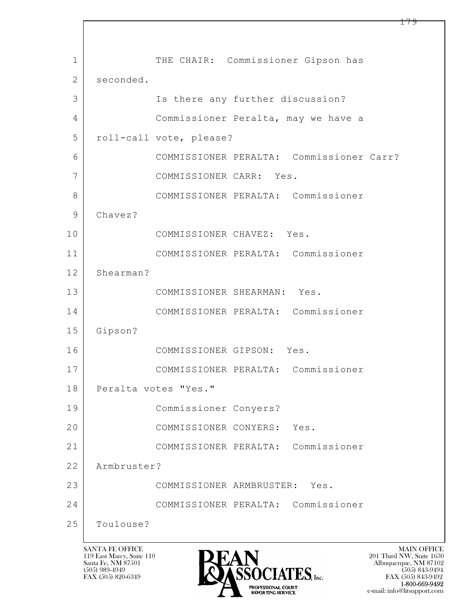$\mathbf{L}$  1 | THE CHAIR: Commissioner Gipson has 2 seconded. 3 | Is there any further discussion? 4 Commissioner Peralta, may we have a 5 roll-call vote, please? 6 COMMISSIONER PERALTA: Commissioner Carr? 7 COMMISSIONER CARR: Yes. 8 COMMISSIONER PERALTA: Commissioner 9 Chavez? 10 COMMISSIONER CHAVEZ: Yes. 11 COMMISSIONER PERALTA: Commissioner 12 Shearman? 13 COMMISSIONER SHEARMAN: Yes. 14 COMMISSIONER PERALTA: Commissioner 15 Gipson? 16 COMMISSIONER GIPSON: Yes. 17 COMMISSIONER PERALTA: Commissioner 18 | Peralta votes "Yes." 19 Commissioner Conyers? 20 COMMISSIONER CONYERS: Yes. 21 COMMISSIONER PERALTA: Commissioner 22 Armbruster? 23 COMMISSIONER ARMBRUSTER: Yes. 24 COMMISSIONER PERALTA: Commissioner 25 Toulouse?

119 East Marcy, Suite 110<br>Santa Fe, NM 87501



 $FAX (505) 843-9492$ <br>1-800-669-9492 e-mail: info@litsupport.com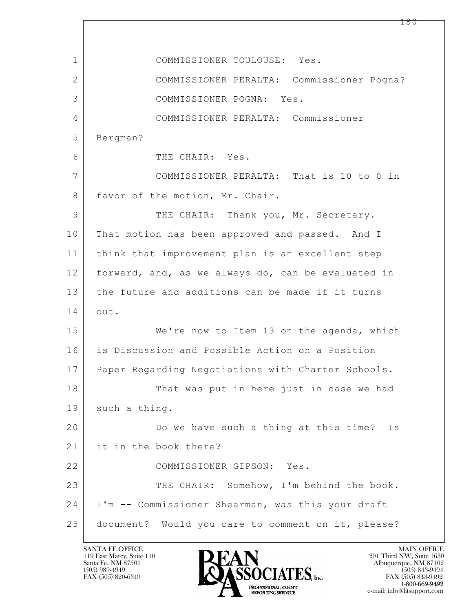$\mathbf{L}$  1 COMMISSIONER TOULOUSE: Yes. 2 COMMISSIONER PERALTA: Commissioner Pogna? 3 COMMISSIONER POGNA: Yes. 4 COMMISSIONER PERALTA: Commissioner 5 Bergman? 6 THE CHAIR: Yes. 7 COMMISSIONER PERALTA: That is 10 to 0 in 8 favor of the motion, Mr. Chair. 9 THE CHAIR: Thank you, Mr. Secretary. 10 That motion has been approved and passed. And I 11 think that improvement plan is an excellent step 12 forward, and, as we always do, can be evaluated in 13 the future and additions can be made if it turns 14 out. 15 | We're now to Item 13 on the agenda, which 16 is Discussion and Possible Action on a Position 17 Paper Regarding Negotiations with Charter Schools. 18 That was put in here just in case we had 19 such a thing. 20 Do we have such a thing at this time? Is 21 it in the book there? 22 COMMISSIONER GIPSON: Yes. 23 THE CHAIR: Somehow, I'm behind the book. 24 I'm -- Commissioner Shearman, was this your draft 25 document? Would you care to comment on it, please?

119 East Marcy, Suite 110<br>Santa Fe, NM 87501



FAX (505) 843-9492 e-mail: info@litsupport.com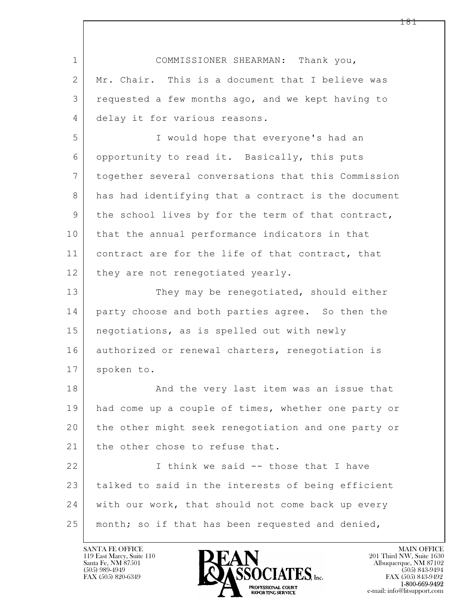| $\mathbf 1$    | COMMISSIONER SHEARMAN: Thank you,                   |  |  |
|----------------|-----------------------------------------------------|--|--|
| $\overline{2}$ | Mr. Chair. This is a document that I believe was    |  |  |
| 3              | requested a few months ago, and we kept having to   |  |  |
| 4              | delay it for various reasons.                       |  |  |
| 5              | I would hope that everyone's had an                 |  |  |
| 6              | opportunity to read it. Basically, this puts        |  |  |
| $\overline{7}$ | together several conversations that this Commission |  |  |
| 8              | has had identifying that a contract is the document |  |  |
| 9              | the school lives by for the term of that contract,  |  |  |
| 10             | that the annual performance indicators in that      |  |  |
| 11             | contract are for the life of that contract, that    |  |  |
| 12             | they are not renegotiated yearly.                   |  |  |
| 13             | They may be renegotiated, should either             |  |  |
| 14             | party choose and both parties agree. So then the    |  |  |
| 15             | negotiations, as is spelled out with newly          |  |  |
| 16             | authorized or renewal charters, renegotiation is    |  |  |
| 17             | spoken to.                                          |  |  |
| 18             | And the very last item was an issue that            |  |  |
| 19             | had come up a couple of times, whether one party or |  |  |
| 20             | the other might seek renegotiation and one party or |  |  |
| 21             | the other chose to refuse that.                     |  |  |
| 22             | I think we said -- those that I have                |  |  |
| 23             | talked to said in the interests of being efficient  |  |  |
| 24             | with our work, that should not come back up every   |  |  |
| 25             | month; so if that has been requested and denied,    |  |  |

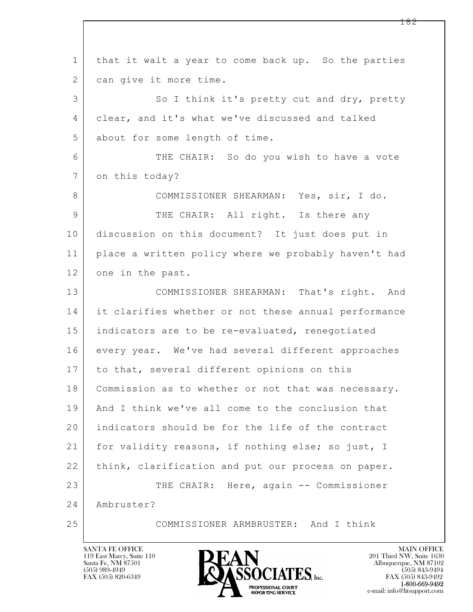$\mathbf{L}$  1 that it wait a year to come back up. So the parties 2 | can give it more time. 3 So I think it's pretty cut and dry, pretty 4 clear, and it's what we've discussed and talked 5 about for some length of time. 6 THE CHAIR: So do you wish to have a vote 7 on this today? 8 COMMISSIONER SHEARMAN: Yes, sir, I do. 9 THE CHAIR: All right. Is there any 10 discussion on this document? It just does put in 11 place a written policy where we probably haven't had 12 one in the past. 13 COMMISSIONER SHEARMAN: That's right. And 14 it clarifies whether or not these annual performance 15 indicators are to be re-evaluated, renegotiated 16 every year. We've had several different approaches 17 to that, several different opinions on this 18 | Commission as to whether or not that was necessary. 19 And I think we've all come to the conclusion that 20 indicators should be for the life of the contract 21 for validity reasons, if nothing else; so just, I 22 think, clarification and put our process on paper. 23 THE CHAIR: Here, again -- Commissioner 24 Ambruster? 25 COMMISSIONER ARMBRUSTER: And I think

119 East Marcy, Suite 110<br>Santa Fe, NM 87501

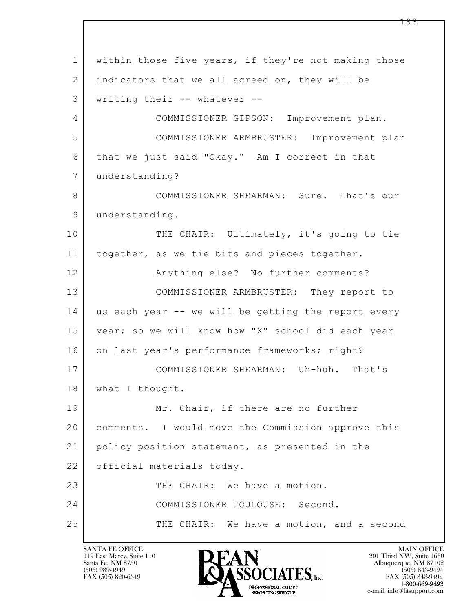$\mathbf{L}$  1 within those five years, if they're not making those 2 | indicators that we all agreed on, they will be 3 writing their -- whatever -- 4 COMMISSIONER GIPSON: Improvement plan. 5 COMMISSIONER ARMBRUSTER: Improvement plan 6 that we just said "Okay." Am I correct in that 7 understanding? 8 COMMISSIONER SHEARMAN: Sure. That's our 9 understanding. 10 THE CHAIR: Ultimately, it's going to tie 11 | together, as we tie bits and pieces together. 12 | Anything else? No further comments? 13 COMMISSIONER ARMBRUSTER: They report to 14 us each year -- we will be getting the report every 15 year; so we will know how "X" school did each year 16 | on last year's performance frameworks; right? 17 COMMISSIONER SHEARMAN: Uh-huh. That's 18 | what I thought. 19 Mr. Chair, if there are no further 20 comments. I would move the Commission approve this 21 policy position statement, as presented in the 22 | official materials today. 23 THE CHAIR: We have a motion. 24 COMMISSIONER TOULOUSE: Second. 25 THE CHAIR: We have a motion, and a second

119 East Marcy, Suite 110<br>Santa Fe, NM 87501

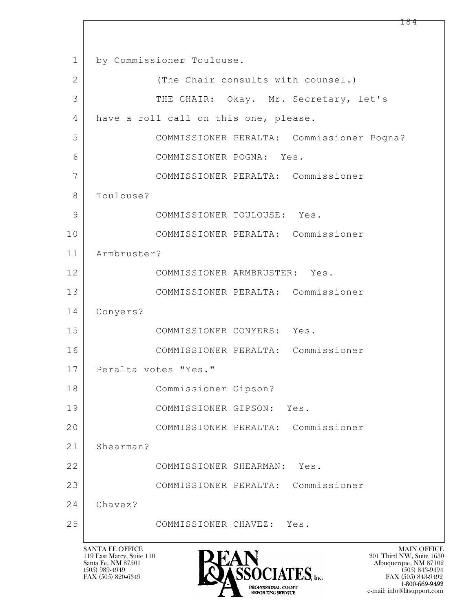$\mathbf{L}$  1 by Commissioner Toulouse. 2 (The Chair consults with counsel.) 3 THE CHAIR: Okay. Mr. Secretary, let's 4 have a roll call on this one, please. 5 COMMISSIONER PERALTA: Commissioner Pogna? 6 COMMISSIONER POGNA: Yes. 7 COMMISSIONER PERALTA: Commissioner 8 | Toulouse? 9 COMMISSIONER TOULOUSE: Yes. 10 COMMISSIONER PERALTA: Commissioner 11 Armbruster? 12 COMMISSIONER ARMBRUSTER: Yes. 13 COMMISSIONER PERALTA: Commissioner 14 Conyers? 15 COMMISSIONER CONYERS: Yes. 16 COMMISSIONER PERALTA: Commissioner 17 | Peralta votes "Yes." 18 Commissioner Gipson? 19 COMMISSIONER GIPSON: Yes. 20 COMMISSIONER PERALTA: Commissioner 21 Shearman? 22 COMMISSIONER SHEARMAN: Yes. 23 COMMISSIONER PERALTA: Commissioner 24 Chavez? 25 COMMISSIONER CHAVEZ: Yes.

119 East Marcy, Suite 110<br>Santa Fe, NM 87501



 $FAX (505) 843-9492$ <br>1-800-669-9492 e-mail: info@litsupport.com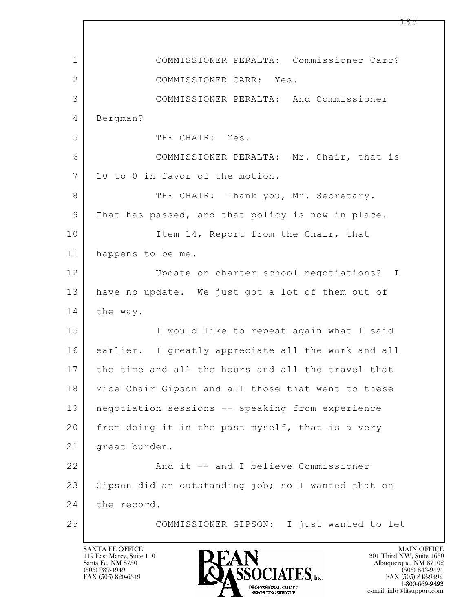$\mathbf{L}$  1 COMMISSIONER PERALTA: Commissioner Carr? 2 COMMISSIONER CARR: Yes. 3 COMMISSIONER PERALTA: And Commissioner 4 Bergman? 5 THE CHAIR: Yes. 6 COMMISSIONER PERALTA: Mr. Chair, that is 7 10 to 0 in favor of the motion. 8 THE CHAIR: Thank you, Mr. Secretary. 9 That has passed, and that policy is now in place. 10 Item 14, Report from the Chair, that 11 happens to be me. 12 Update on charter school negotiations? I 13 have no update. We just got a lot of them out of 14 the way. 15 | I would like to repeat again what I said 16 earlier. I greatly appreciate all the work and all 17 the time and all the hours and all the travel that 18 Vice Chair Gipson and all those that went to these 19 negotiation sessions -- speaking from experience 20 from doing it in the past myself, that is a very 21 great burden. 22 And it -- and I believe Commissioner 23 Gipson did an outstanding job; so I wanted that on 24 the record. 25 COMMISSIONER GIPSON: I just wanted to let

119 East Marcy, Suite 110<br>Santa Fe, NM 87501



FAX (505) 843-9492 e-mail: info@litsupport.com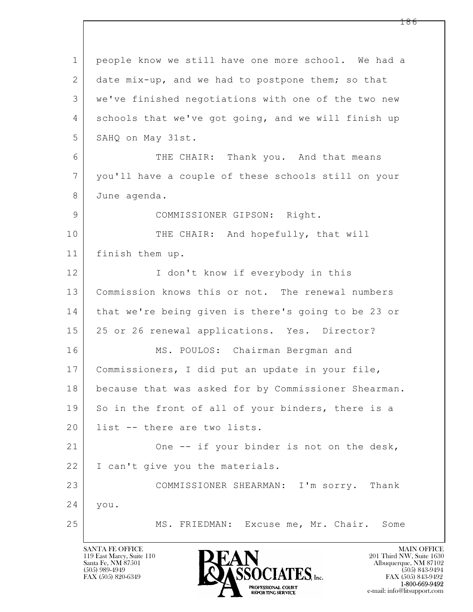| $\mathbf 1$    | people know we still have one more school. We had a  |  |  |
|----------------|------------------------------------------------------|--|--|
| 2              | date mix-up, and we had to postpone them; so that    |  |  |
| 3              | we've finished negotiations with one of the two new  |  |  |
| 4              | schools that we've got going, and we will finish up  |  |  |
| 5              | SAHQ on May 31st.                                    |  |  |
| 6              | THE CHAIR: Thank you. And that means                 |  |  |
| $\overline{7}$ | you'll have a couple of these schools still on your  |  |  |
| 8              | June agenda.                                         |  |  |
| 9              | COMMISSIONER GIPSON: Right.                          |  |  |
| 10             | THE CHAIR: And hopefully, that will                  |  |  |
| 11             | finish them up.                                      |  |  |
| 12             | I don't know if everybody in this                    |  |  |
| 13             | Commission knows this or not. The renewal numbers    |  |  |
| 14             | that we're being given is there's going to be 23 or  |  |  |
| 15             | 25 or 26 renewal applications. Yes. Director?        |  |  |
| 16             | MS. POULOS: Chairman Bergman and                     |  |  |
| 17             | Commissioners, I did put an update in your file,     |  |  |
| 18             | because that was asked for by Commissioner Shearman. |  |  |
| 19             | So in the front of all of your binders, there is a   |  |  |
| 20             | list -- there are two lists.                         |  |  |
| 21             | One -- if your binder is not on the desk,            |  |  |
| 22             | I can't give you the materials.                      |  |  |
| 23             | COMMISSIONER SHEARMAN: I'm sorry. Thank              |  |  |
| 24             | you.                                                 |  |  |
| 25             | MS. FRIEDMAN: Excuse me, Mr. Chair.<br>Some          |  |  |

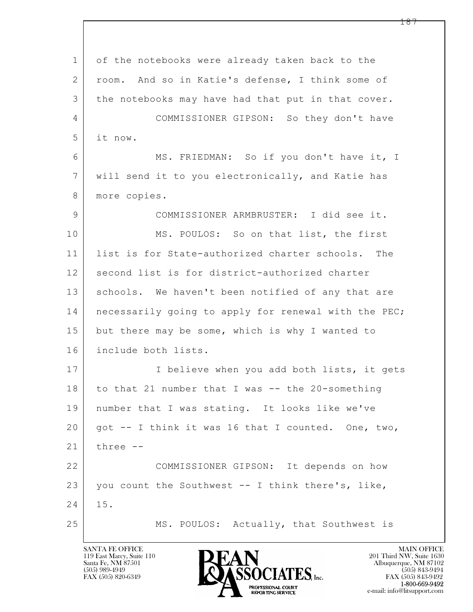$\mathbf{L}$  1 of the notebooks were already taken back to the 2 | room. And so in Katie's defense, I think some of 3 the notebooks may have had that put in that cover. 4 COMMISSIONER GIPSON: So they don't have 5 it now. 6 MS. FRIEDMAN: So if you don't have it, I 7 will send it to you electronically, and Katie has 8 more copies. 9 COMMISSIONER ARMBRUSTER: I did see it. 10 MS. POULOS: So on that list, the first 11 list is for State-authorized charter schools. The 12 second list is for district-authorized charter 13 | schools. We haven't been notified of any that are 14 | necessarily going to apply for renewal with the PEC; 15 but there may be some, which is why I wanted to 16 include both lists. 17 | Thelieve when you add both lists, it gets 18 to that 21 number that I was -- the 20-something 19 number that I was stating. It looks like we've 20 | got -- I think it was 16 that I counted. One, two,  $21$  three  $-$ 22 COMMISSIONER GIPSON: It depends on how 23 you count the Southwest  $-$  I think there's, like, 24 15. 25 | MS. POULOS: Actually, that Southwest is

119 East Marcy, Suite 110<br>Santa Fe, NM 87501



FAX (505) 843-9492 e-mail: info@litsupport.com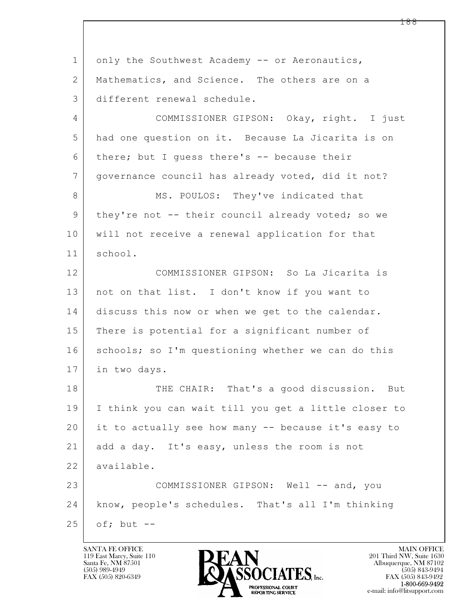$\mathbf{L}$  1 only the Southwest Academy -- or Aeronautics, 2 | Mathematics, and Science. The others are on a 3 different renewal schedule. 4 COMMISSIONER GIPSON: Okay, right. I just 5 had one question on it. Because La Jicarita is on 6 there; but I guess there's  $-$  because their 7 governance council has already voted, did it not? 8 MS. POULOS: They've indicated that 9 | they're not -- their council already voted; so we 10 will not receive a renewal application for that 11 school. 12 COMMISSIONER GIPSON: So La Jicarita is 13 not on that list. I don't know if you want to 14 discuss this now or when we get to the calendar. 15 There is potential for a significant number of 16 | schools; so I'm questioning whether we can do this 17 in two days. 18 THE CHAIR: That's a good discussion. But 19 I think you can wait till you get a little closer to 20 it to actually see how many -- because it's easy to 21 add a day. It's easy, unless the room is not 22 available. 23 COMMISSIONER GIPSON: Well -- and, you 24 know, people's schedules. That's all I'm thinking  $25$  of; but  $-$ 

119 East Marcy, Suite 110<br>Santa Fe, NM 87501

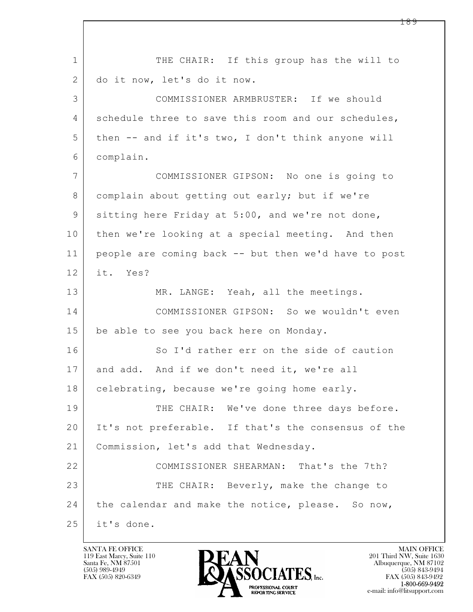$\mathbf{L}$  1 THE CHAIR: If this group has the will to 2 do it now, let's do it now. 3 COMMISSIONER ARMBRUSTER: If we should 4 schedule three to save this room and our schedules, 5 then -- and if it's two, I don't think anyone will 6 complain. 7 COMMISSIONER GIPSON: No one is going to 8 complain about getting out early; but if we're 9 sitting here Friday at 5:00, and we're not done, 10 then we're looking at a special meeting. And then 11 people are coming back -- but then we'd have to post 12 it. Yes? 13 MR. LANGE: Yeah, all the meetings. 14 COMMISSIONER GIPSON: So we wouldn't even 15 | be able to see you back here on Monday. 16 So I'd rather err on the side of caution 17 and add. And if we don't need it, we're all 18 | celebrating, because we're going home early. 19 THE CHAIR: We've done three days before. 20 It's not preferable. If that's the consensus of the 21 Commission, let's add that Wednesday. 22 COMMISSIONER SHEARMAN: That's the 7th? 23 THE CHAIR: Beverly, make the change to 24 the calendar and make the notice, please. So now, 25 it's done.

119 East Marcy, Suite 110<br>Santa Fe, NM 87501



FAX (505) 843-9492 e-mail: info@litsupport.com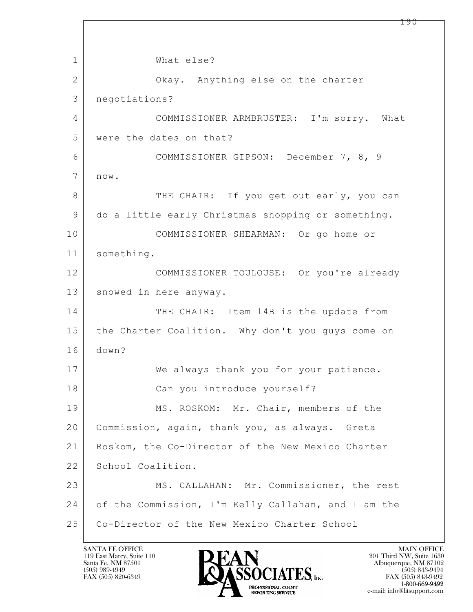$\mathbf{L}$  1 What else? 2 Okay. Anything else on the charter 3 negotiations? 4 COMMISSIONER ARMBRUSTER: I'm sorry. What 5 were the dates on that? 6 COMMISSIONER GIPSON: December 7, 8, 9 7 now. 8 THE CHAIR: If you get out early, you can 9 do a little early Christmas shopping or something. 10 COMMISSIONER SHEARMAN: Or go home or 11 something. 12 COMMISSIONER TOULOUSE: Or you're already 13 | snowed in here anyway. 14 THE CHAIR: Item 14B is the update from 15 | the Charter Coalition. Why don't you guys come on 16 down? 17 | We always thank you for your patience. 18 Can you introduce yourself? 19 MS. ROSKOM: Mr. Chair, members of the 20 Commission, again, thank you, as always. Greta 21 Roskom, the Co-Director of the New Mexico Charter 22 School Coalition. 23 MS. CALLAHAN: Mr. Commissioner, the rest 24 of the Commission, I'm Kelly Callahan, and I am the 25 Co-Director of the New Mexico Charter School

119 East Marcy, Suite 110<br>Santa Fe, NM 87501

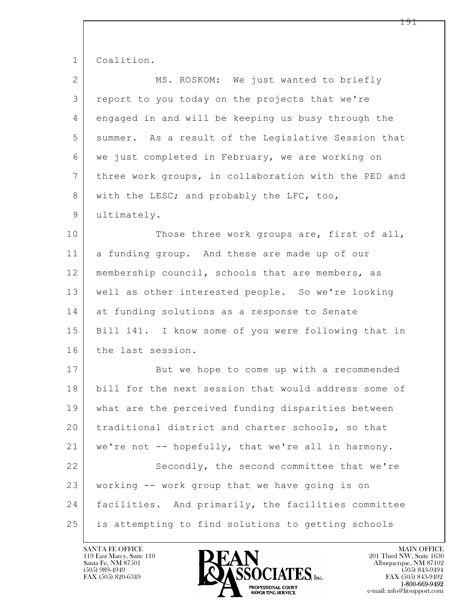| $\mathbf{1}$    | Coalition.                                           |  |
|-----------------|------------------------------------------------------|--|
| 2               | MS. ROSKOM: We just wanted to briefly                |  |
| 3               | report to you today on the projects that we're       |  |
| 4               | engaged in and will be keeping us busy through the   |  |
| 5               | summer. As a result of the Legislative Session that  |  |
| 6               | we just completed in February, we are working on     |  |
| $7\phantom{.0}$ | three work groups, in collaboration with the PED and |  |
| 8               | with the LESC; and probably the LFC, too,            |  |
| 9               | ultimately.                                          |  |
| 10              | Those three work groups are, first of all,           |  |
| 11              | a funding group. And these are made up of our        |  |
| 12              | membership council, schools that are members, as     |  |
| 13              | well as other interested people. So we're looking    |  |
| 14              | at funding solutions as a response to Senate         |  |
| 15              | Bill 141. I know some of you were following that in  |  |
| 16              | the last session.                                    |  |
| 17              | But we hope to come up with a recommended            |  |
| 18              | bill for the next session that would address some of |  |
| 19              | what are the perceived funding disparities between   |  |
| 20              | traditional district and charter schools, so that    |  |
| 21              | we're not -- hopefully, that we're all in harmony.   |  |
| 22              | Secondly, the second committee that we're            |  |
| 23              | working -- work group that we have going is on       |  |
| 24              | facilities. And primarily, the facilities committee  |  |
| 25              | is attempting to find solutions to getting schools   |  |

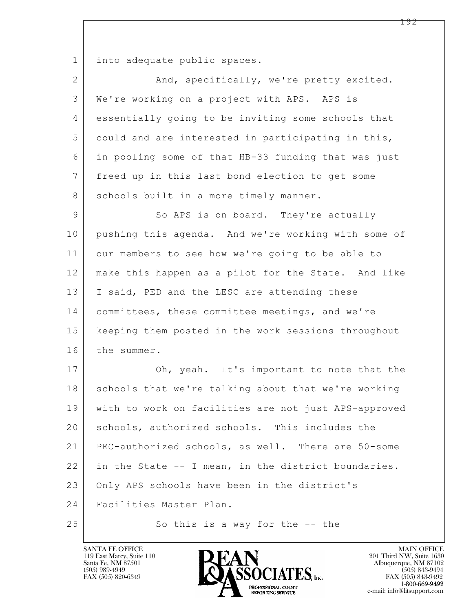1 into adequate public spaces.

| $\overline{2}$  | And, specifically, we're pretty excited.             |  |
|-----------------|------------------------------------------------------|--|
| 3               | We're working on a project with APS. APS is          |  |
| 4               | essentially going to be inviting some schools that   |  |
| 5               | could and are interested in participating in this,   |  |
| 6               | in pooling some of that HB-33 funding that was just  |  |
| $7\phantom{.0}$ | freed up in this last bond election to get some      |  |
| 8               | schools built in a more timely manner.               |  |
| $\mathsf 9$     | So APS is on board. They're actually                 |  |
| 10              | pushing this agenda. And we're working with some of  |  |
| 11              | our members to see how we're going to be able to     |  |
| 12              | make this happen as a pilot for the State. And like  |  |
| 13              | I said, PED and the LESC are attending these         |  |
| 14              | committees, these committee meetings, and we're      |  |
| 15              | keeping them posted in the work sessions throughout  |  |
| 16              | the summer.                                          |  |
| 17              | Oh, yeah. It's important to note that the            |  |
| 18              | schools that we're talking about that we're working  |  |
| 19              | with to work on facilities are not just APS-approved |  |
| 20              | schools, authorized schools. This includes the       |  |
| 21              | PEC-authorized schools, as well. There are 50-some   |  |
| 22              | in the State -- I mean, in the district boundaries.  |  |
| 23              | Only APS schools have been in the district's         |  |
| 24              | Facilities Master Plan.                              |  |
| 25              | So this is a way for the $-$ - the                   |  |

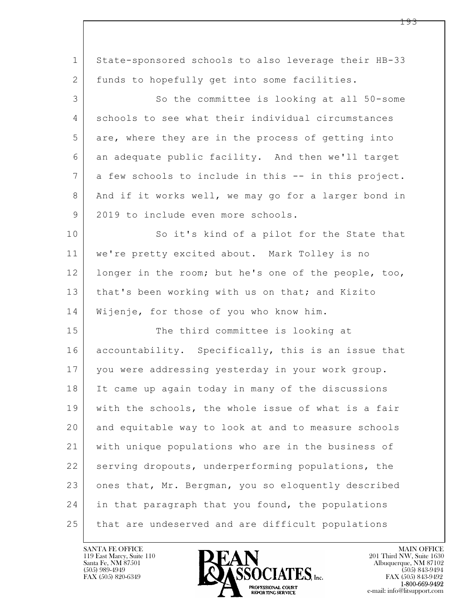| $\mathbf 1$    | State-sponsored schools to also leverage their HB-33 |  |
|----------------|------------------------------------------------------|--|
| 2              | funds to hopefully get into some facilities.         |  |
| 3              | So the committee is looking at all 50-some           |  |
| 4              | schools to see what their individual circumstances   |  |
| 5              | are, where they are in the process of getting into   |  |
| 6              | an adequate public facility. And then we'll target   |  |
| $7\phantom{.}$ | a few schools to include in this -- in this project. |  |
| 8              | And if it works well, we may go for a larger bond in |  |
| 9              | 2019 to include even more schools.                   |  |
| 10             | So it's kind of a pilot for the State that           |  |
| 11             | we're pretty excited about. Mark Tolley is no        |  |
| 12             | longer in the room; but he's one of the people, too, |  |
| 13             | that's been working with us on that; and Kizito      |  |
| 14             | Wijenje, for those of you who know him.              |  |
| 15             | The third committee is looking at                    |  |
| 16             | accountability. Specifically, this is an issue that  |  |
| 17             | you were addressing yesterday in your work group.    |  |
| 18             | It came up again today in many of the discussions    |  |
| 19             | with the schools, the whole issue of what is a fair  |  |
| 20             | and equitable way to look at and to measure schools  |  |
| 21             | with unique populations who are in the business of   |  |
| 22             | serving dropouts, underperforming populations, the   |  |
| 23             | ones that, Mr. Bergman, you so eloquently described  |  |
| 24             | in that paragraph that you found, the populations    |  |
| 25             | that are undeserved and are difficult populations    |  |

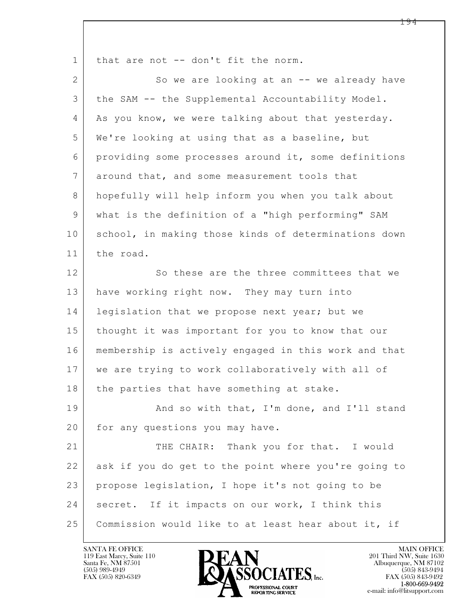| $\mathbf 1$    | that are not -- don't fit the norm.                  |  |
|----------------|------------------------------------------------------|--|
| $\overline{2}$ | So we are looking at an -- we already have           |  |
| 3              | the SAM -- the Supplemental Accountability Model.    |  |
| 4              | As you know, we were talking about that yesterday.   |  |
| 5              | We're looking at using that as a baseline, but       |  |
| 6              | providing some processes around it, some definitions |  |
| 7              | around that, and some measurement tools that         |  |
| 8              | hopefully will help inform you when you talk about   |  |
| 9              | what is the definition of a "high performing" SAM    |  |
| 10             | school, in making those kinds of determinations down |  |
| 11             | the road.                                            |  |
| 12             | So these are the three committees that we            |  |
| 13             | have working right now. They may turn into           |  |
| 14             | legislation that we propose next year; but we        |  |
| 15             | thought it was important for you to know that our    |  |
| 16             | membership is actively engaged in this work and that |  |
| 17             | we are trying to work collaboratively with all of    |  |
| 18             | the parties that have something at stake.            |  |
| 19             | And so with that, I'm done, and I'll stand           |  |
| 20             | for any questions you may have.                      |  |
| 21             | THE CHAIR: Thank you for that. I would               |  |
| 22             | ask if you do get to the point where you're going to |  |
| 23             | propose legislation, I hope it's not going to be     |  |
| 24             | secret. If it impacts on our work, I think this      |  |
| 25             | Commission would like to at least hear about it, if  |  |

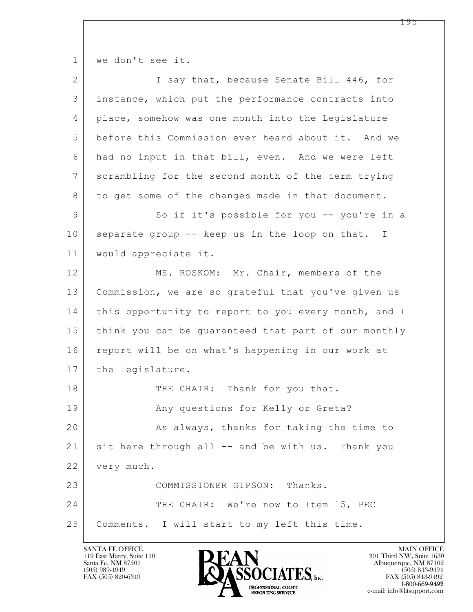1 | we don't see it.

| $\overline{2}$ | I say that, because Senate Bill 446, for             |  |  |  |
|----------------|------------------------------------------------------|--|--|--|
| 3              | instance, which put the performance contracts into   |  |  |  |
| 4              | place, somehow was one month into the Legislature    |  |  |  |
| 5              | before this Commission ever heard about it. And we   |  |  |  |
| 6              | had no input in that bill, even. And we were left    |  |  |  |
| $\overline{7}$ | scrambling for the second month of the term trying   |  |  |  |
| 8              | to get some of the changes made in that document.    |  |  |  |
| 9              | So if it's possible for you -- you're in a           |  |  |  |
| 10             | separate group -- keep us in the loop on that. I     |  |  |  |
| 11             | would appreciate it.                                 |  |  |  |
| 12             | MS. ROSKOM: Mr. Chair, members of the                |  |  |  |
| 13             | Commission, we are so grateful that you've given us  |  |  |  |
| 14             | this opportunity to report to you every month, and I |  |  |  |
| 15             | think you can be quaranteed that part of our monthly |  |  |  |
| 16             | report will be on what's happening in our work at    |  |  |  |
| 17             | the Legislature.                                     |  |  |  |
| 18             | THE CHAIR: Thank for you that.                       |  |  |  |
| 19             | Any questions for Kelly or Greta?                    |  |  |  |
| 20             | As always, thanks for taking the time to             |  |  |  |
| 21             | sit here through all -- and be with us. Thank you    |  |  |  |
| 22             | very much.                                           |  |  |  |
| 23             | COMMISSIONER GIPSON: Thanks.                         |  |  |  |
| 24             | THE CHAIR: We're now to Item 15, PEC                 |  |  |  |
| 25             | Comments. I will start to my left this time.         |  |  |  |

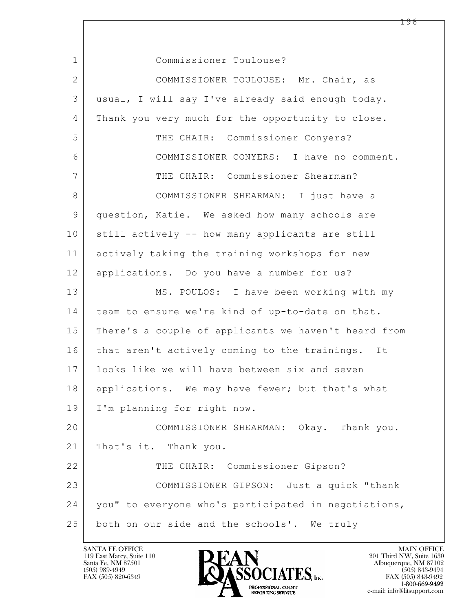$\mathbf{L}$  1 Commissioner Toulouse? 2 COMMISSIONER TOULOUSE: Mr. Chair, as 3 usual, I will say I've already said enough today. 4 Thank you very much for the opportunity to close. 5 THE CHAIR: Commissioner Conyers? 6 COMMISSIONER CONYERS: I have no comment. 7 THE CHAIR: Commissioner Shearman? 8 COMMISSIONER SHEARMAN: I just have a 9 question, Katie. We asked how many schools are 10 still actively -- how many applicants are still 11 actively taking the training workshops for new 12 applications. Do you have a number for us? 13 MS. POULOS: I have been working with my 14 team to ensure we're kind of up-to-date on that. 15 | There's a couple of applicants we haven't heard from 16 that aren't actively coming to the trainings. It 17 looks like we will have between six and seven 18 applications. We may have fewer; but that's what 19 I'm planning for right now. 20 COMMISSIONER SHEARMAN: Okay. Thank you. 21 | That's it. Thank you. 22 THE CHAIR: Commissioner Gipson? 23 COMMISSIONER GIPSON: Just a quick "thank 24 you" to everyone who's participated in negotiations, 25 both on our side and the schools'. We truly

119 East Marcy, Suite 110<br>Santa Fe, NM 87501

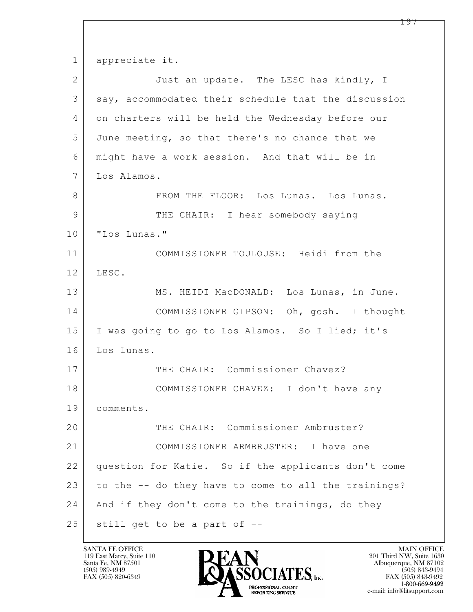$\mathbf{L}$  1 appreciate it. 2 Just an update. The LESC has kindly, I 3 say, accommodated their schedule that the discussion 4 on charters will be held the Wednesday before our 5 June meeting, so that there's no chance that we 6 might have a work session. And that will be in 7 Los Alamos. 8 FROM THE FLOOR: Los Lunas. Los Lunas. 9 THE CHAIR: I hear somebody saying 10 | "Los Lunas." 11 COMMISSIONER TOULOUSE: Heidi from the 12 LESC. 13 | MS. HEIDI MacDONALD: Los Lunas, in June. 14 COMMISSIONER GIPSON: Oh, gosh. I thought 15 I was going to go to Los Alamos. So I lied; it's 16 Los Lunas. 17 THE CHAIR: Commissioner Chavez? 18 COMMISSIONER CHAVEZ: I don't have any 19 comments. 20 THE CHAIR: Commissioner Ambruster? 21 COMMISSIONER ARMBRUSTER: I have one 22 question for Katie. So if the applicants don't come 23 to the  $-$  do they have to come to all the trainings? 24 | And if they don't come to the trainings, do they  $25$  still get to be a part of  $-$ 

119 East Marcy, Suite 110<br>Santa Fe, NM 87501

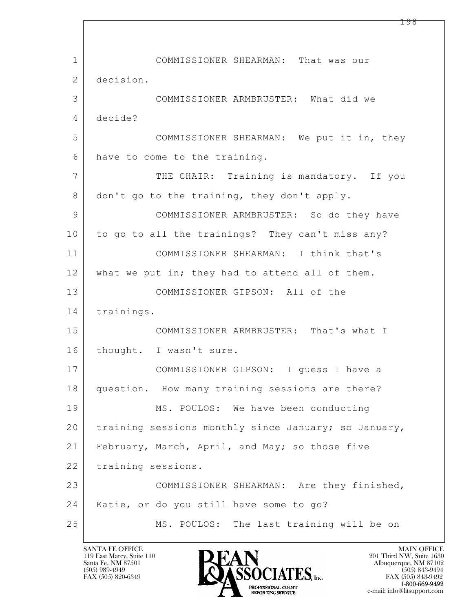$\mathbf{L}$  1 COMMISSIONER SHEARMAN: That was our 2 decision. 3 COMMISSIONER ARMBRUSTER: What did we 4 decide? 5 COMMISSIONER SHEARMAN: We put it in, they 6 have to come to the training. 7 THE CHAIR: Training is mandatory. If you 8 don't go to the training, they don't apply. 9 COMMISSIONER ARMBRUSTER: So do they have 10 to go to all the trainings? They can't miss any? 11 COMMISSIONER SHEARMAN: I think that's 12 what we put in; they had to attend all of them. 13 COMMISSIONER GIPSON: All of the 14 trainings. 15 COMMISSIONER ARMBRUSTER: That's what I 16 | thought. I wasn't sure. 17 COMMISSIONER GIPSON: I guess I have a 18 | question. How many training sessions are there? 19 MS. POULOS: We have been conducting 20 training sessions monthly since January; so January, 21 February, March, April, and May; so those five 22 training sessions. 23 COMMISSIONER SHEARMAN: Are they finished, 24 | Katie, or do you still have some to go? 25 MS. POULOS: The last training will be on

119 East Marcy, Suite 110<br>Santa Fe, NM 87501

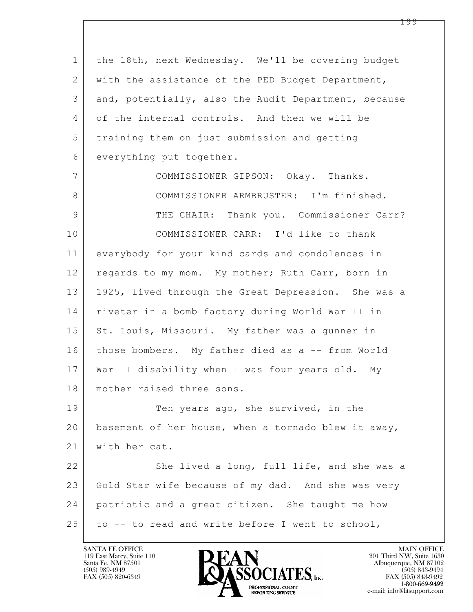| $\mathbf 1$  | the 18th, next Wednesday. We'll be covering budget   |  |  |  |
|--------------|------------------------------------------------------|--|--|--|
| 2            | with the assistance of the PED Budget Department,    |  |  |  |
| 3            | and, potentially, also the Audit Department, because |  |  |  |
| 4            | of the internal controls. And then we will be        |  |  |  |
| 5            | training them on just submission and getting         |  |  |  |
| 6            | everything put together.                             |  |  |  |
| 7            | COMMISSIONER GIPSON: Okay. Thanks.                   |  |  |  |
| 8            | COMMISSIONER ARMBRUSTER: I'm finished.               |  |  |  |
| $\mathsf{9}$ | THE CHAIR: Thank you. Commissioner Carr?             |  |  |  |
| 10           | COMMISSIONER CARR: I'd like to thank                 |  |  |  |
| 11           | everybody for your kind cards and condolences in     |  |  |  |
| 12           | regards to my mom. My mother; Ruth Carr, born in     |  |  |  |
| 13           | 1925, lived through the Great Depression. She was a  |  |  |  |
| 14           | riveter in a bomb factory during World War II in     |  |  |  |
| 15           | St. Louis, Missouri. My father was a gunner in       |  |  |  |
| 16           | those bombers. My father died as a -- from World     |  |  |  |
| 17           | War II disability when I was four years old. My      |  |  |  |
| 18           | mother raised three sons.                            |  |  |  |
| 19           | Ten years ago, she survived, in the                  |  |  |  |
| 20           | basement of her house, when a tornado blew it away,  |  |  |  |
| 21           | with her cat.                                        |  |  |  |
| 22           | She lived a long, full life, and she was a           |  |  |  |
| 23           | Gold Star wife because of my dad. And she was very   |  |  |  |
| 24           | patriotic and a great citizen. She taught me how     |  |  |  |
| 25           | to -- to read and write before I went to school,     |  |  |  |

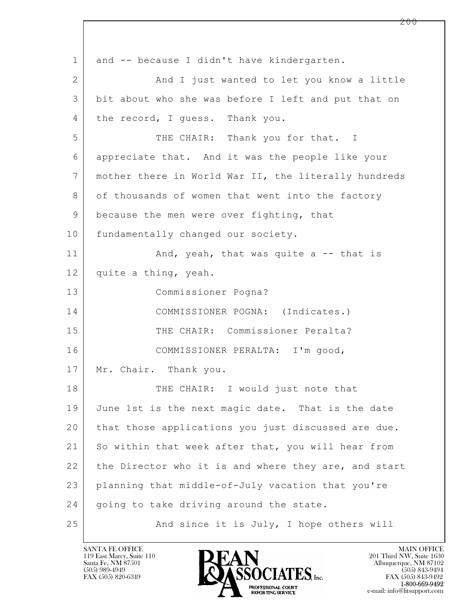$\mathbf{L}$  1 and -- because I didn't have kindergarten. 2 | And I just wanted to let you know a little 3 bit about who she was before I left and put that on 4 the record, I guess. Thank you. 5 THE CHAIR: Thank you for that. I 6 appreciate that. And it was the people like your 7 mother there in World War II, the literally hundreds 8 of thousands of women that went into the factory 9 because the men were over fighting, that 10 fundamentally changed our society. 11 | And, yeah, that was quite a -- that is 12 quite a thing, yeah. 13 Commissioner Pogna? 14 COMMISSIONER POGNA: (Indicates.) 15 THE CHAIR: Commissioner Peralta? 16 COMMISSIONER PERALTA: I'm good, 17 | Mr. Chair. Thank you. 18 THE CHAIR: I would just note that 19 June 1st is the next magic date. That is the date 20 that those applications you just discussed are due. 21 So within that week after that, you will hear from 22 the Director who it is and where they are, and start 23 planning that middle-of-July vacation that you're 24 going to take driving around the state. 25 And since it is July, I hope others will

119 East Marcy, Suite 110<br>Santa Fe, NM 87501

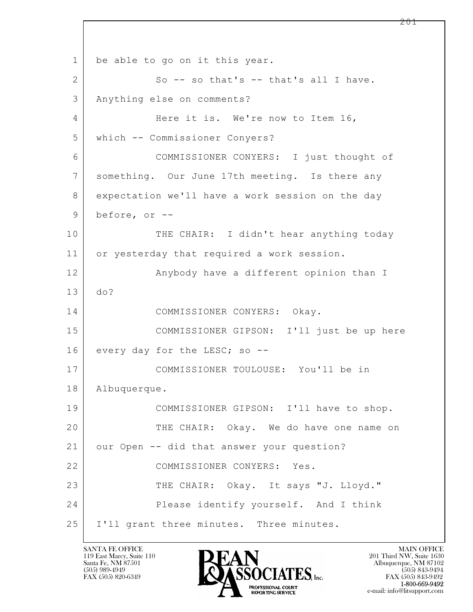$\mathbf{L}$  1 be able to go on it this year.  $2$  So -- so that's -- that's all I have. 3 Anything else on comments? 4 Here it is. We're now to Item 16, 5 which -- Commissioner Conyers? 6 COMMISSIONER CONYERS: I just thought of 7 something. Our June 17th meeting. Is there any 8 expectation we'll have a work session on the day 9 before, or -- 10 THE CHAIR: I didn't hear anything today 11 or yesterday that required a work session. 12 Anybody have a different opinion than I 13 do? 14 COMMISSIONER CONYERS: Okay. 15 COMMISSIONER GIPSON: I'll just be up here 16 every day for the LESC; so --17 COMMISSIONER TOULOUSE: You'll be in 18 Albuquerque. 19 COMMISSIONER GIPSON: I'll have to shop. 20 | THE CHAIR: Okay. We do have one name on 21 our Open -- did that answer your question? 22 COMMISSIONER CONYERS: Yes. 23 THE CHAIR: Okay. It says "J. Lloyd." 24 Please identify yourself. And I think 25 | I'll grant three minutes. Three minutes.

119 East Marcy, Suite 110<br>Santa Fe, NM 87501

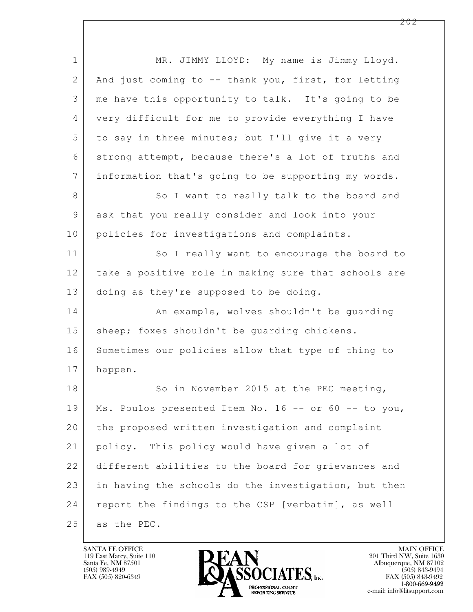| $\mathbf 1$    | MR. JIMMY LLOYD: My name is Jimmy Lloyd.             |  |
|----------------|------------------------------------------------------|--|
| $\overline{2}$ | And just coming to -- thank you, first, for letting  |  |
| 3              | me have this opportunity to talk. It's going to be   |  |
| 4              | very difficult for me to provide everything I have   |  |
| 5              | to say in three minutes; but I'll give it a very     |  |
| 6              | strong attempt, because there's a lot of truths and  |  |
| $\overline{7}$ | information that's going to be supporting my words.  |  |
| 8              | So I want to really talk to the board and            |  |
| 9              | ask that you really consider and look into your      |  |
| 10             | policies for investigations and complaints.          |  |
| 11             | So I really want to encourage the board to           |  |
| 12             | take a positive role in making sure that schools are |  |
| 13             | doing as they're supposed to be doing.               |  |
| 14             | An example, wolves shouldn't be quarding             |  |
| 15             | sheep; foxes shouldn't be guarding chickens.         |  |
| 16             | Sometimes our policies allow that type of thing to   |  |
| 17             | happen.                                              |  |
| 18             | So in November 2015 at the PEC meeting,              |  |
| 19             | Ms. Poulos presented Item No. 16 -- or 60 -- to you, |  |
| 20             | the proposed written investigation and complaint     |  |
| 21             | policy. This policy would have given a lot of        |  |
| 22             | different abilities to the board for grievances and  |  |
| 23             | in having the schools do the investigation, but then |  |
| 24             | report the findings to the CSP [verbatim], as well   |  |
| 25             | as the PEC.                                          |  |

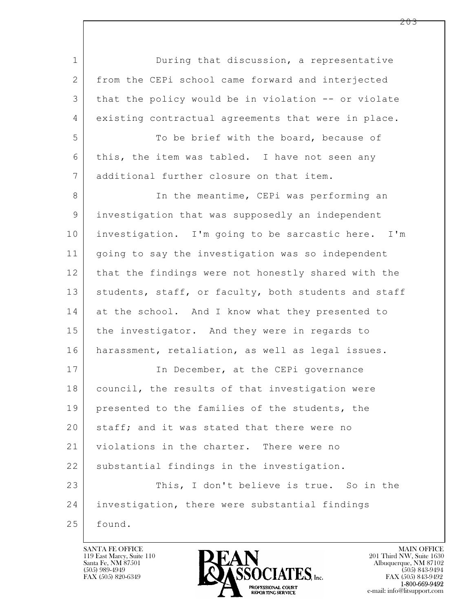$\mathbf{L}$  1 During that discussion, a representative 2 from the CEPi school came forward and interjected 3 that the policy would be in violation -- or violate 4 existing contractual agreements that were in place. 5 To be brief with the board, because of 6 this, the item was tabled. I have not seen any 7 additional further closure on that item. 8 In the meantime, CEPi was performing an 9 investigation that was supposedly an independent 10 investigation. I'm going to be sarcastic here. I'm 11 going to say the investigation was so independent 12 that the findings were not honestly shared with the 13 | students, staff, or faculty, both students and staff 14 at the school. And I know what they presented to 15 the investigator. And they were in regards to 16 harassment, retaliation, as well as legal issues. 17 In December, at the CEPi governance 18 | council, the results of that investigation were 19 presented to the families of the students, the 20 staff; and it was stated that there were no 21 violations in the charter. There were no 22 substantial findings in the investigation. 23 This, I don't believe is true. So in the 24 investigation, there were substantial findings 25 found.

119 East Marcy, Suite 110<br>Santa Fe, NM 87501



FAX (505) 843-9492 e-mail: info@litsupport.com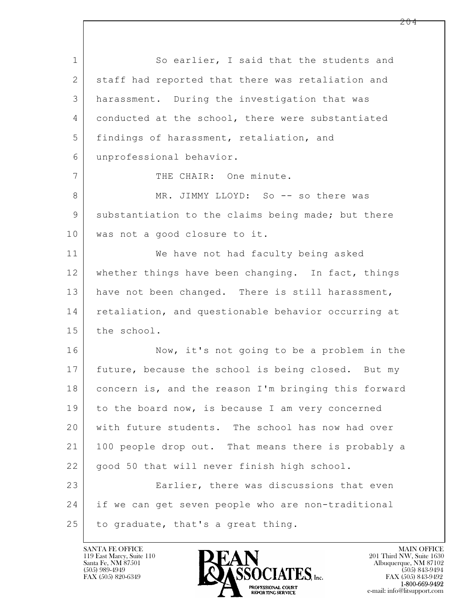$\mathbf{L}$  1 So earlier, I said that the students and 2 staff had reported that there was retaliation and 3 harassment. During the investigation that was 4 conducted at the school, there were substantiated 5 findings of harassment, retaliation, and 6 unprofessional behavior. 7 | THE CHAIR: One minute. 8 MR. JIMMY LLOYD: So -- so there was 9 substantiation to the claims being made; but there 10 was not a good closure to it. 11 We have not had faculty being asked 12 whether things have been changing. In fact, things 13 have not been changed. There is still harassment, 14 retaliation, and questionable behavior occurring at 15 the school. 16 Now, it's not going to be a problem in the 17 future, because the school is being closed. But my 18 concern is, and the reason I'm bringing this forward 19 to the board now, is because I am very concerned 20 with future students. The school has now had over 21 100 people drop out. That means there is probably a 22 | good 50 that will never finish high school. 23 Earlier, there was discussions that even 24 if we can get seven people who are non-traditional  $25$  to graduate, that's a great thing.

119 East Marcy, Suite 110<br>Santa Fe, NM 87501



FAX (505) 843-9492 e-mail: info@litsupport.com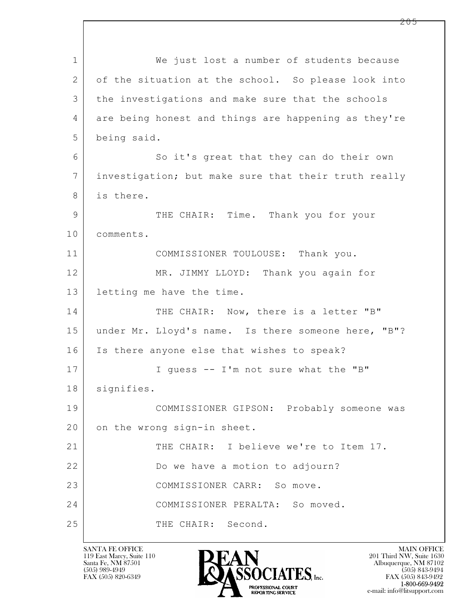$\mathbf{L}$  1 We just lost a number of students because 2 of the situation at the school. So please look into 3 | the investigations and make sure that the schools 4 are being honest and things are happening as they're 5 being said. 6 So it's great that they can do their own 7 investigation; but make sure that their truth really 8 | is there. 9 THE CHAIR: Time. Thank you for your 10 comments. 11 COMMISSIONER TOULOUSE: Thank you. 12 MR. JIMMY LLOYD: Thank you again for 13 letting me have the time. 14 THE CHAIR: Now, there is a letter "B" 15 under Mr. Lloyd's name. Is there someone here, "B"? 16 Is there anyone else that wishes to speak? 17 | I guess -- I'm not sure what the "B" 18 | signifies. 19 COMMISSIONER GIPSON: Probably someone was 20 on the wrong sign-in sheet. 21 THE CHAIR: I believe we're to Item 17. 22 Do we have a motion to adjourn? 23 COMMISSIONER CARR: So move. 24 COMMISSIONER PERALTA: So moved. 25 THE CHAIR: Second.

119 East Marcy, Suite 110<br>Santa Fe, NM 87501



FAX (505) 843-9492 e-mail: info@litsupport.com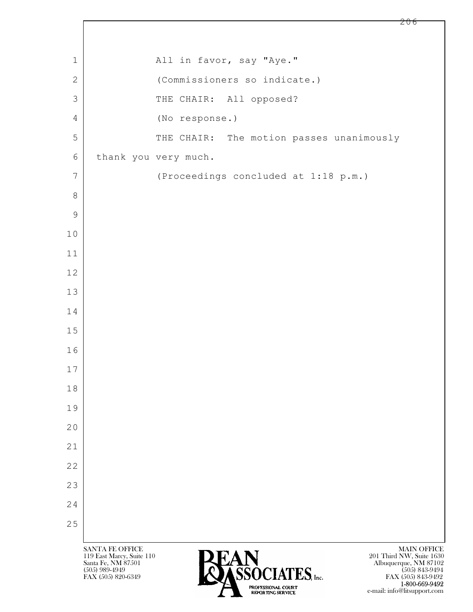## 1 All in favor, say "Aye." 2 (Commissioners so indicate.) 3 THE CHAIR: All opposed? 4 (No response.) 5 THE CHAIR: The motion passes unanimously 6 thank you very much. 7 (Proceedings concluded at 1:18 p.m.)

 $\mathbf{L}$ 

8

9

10

11

12

13

14

15

16

17

18

19

20

21

22

23

24

25



e-mail: info@litsupport.com